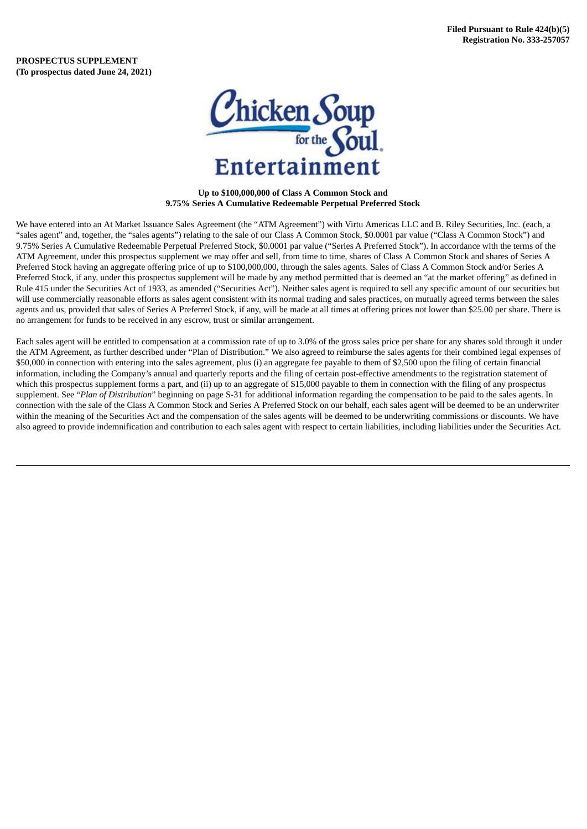**PROSPECTUS SUPPLEMENT (To prospectus dated June 24, 2021)**



**Up to \$100,000,000 of Class A Common Stock and 9.75% Series A Cumulative Redeemable Perpetual Preferred Stock**

We have entered into an At Market Issuance Sales Agreement (the "ATM Agreement") with Virtu Americas LLC and B. Riley Securities, Inc. (each, a "sales agent" and, together, the "sales agents") relating to the sale of our Class A Common Stock, \$0.0001 par value ("Class A Common Stock") and 9.75% Series A Cumulative Redeemable Perpetual Preferred Stock, \$0.0001 par value ("Series A Preferred Stock"). In accordance with the terms of the ATM Agreement, under this prospectus supplement we may offer and sell, from time to time, shares of Class A Common Stock and shares of Series A Preferred Stock having an aggregate offering price of up to \$100,000,000, through the sales agents. Sales of Class A Common Stock and/or Series A Preferred Stock, if any, under this prospectus supplement will be made by any method permitted that is deemed an "at the market offering" as defined in Rule 415 under the Securities Act of 1933, as amended ("Securities Act"). Neither sales agent is required to sell any specific amount of our securities but will use commercially reasonable efforts as sales agent consistent with its normal trading and sales practices, on mutually agreed terms between the sales agents and us, provided that sales of Series A Preferred Stock, if any, will be made at all times at offering prices not lower than \$25.00 per share. There is no arrangement for funds to be received in any escrow, trust or similar arrangement.

Each sales agent will be entitled to compensation at a commission rate of up to 3.0% of the gross sales price per share for any shares sold through it under the ATM Agreement, as further described under "Plan of Distribution." We also agreed to reimburse the sales agents for their combined legal expenses of \$50,000 in connection with entering into the sales agreement, plus (i) an aggregate fee payable to them of \$2,500 upon the filing of certain financial information, including the Company's annual and quarterly reports and the filing of certain post-effective amendments to the registration statement of which this prospectus supplement forms a part, and (ii) up to an aggregate of \$15,000 payable to them in connection with the filing of any prospectus supplement. See "*Plan of Distribution*" beginning on page S-31 for additional information regarding the compensation to be paid to the sales agents. In connection with the sale of the Class A Common Stock and Series A Preferred Stock on our behalf, each sales agent will be deemed to be an underwriter within the meaning of the Securities Act and the compensation of the sales agents will be deemed to be underwriting commissions or discounts. We have also agreed to provide indemnification and contribution to each sales agent with respect to certain liabilities, including liabilities under the Securities Act.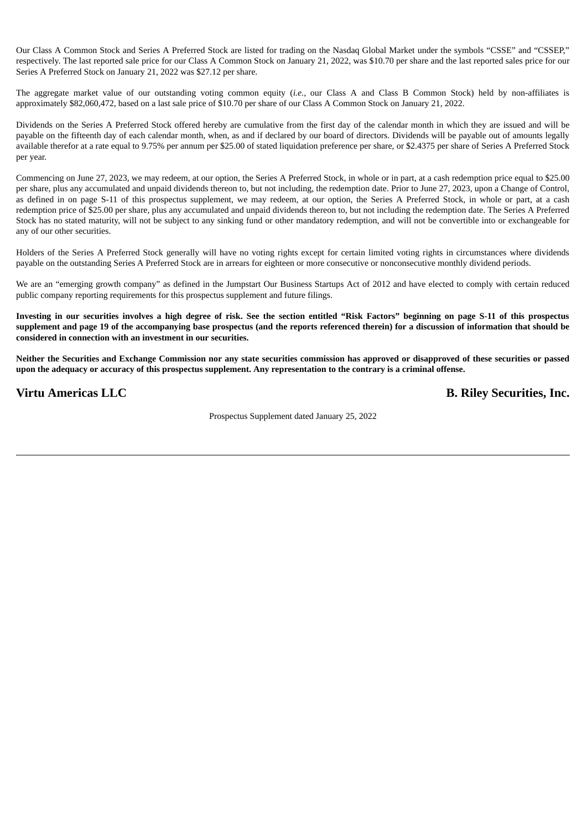Our Class A Common Stock and Series A Preferred Stock are listed for trading on the Nasdaq Global Market under the symbols "CSSE" and "CSSEP," respectively. The last reported sale price for our Class A Common Stock on January 21, 2022, was \$10.70 per share and the last reported sales price for our Series A Preferred Stock on January 21, 2022 was \$27.12 per share.

The aggregate market value of our outstanding voting common equity (*i.e.,* our Class A and Class B Common Stock) held by non-affiliates is approximately \$82,060,472, based on a last sale price of \$10.70 per share of our Class A Common Stock on January 21, 2022.

Dividends on the Series A Preferred Stock offered hereby are cumulative from the first day of the calendar month in which they are issued and will be payable on the fifteenth day of each calendar month, when, as and if declared by our board of directors. Dividends will be payable out of amounts legally available therefor at a rate equal to 9.75% per annum per \$25.00 of stated liquidation preference per share, or \$2.4375 per share of Series A Preferred Stock per year.

Commencing on June 27, 2023, we may redeem, at our option, the Series A Preferred Stock, in whole or in part, at a cash redemption price equal to \$25.00 per share, plus any accumulated and unpaid dividends thereon to, but not including, the redemption date. Prior to June 27, 2023, upon a Change of Control, as defined in on page S-11 of this prospectus supplement, we may redeem, at our option, the Series A Preferred Stock, in whole or part, at a cash redemption price of \$25.00 per share, plus any accumulated and unpaid dividends thereon to, but not including the redemption date. The Series A Preferred Stock has no stated maturity, will not be subject to any sinking fund or other mandatory redemption, and will not be convertible into or exchangeable for any of our other securities.

Holders of the Series A Preferred Stock generally will have no voting rights except for certain limited voting rights in circumstances where dividends payable on the outstanding Series A Preferred Stock are in arrears for eighteen or more consecutive or nonconsecutive monthly dividend periods.

We are an "emerging growth company" as defined in the Jumpstart Our Business Startups Act of 2012 and have elected to comply with certain reduced public company reporting requirements for this prospectus supplement and future filings.

Investing in our securities involves a high degree of risk. See the section entitled "Risk Factors" beginning on page S-11 of this prospectus supplement and page 19 of the accompanying base prospectus (and the reports referenced therein) for a discussion of information that should be **considered in connection with an investment in our securities.**

Neither the Securities and Exchange Commission nor any state securities commission has approved or disapproved of these securities or passed upon the adequacy or accuracy of this prospectus supplement. Any representation to the contrary is a criminal offense.

**Virtu Americas LLC B. Riley Securities, Inc.**

Prospectus Supplement dated January 25, 2022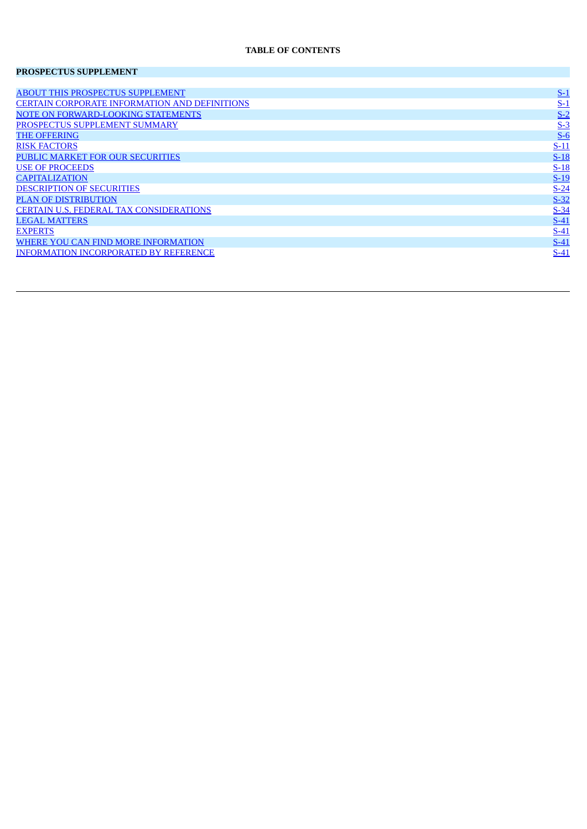# **TABLE OF CONTENTS**

| <b>PROSPECTUS SUPPLEMENT</b>                         |             |
|------------------------------------------------------|-------------|
|                                                      |             |
| <b>ABOUT THIS PROSPECTUS SUPPLEMENT</b>              | $S-1$       |
| <b>CERTAIN CORPORATE INFORMATION AND DEFINITIONS</b> | $S-1$       |
| <b>NOTE ON FORWARD-LOOKING STATEMENTS</b>            | $S-2$       |
| PROSPECTUS SUPPLEMENT SUMMARY                        | $S-3$       |
| <b>THE OFFERING</b>                                  | $S-6$       |
| <b>RISK FACTORS</b>                                  | $S-11$      |
| <b>PUBLIC MARKET FOR OUR SECURITIES</b>              | $S-18$      |
| <b>USE OF PROCEEDS</b>                               | $S-18$      |
| <b>CAPITALIZATION</b>                                | $S-19$      |
| <b>DESCRIPTION OF SECURITIES</b>                     | $S-24$      |
| <b>PLAN OF DISTRIBUTION</b>                          | $S-32$      |
| <b>CERTAIN U.S. FEDERAL TAX CONSIDERATIONS</b>       | <u>S-34</u> |
| <b>LEGAL MATTERS</b>                                 | $S-41$      |
| <b>EXPERTS</b>                                       | $S-41$      |
| WHERE YOU CAN FIND MORE INFORMATION                  | $S-41$      |
| <b>INFORMATION INCORPORATED BY REFERENCE</b>         | $S-41$      |
|                                                      |             |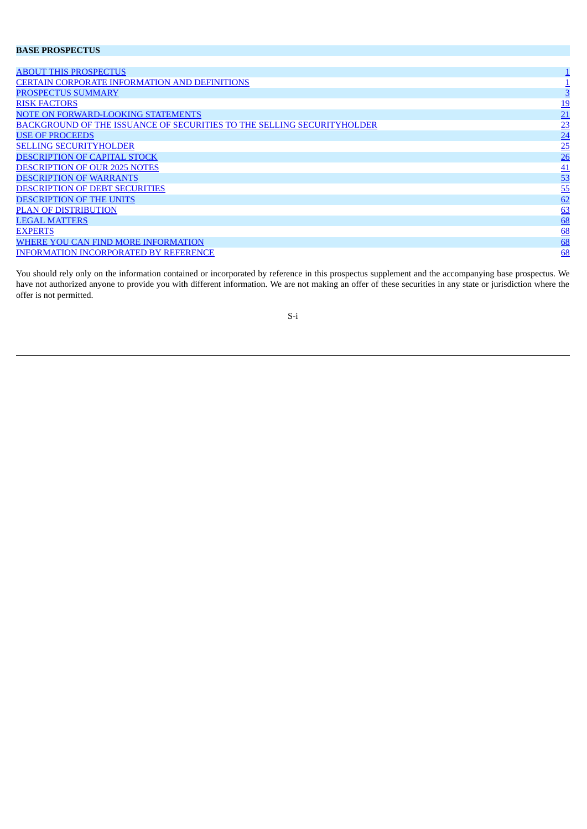# **BASE PROSPECTUS**

| <b>ABOUT THIS PROSPECTUS</b>                                            |                 |
|-------------------------------------------------------------------------|-----------------|
| <b>CERTAIN CORPORATE INFORMATION AND DEFINITIONS</b>                    |                 |
| <b>PROSPECTUS SUMMARY</b>                                               |                 |
| <b>RISK FACTORS</b>                                                     | <u>19</u>       |
| <b>NOTE ON FORWARD-LOOKING STATEMENTS</b>                               | 21              |
| BACKGROUND OF THE ISSUANCE OF SECURITIES TO THE SELLING SECURITY HOLDER | 23              |
| <b>USE OF PROCEEDS</b>                                                  | $\overline{24}$ |
| <b>SELLING SECURITYHOLDER</b>                                           | $\overline{25}$ |
| <b>DESCRIPTION OF CAPITAL STOCK</b>                                     | $\frac{26}{5}$  |
| <b>DESCRIPTION OF OUR 2025 NOTES</b>                                    | 41              |
| <b>DESCRIPTION OF WARRANTS</b>                                          | 53              |
| DESCRIPTION OF DEBT SECURITIES                                          | 55              |
| DESCRIPTION OF THE UNITS                                                | 62              |
| PLAN OF DISTRIBUTION                                                    | 63              |
| <b>LEGAL MATTERS</b>                                                    | 68              |
| <b>EXPERTS</b>                                                          | 68              |
| WHERE YOU CAN FIND MORE INFORMATION                                     | 68              |
| <b>INFORMATION INCORPORATED BY REFERENCE</b>                            | 68              |

You should rely only on the information contained or incorporated by reference in this prospectus supplement and the accompanying base prospectus. We have not authorized anyone to provide you with different information. We are not making an offer of these securities in any state or jurisdiction where the offer is not permitted.

S-i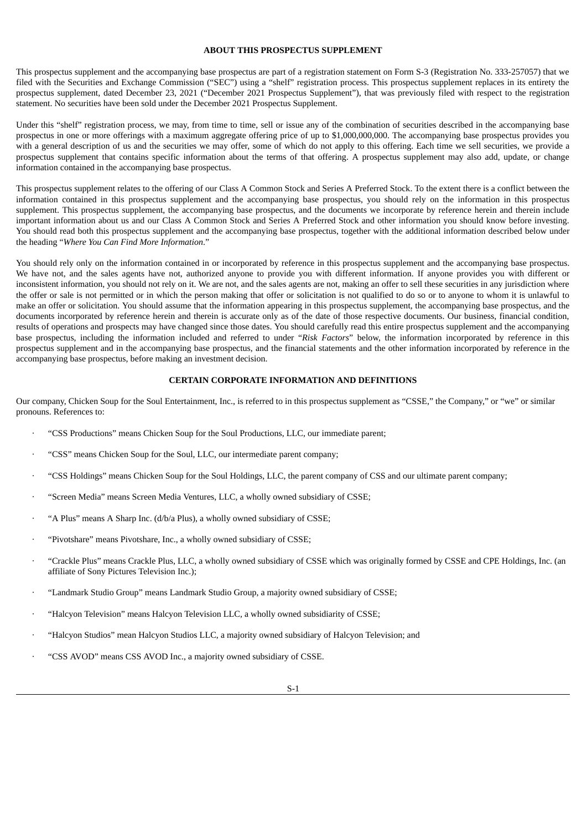## **ABOUT THIS PROSPECTUS SUPPLEMENT**

<span id="page-4-0"></span>This prospectus supplement and the accompanying base prospectus are part of a registration statement on Form S-3 (Registration No. 333-257057) that we filed with the Securities and Exchange Commission ("SEC") using a "shelf" registration process. This prospectus supplement replaces in its entirety the prospectus supplement, dated December 23, 2021 ("December 2021 Prospectus Supplement"), that was previously filed with respect to the registration statement. No securities have been sold under the December 2021 Prospectus Supplement.

Under this "shelf" registration process, we may, from time to time, sell or issue any of the combination of securities described in the accompanying base prospectus in one or more offerings with a maximum aggregate offering price of up to \$1,000,000,000. The accompanying base prospectus provides you with a general description of us and the securities we may offer, some of which do not apply to this offering. Each time we sell securities, we provide a prospectus supplement that contains specific information about the terms of that offering. A prospectus supplement may also add, update, or change information contained in the accompanying base prospectus.

This prospectus supplement relates to the offering of our Class A Common Stock and Series A Preferred Stock. To the extent there is a conflict between the information contained in this prospectus supplement and the accompanying base prospectus, you should rely on the information in this prospectus supplement. This prospectus supplement, the accompanying base prospectus, and the documents we incorporate by reference herein and therein include important information about us and our Class A Common Stock and Series A Preferred Stock and other information you should know before investing. You should read both this prospectus supplement and the accompanying base prospectus, together with the additional information described below under the heading "*Where You Can Find More Information*."

You should rely only on the information contained in or incorporated by reference in this prospectus supplement and the accompanying base prospectus. We have not, and the sales agents have not, authorized anyone to provide you with different information. If anyone provides you with different or inconsistent information, you should not rely on it. We are not, and the sales agents are not, making an offer to sell these securities in any jurisdiction where the offer or sale is not permitted or in which the person making that offer or solicitation is not qualified to do so or to anyone to whom it is unlawful to make an offer or solicitation. You should assume that the information appearing in this prospectus supplement, the accompanying base prospectus, and the documents incorporated by reference herein and therein is accurate only as of the date of those respective documents. Our business, financial condition, results of operations and prospects may have changed since those dates. You should carefully read this entire prospectus supplement and the accompanying base prospectus, including the information included and referred to under "*Risk Factors*" below, the information incorporated by reference in this prospectus supplement and in the accompanying base prospectus, and the financial statements and the other information incorporated by reference in the accompanying base prospectus, before making an investment decision.

### **CERTAIN CORPORATE INFORMATION AND DEFINITIONS**

<span id="page-4-1"></span>Our company, Chicken Soup for the Soul Entertainment, Inc., is referred to in this prospectus supplement as "CSSE," the Company," or "we" or similar pronouns. References to:

- · "CSS Productions" means Chicken Soup for the Soul Productions, LLC, our immediate parent;
- · "CSS" means Chicken Soup for the Soul, LLC, our intermediate parent company;
- · "CSS Holdings" means Chicken Soup for the Soul Holdings, LLC, the parent company of CSS and our ultimate parent company;
- · "Screen Media" means Screen Media Ventures, LLC, a wholly owned subsidiary of CSSE;
- · "A Plus" means A Sharp Inc. (d/b/a Plus), a wholly owned subsidiary of CSSE;
- · "Pivotshare" means Pivotshare, Inc., a wholly owned subsidiary of CSSE;
- · "Crackle Plus" means Crackle Plus, LLC, a wholly owned subsidiary of CSSE which was originally formed by CSSE and CPE Holdings, Inc. (an affiliate of Sony Pictures Television Inc.);
- · "Landmark Studio Group" means Landmark Studio Group, a majority owned subsidiary of CSSE;
- · "Halcyon Television" means Halcyon Television LLC, a wholly owned subsidiarity of CSSE;
- · "Halcyon Studios" mean Halcyon Studios LLC, a majority owned subsidiary of Halcyon Television; and
- · "CSS AVOD" means CSS AVOD Inc., a majority owned subsidiary of CSSE.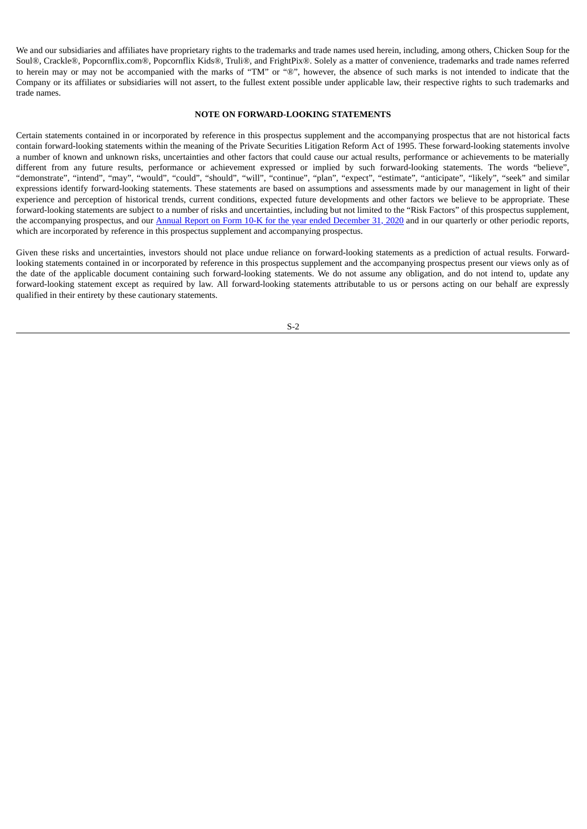We and our subsidiaries and affiliates have proprietary rights to the trademarks and trade names used herein, including, among others, Chicken Soup for the Soul®, Crackle®, Popcornflix.com®, Popcornflix Kids®, Truli®, and FrightPix®. Solely as a matter of convenience, trademarks and trade names referred to herein may or may not be accompanied with the marks of "TM" or "®", however, the absence of such marks is not intended to indicate that the Company or its affiliates or subsidiaries will not assert, to the fullest extent possible under applicable law, their respective rights to such trademarks and trade names.

### **NOTE ON FORWARD-LOOKING STATEMENTS**

<span id="page-5-0"></span>Certain statements contained in or incorporated by reference in this prospectus supplement and the accompanying prospectus that are not historical facts contain forward-looking statements within the meaning of the Private Securities Litigation Reform Act of 1995. These forward-looking statements involve a number of known and unknown risks, uncertainties and other factors that could cause our actual results, performance or achievements to be materially different from any future results, performance or achievement expressed or implied by such forward-looking statements. The words "believe", "demonstrate", "intend", "may", "would", "could", "should", "will", "continue", "plan", "expect", "estimate", "anticipate", "likely", "seek" and similar expressions identify forward-looking statements. These statements are based on assumptions and assessments made by our management in light of their experience and perception of historical trends, current conditions, expected future developments and other factors we believe to be appropriate. These forward-looking statements are subject to a number of risks and uncertainties, including but not limited to the "Risk Factors" of this prospectus supplement, the accompanying prospectus, and our Annual Report on Form 10-K for the year ended [December](https://www.sec.gov/Archives/edgar/data/1679063/000155837021003814/csse-20201231x10k.htm) 31, 2020 and in our quarterly or other periodic reports, which are incorporated by reference in this prospectus supplement and accompanying prospectus.

Given these risks and uncertainties, investors should not place undue reliance on forward-looking statements as a prediction of actual results. Forwardlooking statements contained in or incorporated by reference in this prospectus supplement and the accompanying prospectus present our views only as of the date of the applicable document containing such forward-looking statements. We do not assume any obligation, and do not intend to, update any forward-looking statement except as required by law. All forward-looking statements attributable to us or persons acting on our behalf are expressly qualified in their entirety by these cautionary statements.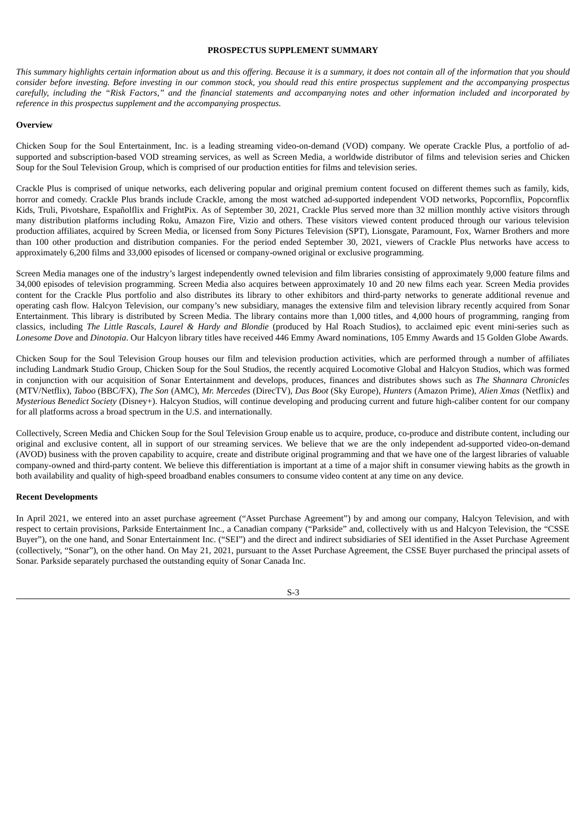#### **PROSPECTUS SUPPLEMENT SUMMARY**

<span id="page-6-0"></span>This summary highlights certain information about us and this offering. Because it is a summary, it does not contain all of the information that you should consider before investing. Before investing in our common stock, you should read this entire prospectus supplement and the accompanying prospectus carefully, including the "Risk Factors," and the financial statements and accompanying notes and other information included and incorporated by *reference in this prospectus supplement and the accompanying prospectus.*

#### **Overview**

Chicken Soup for the Soul Entertainment, Inc. is a leading streaming video-on-demand (VOD) company. We operate Crackle Plus, a portfolio of adsupported and subscription-based VOD streaming services, as well as Screen Media, a worldwide distributor of films and television series and Chicken Soup for the Soul Television Group, which is comprised of our production entities for films and television series.

Crackle Plus is comprised of unique networks, each delivering popular and original premium content focused on different themes such as family, kids, horror and comedy. Crackle Plus brands include Crackle, among the most watched ad-supported independent VOD networks, Popcornflix, Popcornflix Kids, Truli, Pivotshare, Españolflix and FrightPix. As of September 30, 2021, Crackle Plus served more than 32 million monthly active visitors through many distribution platforms including Roku, Amazon Fire, Vizio and others. These visitors viewed content produced through our various television production affiliates, acquired by Screen Media, or licensed from Sony Pictures Television (SPT), Lionsgate, Paramount, Fox, Warner Brothers and more than 100 other production and distribution companies. For the period ended September 30, 2021, viewers of Crackle Plus networks have access to approximately 6,200 films and 33,000 episodes of licensed or company-owned original or exclusive programming.

Screen Media manages one of the industry's largest independently owned television and film libraries consisting of approximately 9,000 feature films and 34,000 episodes of television programming. Screen Media also acquires between approximately 10 and 20 new films each year. Screen Media provides content for the Crackle Plus portfolio and also distributes its library to other exhibitors and third-party networks to generate additional revenue and operating cash flow. Halcyon Television, our company's new subsidiary, manages the extensive film and television library recently acquired from Sonar Entertainment. This library is distributed by Screen Media. The library contains more than 1,000 titles, and 4,000 hours of programming, ranging from classics, including *The Little Rascals*, *Laurel & Hardy and Blondie* (produced by Hal Roach Studios), to acclaimed epic event mini-series such as *Lonesome Dove* and *Dinotopia*. Our Halcyon library titles have received 446 Emmy Award nominations, 105 Emmy Awards and 15 Golden Globe Awards.

Chicken Soup for the Soul Television Group houses our film and television production activities, which are performed through a number of affiliates including Landmark Studio Group, Chicken Soup for the Soul Studios, the recently acquired Locomotive Global and Halcyon Studios, which was formed in conjunction with our acquisition of Sonar Entertainment and develops, produces, finances and distributes shows such as *The Shannara Chronicles* (MTV/Netflix), *Taboo* (BBC/FX), *The Son* (AMC), *Mr. Mercedes* (DirecTV), *Das Boot* (Sky Europe), *Hunters* (Amazon Prime), *Alien Xmas* (Netflix) and *Mysterious Benedict Society* (Disney+). Halcyon Studios, will continue developing and producing current and future high-caliber content for our company for all platforms across a broad spectrum in the U.S. and internationally.

Collectively, Screen Media and Chicken Soup for the Soul Television Group enable us to acquire, produce, co-produce and distribute content, including our original and exclusive content, all in support of our streaming services. We believe that we are the only independent ad-supported video-on-demand (AVOD) business with the proven capability to acquire, create and distribute original programming and that we have one of the largest libraries of valuable company-owned and third-party content. We believe this differentiation is important at a time of a major shift in consumer viewing habits as the growth in both availability and quality of high-speed broadband enables consumers to consume video content at any time on any device.

#### **Recent Developments**

In April 2021, we entered into an asset purchase agreement ("Asset Purchase Agreement") by and among our company, Halcyon Television, and with respect to certain provisions, Parkside Entertainment Inc., a Canadian company ("Parkside" and, collectively with us and Halcyon Television, the "CSSE Buyer"), on the one hand, and Sonar Entertainment Inc. ("SEI") and the direct and indirect subsidiaries of SEI identified in the Asset Purchase Agreement (collectively, "Sonar"), on the other hand. On May 21, 2021, pursuant to the Asset Purchase Agreement, the CSSE Buyer purchased the principal assets of Sonar. Parkside separately purchased the outstanding equity of Sonar Canada Inc.

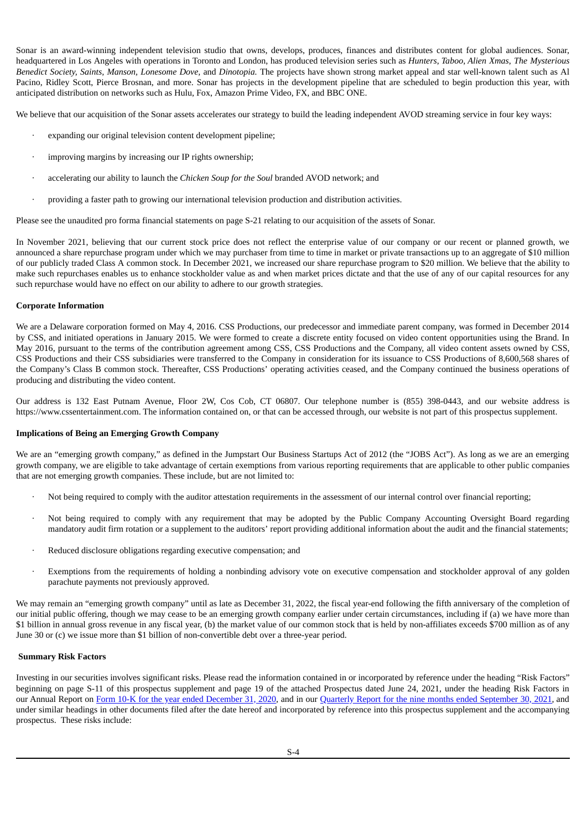Sonar is an award-winning independent television studio that owns, develops, produces, finances and distributes content for global audiences. Sonar, headquartered in Los Angeles with operations in Toronto and London, has produced television series such as *Hunters*, *Taboo*, *Alien Xmas*, *The Mysterious Benedict Society, Saints, Manson, Lonesome Dove,* and *Dinotopia.* The projects have shown strong market appeal and star well-known talent such as Al Pacino, Ridley Scott, Pierce Brosnan, and more. Sonar has projects in the development pipeline that are scheduled to begin production this year, with anticipated distribution on networks such as Hulu, Fox, Amazon Prime Video, FX, and BBC ONE.

We believe that our acquisition of the Sonar assets accelerates our strategy to build the leading independent AVOD streaming service in four key ways:

- expanding our original television content development pipeline;
- improving margins by increasing our IP rights ownership;
- · accelerating our ability to launch the *Chicken Soup for the Soul* branded AVOD network; and
- · providing a faster path to growing our international television production and distribution activities.

Please see the unaudited pro forma financial statements on page S-21 relating to our acquisition of the assets of Sonar.

In November 2021, believing that our current stock price does not reflect the enterprise value of our company or our recent or planned growth, we announced a share repurchase program under which we may purchaser from time to time in market or private transactions up to an aggregate of \$10 million of our publicly traded Class A common stock. In December 2021, we increased our share repurchase program to \$20 million. We believe that the ability to make such repurchases enables us to enhance stockholder value as and when market prices dictate and that the use of any of our capital resources for any such repurchase would have no effect on our ability to adhere to our growth strategies.

# **Corporate Information**

We are a Delaware corporation formed on May 4, 2016. CSS Productions, our predecessor and immediate parent company, was formed in December 2014 by CSS, and initiated operations in January 2015. We were formed to create a discrete entity focused on video content opportunities using the Brand. In May 2016, pursuant to the terms of the contribution agreement among CSS, CSS Productions and the Company, all video content assets owned by CSS, CSS Productions and their CSS subsidiaries were transferred to the Company in consideration for its issuance to CSS Productions of 8,600,568 shares of the Company's Class B common stock. Thereafter, CSS Productions' operating activities ceased, and the Company continued the business operations of producing and distributing the video content.

Our address is 132 East Putnam Avenue, Floor 2W, Cos Cob, CT 06807. Our telephone number is (855) 398-0443, and our website address is https://www.cssentertainment.com. The information contained on, or that can be accessed through, our website is not part of this prospectus supplement.

## **Implications of Being an Emerging Growth Company**

We are an "emerging growth company," as defined in the Jumpstart Our Business Startups Act of 2012 (the "JOBS Act"). As long as we are an emerging growth company, we are eligible to take advantage of certain exemptions from various reporting requirements that are applicable to other public companies that are not emerging growth companies. These include, but are not limited to:

- Not being required to comply with the auditor attestation requirements in the assessment of our internal control over financial reporting;
- Not being required to comply with any requirement that may be adopted by the Public Company Accounting Oversight Board regarding mandatory audit firm rotation or a supplement to the auditors' report providing additional information about the audit and the financial statements;
- Reduced disclosure obligations regarding executive compensation; and
- Exemptions from the requirements of holding a nonbinding advisory vote on executive compensation and stockholder approval of any golden parachute payments not previously approved.

We may remain an "emerging growth company" until as late as December 31, 2022, the fiscal year-end following the fifth anniversary of the completion of our initial public offering, though we may cease to be an emerging growth company earlier under certain circumstances, including if (a) we have more than \$1 billion in annual gross revenue in any fiscal year, (b) the market value of our common stock that is held by non-affiliates exceeds \$700 million as of any June 30 or (c) we issue more than \$1 billion of non-convertible debt over a three-year period.

## **Summary Risk Factors**

Investing in our securities involves significant risks. Please read the information contained in or incorporated by reference under the heading "Risk Factors" beginning on page S-11 of this prospectus supplement and page 19 of the attached Prospectus dated June 24, 2021, under the heading Risk Factors in our Annual Report on Form 10-K for the year ended [December](https://www.sec.gov/Archives/edgar/data/1679063/000155837021003814/csse-20201231x10k.htm) 31, 2020, and in our Quarterly Report for the nine months ended [September](https://www.sec.gov/ix?doc=/Archives/edgar/data/1679063/000155837021015015/csse-20210930x10q.htm) 30, 2021, and under similar headings in other documents filed after the date hereof and incorporated by reference into this prospectus supplement and the accompanying prospectus. These risks include: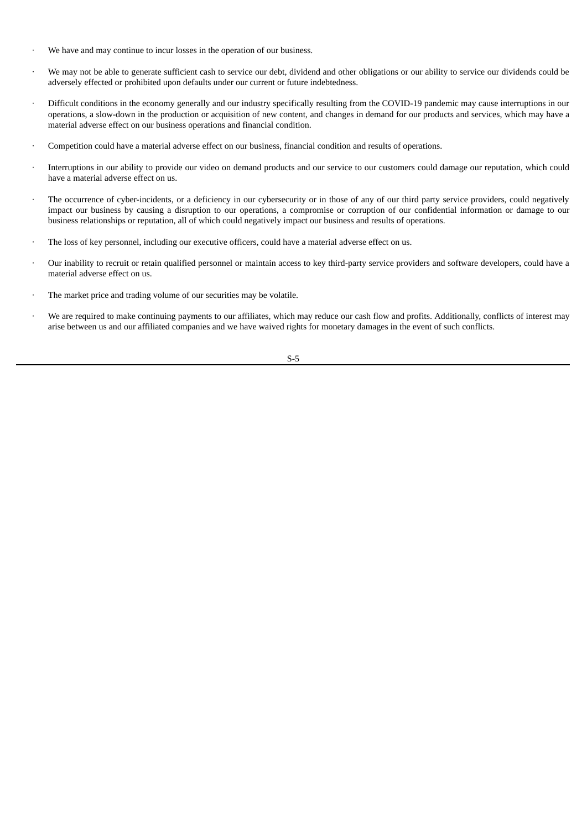- We have and may continue to incur losses in the operation of our business.
- We may not be able to generate sufficient cash to service our debt, dividend and other obligations or our ability to service our dividends could be adversely effected or prohibited upon defaults under our current or future indebtedness.
- · Difficult conditions in the economy generally and our industry specifically resulting from the COVID-19 pandemic may cause interruptions in our operations, a slow-down in the production or acquisition of new content, and changes in demand for our products and services, which may have a material adverse effect on our business operations and financial condition.
- · Competition could have a material adverse effect on our business, financial condition and results of operations.
- · Interruptions in our ability to provide our video on demand products and our service to our customers could damage our reputation, which could have a material adverse effect on us.
- The occurrence of cyber-incidents, or a deficiency in our cybersecurity or in those of any of our third party service providers, could negatively impact our business by causing a disruption to our operations, a compromise or corruption of our confidential information or damage to our business relationships or reputation, all of which could negatively impact our business and results of operations.
- The loss of key personnel, including our executive officers, could have a material adverse effect on us.
- · Our inability to recruit or retain qualified personnel or maintain access to key third-party service providers and software developers, could have a material adverse effect on us.
- The market price and trading volume of our securities may be volatile.
- We are required to make continuing payments to our affiliates, which may reduce our cash flow and profits. Additionally, conflicts of interest may arise between us and our affiliated companies and we have waived rights for monetary damages in the event of such conflicts.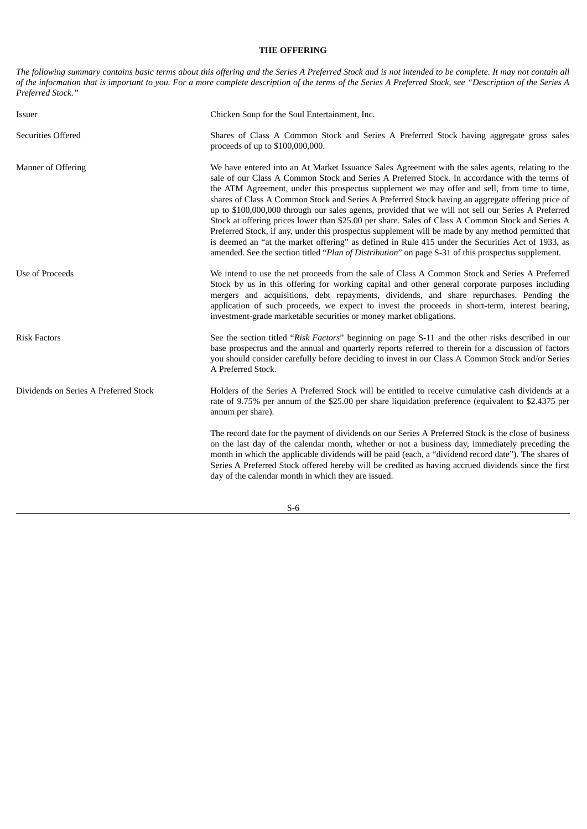# **THE OFFERING**

<span id="page-9-0"></span>The following summary contains basic terms about this offering and the Series A Preferred Stock and is not intended to be complete. It may not contain all of the information that is important to you. For a more complete description of the terms of the Series A Preferred Stock, see "Description of the Series A *Preferred Stock."*

| Issuer                                | Chicken Soup for the Soul Entertainment, Inc.                                                                                                                                                                                                                                                                                                                                                                                                                                                                                                                                                                                                                                                                                                                                                                                                                                                                                           |
|---------------------------------------|-----------------------------------------------------------------------------------------------------------------------------------------------------------------------------------------------------------------------------------------------------------------------------------------------------------------------------------------------------------------------------------------------------------------------------------------------------------------------------------------------------------------------------------------------------------------------------------------------------------------------------------------------------------------------------------------------------------------------------------------------------------------------------------------------------------------------------------------------------------------------------------------------------------------------------------------|
| <b>Securities Offered</b>             | Shares of Class A Common Stock and Series A Preferred Stock having aggregate gross sales<br>proceeds of up to \$100,000,000.                                                                                                                                                                                                                                                                                                                                                                                                                                                                                                                                                                                                                                                                                                                                                                                                            |
| Manner of Offering                    | We have entered into an At Market Issuance Sales Agreement with the sales agents, relating to the<br>sale of our Class A Common Stock and Series A Preferred Stock. In accordance with the terms of<br>the ATM Agreement, under this prospectus supplement we may offer and sell, from time to time,<br>shares of Class A Common Stock and Series A Preferred Stock having an aggregate offering price of<br>up to \$100,000,000 through our sales agents, provided that we will not sell our Series A Preferred<br>Stock at offering prices lower than \$25.00 per share. Sales of Class A Common Stock and Series A<br>Preferred Stock, if any, under this prospectus supplement will be made by any method permitted that<br>is deemed an "at the market offering" as defined in Rule 415 under the Securities Act of 1933, as<br>amended. See the section titled "Plan of Distribution" on page S-31 of this prospectus supplement. |
| Use of Proceeds                       | We intend to use the net proceeds from the sale of Class A Common Stock and Series A Preferred<br>Stock by us in this offering for working capital and other general corporate purposes including<br>mergers and acquisitions, debt repayments, dividends, and share repurchases. Pending the<br>application of such proceeds, we expect to invest the proceeds in short-term, interest bearing,<br>investment-grade marketable securities or money market obligations.                                                                                                                                                                                                                                                                                                                                                                                                                                                                 |
| <b>Risk Factors</b>                   | See the section titled "Risk Factors" beginning on page S-11 and the other risks described in our<br>base prospectus and the annual and quarterly reports referred to therein for a discussion of factors<br>you should consider carefully before deciding to invest in our Class A Common Stock and/or Series<br>A Preferred Stock.                                                                                                                                                                                                                                                                                                                                                                                                                                                                                                                                                                                                    |
| Dividends on Series A Preferred Stock | Holders of the Series A Preferred Stock will be entitled to receive cumulative cash dividends at a<br>rate of 9.75% per annum of the \$25.00 per share liquidation preference (equivalent to \$2.4375 per<br>annum per share).                                                                                                                                                                                                                                                                                                                                                                                                                                                                                                                                                                                                                                                                                                          |
|                                       | The record date for the payment of dividends on our Series A Preferred Stock is the close of business<br>on the last day of the calendar month, whether or not a business day, immediately preceding the<br>month in which the applicable dividends will be paid (each, a "dividend record date"). The shares of<br>Series A Preferred Stock offered hereby will be credited as having accrued dividends since the first<br>day of the calendar month in which they are issued.                                                                                                                                                                                                                                                                                                                                                                                                                                                         |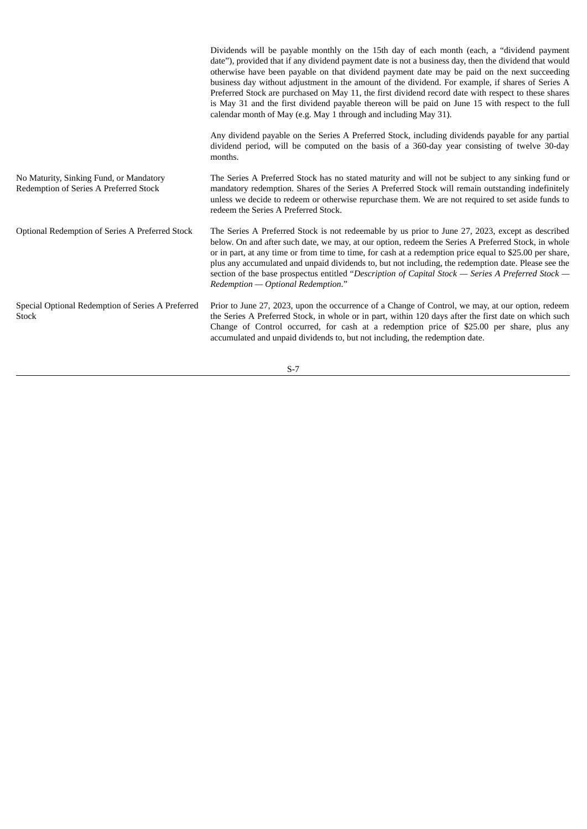|                                                                                   | Dividends will be payable monthly on the 15th day of each month (each, a "dividend payment"<br>date"), provided that if any dividend payment date is not a business day, then the dividend that would<br>otherwise have been payable on that dividend payment date may be paid on the next succeeding<br>business day without adjustment in the amount of the dividend. For example, if shares of Series A<br>Preferred Stock are purchased on May 11, the first dividend record date with respect to these shares<br>is May 31 and the first dividend payable thereon will be paid on June 15 with respect to the full<br>calendar month of May (e.g. May 1 through and including May 31). |
|-----------------------------------------------------------------------------------|---------------------------------------------------------------------------------------------------------------------------------------------------------------------------------------------------------------------------------------------------------------------------------------------------------------------------------------------------------------------------------------------------------------------------------------------------------------------------------------------------------------------------------------------------------------------------------------------------------------------------------------------------------------------------------------------|
|                                                                                   | Any dividend payable on the Series A Preferred Stock, including dividends payable for any partial<br>dividend period, will be computed on the basis of a 360-day year consisting of twelve 30-day<br>months.                                                                                                                                                                                                                                                                                                                                                                                                                                                                                |
| No Maturity, Sinking Fund, or Mandatory<br>Redemption of Series A Preferred Stock | The Series A Preferred Stock has no stated maturity and will not be subject to any sinking fund or<br>mandatory redemption. Shares of the Series A Preferred Stock will remain outstanding indefinitely<br>unless we decide to redeem or otherwise repurchase them. We are not required to set aside funds to<br>redeem the Series A Preferred Stock.                                                                                                                                                                                                                                                                                                                                       |
| Optional Redemption of Series A Preferred Stock                                   | The Series A Preferred Stock is not redeemable by us prior to June 27, 2023, except as described<br>below. On and after such date, we may, at our option, redeem the Series A Preferred Stock, in whole<br>or in part, at any time or from time to time, for cash at a redemption price equal to \$25.00 per share,<br>plus any accumulated and unpaid dividends to, but not including, the redemption date. Please see the<br>section of the base prospectus entitled "Description of Capital Stock - Series A Preferred Stock -<br>Redemption — Optional Redemption."                                                                                                                     |
| Special Optional Redemption of Series A Preferred<br><b>Stock</b>                 | Prior to June 27, 2023, upon the occurrence of a Change of Control, we may, at our option, redeem<br>the Series A Preferred Stock, in whole or in part, within 120 days after the first date on which such<br>Change of Control occurred, for cash at a redemption price of \$25.00 per share, plus any<br>accumulated and unpaid dividends to, but not including, the redemption date.                                                                                                                                                                                                                                                                                                     |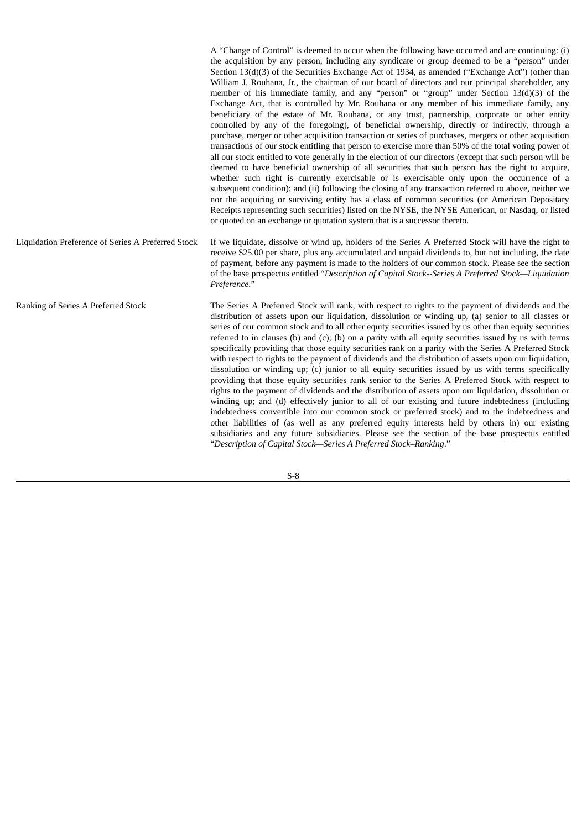|                                                    | A "Change of Control" is deemed to occur when the following have occurred and are continuing; (i)<br>the acquisition by any person, including any syndicate or group deemed to be a "person" under<br>Section 13(d)(3) of the Securities Exchange Act of 1934, as amended ("Exchange Act") (other than<br>William J. Rouhana, Jr., the chairman of our board of directors and our principal shareholder, any<br>member of his immediate family, and any "person" or "group" under Section 13(d)(3) of the<br>Exchange Act, that is controlled by Mr. Rouhana or any member of his immediate family, any<br>beneficiary of the estate of Mr. Rouhana, or any trust, partnership, corporate or other entity<br>controlled by any of the foregoing), of beneficial ownership, directly or indirectly, through a<br>purchase, merger or other acquisition transaction or series of purchases, mergers or other acquisition<br>transactions of our stock entitling that person to exercise more than 50% of the total voting power of<br>all our stock entitled to vote generally in the election of our directors (except that such person will be<br>deemed to have beneficial ownership of all securities that such person has the right to acquire,<br>whether such right is currently exercisable or is exercisable only upon the occurrence of a<br>subsequent condition); and (ii) following the closing of any transaction referred to above, neither we<br>nor the acquiring or surviving entity has a class of common securities (or American Depositary<br>Receipts representing such securities) listed on the NYSE, the NYSE American, or Nasdaq, or listed<br>or quoted on an exchange or quotation system that is a successor thereto. |
|----------------------------------------------------|--------------------------------------------------------------------------------------------------------------------------------------------------------------------------------------------------------------------------------------------------------------------------------------------------------------------------------------------------------------------------------------------------------------------------------------------------------------------------------------------------------------------------------------------------------------------------------------------------------------------------------------------------------------------------------------------------------------------------------------------------------------------------------------------------------------------------------------------------------------------------------------------------------------------------------------------------------------------------------------------------------------------------------------------------------------------------------------------------------------------------------------------------------------------------------------------------------------------------------------------------------------------------------------------------------------------------------------------------------------------------------------------------------------------------------------------------------------------------------------------------------------------------------------------------------------------------------------------------------------------------------------------------------------------------------------------------------------------------------------------------|
| Liquidation Preference of Series A Preferred Stock | If we liquidate, dissolve or wind up, holders of the Series A Preferred Stock will have the right to<br>receive \$25.00 per share, plus any accumulated and unpaid dividends to, but not including, the date<br>of payment, before any payment is made to the holders of our common stock. Please see the section<br>of the base prospectus entitled "Description of Capital Stock--Series A Preferred Stock--Liquidation<br>Preference."                                                                                                                                                                                                                                                                                                                                                                                                                                                                                                                                                                                                                                                                                                                                                                                                                                                                                                                                                                                                                                                                                                                                                                                                                                                                                                        |
| Ranking of Series A Preferred Stock                | The Series A Preferred Stock will rank, with respect to rights to the payment of dividends and the<br>distribution of assets upon our liquidation, dissolution or winding up, (a) senior to all classes or<br>series of our common stock and to all other equity securities issued by us other than equity securities<br>referred to in clauses (b) and (c); (b) on a parity with all equity securities issued by us with terms<br>specifically providing that those equity securities rank on a parity with the Series A Preferred Stock<br>with respect to rights to the payment of dividends and the distribution of assets upon our liquidation,<br>dissolution or winding up; (c) junior to all equity securities issued by us with terms specifically<br>providing that those equity securities rank senior to the Series A Preferred Stock with respect to<br>rights to the payment of dividends and the distribution of assets upon our liquidation, dissolution or<br>winding up; and (d) effectively junior to all of our existing and future indebtedness (including<br>indebtedness convertible into our common stock or preferred stock) and to the indebtedness and<br>other liabilities of (as well as any preferred equity interests held by others in) our existing<br>subsidiaries and any future subsidiaries. Please see the section of the base prospectus entitled<br>"Description of Capital Stock-Series A Preferred Stock-Ranking."                                                                                                                                                                                                                                                                                     |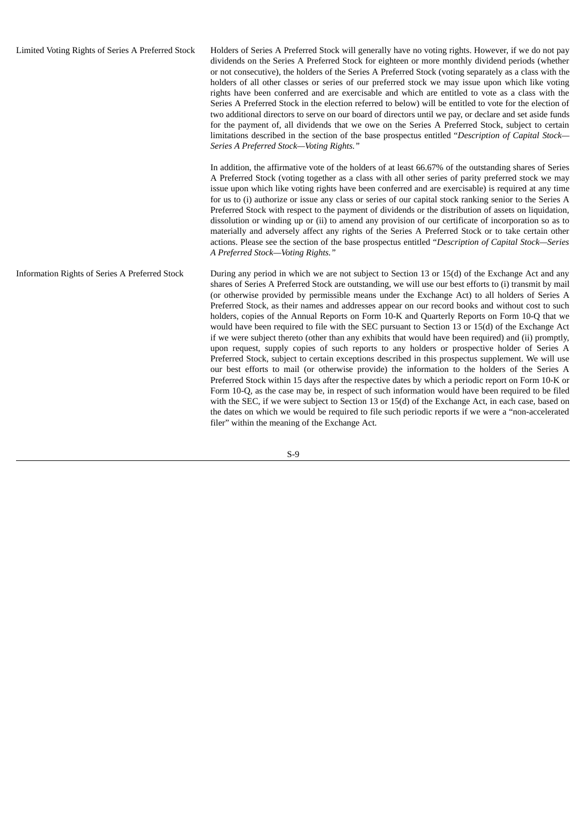Limited Voting Rights of Series A Preferred Stock Holders of Series A Preferred Stock will generally have no voting rights. However, if we do not pay dividends on the Series A Preferred Stock for eighteen or more monthly dividend periods (whether or not consecutive), the holders of the Series A Preferred Stock (voting separately as a class with the holders of all other classes or series of our preferred stock we may issue upon which like voting rights have been conferred and are exercisable and which are entitled to vote as a class with the Series A Preferred Stock in the election referred to below) will be entitled to vote for the election of two additional directors to serve on our board of directors until we pay, or declare and set aside funds for the payment of, all dividends that we owe on the Series A Preferred Stock, subject to certain limitations described in the section of the base prospectus entitled "*Description of Capital Stock— Series A Preferred Stock—Voting Rights."*

> In addition, the affirmative vote of the holders of at least 66.67% of the outstanding shares of Series A Preferred Stock (voting together as a class with all other series of parity preferred stock we may issue upon which like voting rights have been conferred and are exercisable) is required at any time for us to (i) authorize or issue any class or series of our capital stock ranking senior to the Series A Preferred Stock with respect to the payment of dividends or the distribution of assets on liquidation, dissolution or winding up or (ii) to amend any provision of our certificate of incorporation so as to materially and adversely affect any rights of the Series A Preferred Stock or to take certain other actions. Please see the section of the base prospectus entitled "*Description of Capital Stock—Series A Preferred Stock—Voting Rights."*

Information Rights of Series A Preferred Stock During any period in which we are not subject to Section 13 or 15(d) of the Exchange Act and any shares of Series A Preferred Stock are outstanding, we will use our best efforts to (i) transmit by mail (or otherwise provided by permissible means under the Exchange Act) to all holders of Series A Preferred Stock, as their names and addresses appear on our record books and without cost to such holders, copies of the Annual Reports on Form 10-K and Quarterly Reports on Form 10-Q that we would have been required to file with the SEC pursuant to Section 13 or 15(d) of the Exchange Act if we were subject thereto (other than any exhibits that would have been required) and (ii) promptly, upon request, supply copies of such reports to any holders or prospective holder of Series A Preferred Stock, subject to certain exceptions described in this prospectus supplement. We will use our best efforts to mail (or otherwise provide) the information to the holders of the Series A Preferred Stock within 15 days after the respective dates by which a periodic report on Form 10-K or Form 10-Q, as the case may be, in respect of such information would have been required to be filed with the SEC, if we were subject to Section 13 or 15(d) of the Exchange Act, in each case, based on the dates on which we would be required to file such periodic reports if we were a "non-accelerated filer" within the meaning of the Exchange Act.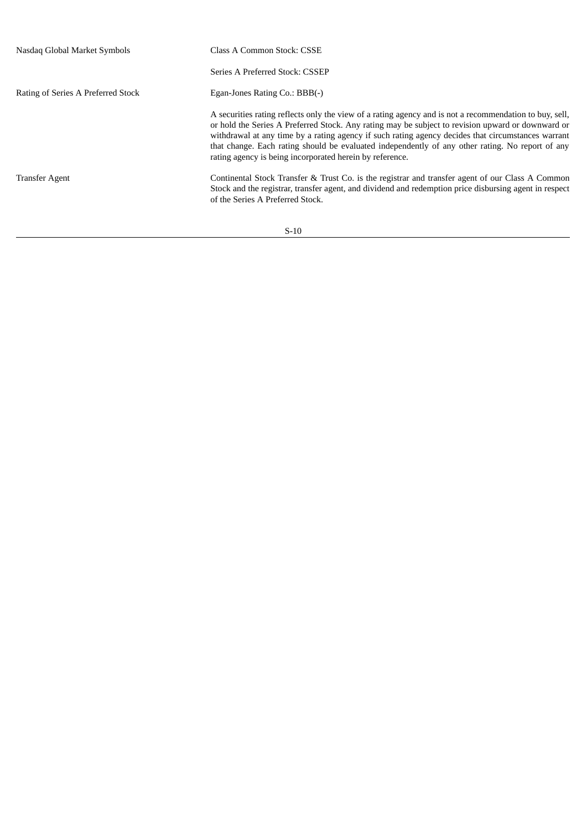| Nasdaq Global Market Symbols       | Class A Common Stock: CSSE                                                                                                                                                                                                                                                                                                                                                                                                                                                         |  |  |  |
|------------------------------------|------------------------------------------------------------------------------------------------------------------------------------------------------------------------------------------------------------------------------------------------------------------------------------------------------------------------------------------------------------------------------------------------------------------------------------------------------------------------------------|--|--|--|
|                                    | Series A Preferred Stock: CSSEP                                                                                                                                                                                                                                                                                                                                                                                                                                                    |  |  |  |
| Rating of Series A Preferred Stock | Egan-Jones Rating Co.: BBB(-)                                                                                                                                                                                                                                                                                                                                                                                                                                                      |  |  |  |
|                                    | A securities rating reflects only the view of a rating agency and is not a recommendation to buy, sell,<br>or hold the Series A Preferred Stock. Any rating may be subject to revision upward or downward or<br>withdrawal at any time by a rating agency if such rating agency decides that circumstances warrant<br>that change. Each rating should be evaluated independently of any other rating. No report of any<br>rating agency is being incorporated herein by reference. |  |  |  |
| Transfer Agent                     | Continental Stock Transfer & Trust Co. is the registrar and transfer agent of our Class A Common<br>Stock and the registrar, transfer agent, and dividend and redemption price disbursing agent in respect<br>of the Series A Preferred Stock.                                                                                                                                                                                                                                     |  |  |  |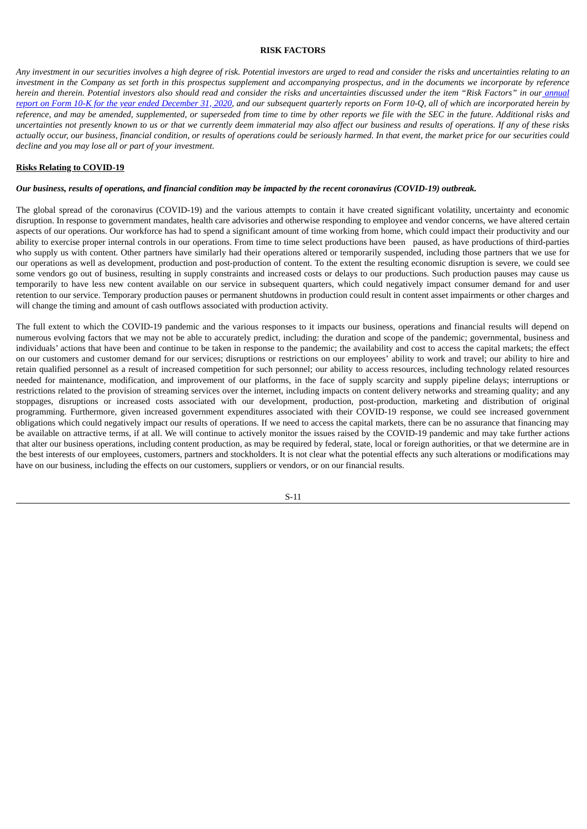#### **RISK FACTORS**

<span id="page-14-0"></span>Any investment in our securities involves a high degree of risk. Potential investors are urged to read and consider the risks and uncertainties relating to an investment in the Company as set forth in this prospectus supplement and accompanying prospectus, and in the documents we incorporate by reference herein and therein. Potential investors also should read and consider the risks and [uncertainties](https://www.sec.gov/Archives/edgar/data/1679063/000155837021003814/csse-20201231x10k.htm) discussed under the item "Risk Factors" in our annual report on Form 10-K for the year ended December 31, 2020, and our subsequent quarterly reports on Form 10-Q, all of which are incorporated herein by reference, and may be amended, supplemented, or superseded from time to time by other reports we file with the SEC in the future. Additional risks and uncertainties not presently known to us or that we currently deem immaterial may also affect our business and results of operations. If any of these risks actually occur, our business, financial condition, or results of operations could be seriously harmed. In that event, the market price for our securities could *decline and you may lose all or part of your investment.*

## **Risks Relating to COVID-19**

#### Our business, results of operations, and financial condition may be impacted by the recent coronavirus (COVID-19) outbreak.

The global spread of the coronavirus (COVID-19) and the various attempts to contain it have created significant volatility, uncertainty and economic disruption. In response to government mandates, health care advisories and otherwise responding to employee and vendor concerns, we have altered certain aspects of our operations. Our workforce has had to spend a significant amount of time working from home, which could impact their productivity and our ability to exercise proper internal controls in our operations. From time to time select productions have been paused, as have productions of third-parties who supply us with content. Other partners have similarly had their operations altered or temporarily suspended, including those partners that we use for our operations as well as development, production and post-production of content. To the extent the resulting economic disruption is severe, we could see some vendors go out of business, resulting in supply constraints and increased costs or delays to our productions. Such production pauses may cause us temporarily to have less new content available on our service in subsequent quarters, which could negatively impact consumer demand for and user retention to our service. Temporary production pauses or permanent shutdowns in production could result in content asset impairments or other charges and will change the timing and amount of cash outflows associated with production activity.

The full extent to which the COVID-19 pandemic and the various responses to it impacts our business, operations and financial results will depend on numerous evolving factors that we may not be able to accurately predict, including: the duration and scope of the pandemic; governmental, business and individuals' actions that have been and continue to be taken in response to the pandemic; the availability and cost to access the capital markets; the effect on our customers and customer demand for our services; disruptions or restrictions on our employees' ability to work and travel; our ability to hire and retain qualified personnel as a result of increased competition for such personnel; our ability to access resources, including technology related resources needed for maintenance, modification, and improvement of our platforms, in the face of supply scarcity and supply pipeline delays; interruptions or restrictions related to the provision of streaming services over the internet, including impacts on content delivery networks and streaming quality; and any stoppages, disruptions or increased costs associated with our development, production, post-production, marketing and distribution of original programming. Furthermore, given increased government expenditures associated with their COVID-19 response, we could see increased government obligations which could negatively impact our results of operations. If we need to access the capital markets, there can be no assurance that financing may be available on attractive terms, if at all. We will continue to actively monitor the issues raised by the COVID-19 pandemic and may take further actions that alter our business operations, including content production, as may be required by federal, state, local or foreign authorities, or that we determine are in the best interests of our employees, customers, partners and stockholders. It is not clear what the potential effects any such alterations or modifications may have on our business, including the effects on our customers, suppliers or vendors, or on our financial results.

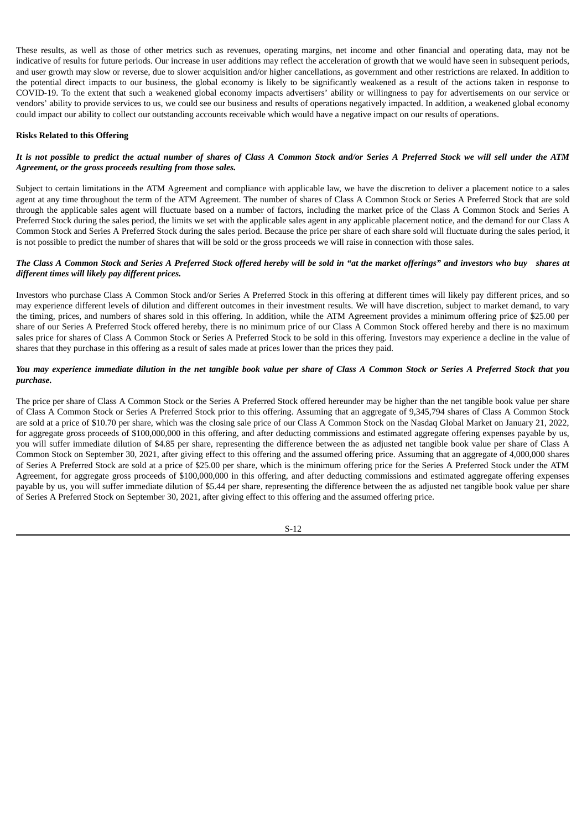These results, as well as those of other metrics such as revenues, operating margins, net income and other financial and operating data, may not be indicative of results for future periods. Our increase in user additions may reflect the acceleration of growth that we would have seen in subsequent periods, and user growth may slow or reverse, due to slower acquisition and/or higher cancellations, as government and other restrictions are relaxed. In addition to the potential direct impacts to our business, the global economy is likely to be significantly weakened as a result of the actions taken in response to COVID-19. To the extent that such a weakened global economy impacts advertisers' ability or willingness to pay for advertisements on our service or vendors' ability to provide services to us, we could see our business and results of operations negatively impacted. In addition, a weakened global economy could impact our ability to collect our outstanding accounts receivable which would have a negative impact on our results of operations.

### **Risks Related to this Offering**

## It is not possible to predict the actual number of shares of Class A Common Stock and/or Series A Preferred Stock we will sell under the ATM *Agreement, or the gross proceeds resulting from those sales.*

Subject to certain limitations in the ATM Agreement and compliance with applicable law, we have the discretion to deliver a placement notice to a sales agent at any time throughout the term of the ATM Agreement. The number of shares of Class A Common Stock or Series A Preferred Stock that are sold through the applicable sales agent will fluctuate based on a number of factors, including the market price of the Class A Common Stock and Series A Preferred Stock during the sales period, the limits we set with the applicable sales agent in any applicable placement notice, and the demand for our Class A Common Stock and Series A Preferred Stock during the sales period. Because the price per share of each share sold will fluctuate during the sales period, it is not possible to predict the number of shares that will be sold or the gross proceeds we will raise in connection with those sales.

## The Class A Common Stock and Series A Preferred Stock offered hereby will be sold in "at the market offerings" and investors who buy shares at *different times will likely pay different prices.*

Investors who purchase Class A Common Stock and/or Series A Preferred Stock in this offering at different times will likely pay different prices, and so may experience different levels of dilution and different outcomes in their investment results. We will have discretion, subject to market demand, to vary the timing, prices, and numbers of shares sold in this offering. In addition, while the ATM Agreement provides a minimum offering price of \$25.00 per share of our Series A Preferred Stock offered hereby, there is no minimum price of our Class A Common Stock offered hereby and there is no maximum sales price for shares of Class A Common Stock or Series A Preferred Stock to be sold in this offering. Investors may experience a decline in the value of shares that they purchase in this offering as a result of sales made at prices lower than the prices they paid.

## You may experience immediate dilution in the net tangible book value per share of Class A Common Stock or Series A Preferred Stock that you *purchase.*

The price per share of Class A Common Stock or the Series A Preferred Stock offered hereunder may be higher than the net tangible book value per share of Class A Common Stock or Series A Preferred Stock prior to this offering. Assuming that an aggregate of 9,345,794 shares of Class A Common Stock are sold at a price of \$10.70 per share, which was the closing sale price of our Class A Common Stock on the Nasdaq Global Market on January 21, 2022, for aggregate gross proceeds of \$100,000,000 in this offering, and after deducting commissions and estimated aggregate offering expenses payable by us, you will suffer immediate dilution of \$4.85 per share, representing the difference between the as adjusted net tangible book value per share of Class A Common Stock on September 30, 2021, after giving effect to this offering and the assumed offering price. Assuming that an aggregate of 4,000,000 shares of Series A Preferred Stock are sold at a price of \$25.00 per share, which is the minimum offering price for the Series A Preferred Stock under the ATM Agreement, for aggregate gross proceeds of \$100,000,000 in this offering, and after deducting commissions and estimated aggregate offering expenses payable by us, you will suffer immediate dilution of \$5.44 per share, representing the difference between the as adjusted net tangible book value per share of Series A Preferred Stock on September 30, 2021, after giving effect to this offering and the assumed offering price.

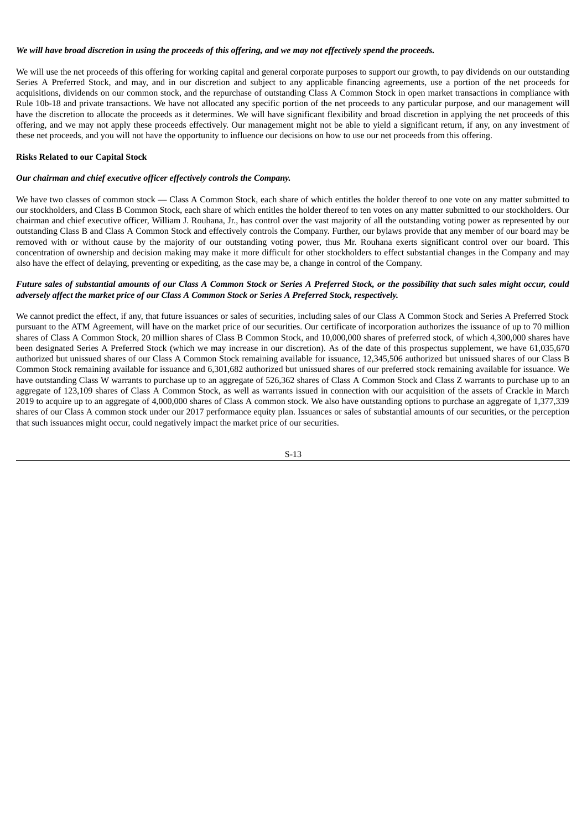### We will have broad discretion in using the proceeds of this offering, and we may not effectively spend the proceeds.

We will use the net proceeds of this offering for working capital and general corporate purposes to support our growth, to pay dividends on our outstanding Series A Preferred Stock, and may, and in our discretion and subject to any applicable financing agreements, use a portion of the net proceeds for acquisitions, dividends on our common stock, and the repurchase of outstanding Class A Common Stock in open market transactions in compliance with Rule 10b-18 and private transactions. We have not allocated any specific portion of the net proceeds to any particular purpose, and our management will have the discretion to allocate the proceeds as it determines. We will have significant flexibility and broad discretion in applying the net proceeds of this offering, and we may not apply these proceeds effectively. Our management might not be able to yield a significant return, if any, on any investment of these net proceeds, and you will not have the opportunity to influence our decisions on how to use our net proceeds from this offering.

## **Risks Related to our Capital Stock**

## *Our chairman and chief executive officer effectively controls the Company.*

We have two classes of common stock — Class A Common Stock, each share of which entitles the holder thereof to one vote on any matter submitted to our stockholders, and Class B Common Stock, each share of which entitles the holder thereof to ten votes on any matter submitted to our stockholders. Our chairman and chief executive officer, William J. Rouhana, Jr., has control over the vast majority of all the outstanding voting power as represented by our outstanding Class B and Class A Common Stock and effectively controls the Company. Further, our bylaws provide that any member of our board may be removed with or without cause by the majority of our outstanding voting power, thus Mr. Rouhana exerts significant control over our board. This concentration of ownership and decision making may make it more difficult for other stockholders to effect substantial changes in the Company and may also have the effect of delaying, preventing or expediting, as the case may be, a change in control of the Company.

## Future sales of substantial amounts of our Class A Common Stock or Series A Preferred Stock, or the possibility that such sales might occur, could *adversely affect the market price of our Class A Common Stock or Series A Preferred Stock, respectively.*

We cannot predict the effect, if any, that future issuances or sales of securities, including sales of our Class A Common Stock and Series A Preferred Stock pursuant to the ATM Agreement, will have on the market price of our securities. Our certificate of incorporation authorizes the issuance of up to 70 million shares of Class A Common Stock, 20 million shares of Class B Common Stock, and 10,000,000 shares of preferred stock, of which 4,300,000 shares have been designated Series A Preferred Stock (which we may increase in our discretion). As of the date of this prospectus supplement, we have 61,035,670 authorized but unissued shares of our Class A Common Stock remaining available for issuance, 12,345,506 authorized but unissued shares of our Class B Common Stock remaining available for issuance and 6,301,682 authorized but unissued shares of our preferred stock remaining available for issuance. We have outstanding Class W warrants to purchase up to an aggregate of 526,362 shares of Class A Common Stock and Class Z warrants to purchase up to an aggregate of 123,109 shares of Class A Common Stock, as well as warrants issued in connection with our acquisition of the assets of Crackle in March 2019 to acquire up to an aggregate of 4,000,000 shares of Class A common stock. We also have outstanding options to purchase an aggregate of 1,377,339 shares of our Class A common stock under our 2017 performance equity plan. Issuances or sales of substantial amounts of our securities, or the perception that such issuances might occur, could negatively impact the market price of our securities.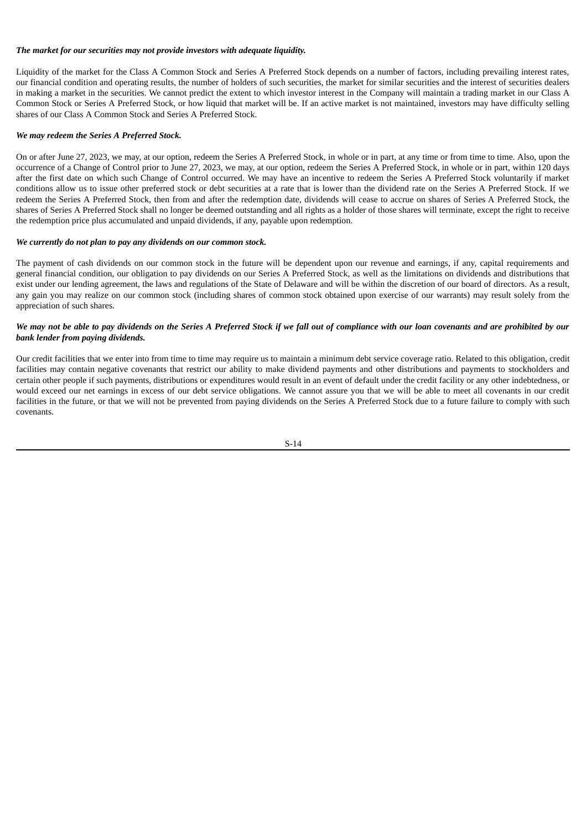### *The market for our securities may not provide investors with adequate liquidity.*

Liquidity of the market for the Class A Common Stock and Series A Preferred Stock depends on a number of factors, including prevailing interest rates, our financial condition and operating results, the number of holders of such securities, the market for similar securities and the interest of securities dealers in making a market in the securities. We cannot predict the extent to which investor interest in the Company will maintain a trading market in our Class A Common Stock or Series A Preferred Stock, or how liquid that market will be. If an active market is not maintained, investors may have difficulty selling shares of our Class A Common Stock and Series A Preferred Stock.

## *We may redeem the Series A Preferred Stock.*

On or after June 27, 2023, we may, at our option, redeem the Series A Preferred Stock, in whole or in part, at any time or from time to time. Also, upon the occurrence of a Change of Control prior to June 27, 2023, we may, at our option, redeem the Series A Preferred Stock, in whole or in part, within 120 days after the first date on which such Change of Control occurred. We may have an incentive to redeem the Series A Preferred Stock voluntarily if market conditions allow us to issue other preferred stock or debt securities at a rate that is lower than the dividend rate on the Series A Preferred Stock. If we redeem the Series A Preferred Stock, then from and after the redemption date, dividends will cease to accrue on shares of Series A Preferred Stock, the shares of Series A Preferred Stock shall no longer be deemed outstanding and all rights as a holder of those shares will terminate, except the right to receive the redemption price plus accumulated and unpaid dividends, if any, payable upon redemption.

#### *We currently do not plan to pay any dividends on our common stock.*

The payment of cash dividends on our common stock in the future will be dependent upon our revenue and earnings, if any, capital requirements and general financial condition, our obligation to pay dividends on our Series A Preferred Stock, as well as the limitations on dividends and distributions that exist under our lending agreement, the laws and regulations of the State of Delaware and will be within the discretion of our board of directors. As a result, any gain you may realize on our common stock (including shares of common stock obtained upon exercise of our warrants) may result solely from the appreciation of such shares.

## We may not be able to pay dividends on the Series A Preferred Stock if we fall out of compliance with our loan covenants and are prohibited by our *bank lender from paying dividends.*

Our credit facilities that we enter into from time to time may require us to maintain a minimum debt service coverage ratio. Related to this obligation, credit facilities may contain negative covenants that restrict our ability to make dividend payments and other distributions and payments to stockholders and certain other people if such payments, distributions or expenditures would result in an event of default under the credit facility or any other indebtedness, or would exceed our net earnings in excess of our debt service obligations. We cannot assure you that we will be able to meet all covenants in our credit facilities in the future, or that we will not be prevented from paying dividends on the Series A Preferred Stock due to a future failure to comply with such covenants.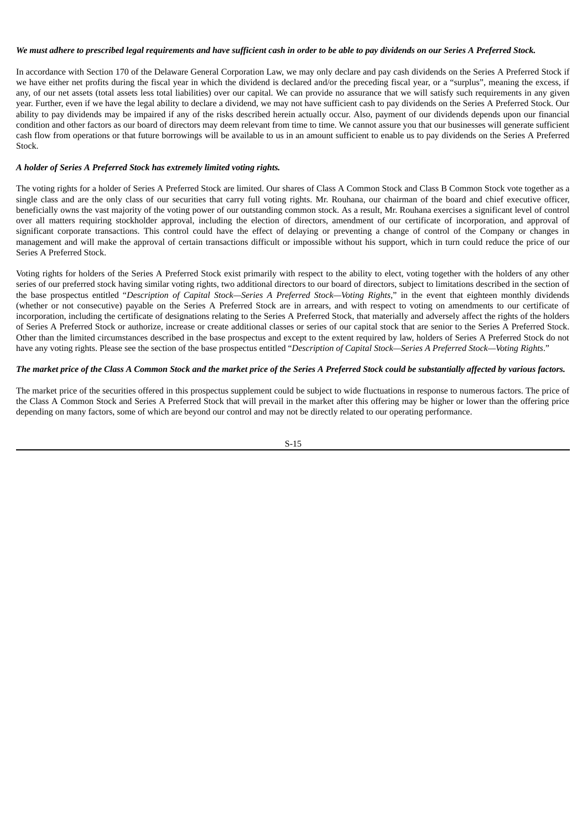### We must adhere to prescribed legal requirements and have sufficient cash in order to be able to pay dividends on our Series A Preferred Stock.

In accordance with Section 170 of the Delaware General Corporation Law, we may only declare and pay cash dividends on the Series A Preferred Stock if we have either net profits during the fiscal year in which the dividend is declared and/or the preceding fiscal year, or a "surplus", meaning the excess, if any, of our net assets (total assets less total liabilities) over our capital. We can provide no assurance that we will satisfy such requirements in any given year. Further, even if we have the legal ability to declare a dividend, we may not have sufficient cash to pay dividends on the Series A Preferred Stock. Our ability to pay dividends may be impaired if any of the risks described herein actually occur. Also, payment of our dividends depends upon our financial condition and other factors as our board of directors may deem relevant from time to time. We cannot assure you that our businesses will generate sufficient cash flow from operations or that future borrowings will be available to us in an amount sufficient to enable us to pay dividends on the Series A Preferred Stock.

## *A holder of Series A Preferred Stock has extremely limited voting rights.*

The voting rights for a holder of Series A Preferred Stock are limited. Our shares of Class A Common Stock and Class B Common Stock vote together as a single class and are the only class of our securities that carry full voting rights. Mr. Rouhana, our chairman of the board and chief executive officer, beneficially owns the vast majority of the voting power of our outstanding common stock. As a result, Mr. Rouhana exercises a significant level of control over all matters requiring stockholder approval, including the election of directors, amendment of our certificate of incorporation, and approval of significant corporate transactions. This control could have the effect of delaying or preventing a change of control of the Company or changes in management and will make the approval of certain transactions difficult or impossible without his support, which in turn could reduce the price of our Series A Preferred Stock.

Voting rights for holders of the Series A Preferred Stock exist primarily with respect to the ability to elect, voting together with the holders of any other series of our preferred stock having similar voting rights, two additional directors to our board of directors, subject to limitations described in the section of the base prospectus entitled "*Description of Capital Stock—Series A Preferred Stock—Voting Rights*," in the event that eighteen monthly dividends (whether or not consecutive) payable on the Series A Preferred Stock are in arrears, and with respect to voting on amendments to our certificate of incorporation, including the certificate of designations relating to the Series A Preferred Stock, that materially and adversely affect the rights of the holders of Series A Preferred Stock or authorize, increase or create additional classes or series of our capital stock that are senior to the Series A Preferred Stock. Other than the limited circumstances described in the base prospectus and except to the extent required by law, holders of Series A Preferred Stock do not have any voting rights. Please see the section of the base prospectus entitled "*Description of Capital Stock—Series A Preferred Stock—Voting Rights*."

### The market price of the Class A Common Stock and the market price of the Series A Preferred Stock could be substantially affected by various factors.

The market price of the securities offered in this prospectus supplement could be subject to wide fluctuations in response to numerous factors. The price of the Class A Common Stock and Series A Preferred Stock that will prevail in the market after this offering may be higher or lower than the offering price depending on many factors, some of which are beyond our control and may not be directly related to our operating performance.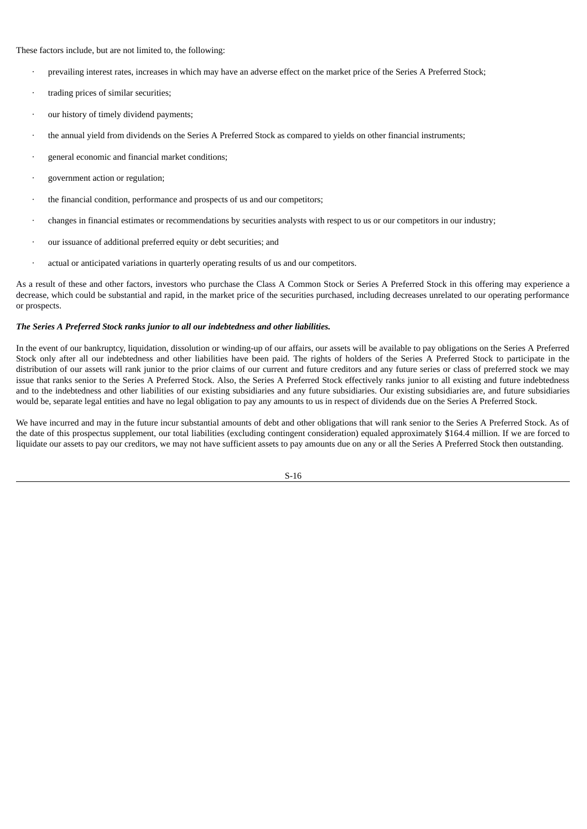These factors include, but are not limited to, the following:

- · prevailing interest rates, increases in which may have an adverse effect on the market price of the Series A Preferred Stock;
- trading prices of similar securities;
- our history of timely dividend payments;
- · the annual yield from dividends on the Series A Preferred Stock as compared to yields on other financial instruments;
- general economic and financial market conditions;
- · government action or regulation;
- the financial condition, performance and prospects of us and our competitors;
- · changes in financial estimates or recommendations by securities analysts with respect to us or our competitors in our industry;
- our issuance of additional preferred equity or debt securities; and
- actual or anticipated variations in quarterly operating results of us and our competitors.

As a result of these and other factors, investors who purchase the Class A Common Stock or Series A Preferred Stock in this offering may experience a decrease, which could be substantial and rapid, in the market price of the securities purchased, including decreases unrelated to our operating performance or prospects.

### *The Series A Preferred Stock ranks junior to all our indebtedness and other liabilities.*

In the event of our bankruptcy, liquidation, dissolution or winding-up of our affairs, our assets will be available to pay obligations on the Series A Preferred Stock only after all our indebtedness and other liabilities have been paid. The rights of holders of the Series A Preferred Stock to participate in the distribution of our assets will rank junior to the prior claims of our current and future creditors and any future series or class of preferred stock we may issue that ranks senior to the Series A Preferred Stock. Also, the Series A Preferred Stock effectively ranks junior to all existing and future indebtedness and to the indebtedness and other liabilities of our existing subsidiaries and any future subsidiaries. Our existing subsidiaries are, and future subsidiaries would be, separate legal entities and have no legal obligation to pay any amounts to us in respect of dividends due on the Series A Preferred Stock.

We have incurred and may in the future incur substantial amounts of debt and other obligations that will rank senior to the Series A Preferred Stock. As of the date of this prospectus supplement, our total liabilities (excluding contingent consideration) equaled approximately \$164.4 million. If we are forced to liquidate our assets to pay our creditors, we may not have sufficient assets to pay amounts due on any or all the Series A Preferred Stock then outstanding.

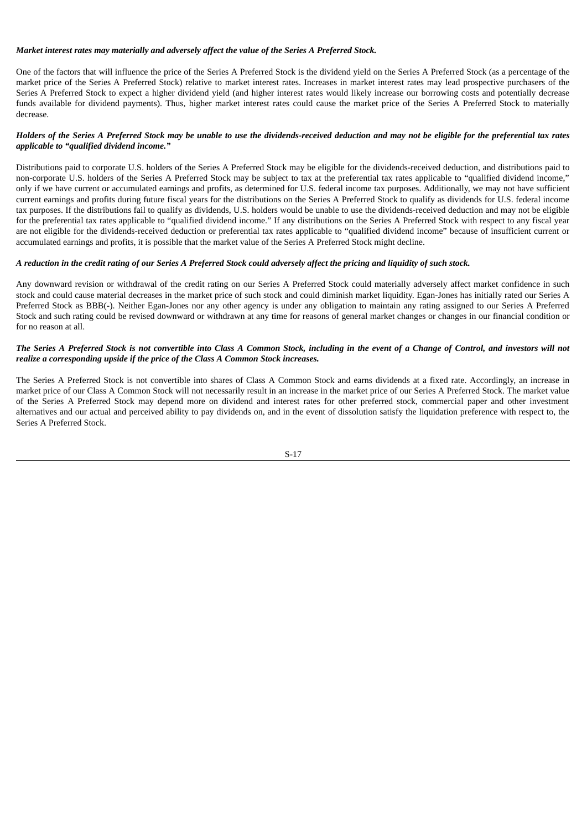### *Market interest rates may materially and adversely affect the value of the Series A Preferred Stock.*

One of the factors that will influence the price of the Series A Preferred Stock is the dividend yield on the Series A Preferred Stock (as a percentage of the market price of the Series A Preferred Stock) relative to market interest rates. Increases in market interest rates may lead prospective purchasers of the Series A Preferred Stock to expect a higher dividend yield (and higher interest rates would likely increase our borrowing costs and potentially decrease funds available for dividend payments). Thus, higher market interest rates could cause the market price of the Series A Preferred Stock to materially decrease.

## Holders of the Series A Preferred Stock may be unable to use the dividends-received deduction and may not be eligible for the preferential tax rates *applicable to "qualified dividend income."*

Distributions paid to corporate U.S. holders of the Series A Preferred Stock may be eligible for the dividends-received deduction, and distributions paid to non-corporate U.S. holders of the Series A Preferred Stock may be subject to tax at the preferential tax rates applicable to "qualified dividend income," only if we have current or accumulated earnings and profits, as determined for U.S. federal income tax purposes. Additionally, we may not have sufficient current earnings and profits during future fiscal years for the distributions on the Series A Preferred Stock to qualify as dividends for U.S. federal income tax purposes. If the distributions fail to qualify as dividends, U.S. holders would be unable to use the dividends-received deduction and may not be eligible for the preferential tax rates applicable to "qualified dividend income." If any distributions on the Series A Preferred Stock with respect to any fiscal year are not eligible for the dividends-received deduction or preferential tax rates applicable to "qualified dividend income" because of insufficient current or accumulated earnings and profits, it is possible that the market value of the Series A Preferred Stock might decline.

### A reduction in the credit rating of our Series A Preferred Stock could adversely affect the pricing and liquidity of such stock.

Any downward revision or withdrawal of the credit rating on our Series A Preferred Stock could materially adversely affect market confidence in such stock and could cause material decreases in the market price of such stock and could diminish market liquidity. Egan-Jones has initially rated our Series A Preferred Stock as BBB(-). Neither Egan-Jones nor any other agency is under any obligation to maintain any rating assigned to our Series A Preferred Stock and such rating could be revised downward or withdrawn at any time for reasons of general market changes or changes in our financial condition or for no reason at all.

## The Series A Preferred Stock is not convertible into Class A Common Stock, including in the event of a Change of Control, and investors will not *realize a corresponding upside if the price of the Class A Common Stock increases.*

The Series A Preferred Stock is not convertible into shares of Class A Common Stock and earns dividends at a fixed rate. Accordingly, an increase in market price of our Class A Common Stock will not necessarily result in an increase in the market price of our Series A Preferred Stock. The market value of the Series A Preferred Stock may depend more on dividend and interest rates for other preferred stock, commercial paper and other investment alternatives and our actual and perceived ability to pay dividends on, and in the event of dissolution satisfy the liquidation preference with respect to, the Series A Preferred Stock.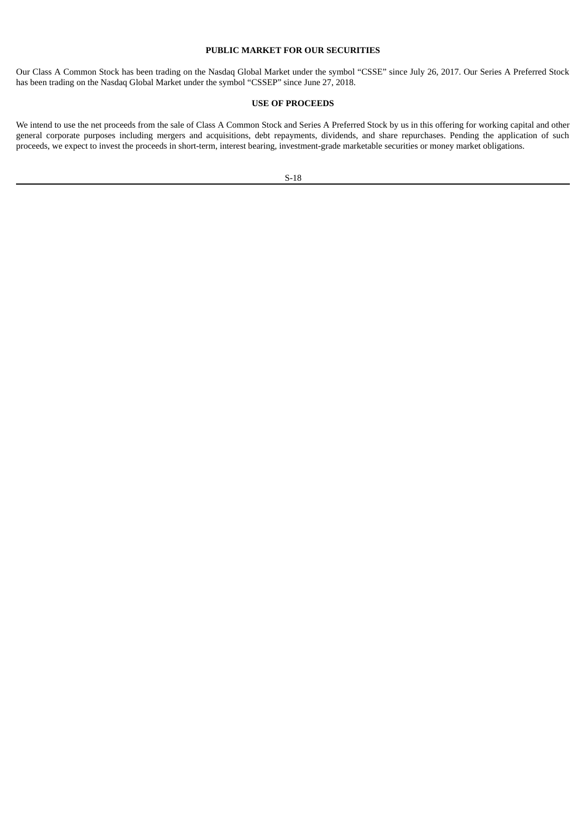## **PUBLIC MARKET FOR OUR SECURITIES**

<span id="page-21-0"></span>Our Class A Common Stock has been trading on the Nasdaq Global Market under the symbol "CSSE" since July 26, 2017. Our Series A Preferred Stock has been trading on the Nasdaq Global Market under the symbol "CSSEP" since June 27, 2018.

# **USE OF PROCEEDS**

<span id="page-21-1"></span>We intend to use the net proceeds from the sale of Class A Common Stock and Series A Preferred Stock by us in this offering for working capital and other general corporate purposes including mergers and acquisitions, debt repayments, dividends, and share repurchases. Pending the application of such proceeds, we expect to invest the proceeds in short-term, interest bearing, investment-grade marketable securities or money market obligations.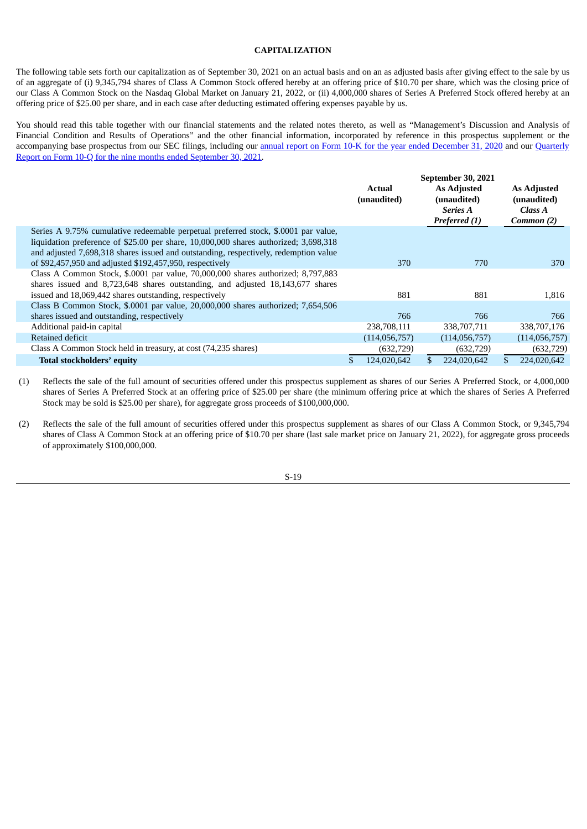## **CAPITALIZATION**

<span id="page-22-0"></span>The following table sets forth our capitalization as of September 30, 2021 on an actual basis and on an as adjusted basis after giving effect to the sale by us of an aggregate of (i) 9,345,794 shares of Class A Common Stock offered hereby at an offering price of \$10.70 per share, which was the closing price of our Class A Common Stock on the Nasdaq Global Market on January 21, 2022, or (ii) 4,000,000 shares of Series A Preferred Stock offered hereby at an offering price of \$25.00 per share, and in each case after deducting estimated offering expenses payable by us.

You should read this table together with our financial statements and the related notes thereto, as well as "Management's Discussion and Analysis of Financial Condition and Results of Operations" and the other financial information, incorporated by reference in this prospectus supplement or the [accompanying](https://www.sec.gov/ix?doc=/Archives/edgar/data/1679063/000155837021015015/csse-20210930x10q.htm) base prospectus from our SEC filings, including our annual report on Form 10-K for the year ended [December](https://www.sec.gov/Archives/edgar/data/1679063/000155837021003814/csse-20201231x10k.htm) 31, 2020 and our Quarterly Report on Form 10-Q for the nine months ended September 30, 2021.

|                                                                                      | September 30, 2021    |                                                                       |                                                            |  |  |
|--------------------------------------------------------------------------------------|-----------------------|-----------------------------------------------------------------------|------------------------------------------------------------|--|--|
|                                                                                      | Actual<br>(unaudited) | <b>As Adjusted</b><br>(unaudited)<br><b>Series A</b><br>Preferred (1) | <b>As Adjusted</b><br>(unaudited)<br>Class A<br>Common (2) |  |  |
| Series A 9.75% cumulative redeemable perpetual preferred stock, \$.0001 par value,   |                       |                                                                       |                                                            |  |  |
| liquidation preference of \$25.00 per share, 10,000,000 shares authorized; 3,698,318 |                       |                                                                       |                                                            |  |  |
| and adjusted 7,698,318 shares issued and outstanding, respectively, redemption value |                       |                                                                       |                                                            |  |  |
| of \$92,457,950 and adjusted \$192,457,950, respectively                             | 370                   | 770                                                                   | 370                                                        |  |  |
| Class A Common Stock, \$.0001 par value, 70,000,000 shares authorized; 8,797,883     |                       |                                                                       |                                                            |  |  |
| shares issued and 8,723,648 shares outstanding, and adjusted 18,143,677 shares       |                       |                                                                       |                                                            |  |  |
| issued and 18,069,442 shares outstanding, respectively                               | 881                   | 881                                                                   | 1,816                                                      |  |  |
| Class B Common Stock, \$.0001 par value, 20,000,000 shares authorized; 7,654,506     |                       |                                                                       |                                                            |  |  |
| shares issued and outstanding, respectively                                          | 766                   | 766                                                                   | 766                                                        |  |  |
| Additional paid-in capital                                                           | 238,708,111           | 338,707,711                                                           | 338,707,176                                                |  |  |
| Retained deficit                                                                     | (114, 056, 757)       | (114, 056, 757)                                                       | (114, 056, 757)                                            |  |  |
| Class A Common Stock held in treasury, at cost (74,235 shares)                       | (632, 729)            | (632, 729)                                                            | (632, 729)                                                 |  |  |
| <b>Total stockholders' equity</b>                                                    | 124,020,642           | 224,020,642                                                           | \$.<br>224,020,642                                         |  |  |

(1) Reflects the sale of the full amount of securities offered under this prospectus supplement as shares of our Series A Preferred Stock, or 4,000,000 shares of Series A Preferred Stock at an offering price of \$25.00 per share (the minimum offering price at which the shares of Series A Preferred Stock may be sold is \$25.00 per share), for aggregate gross proceeds of \$100,000,000.

(2) Reflects the sale of the full amount of securities offered under this prospectus supplement as shares of our Class A Common Stock, or 9,345,794 shares of Class A Common Stock at an offering price of \$10.70 per share (last sale market price on January 21, 2022), for aggregate gross proceeds of approximately \$100,000,000.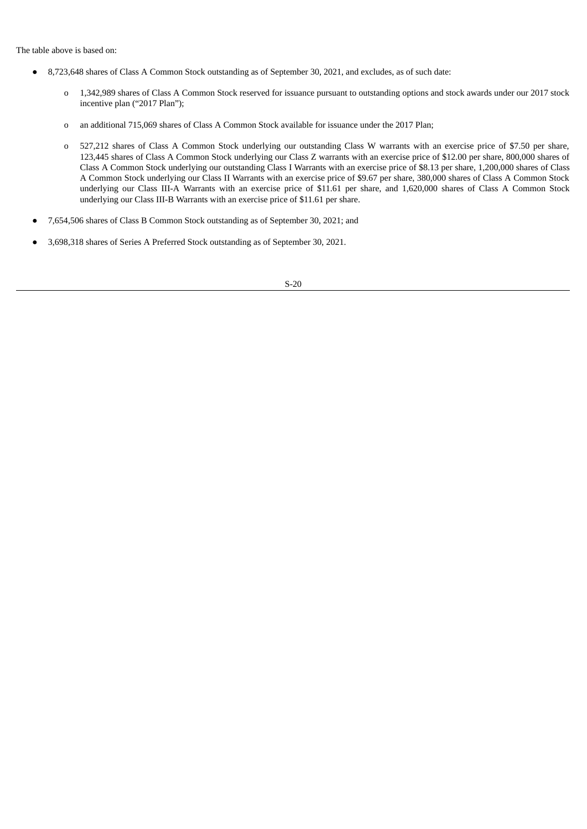The table above is based on:

- 8,723,648 shares of Class A Common Stock outstanding as of September 30, 2021, and excludes, as of such date:
	- o 1,342,989 shares of Class A Common Stock reserved for issuance pursuant to outstanding options and stock awards under our 2017 stock incentive plan ("2017 Plan");
	- o an additional 715,069 shares of Class A Common Stock available for issuance under the 2017 Plan;
	- o 527,212 shares of Class A Common Stock underlying our outstanding Class W warrants with an exercise price of \$7.50 per share, 123,445 shares of Class A Common Stock underlying our Class Z warrants with an exercise price of \$12.00 per share, 800,000 shares of Class A Common Stock underlying our outstanding Class I Warrants with an exercise price of \$8.13 per share, 1,200,000 shares of Class A Common Stock underlying our Class II Warrants with an exercise price of \$9.67 per share, 380,000 shares of Class A Common Stock underlying our Class III-A Warrants with an exercise price of \$11.61 per share, and 1,620,000 shares of Class A Common Stock underlying our Class III-B Warrants with an exercise price of \$11.61 per share.
- 7,654,506 shares of Class B Common Stock outstanding as of September 30, 2021; and
- 3,698,318 shares of Series A Preferred Stock outstanding as of September 30, 2021.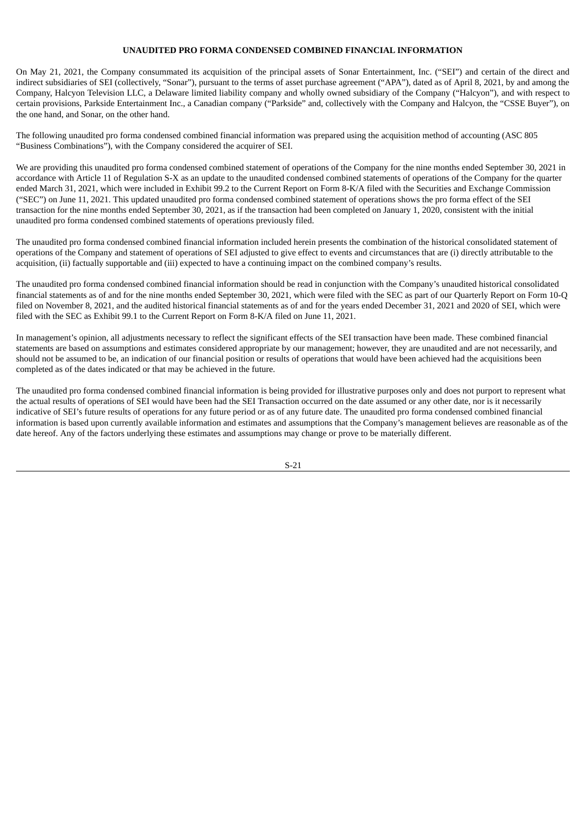# **UNAUDITED PRO FORMA CONDENSED COMBINED FINANCIAL INFORMATION**

On May 21, 2021, the Company consummated its acquisition of the principal assets of Sonar Entertainment, Inc. ("SEI") and certain of the direct and indirect subsidiaries of SEI (collectively, "Sonar"), pursuant to the terms of asset purchase agreement ("APA"), dated as of April 8, 2021, by and among the Company, Halcyon Television LLC, a Delaware limited liability company and wholly owned subsidiary of the Company ("Halcyon"), and with respect to certain provisions, Parkside Entertainment Inc., a Canadian company ("Parkside" and, collectively with the Company and Halcyon, the "CSSE Buyer"), on the one hand, and Sonar, on the other hand.

The following unaudited pro forma condensed combined financial information was prepared using the acquisition method of accounting (ASC 805 "Business Combinations"), with the Company considered the acquirer of SEI.

We are providing this unaudited pro forma condensed combined statement of operations of the Company for the nine months ended September 30, 2021 in accordance with Article 11 of Regulation S-X as an update to the unaudited condensed combined statements of operations of the Company for the quarter ended March 31, 2021, which were included in Exhibit 99.2 to the Current Report on Form 8-K/A filed with the Securities and Exchange Commission ("SEC") on June 11, 2021. This updated unaudited pro forma condensed combined statement of operations shows the pro forma effect of the SEI transaction for the nine months ended September 30, 2021, as if the transaction had been completed on January 1, 2020, consistent with the initial unaudited pro forma condensed combined statements of operations previously filed.

The unaudited pro forma condensed combined financial information included herein presents the combination of the historical consolidated statement of operations of the Company and statement of operations of SEI adjusted to give effect to events and circumstances that are (i) directly attributable to the acquisition, (ii) factually supportable and (iii) expected to have a continuing impact on the combined company's results.

The unaudited pro forma condensed combined financial information should be read in conjunction with the Company's unaudited historical consolidated financial statements as of and for the nine months ended September 30, 2021, which were filed with the SEC as part of our Quarterly Report on Form 10-Q filed on November 8, 2021, and the audited historical financial statements as of and for the years ended December 31, 2021 and 2020 of SEI, which were filed with the SEC as Exhibit 99.1 to the Current Report on Form 8-K/A filed on June 11, 2021.

In management's opinion, all adjustments necessary to reflect the significant effects of the SEI transaction have been made. These combined financial statements are based on assumptions and estimates considered appropriate by our management; however, they are unaudited and are not necessarily, and should not be assumed to be, an indication of our financial position or results of operations that would have been achieved had the acquisitions been completed as of the dates indicated or that may be achieved in the future.

The unaudited pro forma condensed combined financial information is being provided for illustrative purposes only and does not purport to represent what the actual results of operations of SEI would have been had the SEI Transaction occurred on the date assumed or any other date, nor is it necessarily indicative of SEI's future results of operations for any future period or as of any future date. The unaudited pro forma condensed combined financial information is based upon currently available information and estimates and assumptions that the Company's management believes are reasonable as of the date hereof. Any of the factors underlying these estimates and assumptions may change or prove to be materially different.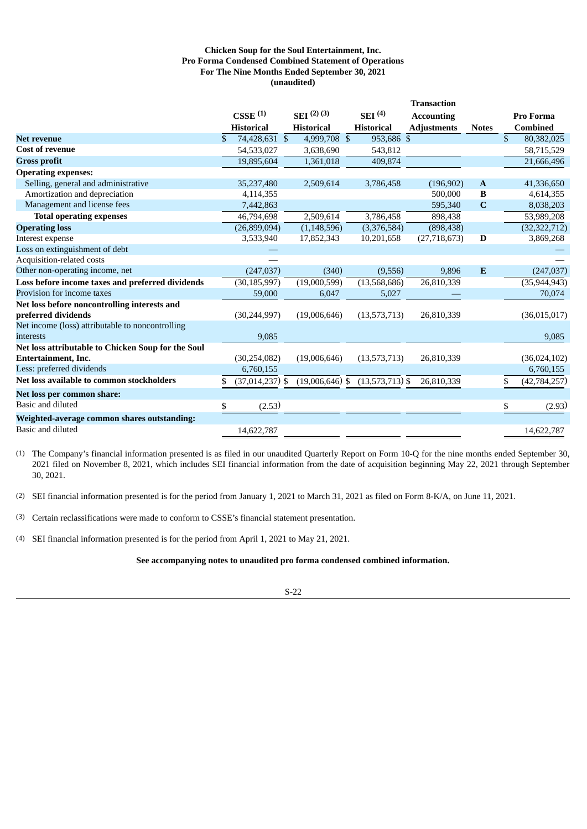# **Chicken Soup for the Soul Entertainment, Inc. Pro Forma Condensed Combined Statement of Operations For The Nine Months Ended September 30, 2021 (unaudited)**

|                                                    |                         |                   |                   | <b>Transaction</b> |              |                      |
|----------------------------------------------------|-------------------------|-------------------|-------------------|--------------------|--------------|----------------------|
|                                                    | CSE <sup>(1)</sup>      | $SEI^{(2)(3)}$    | $SEI^{(4)}$       | <b>Accounting</b>  |              | Pro Forma            |
|                                                    | <b>Historical</b>       | <b>Historical</b> | <b>Historical</b> | <b>Adjustments</b> | <b>Notes</b> | <b>Combined</b>      |
| <b>Net revenue</b>                                 | \$<br>74,428,631 \$     | 4,999,708 \$      | $953,686$ \$      |                    |              | \$<br>80,382,025     |
| <b>Cost of revenue</b>                             | 54,533,027              | 3,638,690         | 543,812           |                    |              | 58,715,529           |
| <b>Gross profit</b>                                | 19,895,604              | 1,361,018         | 409,874           |                    |              | 21,666,496           |
| <b>Operating expenses:</b>                         |                         |                   |                   |                    |              |                      |
| Selling, general and administrative                | 35,237,480              | 2,509,614         | 3,786,458         | (196, 902)         | $\mathbf{A}$ | 41,336,650           |
| Amortization and depreciation                      | 4,114,355               |                   |                   | 500,000            | B            | 4,614,355            |
| Management and license fees                        | 7,442,863               |                   |                   | 595,340            | $\mathbf C$  | 8,038,203            |
| <b>Total operating expenses</b>                    | 46,794,698              | 2,509,614         | 3,786,458         | 898,438            |              | 53,989,208           |
| <b>Operating loss</b>                              | (26,899,094)            | (1, 148, 596)     | (3,376,584)       | (898, 438)         |              | (32, 322, 712)       |
| Interest expense                                   | 3,533,940               | 17,852,343        | 10,201,658        | (27,718,673)       | D            | 3,869,268            |
| Loss on extinguishment of debt                     |                         |                   |                   |                    |              |                      |
| Acquisition-related costs                          |                         |                   |                   |                    |              |                      |
| Other non-operating income, net                    | (247, 037)              | (340)             | (9,556)           | 9,896              | E            | (247, 037)           |
| Loss before income taxes and preferred dividends   | (30, 185, 997)          | (19,000,599)      | (13,568,686)      | 26,810,339         |              | (35, 944, 943)       |
| Provision for income taxes                         | 59,000                  | 6,047             | 5,027             |                    |              | 70,074               |
| Net loss before noncontrolling interests and       |                         |                   |                   |                    |              |                      |
| preferred dividends                                | (30, 244, 997)          | (19,006,646)      | (13,573,713)      | 26,810,339         |              | (36,015,017)         |
| Net income (loss) attributable to noncontrolling   |                         |                   |                   |                    |              |                      |
| interests                                          | 9,085                   |                   |                   |                    |              | 9,085                |
| Net loss attributable to Chicken Soup for the Soul |                         |                   |                   |                    |              |                      |
| <b>Entertainment</b> , Inc.                        | (30, 254, 082)          | (19,006,646)      | (13,573,713)      | 26,810,339         |              | (36,024,102)         |
| Less: preferred dividends                          | 6,760,155               |                   |                   |                    |              | 6,760,155            |
| Net loss available to common stockholders          | \$<br>$(37,014,237)$ \$ | $(19,006,646)$ \$ | $(13,573,713)$ \$ | 26,810,339         |              | \$<br>(42, 784, 257) |
| Net loss per common share:                         |                         |                   |                   |                    |              |                      |
| Basic and diluted                                  | \$<br>(2.53)            |                   |                   |                    |              | \$<br>(2.93)         |
| Weighted-average common shares outstanding:        |                         |                   |                   |                    |              |                      |
| Basic and diluted                                  | 14,622,787              |                   |                   |                    |              | 14,622,787           |

(1) The Company's financial information presented is as filed in our unaudited Quarterly Report on Form 10-Q for the nine months ended September 30, 2021 filed on November 8, 2021, which includes SEI financial information from the date of acquisition beginning May 22, 2021 through September 30, 2021.

(2) SEI financial information presented is for the period from January 1, 2021 to March 31, 2021 as filed on Form 8-K/A, on June 11, 2021.

(3) Certain reclassifications were made to conform to CSSE's financial statement presentation.

(4) SEI financial information presented is for the period from April 1, 2021 to May 21, 2021.

**See accompanying notes to unaudited pro forma condensed combined information.**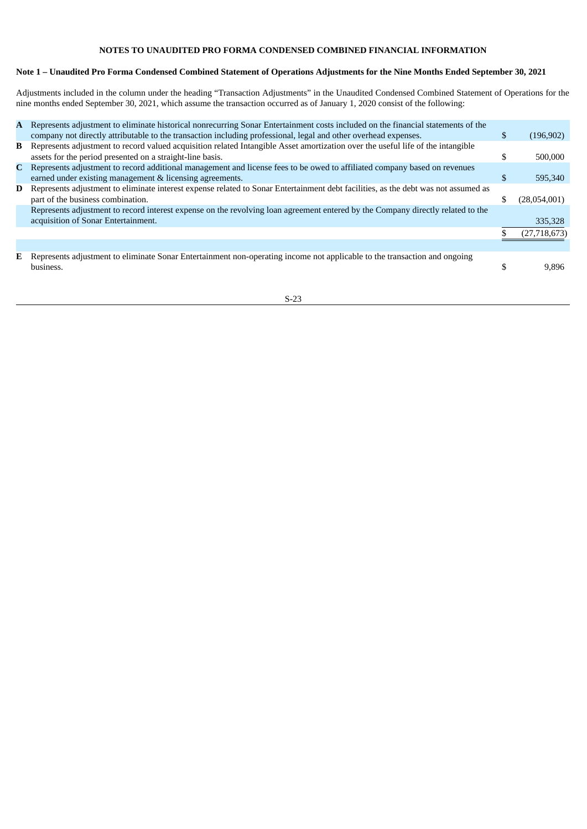# **NOTES TO UNAUDITED PRO FORMA CONDENSED COMBINED FINANCIAL INFORMATION**

# Note 1 - Unaudited Pro Forma Condensed Combined Statement of Operations Adjustments for the Nine Months Ended September 30, 2021

Adjustments included in the column under the heading "Transaction Adjustments" in the Unaudited Condensed Combined Statement of Operations for the nine months ended September 30, 2021, which assume the transaction occurred as of January 1, 2020 consist of the following:

|    | A Represents adjustment to eliminate historical nonrecurring Sonar Entertainment costs included on the financial statements of the       |    |                |
|----|------------------------------------------------------------------------------------------------------------------------------------------|----|----------------|
|    | company not directly attributable to the transaction including professional, legal and other overhead expenses.                          | S  | (196, 902)     |
|    | <b>B</b> Represents adjustment to record valued acquisition related Intangible Asset amortization over the useful life of the intangible |    |                |
|    | assets for the period presented on a straight-line basis.                                                                                | \$ | 500,000        |
|    | C Represents adjustment to record additional management and license fees to be owed to affiliated company based on revenues              |    |                |
|    | earned under existing management & licensing agreements.                                                                                 | \$ | 595,340        |
| D  | Represents adjustment to eliminate interest expense related to Sonar Entertainment debt facilities, as the debt was not assumed as       |    |                |
|    | part of the business combination.                                                                                                        |    | (28,054,001)   |
|    | Represents adjustment to record interest expense on the revolving loan agreement entered by the Company directly related to the          |    |                |
|    | acquisition of Sonar Entertainment.                                                                                                      |    | 335,328        |
|    |                                                                                                                                          |    | (27, 718, 673) |
|    |                                                                                                                                          |    |                |
| E. | Represents adjustment to eliminate Sonar Entertainment non-operating income not applicable to the transaction and ongoing                |    |                |
|    | business.                                                                                                                                |    | 9.896          |
|    |                                                                                                                                          |    |                |

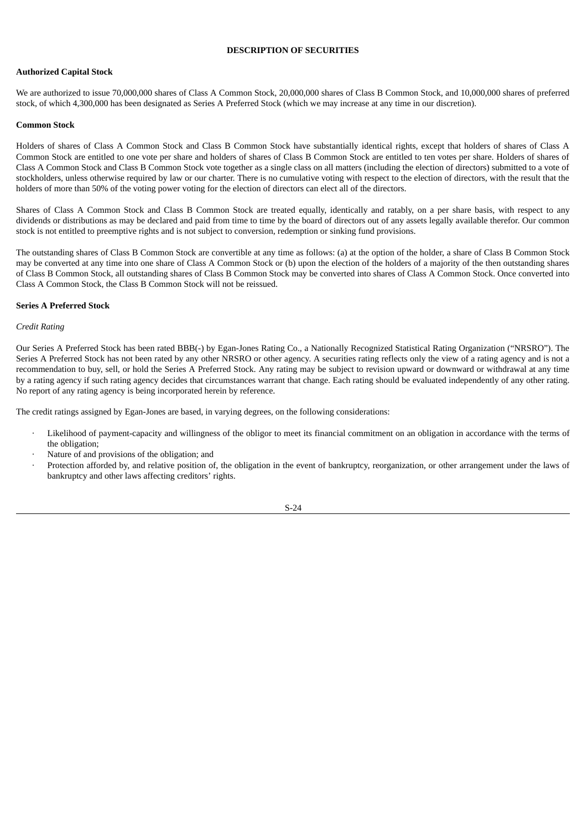### **DESCRIPTION OF SECURITIES**

## <span id="page-27-0"></span>**Authorized Capital Stock**

We are authorized to issue 70,000,000 shares of Class A Common Stock, 20,000,000 shares of Class B Common Stock, and 10,000,000 shares of preferred stock, of which 4,300,000 has been designated as Series A Preferred Stock (which we may increase at any time in our discretion).

### **Common Stock**

Holders of shares of Class A Common Stock and Class B Common Stock have substantially identical rights, except that holders of shares of Class A Common Stock are entitled to one vote per share and holders of shares of Class B Common Stock are entitled to ten votes per share. Holders of shares of Class A Common Stock and Class B Common Stock vote together as a single class on all matters (including the election of directors) submitted to a vote of stockholders, unless otherwise required by law or our charter. There is no cumulative voting with respect to the election of directors, with the result that the holders of more than 50% of the voting power voting for the election of directors can elect all of the directors.

Shares of Class A Common Stock and Class B Common Stock are treated equally, identically and ratably, on a per share basis, with respect to any dividends or distributions as may be declared and paid from time to time by the board of directors out of any assets legally available therefor. Our common stock is not entitled to preemptive rights and is not subject to conversion, redemption or sinking fund provisions.

The outstanding shares of Class B Common Stock are convertible at any time as follows: (a) at the option of the holder, a share of Class B Common Stock may be converted at any time into one share of Class A Common Stock or (b) upon the election of the holders of a majority of the then outstanding shares of Class B Common Stock, all outstanding shares of Class B Common Stock may be converted into shares of Class A Common Stock. Once converted into Class A Common Stock, the Class B Common Stock will not be reissued.

## **Series A Preferred Stock**

## *Credit Rating*

Our Series A Preferred Stock has been rated BBB(-) by Egan-Jones Rating Co., a Nationally Recognized Statistical Rating Organization ("NRSRO"). The Series A Preferred Stock has not been rated by any other NRSRO or other agency. A securities rating reflects only the view of a rating agency and is not a recommendation to buy, sell, or hold the Series A Preferred Stock. Any rating may be subject to revision upward or downward or withdrawal at any time by a rating agency if such rating agency decides that circumstances warrant that change. Each rating should be evaluated independently of any other rating. No report of any rating agency is being incorporated herein by reference.

The credit ratings assigned by Egan-Jones are based, in varying degrees, on the following considerations:

- Likelihood of payment-capacity and willingness of the obligor to meet its financial commitment on an obligation in accordance with the terms of the obligation;
- Nature of and provisions of the obligation; and
- Protection afforded by, and relative position of, the obligation in the event of bankruptcy, reorganization, or other arrangement under the laws of bankruptcy and other laws affecting creditors' rights.

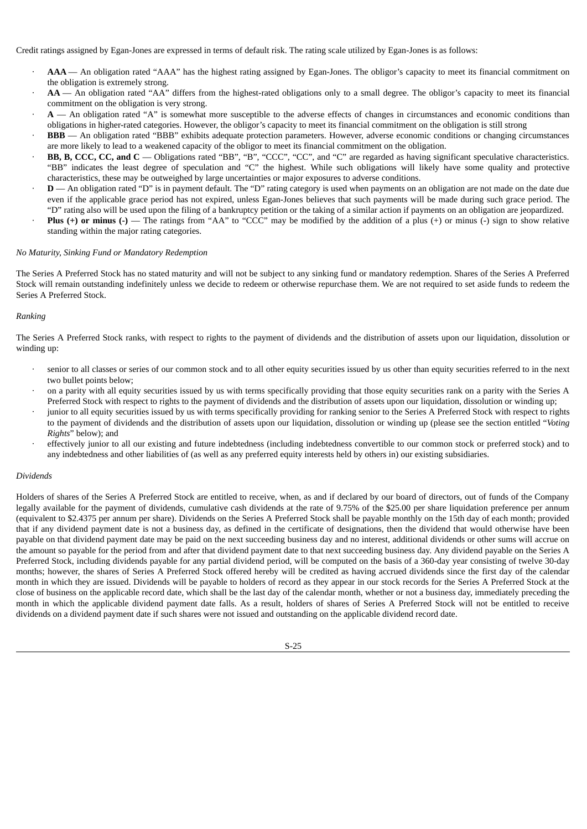Credit ratings assigned by Egan-Jones are expressed in terms of default risk. The rating scale utilized by Egan-Jones is as follows:

- AAA— An obligation rated "AAA" has the highest rating assigned by Egan-Jones. The obligor's capacity to meet its financial commitment on the obligation is extremely strong.
- · **AA** An obligation rated "AA" differs from the highest-rated obligations only to a small degree. The obligor's capacity to meet its financial commitment on the obligation is very strong.
- · **A** An obligation rated "A" is somewhat more susceptible to the adverse effects of changes in circumstances and economic conditions than obligations in higher-rated categories. However, the obligor's capacity to meet its financial commitment on the obligation is still strong
- · **BBB** An obligation rated "BBB" exhibits adequate protection parameters. However, adverse economic conditions or changing circumstances are more likely to lead to a weakened capacity of the obligor to meet its financial commitment on the obligation.
- · **BB, B, CCC, CC, and C** Obligations rated "BB", "B", "CCC", "CC", and "C" are regarded as having significant speculative characteristics. "BB" indicates the least degree of speculation and "C" the highest. While such obligations will likely have some quality and protective characteristics, these may be outweighed by large uncertainties or major exposures to adverse conditions.
- **D** An obligation rated "D" is in payment default. The "D" rating category is used when payments on an obligation are not made on the date due even if the applicable grace period has not expired, unless Egan-Jones believes that such payments will be made during such grace period. The "D" rating also will be used upon the filing of a bankruptcy petition or the taking of a similar action if payments on an obligation are jeopardized.
- **Plus**  $(+)$  or minus  $(-)$  The ratings from "AA" to "CCC" may be modified by the addition of a plus  $(+)$  or minus  $(-)$  sign to show relative standing within the major rating categories.

### *No Maturity, Sinking Fund or Mandatory Redemption*

The Series A Preferred Stock has no stated maturity and will not be subject to any sinking fund or mandatory redemption. Shares of the Series A Preferred Stock will remain outstanding indefinitely unless we decide to redeem or otherwise repurchase them. We are not required to set aside funds to redeem the Series A Preferred Stock.

#### *Ranking*

The Series A Preferred Stock ranks, with respect to rights to the payment of dividends and the distribution of assets upon our liquidation, dissolution or winding up:

- senior to all classes or series of our common stock and to all other equity securities issued by us other than equity securities referred to in the next two bullet points below;
- · on a parity with all equity securities issued by us with terms specifically providing that those equity securities rank on a parity with the Series A Preferred Stock with respect to rights to the payment of dividends and the distribution of assets upon our liquidation, dissolution or winding up;
- junior to all equity securities issued by us with terms specifically providing for ranking senior to the Series A Preferred Stock with respect to rights to the payment of dividends and the distribution of assets upon our liquidation, dissolution or winding up (please see the section entitled "*Voting Rights*" below); and
- · effectively junior to all our existing and future indebtedness (including indebtedness convertible to our common stock or preferred stock) and to any indebtedness and other liabilities of (as well as any preferred equity interests held by others in) our existing subsidiaries.

#### *Dividends*

Holders of shares of the Series A Preferred Stock are entitled to receive, when, as and if declared by our board of directors, out of funds of the Company legally available for the payment of dividends, cumulative cash dividends at the rate of 9.75% of the \$25.00 per share liquidation preference per annum (equivalent to \$2.4375 per annum per share). Dividends on the Series A Preferred Stock shall be payable monthly on the 15th day of each month; provided that if any dividend payment date is not a business day, as defined in the certificate of designations, then the dividend that would otherwise have been payable on that dividend payment date may be paid on the next succeeding business day and no interest, additional dividends or other sums will accrue on the amount so payable for the period from and after that dividend payment date to that next succeeding business day. Any dividend payable on the Series A Preferred Stock, including dividends payable for any partial dividend period, will be computed on the basis of a 360-day year consisting of twelve 30-day months; however, the shares of Series A Preferred Stock offered hereby will be credited as having accrued dividends since the first day of the calendar month in which they are issued. Dividends will be payable to holders of record as they appear in our stock records for the Series A Preferred Stock at the close of business on the applicable record date, which shall be the last day of the calendar month, whether or not a business day, immediately preceding the month in which the applicable dividend payment date falls. As a result, holders of shares of Series A Preferred Stock will not be entitled to receive dividends on a dividend payment date if such shares were not issued and outstanding on the applicable dividend record date.

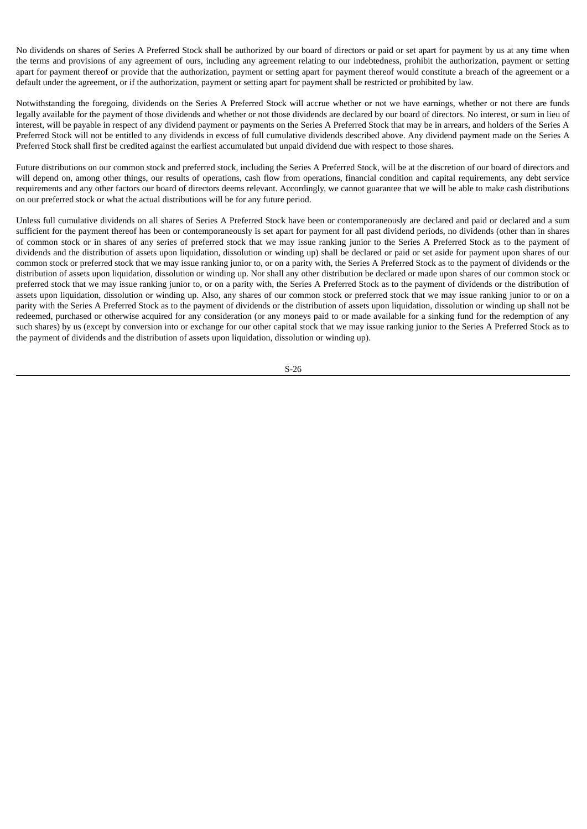No dividends on shares of Series A Preferred Stock shall be authorized by our board of directors or paid or set apart for payment by us at any time when the terms and provisions of any agreement of ours, including any agreement relating to our indebtedness, prohibit the authorization, payment or setting apart for payment thereof or provide that the authorization, payment or setting apart for payment thereof would constitute a breach of the agreement or a default under the agreement, or if the authorization, payment or setting apart for payment shall be restricted or prohibited by law.

Notwithstanding the foregoing, dividends on the Series A Preferred Stock will accrue whether or not we have earnings, whether or not there are funds legally available for the payment of those dividends and whether or not those dividends are declared by our board of directors. No interest, or sum in lieu of interest, will be payable in respect of any dividend payment or payments on the Series A Preferred Stock that may be in arrears, and holders of the Series A Preferred Stock will not be entitled to any dividends in excess of full cumulative dividends described above. Any dividend payment made on the Series A Preferred Stock shall first be credited against the earliest accumulated but unpaid dividend due with respect to those shares.

Future distributions on our common stock and preferred stock, including the Series A Preferred Stock, will be at the discretion of our board of directors and will depend on, among other things, our results of operations, cash flow from operations, financial condition and capital requirements, any debt service requirements and any other factors our board of directors deems relevant. Accordingly, we cannot guarantee that we will be able to make cash distributions on our preferred stock or what the actual distributions will be for any future period.

Unless full cumulative dividends on all shares of Series A Preferred Stock have been or contemporaneously are declared and paid or declared and a sum sufficient for the payment thereof has been or contemporaneously is set apart for payment for all past dividend periods, no dividends (other than in shares of common stock or in shares of any series of preferred stock that we may issue ranking junior to the Series A Preferred Stock as to the payment of dividends and the distribution of assets upon liquidation, dissolution or winding up) shall be declared or paid or set aside for payment upon shares of our common stock or preferred stock that we may issue ranking junior to, or on a parity with, the Series A Preferred Stock as to the payment of dividends or the distribution of assets upon liquidation, dissolution or winding up. Nor shall any other distribution be declared or made upon shares of our common stock or preferred stock that we may issue ranking junior to, or on a parity with, the Series A Preferred Stock as to the payment of dividends or the distribution of assets upon liquidation, dissolution or winding up. Also, any shares of our common stock or preferred stock that we may issue ranking junior to or on a parity with the Series A Preferred Stock as to the payment of dividends or the distribution of assets upon liquidation, dissolution or winding up shall not be redeemed, purchased or otherwise acquired for any consideration (or any moneys paid to or made available for a sinking fund for the redemption of any such shares) by us (except by conversion into or exchange for our other capital stock that we may issue ranking junior to the Series A Preferred Stock as to the payment of dividends and the distribution of assets upon liquidation, dissolution or winding up).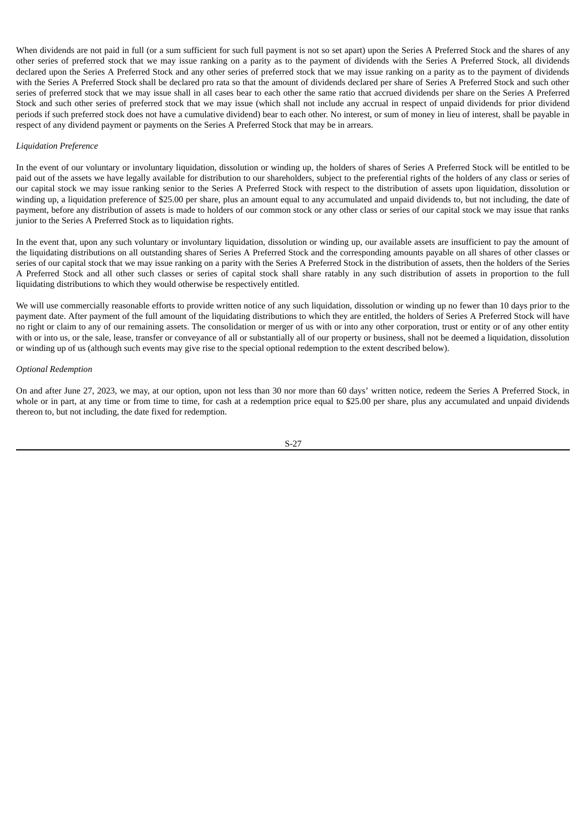When dividends are not paid in full (or a sum sufficient for such full payment is not so set apart) upon the Series A Preferred Stock and the shares of any other series of preferred stock that we may issue ranking on a parity as to the payment of dividends with the Series A Preferred Stock, all dividends declared upon the Series A Preferred Stock and any other series of preferred stock that we may issue ranking on a parity as to the payment of dividends with the Series A Preferred Stock shall be declared pro rata so that the amount of dividends declared per share of Series A Preferred Stock and such other series of preferred stock that we may issue shall in all cases bear to each other the same ratio that accrued dividends per share on the Series A Preferred Stock and such other series of preferred stock that we may issue (which shall not include any accrual in respect of unpaid dividends for prior dividend periods if such preferred stock does not have a cumulative dividend) bear to each other. No interest, or sum of money in lieu of interest, shall be payable in respect of any dividend payment or payments on the Series A Preferred Stock that may be in arrears.

#### *Liquidation Preference*

In the event of our voluntary or involuntary liquidation, dissolution or winding up, the holders of shares of Series A Preferred Stock will be entitled to be paid out of the assets we have legally available for distribution to our shareholders, subject to the preferential rights of the holders of any class or series of our capital stock we may issue ranking senior to the Series A Preferred Stock with respect to the distribution of assets upon liquidation, dissolution or winding up, a liquidation preference of \$25.00 per share, plus an amount equal to any accumulated and unpaid dividends to, but not including, the date of payment, before any distribution of assets is made to holders of our common stock or any other class or series of our capital stock we may issue that ranks junior to the Series A Preferred Stock as to liquidation rights.

In the event that, upon any such voluntary or involuntary liquidation, dissolution or winding up, our available assets are insufficient to pay the amount of the liquidating distributions on all outstanding shares of Series A Preferred Stock and the corresponding amounts payable on all shares of other classes or series of our capital stock that we may issue ranking on a parity with the Series A Preferred Stock in the distribution of assets, then the holders of the Series A Preferred Stock and all other such classes or series of capital stock shall share ratably in any such distribution of assets in proportion to the full liquidating distributions to which they would otherwise be respectively entitled.

We will use commercially reasonable efforts to provide written notice of any such liquidation, dissolution or winding up no fewer than 10 days prior to the payment date. After payment of the full amount of the liquidating distributions to which they are entitled, the holders of Series A Preferred Stock will have no right or claim to any of our remaining assets. The consolidation or merger of us with or into any other corporation, trust or entity or of any other entity with or into us, or the sale, lease, transfer or conveyance of all or substantially all of our property or business, shall not be deemed a liquidation, dissolution or winding up of us (although such events may give rise to the special optional redemption to the extent described below).

### *Optional Redemption*

On and after June 27, 2023, we may, at our option, upon not less than 30 nor more than 60 days' written notice, redeem the Series A Preferred Stock, in whole or in part, at any time or from time to time, for cash at a redemption price equal to \$25.00 per share, plus any accumulated and unpaid dividends thereon to, but not including, the date fixed for redemption.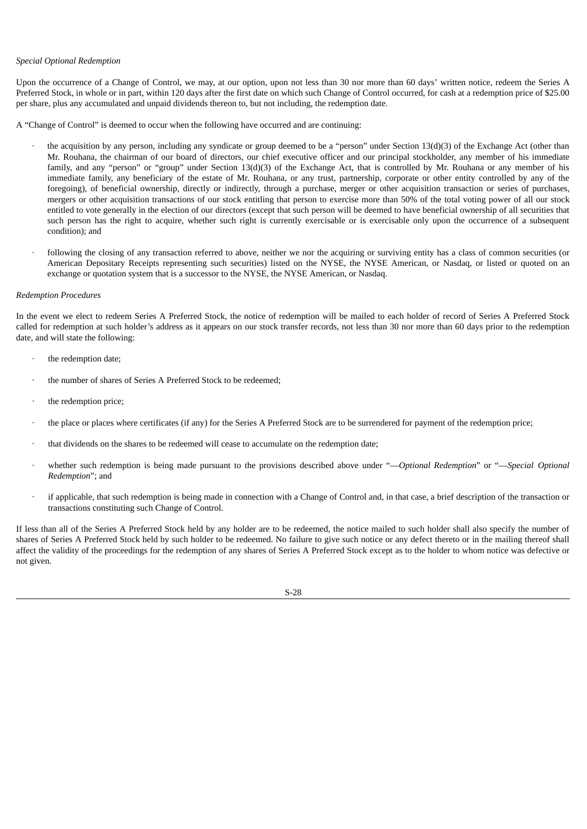#### *Special Optional Redemption*

Upon the occurrence of a Change of Control, we may, at our option, upon not less than 30 nor more than 60 days' written notice, redeem the Series A Preferred Stock, in whole or in part, within 120 days after the first date on which such Change of Control occurred, for cash at a redemption price of \$25.00 per share, plus any accumulated and unpaid dividends thereon to, but not including, the redemption date.

A "Change of Control" is deemed to occur when the following have occurred and are continuing:

- the acquisition by any person, including any syndicate or group deemed to be a "person" under Section 13(d)(3) of the Exchange Act (other than Mr. Rouhana, the chairman of our board of directors, our chief executive officer and our principal stockholder, any member of his immediate family, and any "person" or "group" under Section 13(d)(3) of the Exchange Act, that is controlled by Mr. Rouhana or any member of his immediate family, any beneficiary of the estate of Mr. Rouhana, or any trust, partnership, corporate or other entity controlled by any of the foregoing), of beneficial ownership, directly or indirectly, through a purchase, merger or other acquisition transaction or series of purchases, mergers or other acquisition transactions of our stock entitling that person to exercise more than 50% of the total voting power of all our stock entitled to vote generally in the election of our directors (except that such person will be deemed to have beneficial ownership of all securities that such person has the right to acquire, whether such right is currently exercisable or is exercisable only upon the occurrence of a subsequent condition); and
- following the closing of any transaction referred to above, neither we nor the acquiring or surviving entity has a class of common securities (or American Depositary Receipts representing such securities) listed on the NYSE, the NYSE American, or Nasdaq, or listed or quoted on an exchange or quotation system that is a successor to the NYSE, the NYSE American, or Nasdaq.

#### *Redemption Procedures*

In the event we elect to redeem Series A Preferred Stock, the notice of redemption will be mailed to each holder of record of Series A Preferred Stock called for redemption at such holder's address as it appears on our stock transfer records, not less than 30 nor more than 60 days prior to the redemption date, and will state the following:

- the redemption date;
- the number of shares of Series A Preferred Stock to be redeemed;
- the redemption price;
- · the place or places where certificates (if any) for the Series A Preferred Stock are to be surrendered for payment of the redemption price;
- · that dividends on the shares to be redeemed will cease to accumulate on the redemption date;
- · whether such redemption is being made pursuant to the provisions described above under "—*Optional Redemption*" or "—*Special Optional Redemption*"; and
- if applicable, that such redemption is being made in connection with a Change of Control and, in that case, a brief description of the transaction or transactions constituting such Change of Control.

If less than all of the Series A Preferred Stock held by any holder are to be redeemed, the notice mailed to such holder shall also specify the number of shares of Series A Preferred Stock held by such holder to be redeemed. No failure to give such notice or any defect thereto or in the mailing thereof shall affect the validity of the proceedings for the redemption of any shares of Series A Preferred Stock except as to the holder to whom notice was defective or not given.

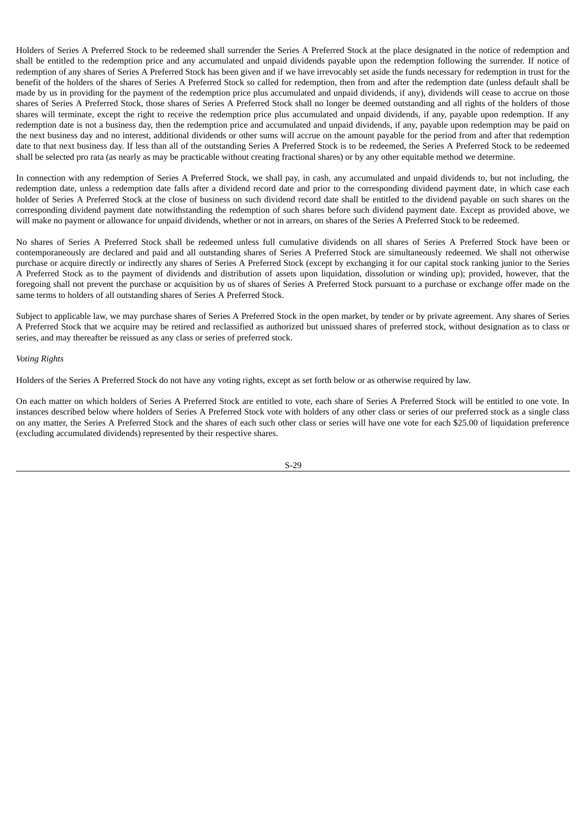Holders of Series A Preferred Stock to be redeemed shall surrender the Series A Preferred Stock at the place designated in the notice of redemption and shall be entitled to the redemption price and any accumulated and unpaid dividends payable upon the redemption following the surrender. If notice of redemption of any shares of Series A Preferred Stock has been given and if we have irrevocably set aside the funds necessary for redemption in trust for the benefit of the holders of the shares of Series A Preferred Stock so called for redemption, then from and after the redemption date (unless default shall be made by us in providing for the payment of the redemption price plus accumulated and unpaid dividends, if any), dividends will cease to accrue on those shares of Series A Preferred Stock, those shares of Series A Preferred Stock shall no longer be deemed outstanding and all rights of the holders of those shares will terminate, except the right to receive the redemption price plus accumulated and unpaid dividends, if any, payable upon redemption. If any redemption date is not a business day, then the redemption price and accumulated and unpaid dividends, if any, payable upon redemption may be paid on the next business day and no interest, additional dividends or other sums will accrue on the amount payable for the period from and after that redemption date to that next business day. If less than all of the outstanding Series A Preferred Stock is to be redeemed, the Series A Preferred Stock to be redeemed shall be selected pro rata (as nearly as may be practicable without creating fractional shares) or by any other equitable method we determine.

In connection with any redemption of Series A Preferred Stock, we shall pay, in cash, any accumulated and unpaid dividends to, but not including, the redemption date, unless a redemption date falls after a dividend record date and prior to the corresponding dividend payment date, in which case each holder of Series A Preferred Stock at the close of business on such dividend record date shall be entitled to the dividend payable on such shares on the corresponding dividend payment date notwithstanding the redemption of such shares before such dividend payment date. Except as provided above, we will make no payment or allowance for unpaid dividends, whether or not in arrears, on shares of the Series A Preferred Stock to be redeemed.

No shares of Series A Preferred Stock shall be redeemed unless full cumulative dividends on all shares of Series A Preferred Stock have been or contemporaneously are declared and paid and all outstanding shares of Series A Preferred Stock are simultaneously redeemed. We shall not otherwise purchase or acquire directly or indirectly any shares of Series A Preferred Stock (except by exchanging it for our capital stock ranking junior to the Series A Preferred Stock as to the payment of dividends and distribution of assets upon liquidation, dissolution or winding up); provided, however, that the foregoing shall not prevent the purchase or acquisition by us of shares of Series A Preferred Stock pursuant to a purchase or exchange offer made on the same terms to holders of all outstanding shares of Series A Preferred Stock.

Subject to applicable law, we may purchase shares of Series A Preferred Stock in the open market, by tender or by private agreement. Any shares of Series A Preferred Stock that we acquire may be retired and reclassified as authorized but unissued shares of preferred stock, without designation as to class or series, and may thereafter be reissued as any class or series of preferred stock.

*Voting Rights*

Holders of the Series A Preferred Stock do not have any voting rights, except as set forth below or as otherwise required by law.

On each matter on which holders of Series A Preferred Stock are entitled to vote, each share of Series A Preferred Stock will be entitled to one vote. In instances described below where holders of Series A Preferred Stock vote with holders of any other class or series of our preferred stock as a single class on any matter, the Series A Preferred Stock and the shares of each such other class or series will have one vote for each \$25.00 of liquidation preference (excluding accumulated dividends) represented by their respective shares.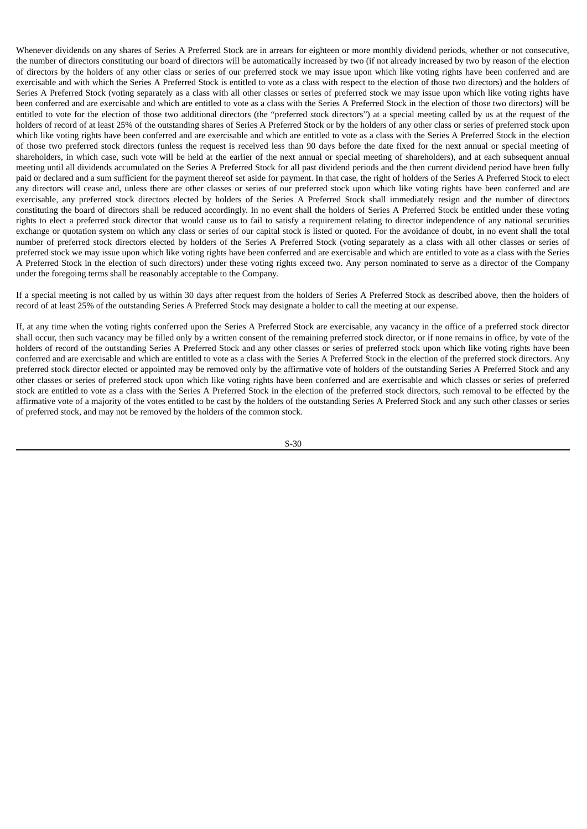Whenever dividends on any shares of Series A Preferred Stock are in arrears for eighteen or more monthly dividend periods, whether or not consecutive, the number of directors constituting our board of directors will be automatically increased by two (if not already increased by two by reason of the election of directors by the holders of any other class or series of our preferred stock we may issue upon which like voting rights have been conferred and are exercisable and with which the Series A Preferred Stock is entitled to vote as a class with respect to the election of those two directors) and the holders of Series A Preferred Stock (voting separately as a class with all other classes or series of preferred stock we may issue upon which like voting rights have been conferred and are exercisable and which are entitled to vote as a class with the Series A Preferred Stock in the election of those two directors) will be entitled to vote for the election of those two additional directors (the "preferred stock directors") at a special meeting called by us at the request of the holders of record of at least 25% of the outstanding shares of Series A Preferred Stock or by the holders of any other class or series of preferred stock upon which like voting rights have been conferred and are exercisable and which are entitled to vote as a class with the Series A Preferred Stock in the election of those two preferred stock directors (unless the request is received less than 90 days before the date fixed for the next annual or special meeting of shareholders, in which case, such vote will be held at the earlier of the next annual or special meeting of shareholders), and at each subsequent annual meeting until all dividends accumulated on the Series A Preferred Stock for all past dividend periods and the then current dividend period have been fully paid or declared and a sum sufficient for the payment thereof set aside for payment. In that case, the right of holders of the Series A Preferred Stock to elect any directors will cease and, unless there are other classes or series of our preferred stock upon which like voting rights have been conferred and are exercisable, any preferred stock directors elected by holders of the Series A Preferred Stock shall immediately resign and the number of directors constituting the board of directors shall be reduced accordingly. In no event shall the holders of Series A Preferred Stock be entitled under these voting rights to elect a preferred stock director that would cause us to fail to satisfy a requirement relating to director independence of any national securities exchange or quotation system on which any class or series of our capital stock is listed or quoted. For the avoidance of doubt, in no event shall the total number of preferred stock directors elected by holders of the Series A Preferred Stock (voting separately as a class with all other classes or series of preferred stock we may issue upon which like voting rights have been conferred and are exercisable and which are entitled to vote as a class with the Series A Preferred Stock in the election of such directors) under these voting rights exceed two. Any person nominated to serve as a director of the Company under the foregoing terms shall be reasonably acceptable to the Company.

If a special meeting is not called by us within 30 days after request from the holders of Series A Preferred Stock as described above, then the holders of record of at least 25% of the outstanding Series A Preferred Stock may designate a holder to call the meeting at our expense.

If, at any time when the voting rights conferred upon the Series A Preferred Stock are exercisable, any vacancy in the office of a preferred stock director shall occur, then such vacancy may be filled only by a written consent of the remaining preferred stock director, or if none remains in office, by vote of the holders of record of the outstanding Series A Preferred Stock and any other classes or series of preferred stock upon which like voting rights have been conferred and are exercisable and which are entitled to vote as a class with the Series A Preferred Stock in the election of the preferred stock directors. Any preferred stock director elected or appointed may be removed only by the affirmative vote of holders of the outstanding Series A Preferred Stock and any other classes or series of preferred stock upon which like voting rights have been conferred and are exercisable and which classes or series of preferred stock are entitled to vote as a class with the Series A Preferred Stock in the election of the preferred stock directors, such removal to be effected by the affirmative vote of a majority of the votes entitled to be cast by the holders of the outstanding Series A Preferred Stock and any such other classes or series of preferred stock, and may not be removed by the holders of the common stock.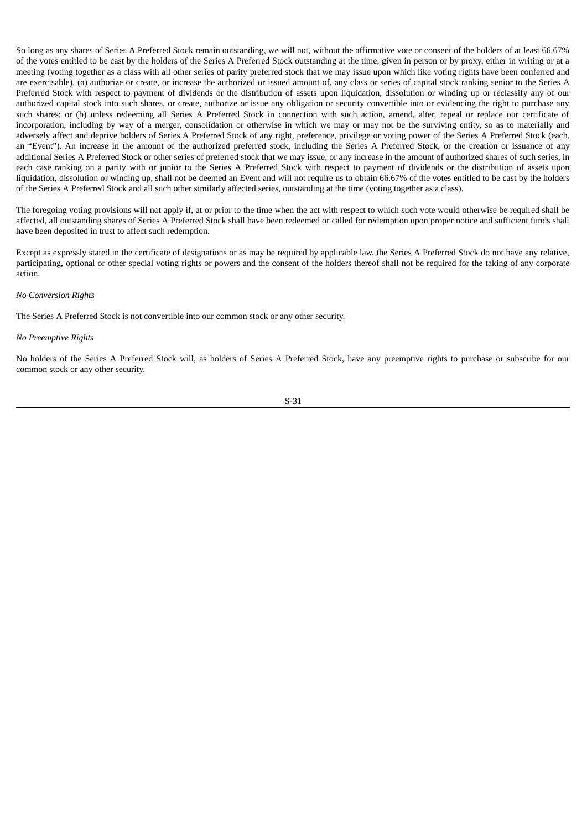So long as any shares of Series A Preferred Stock remain outstanding, we will not, without the affirmative vote or consent of the holders of at least 66.67% of the votes entitled to be cast by the holders of the Series A Preferred Stock outstanding at the time, given in person or by proxy, either in writing or at a meeting (voting together as a class with all other series of parity preferred stock that we may issue upon which like voting rights have been conferred and are exercisable), (a) authorize or create, or increase the authorized or issued amount of, any class or series of capital stock ranking senior to the Series A Preferred Stock with respect to payment of dividends or the distribution of assets upon liquidation, dissolution or winding up or reclassify any of our authorized capital stock into such shares, or create, authorize or issue any obligation or security convertible into or evidencing the right to purchase any such shares; or (b) unless redeeming all Series A Preferred Stock in connection with such action, amend, alter, repeal or replace our certificate of incorporation, including by way of a merger, consolidation or otherwise in which we may or may not be the surviving entity, so as to materially and adversely affect and deprive holders of Series A Preferred Stock of any right, preference, privilege or voting power of the Series A Preferred Stock (each, an "Event"). An increase in the amount of the authorized preferred stock, including the Series A Preferred Stock, or the creation or issuance of any additional Series A Preferred Stock or other series of preferred stock that we may issue, or any increase in the amount of authorized shares of such series, in each case ranking on a parity with or junior to the Series A Preferred Stock with respect to payment of dividends or the distribution of assets upon liquidation, dissolution or winding up, shall not be deemed an Event and will not require us to obtain 66.67% of the votes entitled to be cast by the holders of the Series A Preferred Stock and all such other similarly affected series, outstanding at the time (voting together as a class).

The foregoing voting provisions will not apply if, at or prior to the time when the act with respect to which such vote would otherwise be required shall be affected, all outstanding shares of Series A Preferred Stock shall have been redeemed or called for redemption upon proper notice and sufficient funds shall have been deposited in trust to affect such redemption.

Except as expressly stated in the certificate of designations or as may be required by applicable law, the Series A Preferred Stock do not have any relative, participating, optional or other special voting rights or powers and the consent of the holders thereof shall not be required for the taking of any corporate action.

### *No Conversion Rights*

The Series A Preferred Stock is not convertible into our common stock or any other security.

#### *No Preemptive Rights*

No holders of the Series A Preferred Stock will, as holders of Series A Preferred Stock, have any preemptive rights to purchase or subscribe for our common stock or any other security.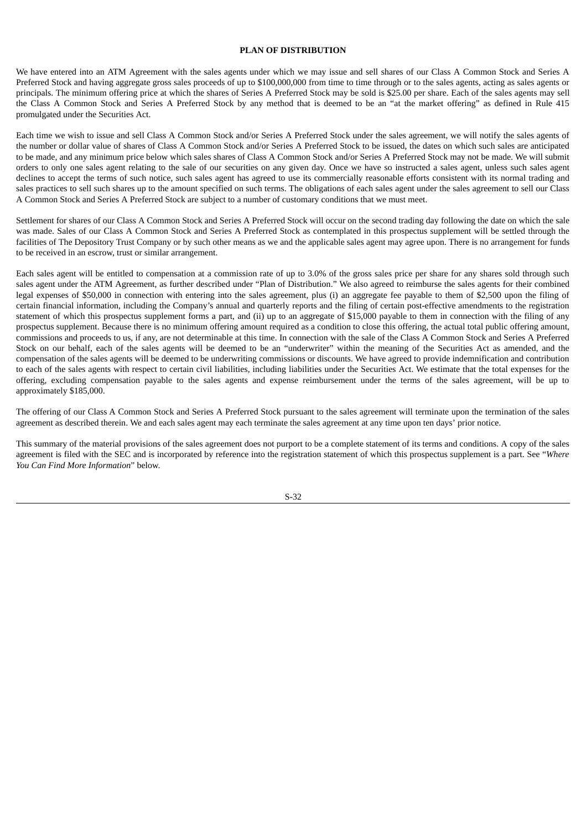### **PLAN OF DISTRIBUTION**

<span id="page-35-0"></span>We have entered into an ATM Agreement with the sales agents under which we may issue and sell shares of our Class A Common Stock and Series A Preferred Stock and having aggregate gross sales proceeds of up to \$100,000,000 from time to time through or to the sales agents, acting as sales agents or principals. The minimum offering price at which the shares of Series A Preferred Stock may be sold is \$25.00 per share. Each of the sales agents may sell the Class A Common Stock and Series A Preferred Stock by any method that is deemed to be an "at the market offering" as defined in Rule 415 promulgated under the Securities Act.

Each time we wish to issue and sell Class A Common Stock and/or Series A Preferred Stock under the sales agreement, we will notify the sales agents of the number or dollar value of shares of Class A Common Stock and/or Series A Preferred Stock to be issued, the dates on which such sales are anticipated to be made, and any minimum price below which sales shares of Class A Common Stock and/or Series A Preferred Stock may not be made. We will submit orders to only one sales agent relating to the sale of our securities on any given day. Once we have so instructed a sales agent, unless such sales agent declines to accept the terms of such notice, such sales agent has agreed to use its commercially reasonable efforts consistent with its normal trading and sales practices to sell such shares up to the amount specified on such terms. The obligations of each sales agent under the sales agreement to sell our Class A Common Stock and Series A Preferred Stock are subject to a number of customary conditions that we must meet.

Settlement for shares of our Class A Common Stock and Series A Preferred Stock will occur on the second trading day following the date on which the sale was made. Sales of our Class A Common Stock and Series A Preferred Stock as contemplated in this prospectus supplement will be settled through the facilities of The Depository Trust Company or by such other means as we and the applicable sales agent may agree upon. There is no arrangement for funds to be received in an escrow, trust or similar arrangement.

Each sales agent will be entitled to compensation at a commission rate of up to 3.0% of the gross sales price per share for any shares sold through such sales agent under the ATM Agreement, as further described under "Plan of Distribution." We also agreed to reimburse the sales agents for their combined legal expenses of \$50,000 in connection with entering into the sales agreement, plus (i) an aggregate fee payable to them of \$2,500 upon the filing of certain financial information, including the Company's annual and quarterly reports and the filing of certain post-effective amendments to the registration statement of which this prospectus supplement forms a part, and (ii) up to an aggregate of \$15,000 payable to them in connection with the filing of any prospectus supplement. Because there is no minimum offering amount required as a condition to close this offering, the actual total public offering amount, commissions and proceeds to us, if any, are not determinable at this time. In connection with the sale of the Class A Common Stock and Series A Preferred Stock on our behalf, each of the sales agents will be deemed to be an "underwriter" within the meaning of the Securities Act as amended, and the compensation of the sales agents will be deemed to be underwriting commissions or discounts. We have agreed to provide indemnification and contribution to each of the sales agents with respect to certain civil liabilities, including liabilities under the Securities Act. We estimate that the total expenses for the offering, excluding compensation payable to the sales agents and expense reimbursement under the terms of the sales agreement, will be up to approximately \$185,000.

The offering of our Class A Common Stock and Series A Preferred Stock pursuant to the sales agreement will terminate upon the termination of the sales agreement as described therein. We and each sales agent may each terminate the sales agreement at any time upon ten days' prior notice.

This summary of the material provisions of the sales agreement does not purport to be a complete statement of its terms and conditions. A copy of the sales agreement is filed with the SEC and is incorporated by reference into the registration statement of which this prospectus supplement is a part. See "*Where You Can Find More Information*" below.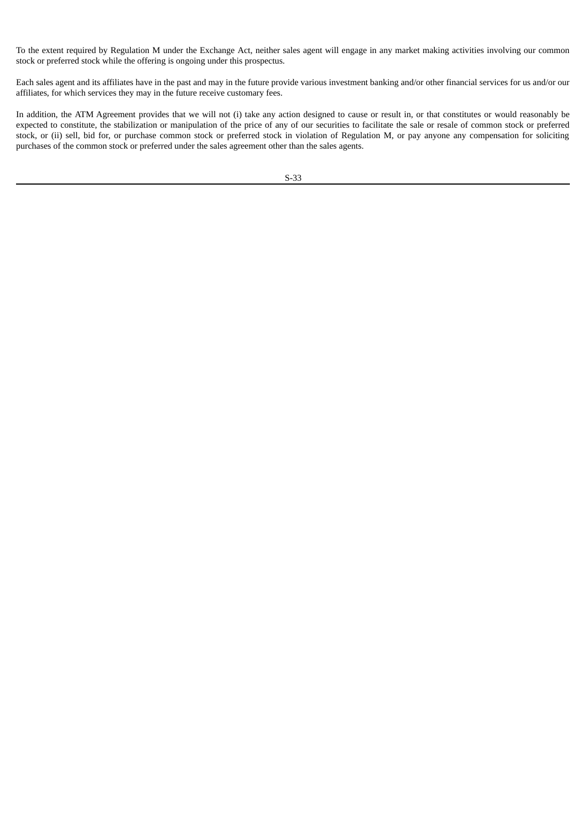To the extent required by Regulation M under the Exchange Act, neither sales agent will engage in any market making activities involving our common stock or preferred stock while the offering is ongoing under this prospectus.

Each sales agent and its affiliates have in the past and may in the future provide various investment banking and/or other financial services for us and/or our affiliates, for which services they may in the future receive customary fees.

In addition, the ATM Agreement provides that we will not (i) take any action designed to cause or result in, or that constitutes or would reasonably be expected to constitute, the stabilization or manipulation of the price of any of our securities to facilitate the sale or resale of common stock or preferred stock, or (ii) sell, bid for, or purchase common stock or preferred stock in violation of Regulation M, or pay anyone any compensation for soliciting purchases of the common stock or preferred under the sales agreement other than the sales agents.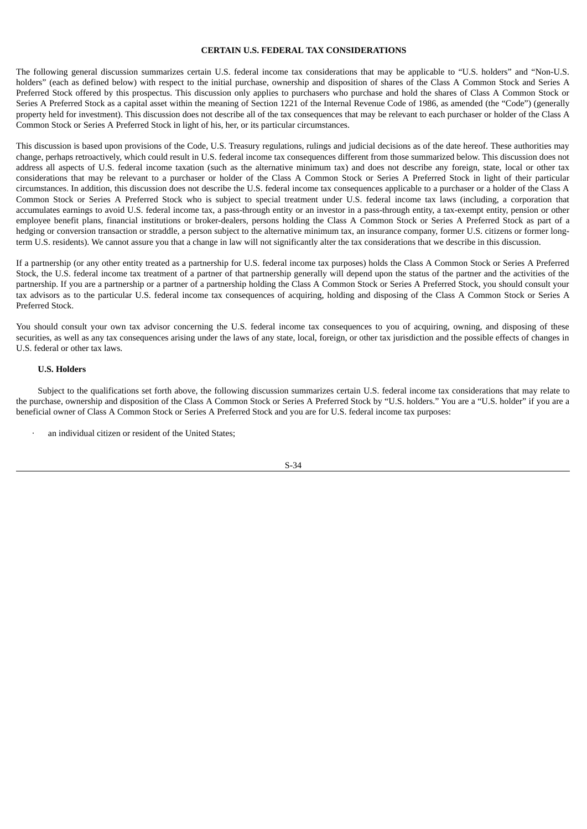# **CERTAIN U.S. FEDERAL TAX CONSIDERATIONS**

The following general discussion summarizes certain U.S. federal income tax considerations that may be applicable to "U.S. holders" and "Non-U.S. holders" (each as defined below) with respect to the initial purchase, ownership and disposition of shares of the Class A Common Stock and Series A Preferred Stock offered by this prospectus. This discussion only applies to purchasers who purchase and hold the shares of Class A Common Stock or Series A Preferred Stock as a capital asset within the meaning of Section 1221 of the Internal Revenue Code of 1986, as amended (the "Code") (generally property held for investment). This discussion does not describe all of the tax consequences that may be relevant to each purchaser or holder of the Class A Common Stock or Series A Preferred Stock in light of his, her, or its particular circumstances.

This discussion is based upon provisions of the Code, U.S. Treasury regulations, rulings and judicial decisions as of the date hereof. These authorities may change, perhaps retroactively, which could result in U.S. federal income tax consequences different from those summarized below. This discussion does not address all aspects of U.S. federal income taxation (such as the alternative minimum tax) and does not describe any foreign, state, local or other tax considerations that may be relevant to a purchaser or holder of the Class A Common Stock or Series A Preferred Stock in light of their particular circumstances. In addition, this discussion does not describe the U.S. federal income tax consequences applicable to a purchaser or a holder of the Class A Common Stock or Series A Preferred Stock who is subject to special treatment under U.S. federal income tax laws (including, a corporation that accumulates earnings to avoid U.S. federal income tax, a pass-through entity or an investor in a pass-through entity, a tax-exempt entity, pension or other employee benefit plans, financial institutions or broker-dealers, persons holding the Class A Common Stock or Series A Preferred Stock as part of a hedging or conversion transaction or straddle, a person subject to the alternative minimum tax, an insurance company, former U.S. citizens or former longterm U.S. residents). We cannot assure you that a change in law will not significantly alter the tax considerations that we describe in this discussion.

If a partnership (or any other entity treated as a partnership for U.S. federal income tax purposes) holds the Class A Common Stock or Series A Preferred Stock, the U.S. federal income tax treatment of a partner of that partnership generally will depend upon the status of the partner and the activities of the partnership. If you are a partnership or a partner of a partnership holding the Class A Common Stock or Series A Preferred Stock, you should consult your tax advisors as to the particular U.S. federal income tax consequences of acquiring, holding and disposing of the Class A Common Stock or Series A Preferred Stock.

You should consult your own tax advisor concerning the U.S. federal income tax consequences to you of acquiring, owning, and disposing of these securities, as well as any tax consequences arising under the laws of any state, local, foreign, or other tax jurisdiction and the possible effects of changes in U.S. federal or other tax laws.

## **U.S. Holders**

Subject to the qualifications set forth above, the following discussion summarizes certain U.S. federal income tax considerations that may relate to the purchase, ownership and disposition of the Class A Common Stock or Series A Preferred Stock by "U.S. holders." You are a "U.S. holder" if you are a beneficial owner of Class A Common Stock or Series A Preferred Stock and you are for U.S. federal income tax purposes:

an individual citizen or resident of the United States;

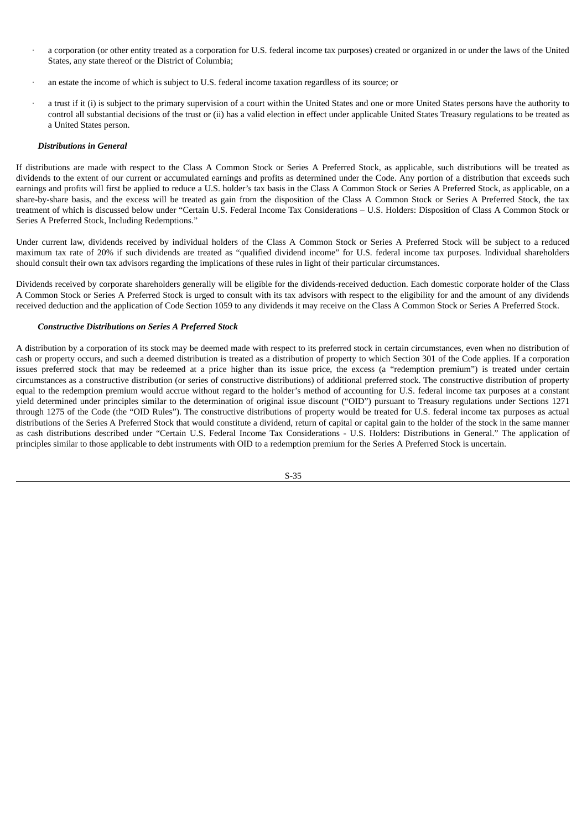- · a corporation (or other entity treated as a corporation for U.S. federal income tax purposes) created or organized in or under the laws of the United States, any state thereof or the District of Columbia;
- · an estate the income of which is subject to U.S. federal income taxation regardless of its source; or
- a trust if it (i) is subject to the primary supervision of a court within the United States and one or more United States persons have the authority to control all substantial decisions of the trust or (ii) has a valid election in effect under applicable United States Treasury regulations to be treated as a United States person.

## *Distributions in General*

If distributions are made with respect to the Class A Common Stock or Series A Preferred Stock, as applicable, such distributions will be treated as dividends to the extent of our current or accumulated earnings and profits as determined under the Code. Any portion of a distribution that exceeds such earnings and profits will first be applied to reduce a U.S. holder's tax basis in the Class A Common Stock or Series A Preferred Stock, as applicable, on a share-by-share basis, and the excess will be treated as gain from the disposition of the Class A Common Stock or Series A Preferred Stock, the tax treatment of which is discussed below under "Certain U.S. Federal Income Tax Considerations – U.S. Holders: Disposition of Class A Common Stock or Series A Preferred Stock, Including Redemptions."

Under current law, dividends received by individual holders of the Class A Common Stock or Series A Preferred Stock will be subject to a reduced maximum tax rate of 20% if such dividends are treated as "qualified dividend income" for U.S. federal income tax purposes. Individual shareholders should consult their own tax advisors regarding the implications of these rules in light of their particular circumstances.

Dividends received by corporate shareholders generally will be eligible for the dividends-received deduction. Each domestic corporate holder of the Class A Common Stock or Series A Preferred Stock is urged to consult with its tax advisors with respect to the eligibility for and the amount of any dividends received deduction and the application of Code Section 1059 to any dividends it may receive on the Class A Common Stock or Series A Preferred Stock.

## *Constructive Distributions on Series A Preferred Stock*

A distribution by a corporation of its stock may be deemed made with respect to its preferred stock in certain circumstances, even when no distribution of cash or property occurs, and such a deemed distribution is treated as a distribution of property to which Section 301 of the Code applies. If a corporation issues preferred stock that may be redeemed at a price higher than its issue price, the excess (a "redemption premium") is treated under certain circumstances as a constructive distribution (or series of constructive distributions) of additional preferred stock. The constructive distribution of property equal to the redemption premium would accrue without regard to the holder's method of accounting for U.S. federal income tax purposes at a constant yield determined under principles similar to the determination of original issue discount ("OID") pursuant to Treasury regulations under Sections 1271 through 1275 of the Code (the "OID Rules"). The constructive distributions of property would be treated for U.S. federal income tax purposes as actual distributions of the Series A Preferred Stock that would constitute a dividend, return of capital or capital gain to the holder of the stock in the same manner as cash distributions described under "Certain U.S. Federal Income Tax Considerations - U.S. Holders: Distributions in General." The application of principles similar to those applicable to debt instruments with OID to a redemption premium for the Series A Preferred Stock is uncertain.

S-35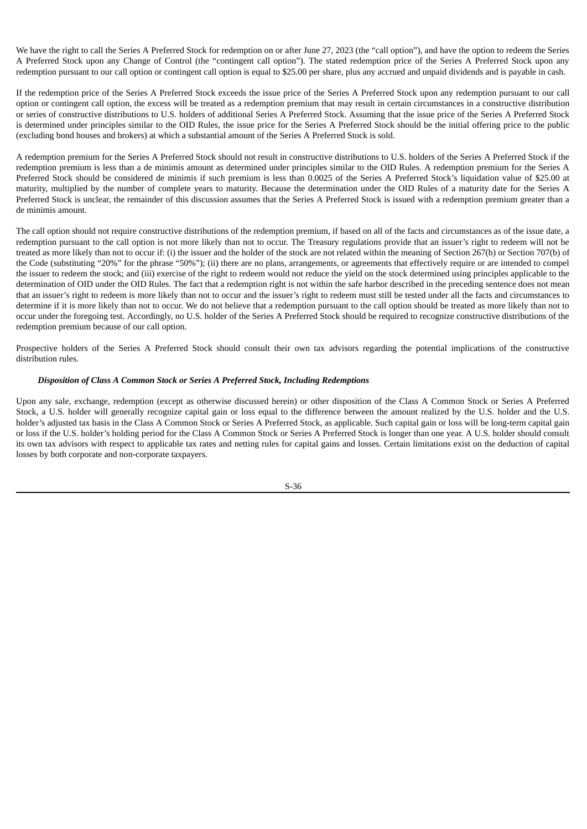We have the right to call the Series A Preferred Stock for redemption on or after June 27, 2023 (the "call option"), and have the option to redeem the Series A Preferred Stock upon any Change of Control (the "contingent call option"). The stated redemption price of the Series A Preferred Stock upon any redemption pursuant to our call option or contingent call option is equal to \$25.00 per share, plus any accrued and unpaid dividends and is payable in cash.

If the redemption price of the Series A Preferred Stock exceeds the issue price of the Series A Preferred Stock upon any redemption pursuant to our call option or contingent call option, the excess will be treated as a redemption premium that may result in certain circumstances in a constructive distribution or series of constructive distributions to U.S. holders of additional Series A Preferred Stock. Assuming that the issue price of the Series A Preferred Stock is determined under principles similar to the OID Rules, the issue price for the Series A Preferred Stock should be the initial offering price to the public (excluding bond houses and brokers) at which a substantial amount of the Series A Preferred Stock is sold.

A redemption premium for the Series A Preferred Stock should not result in constructive distributions to U.S. holders of the Series A Preferred Stock if the redemption premium is less than a de minimis amount as determined under principles similar to the OID Rules. A redemption premium for the Series A Preferred Stock should be considered de minimis if such premium is less than 0.0025 of the Series A Preferred Stock's liquidation value of \$25.00 at maturity, multiplied by the number of complete years to maturity. Because the determination under the OID Rules of a maturity date for the Series A Preferred Stock is unclear, the remainder of this discussion assumes that the Series A Preferred Stock is issued with a redemption premium greater than a de minimis amount.

The call option should not require constructive distributions of the redemption premium, if based on all of the facts and circumstances as of the issue date, a redemption pursuant to the call option is not more likely than not to occur. The Treasury regulations provide that an issuer's right to redeem will not be treated as more likely than not to occur if: (i) the issuer and the holder of the stock are not related within the meaning of Section 267(b) or Section 707(b) of the Code (substituting "20%" for the phrase "50%"); (ii) there are no plans, arrangements, or agreements that effectively require or are intended to compel the issuer to redeem the stock; and (iii) exercise of the right to redeem would not reduce the yield on the stock determined using principles applicable to the determination of OID under the OID Rules. The fact that a redemption right is not within the safe harbor described in the preceding sentence does not mean that an issuer's right to redeem is more likely than not to occur and the issuer's right to redeem must still be tested under all the facts and circumstances to determine if it is more likely than not to occur. We do not believe that a redemption pursuant to the call option should be treated as more likely than not to occur under the foregoing test. Accordingly, no U.S. holder of the Series A Preferred Stock should be required to recognize constructive distributions of the redemption premium because of our call option.

Prospective holders of the Series A Preferred Stock should consult their own tax advisors regarding the potential implications of the constructive distribution rules.

# *Disposition of Class A Common Stock or Series A Preferred Stock, Including Redemptions*

Upon any sale, exchange, redemption (except as otherwise discussed herein) or other disposition of the Class A Common Stock or Series A Preferred Stock, a U.S. holder will generally recognize capital gain or loss equal to the difference between the amount realized by the U.S. holder and the U.S. holder's adjusted tax basis in the Class A Common Stock or Series A Preferred Stock, as applicable. Such capital gain or loss will be long-term capital gain or loss if the U.S. holder's holding period for the Class A Common Stock or Series A Preferred Stock is longer than one year. A U.S. holder should consult its own tax advisors with respect to applicable tax rates and netting rules for capital gains and losses. Certain limitations exist on the deduction of capital losses by both corporate and non-corporate taxpayers.

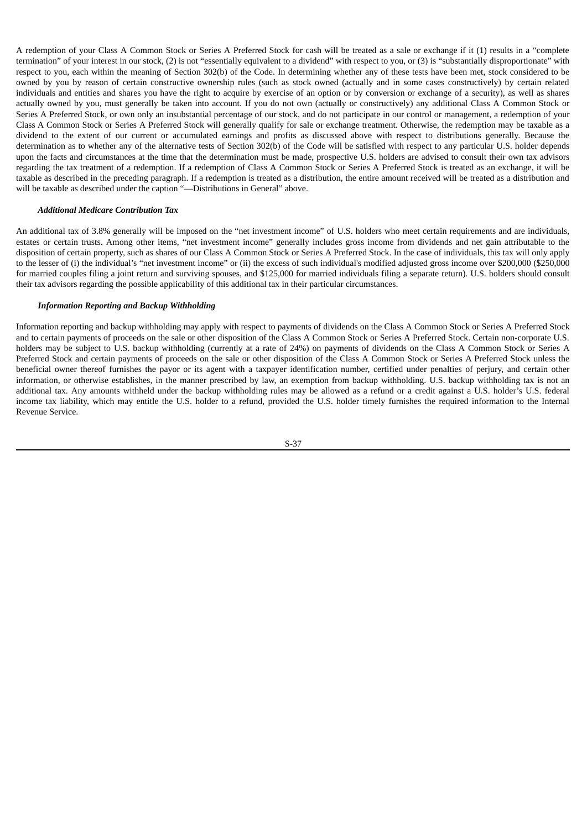A redemption of your Class A Common Stock or Series A Preferred Stock for cash will be treated as a sale or exchange if it (1) results in a "complete termination" of your interest in our stock, (2) is not "essentially equivalent to a dividend" with respect to you, or (3) is "substantially disproportionate" with respect to you, each within the meaning of Section 302(b) of the Code. In determining whether any of these tests have been met, stock considered to be owned by you by reason of certain constructive ownership rules (such as stock owned (actually and in some cases constructively) by certain related individuals and entities and shares you have the right to acquire by exercise of an option or by conversion or exchange of a security), as well as shares actually owned by you, must generally be taken into account. If you do not own (actually or constructively) any additional Class A Common Stock or Series A Preferred Stock, or own only an insubstantial percentage of our stock, and do not participate in our control or management, a redemption of your Class A Common Stock or Series A Preferred Stock will generally qualify for sale or exchange treatment. Otherwise, the redemption may be taxable as a dividend to the extent of our current or accumulated earnings and profits as discussed above with respect to distributions generally. Because the determination as to whether any of the alternative tests of Section 302(b) of the Code will be satisfied with respect to any particular U.S. holder depends upon the facts and circumstances at the time that the determination must be made, prospective U.S. holders are advised to consult their own tax advisors regarding the tax treatment of a redemption. If a redemption of Class A Common Stock or Series A Preferred Stock is treated as an exchange, it will be taxable as described in the preceding paragraph. If a redemption is treated as a distribution, the entire amount received will be treated as a distribution and will be taxable as described under the caption "—Distributions in General" above.

## *Additional Medicare Contribution Tax*

An additional tax of 3.8% generally will be imposed on the "net investment income" of U.S. holders who meet certain requirements and are individuals, estates or certain trusts. Among other items, "net investment income" generally includes gross income from dividends and net gain attributable to the disposition of certain property, such as shares of our Class A Common Stock or Series A Preferred Stock. In the case of individuals, this tax will only apply to the lesser of (i) the individual's "net investment income" or (ii) the excess of such individual's modified adjusted gross income over \$200,000 (\$250,000 for married couples filing a joint return and surviving spouses, and \$125,000 for married individuals filing a separate return). U.S. holders should consult their tax advisors regarding the possible applicability of this additional tax in their particular circumstances.

## *Information Reporting and Backup Withholding*

Information reporting and backup withholding may apply with respect to payments of dividends on the Class A Common Stock or Series A Preferred Stock and to certain payments of proceeds on the sale or other disposition of the Class A Common Stock or Series A Preferred Stock. Certain non-corporate U.S. holders may be subject to U.S. backup withholding (currently at a rate of 24%) on payments of dividends on the Class A Common Stock or Series A Preferred Stock and certain payments of proceeds on the sale or other disposition of the Class A Common Stock or Series A Preferred Stock unless the beneficial owner thereof furnishes the payor or its agent with a taxpayer identification number, certified under penalties of perjury, and certain other information, or otherwise establishes, in the manner prescribed by law, an exemption from backup withholding. U.S. backup withholding tax is not an additional tax. Any amounts withheld under the backup withholding rules may be allowed as a refund or a credit against a U.S. holder's U.S. federal income tax liability, which may entitle the U.S. holder to a refund, provided the U.S. holder timely furnishes the required information to the Internal Revenue Service.

S-37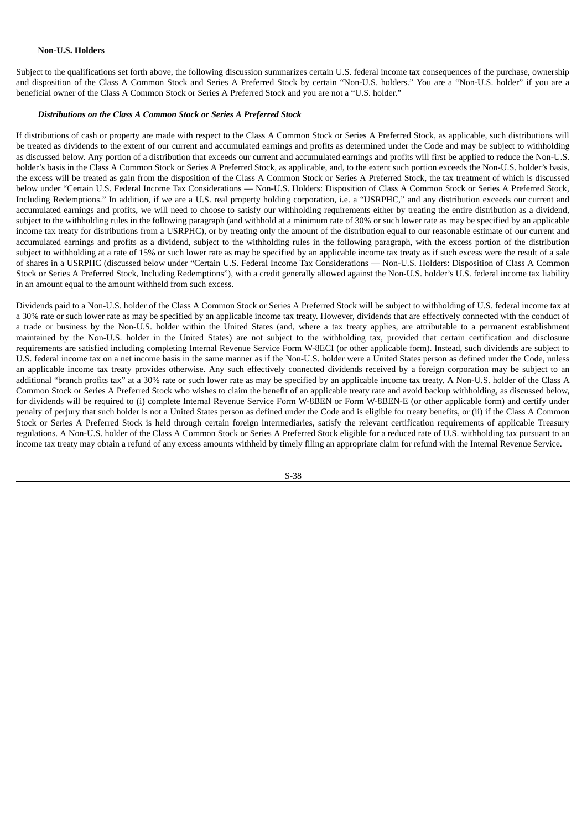## **Non-U.S. Holders**

Subject to the qualifications set forth above, the following discussion summarizes certain U.S. federal income tax consequences of the purchase, ownership and disposition of the Class A Common Stock and Series A Preferred Stock by certain "Non-U.S. holders." You are a "Non-U.S. holder" if you are a beneficial owner of the Class A Common Stock or Series A Preferred Stock and you are not a "U.S. holder."

## *Distributions on the Class A Common Stock or Series A Preferred Stock*

If distributions of cash or property are made with respect to the Class A Common Stock or Series A Preferred Stock, as applicable, such distributions will be treated as dividends to the extent of our current and accumulated earnings and profits as determined under the Code and may be subject to withholding as discussed below. Any portion of a distribution that exceeds our current and accumulated earnings and profits will first be applied to reduce the Non-U.S. holder's basis in the Class A Common Stock or Series A Preferred Stock, as applicable, and, to the extent such portion exceeds the Non-U.S. holder's basis, the excess will be treated as gain from the disposition of the Class A Common Stock or Series A Preferred Stock, the tax treatment of which is discussed below under "Certain U.S. Federal Income Tax Considerations — Non-U.S. Holders: Disposition of Class A Common Stock or Series A Preferred Stock, Including Redemptions." In addition, if we are a U.S. real property holding corporation, i.e. a "USRPHC," and any distribution exceeds our current and accumulated earnings and profits, we will need to choose to satisfy our withholding requirements either by treating the entire distribution as a dividend, subject to the withholding rules in the following paragraph (and withhold at a minimum rate of 30% or such lower rate as may be specified by an applicable income tax treaty for distributions from a USRPHC), or by treating only the amount of the distribution equal to our reasonable estimate of our current and accumulated earnings and profits as a dividend, subject to the withholding rules in the following paragraph, with the excess portion of the distribution subject to withholding at a rate of 15% or such lower rate as may be specified by an applicable income tax treaty as if such excess were the result of a sale of shares in a USRPHC (discussed below under "Certain U.S. Federal Income Tax Considerations — Non-U.S. Holders: Disposition of Class A Common Stock or Series A Preferred Stock, Including Redemptions"), with a credit generally allowed against the Non-U.S. holder's U.S. federal income tax liability in an amount equal to the amount withheld from such excess.

Dividends paid to a Non-U.S. holder of the Class A Common Stock or Series A Preferred Stock will be subject to withholding of U.S. federal income tax at a 30% rate or such lower rate as may be specified by an applicable income tax treaty. However, dividends that are effectively connected with the conduct of a trade or business by the Non-U.S. holder within the United States (and, where a tax treaty applies, are attributable to a permanent establishment maintained by the Non-U.S. holder in the United States) are not subject to the withholding tax, provided that certain certification and disclosure requirements are satisfied including completing Internal Revenue Service Form W-8ECI (or other applicable form). Instead, such dividends are subject to U.S. federal income tax on a net income basis in the same manner as if the Non-U.S. holder were a United States person as defined under the Code, unless an applicable income tax treaty provides otherwise. Any such effectively connected dividends received by a foreign corporation may be subject to an additional "branch profits tax" at a 30% rate or such lower rate as may be specified by an applicable income tax treaty. A Non-U.S. holder of the Class A Common Stock or Series A Preferred Stock who wishes to claim the benefit of an applicable treaty rate and avoid backup withholding, as discussed below, for dividends will be required to (i) complete Internal Revenue Service Form W-8BEN or Form W-8BEN-E (or other applicable form) and certify under penalty of perjury that such holder is not a United States person as defined under the Code and is eligible for treaty benefits, or (ii) if the Class A Common Stock or Series A Preferred Stock is held through certain foreign intermediaries, satisfy the relevant certification requirements of applicable Treasury regulations. A Non-U.S. holder of the Class A Common Stock or Series A Preferred Stock eligible for a reduced rate of U.S. withholding tax pursuant to an income tax treaty may obtain a refund of any excess amounts withheld by timely filing an appropriate claim for refund with the Internal Revenue Service.

S-38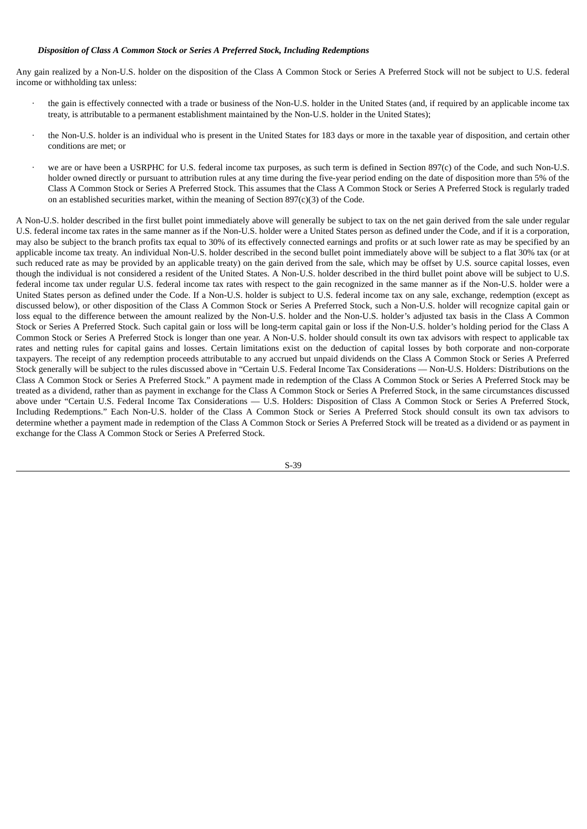## *Disposition of Class A Common Stock or Series A Preferred Stock, Including Redemptions*

Any gain realized by a Non-U.S. holder on the disposition of the Class A Common Stock or Series A Preferred Stock will not be subject to U.S. federal income or withholding tax unless:

- · the gain is effectively connected with a trade or business of the Non-U.S. holder in the United States (and, if required by an applicable income tax treaty, is attributable to a permanent establishment maintained by the Non-U.S. holder in the United States);
- · the Non-U.S. holder is an individual who is present in the United States for 183 days or more in the taxable year of disposition, and certain other conditions are met; or
- · we are or have been a USRPHC for U.S. federal income tax purposes, as such term is defined in Section 897(c) of the Code, and such Non-U.S. holder owned directly or pursuant to attribution rules at any time during the five-year period ending on the date of disposition more than 5% of the Class A Common Stock or Series A Preferred Stock. This assumes that the Class A Common Stock or Series A Preferred Stock is regularly traded on an established securities market, within the meaning of Section 897(c)(3) of the Code.

A Non-U.S. holder described in the first bullet point immediately above will generally be subject to tax on the net gain derived from the sale under regular U.S. federal income tax rates in the same manner as if the Non-U.S. holder were a United States person as defined under the Code, and if it is a corporation, may also be subject to the branch profits tax equal to 30% of its effectively connected earnings and profits or at such lower rate as may be specified by an applicable income tax treaty. An individual Non-U.S. holder described in the second bullet point immediately above will be subject to a flat 30% tax (or at such reduced rate as may be provided by an applicable treaty) on the gain derived from the sale, which may be offset by U.S. source capital losses, even though the individual is not considered a resident of the United States. A Non-U.S. holder described in the third bullet point above will be subject to U.S. federal income tax under regular U.S. federal income tax rates with respect to the gain recognized in the same manner as if the Non-U.S. holder were a United States person as defined under the Code. If a Non-U.S. holder is subject to U.S. federal income tax on any sale, exchange, redemption (except as discussed below), or other disposition of the Class A Common Stock or Series A Preferred Stock, such a Non-U.S. holder will recognize capital gain or loss equal to the difference between the amount realized by the Non-U.S. holder and the Non-U.S. holder's adjusted tax basis in the Class A Common Stock or Series A Preferred Stock. Such capital gain or loss will be long-term capital gain or loss if the Non-U.S. holder's holding period for the Class A Common Stock or Series A Preferred Stock is longer than one year. A Non-U.S. holder should consult its own tax advisors with respect to applicable tax rates and netting rules for capital gains and losses. Certain limitations exist on the deduction of capital losses by both corporate and non-corporate taxpayers. The receipt of any redemption proceeds attributable to any accrued but unpaid dividends on the Class A Common Stock or Series A Preferred Stock generally will be subject to the rules discussed above in "Certain U.S. Federal Income Tax Considerations — Non-U.S. Holders: Distributions on the Class A Common Stock or Series A Preferred Stock." A payment made in redemption of the Class A Common Stock or Series A Preferred Stock may be treated as a dividend, rather than as payment in exchange for the Class A Common Stock or Series A Preferred Stock, in the same circumstances discussed above under "Certain U.S. Federal Income Tax Considerations — U.S. Holders: Disposition of Class A Common Stock or Series A Preferred Stock, Including Redemptions." Each Non-U.S. holder of the Class A Common Stock or Series A Preferred Stock should consult its own tax advisors to determine whether a payment made in redemption of the Class A Common Stock or Series A Preferred Stock will be treated as a dividend or as payment in exchange for the Class A Common Stock or Series A Preferred Stock.

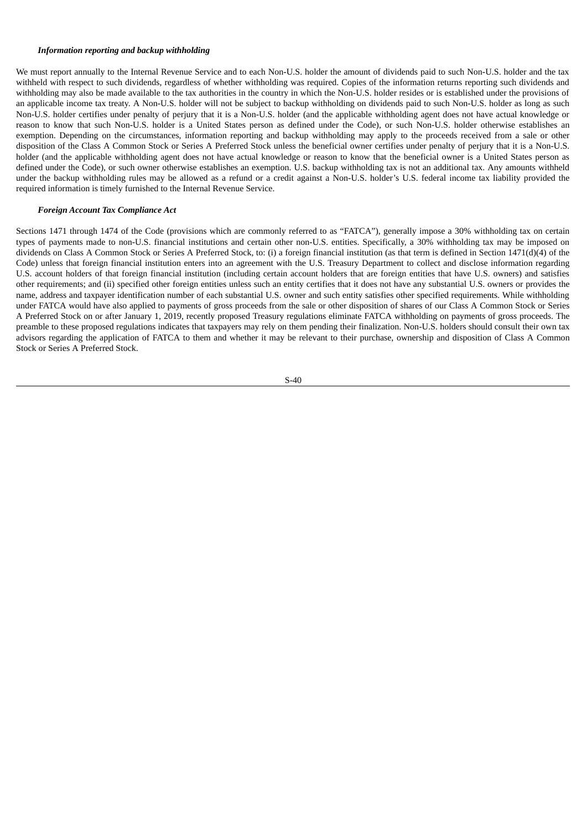## *Information reporting and backup withholding*

We must report annually to the Internal Revenue Service and to each Non-U.S. holder the amount of dividends paid to such Non-U.S. holder and the tax withheld with respect to such dividends, regardless of whether withholding was required. Copies of the information returns reporting such dividends and withholding may also be made available to the tax authorities in the country in which the Non-U.S. holder resides or is established under the provisions of an applicable income tax treaty. A Non-U.S. holder will not be subject to backup withholding on dividends paid to such Non-U.S. holder as long as such Non-U.S. holder certifies under penalty of perjury that it is a Non-U.S. holder (and the applicable withholding agent does not have actual knowledge or reason to know that such Non-U.S. holder is a United States person as defined under the Code), or such Non-U.S. holder otherwise establishes an exemption. Depending on the circumstances, information reporting and backup withholding may apply to the proceeds received from a sale or other disposition of the Class A Common Stock or Series A Preferred Stock unless the beneficial owner certifies under penalty of perjury that it is a Non-U.S. holder (and the applicable withholding agent does not have actual knowledge or reason to know that the beneficial owner is a United States person as defined under the Code), or such owner otherwise establishes an exemption. U.S. backup withholding tax is not an additional tax. Any amounts withheld under the backup withholding rules may be allowed as a refund or a credit against a Non-U.S. holder's U.S. federal income tax liability provided the required information is timely furnished to the Internal Revenue Service.

## *Foreign Account Tax Compliance Act*

Sections 1471 through 1474 of the Code (provisions which are commonly referred to as "FATCA"), generally impose a 30% withholding tax on certain types of payments made to non-U.S. financial institutions and certain other non-U.S. entities. Specifically, a 30% withholding tax may be imposed on dividends on Class A Common Stock or Series A Preferred Stock, to: (i) a foreign financial institution (as that term is defined in Section 1471(d)(4) of the Code) unless that foreign financial institution enters into an agreement with the U.S. Treasury Department to collect and disclose information regarding U.S. account holders of that foreign financial institution (including certain account holders that are foreign entities that have U.S. owners) and satisfies other requirements; and (ii) specified other foreign entities unless such an entity certifies that it does not have any substantial U.S. owners or provides the name, address and taxpayer identification number of each substantial U.S. owner and such entity satisfies other specified requirements. While withholding under FATCA would have also applied to payments of gross proceeds from the sale or other disposition of shares of our Class A Common Stock or Series A Preferred Stock on or after January 1, 2019, recently proposed Treasury regulations eliminate FATCA withholding on payments of gross proceeds. The preamble to these proposed regulations indicates that taxpayers may rely on them pending their finalization. Non-U.S. holders should consult their own tax advisors regarding the application of FATCA to them and whether it may be relevant to their purchase, ownership and disposition of Class A Common Stock or Series A Preferred Stock.

S-40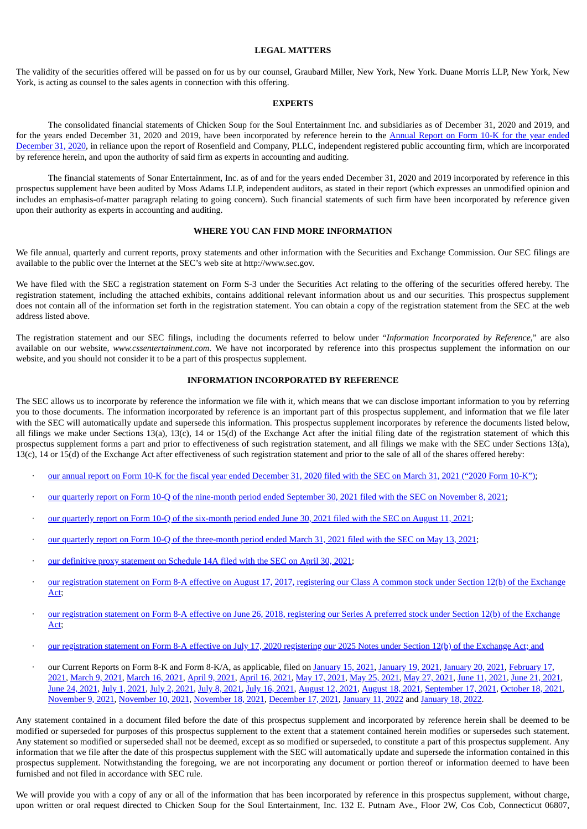# **LEGAL MATTERS**

The validity of the securities offered will be passed on for us by our counsel, Graubard Miller, New York, New York. Duane Morris LLP, New York, New York, is acting as counsel to the sales agents in connection with this offering.

# **EXPERTS**

The consolidated financial statements of Chicken Soup for the Soul Entertainment Inc. and subsidiaries as of December 31, 2020 and 2019, and for the years ended December 31, 2020 and 2019, have been incorporated by reference herein to the Annual Report on Form 10-K for the year ended December 31, 2020, in reliance upon the report of Rosenfield and Company, PLLC, independent registered public accounting firm, which are [incorporated](https://www.sec.gov/Archives/edgar/data/1679063/000155837021003814/csse-20201231x10k.htm) by reference herein, and upon the authority of said firm as experts in accounting and auditing.

The financial statements of Sonar Entertainment, Inc. as of and for the years ended December 31, 2020 and 2019 incorporated by reference in this prospectus supplement have been audited by Moss Adams LLP, independent auditors, as stated in their report (which expresses an unmodified opinion and includes an emphasis-of-matter paragraph relating to going concern). Such financial statements of such firm have been incorporated by reference given upon their authority as experts in accounting and auditing.

# **WHERE YOU CAN FIND MORE INFORMATION**

We file annual, quarterly and current reports, proxy statements and other information with the Securities and Exchange Commission. Our SEC filings are available to the public over the Internet at the SEC's web site at http://www.sec.gov.

We have filed with the SEC a registration statement on Form S-3 under the Securities Act relating to the offering of the securities offered hereby. The registration statement, including the attached exhibits, contains additional relevant information about us and our securities. This prospectus supplement does not contain all of the information set forth in the registration statement. You can obtain a copy of the registration statement from the SEC at the web address listed above.

The registration statement and our SEC filings, including the documents referred to below under "*Information Incorporated by Reference*," are also available on our website, *www.cssentertainment.com*. We have not incorporated by reference into this prospectus supplement the information on our website, and you should not consider it to be a part of this prospectus supplement.

## **INFORMATION INCORPORATED BY REFERENCE**

The SEC allows us to incorporate by reference the information we file with it, which means that we can disclose important information to you by referring you to those documents. The information incorporated by reference is an important part of this prospectus supplement, and information that we file later with the SEC will automatically update and supersede this information. This prospectus supplement incorporates by reference the documents listed below, all filings we make under Sections 13(a), 13(c), 14 or 15(d) of the Exchange Act after the initial filing date of the registration statement of which this prospectus supplement forms a part and prior to effectiveness of such registration statement, and all filings we make with the SEC under Sections 13(a), 13(c), 14 or 15(d) of the Exchange Act after effectiveness of such registration statement and prior to the sale of all of the shares offered hereby:

- our annual report on Form 10-K for the fiscal year ended [December](https://www.sec.gov/Archives/edgar/data/1679063/000155837021003814/csse-20201231x10k.htm) 31, 2020 filed with the SEC on March 31, 2021 ("2020 Form 10-K");
- · our quarterly report on Form 10-Q of the [nine-month](https://www.sec.gov/ix?doc=/Archives/edgar/data/1679063/000155837021015015/csse-20210930x10q.htm) period ended September 30, 2021 filed with the SEC on November 8, 2021;
- · our quarterly report on Form 10-Q of the [six-month](https://www.sec.gov/ix?doc=/Archives/edgar/data/1679063/000155837021011277/csse-20210630x10q.htm) period ended June 30, 2021 filed with the SEC on August 11, 2021;
- our quarterly report on Form 10-Q of the [three-month](https://www.sec.gov/Archives/edgar/data/1679063/000155837021007091/csse-20210331x10q.htm) period ended March 31, 2021 filed with the SEC on May 13, 2021;
- our [definitive](https://www.sec.gov/Archives/edgar/data/1679063/000110465921059034/tm212643-1_def14a.htm) proxy statement on Schedule 14A filed with the SEC on April 30, 2021;
- our [registration](https://www.sec.gov/Archives/edgar/data/1679063/000114420417033350/v469331_8a12b.htm) statement on Form 8-A effective on August 17, 2017, registering our Class A common stock under Section 12(b) of the Exchange Act;
- · our [registration](https://www.sec.gov/Archives/edgar/data/1679063/000114420418035576/tv496662_8a12b.htm) statement on Form 8-A effective on June 26, 2018, registering our Series A preferred stock under Section 12(b) of the Exchange Act;
- · our [registration](https://www.sec.gov/Archives/edgar/data/1679063/000110465920084542/tm2023566d1_8a12b.htm) statement on Form 8-A effective on July 17, 2020 registering our 2025 Notes under Section 12(b) of the Exchange Act; and
- · our Current Reports on Form 8-K and Form 8-K/A, as [applicable,](https://www.sec.gov/Archives/edgar/data/1679063/000110465921024829/tm217053d1_8k.htm) filed on [January](https://www.sec.gov/Archives/edgar/data/1679063/000110465921004744/tm213323d1_8k.htm) 15, 2021, [January](https://www.sec.gov/Archives/edgar/data/1679063/000110465921005398/tm213560d2_8k.htm) 19, 2021, [January](https://www.sec.gov/Archives/edgar/data/1679063/000110465921005853/tm213560d1_8k.htm) 20, 2021, February 17, 2021, [March](https://www.sec.gov/Archives/edgar/data/1679063/000110465921033799/tm219057d1_8k.htm) 9, 2021, [March](https://www.sec.gov/Archives/edgar/data/1679063/000110465921037172/tm219882d1_8k.htm) 16, 2021, [April](https://www.sec.gov/Archives/edgar/data/1679063/000110465921048836/tm2112602d1_8k.htm) 9, 2021, [April](https://www.sec.gov/Archives/edgar/data/1679063/000110465921051153/tm2113156d1_8k.htm) 16, 2021, May 17, [2021,](https://www.sec.gov/Archives/edgar/data/1679063/000110465921067514/tm2116612d2_8k.htm) May 25, [2021](https://www.sec.gov/Archives/edgar/data/1679063/000110465921071570/tm2117382d2_8ka.htm), May 27, [2021,](https://www.sec.gov/Archives/edgar/data/1679063/000110465921072657/tm2117382d1_8k.htm) June 11, [2021](https://www.sec.gov/Archives/edgar/data/1679063/000110465921079652/tm2117565d1_8ka.htm), June 21, [2021,](https://www.sec.gov/Archives/edgar/data/1679063/000110465921083162/tm2118529d1_8k.htm) June 24, [2021](https://www.sec.gov/Archives/edgar/data/1679063/000110465921090200/tm2121728-1_8k.htm), July 1, [2021,](https://www.sec.gov/Archives/edgar/data/1679063/000110465921092870/tm2122349d1_8k.htm) July 2, 2021, July 8, 2021, July 16, 2021, [August](https://www.sec.gov/ix?doc=/Archives/edgar/data/1679063/000110465921107358/tm2125425d1_8k.htm) 12, 2021, August 18, 2021, [September](https://www.sec.gov/ix?doc=/Archives/edgar/data/1679063/000110465921116697/tm2127878d1_8k.htm) 17, 2021, [October](https://www.sec.gov/ix?doc=/Archives/edgar/data/1679063/000110465921127196/tm2130403d1_8k.htm) 18, 2021, [November](https://www.sec.gov/ix?doc=/Archives/edgar/data/1679063/000110465921135817/tm2132209d1_8k.htm) 9, 2021, [November](https://www.sec.gov/ix?doc=/Archives/edgar/data/1679063/000110465921136952/tm2132518d1_8k.htm) 10, 2021, [November](https://www.sec.gov/ix?doc=/Archives/edgar/data/1679063/000110465921141081/tm2133430d1_8k.htm) 18, 2021, [December](https://www.sec.gov/ix?doc=/Archives/edgar/data/1679063/000110465921150901/tm2135717d1_8k.htm) 17, 2021, [January](https://www.sec.gov/ix?doc=/Archives/edgar/data/1679063/000110465922003197/tm222504d1_8k.htm) 11, 2022 and [January](https://www.sec.gov/ix?doc=/Archives/edgar/data/1679063/000110465922004937/tm223257d1_8k.htm) 18, 2022.

Any statement contained in a document filed before the date of this prospectus supplement and incorporated by reference herein shall be deemed to be modified or superseded for purposes of this prospectus supplement to the extent that a statement contained herein modifies or supersedes such statement. Any statement so modified or superseded shall not be deemed, except as so modified or superseded, to constitute a part of this prospectus supplement. Any information that we file after the date of this prospectus supplement with the SEC will automatically update and supersede the information contained in this prospectus supplement. Notwithstanding the foregoing, we are not incorporating any document or portion thereof or information deemed to have been furnished and not filed in accordance with SEC rule.

We will provide you with a copy of any or all of the information that has been incorporated by reference in this prospectus supplement, without charge, upon written or oral request directed to Chicken Soup for the Soul Entertainment, Inc. 132 E. Putnam Ave., Floor 2W, Cos Cob, Connecticut 06807,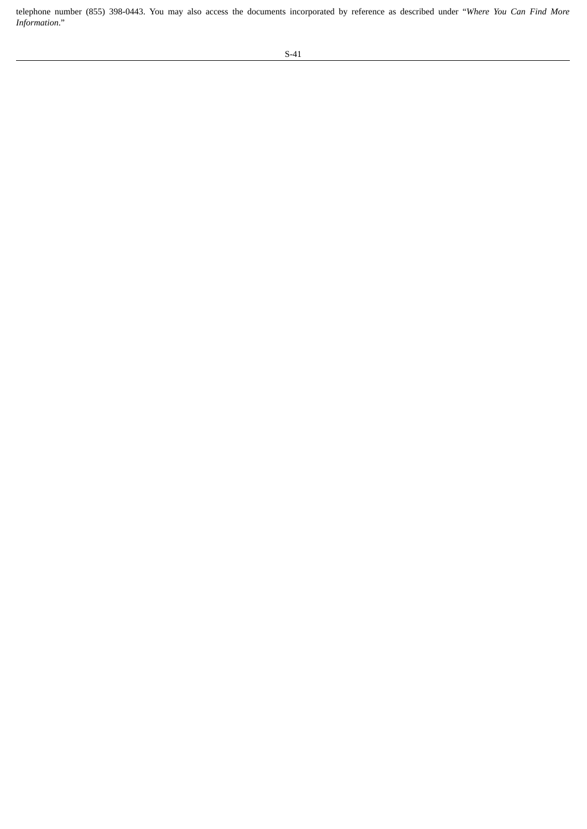telephone number (855) 398-0443. You may also access the documents incorporated by reference as described under "*Where You Can Find More Information*."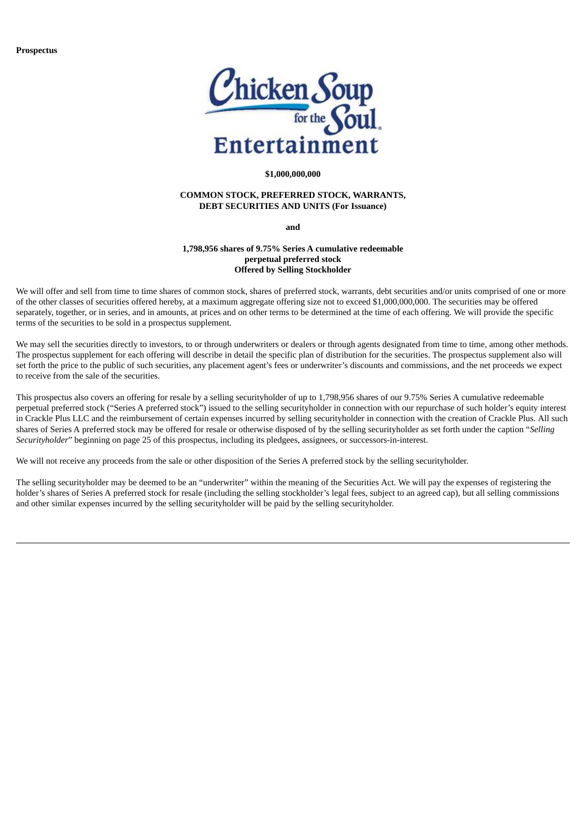

## **\$1,000,000,000**

### **COMMON STOCK, PREFERRED STOCK, WARRANTS, DEBT SECURITIES AND UNITS (For Issuance)**

**and**

## **1,798,956 shares of 9.75% Series A cumulative redeemable perpetual preferred stock Offered by Selling Stockholder**

We will offer and sell from time to time shares of common stock, shares of preferred stock, warrants, debt securities and/or units comprised of one or more of the other classes of securities offered hereby, at a maximum aggregate offering size not to exceed \$1,000,000,000. The securities may be offered separately, together, or in series, and in amounts, at prices and on other terms to be determined at the time of each offering. We will provide the specific terms of the securities to be sold in a prospectus supplement.

We may sell the securities directly to investors, to or through underwriters or dealers or through agents designated from time to time, among other methods. The prospectus supplement for each offering will describe in detail the specific plan of distribution for the securities. The prospectus supplement also will set forth the price to the public of such securities, any placement agent's fees or underwriter's discounts and commissions, and the net proceeds we expect to receive from the sale of the securities.

This prospectus also covers an offering for resale by a selling securityholder of up to 1,798,956 shares of our 9.75% Series A cumulative redeemable perpetual preferred stock ("Series A preferred stock") issued to the selling securityholder in connection with our repurchase of such holder's equity interest in Crackle Plus LLC and the reimbursement of certain expenses incurred by selling securityholder in connection with the creation of Crackle Plus. All such shares of Series A preferred stock may be offered for resale or otherwise disposed of by the selling securityholder as set forth under the caption "*Selling Securityholder*" beginning on page 25 of this prospectus, including its pledgees, assignees, or successors-in-interest.

We will not receive any proceeds from the sale or other disposition of the Series A preferred stock by the selling securityholder.

The selling securityholder may be deemed to be an "underwriter" within the meaning of the Securities Act. We will pay the expenses of registering the holder's shares of Series A preferred stock for resale (including the selling stockholder's legal fees, subject to an agreed cap), but all selling commissions and other similar expenses incurred by the selling securityholder will be paid by the selling securityholder.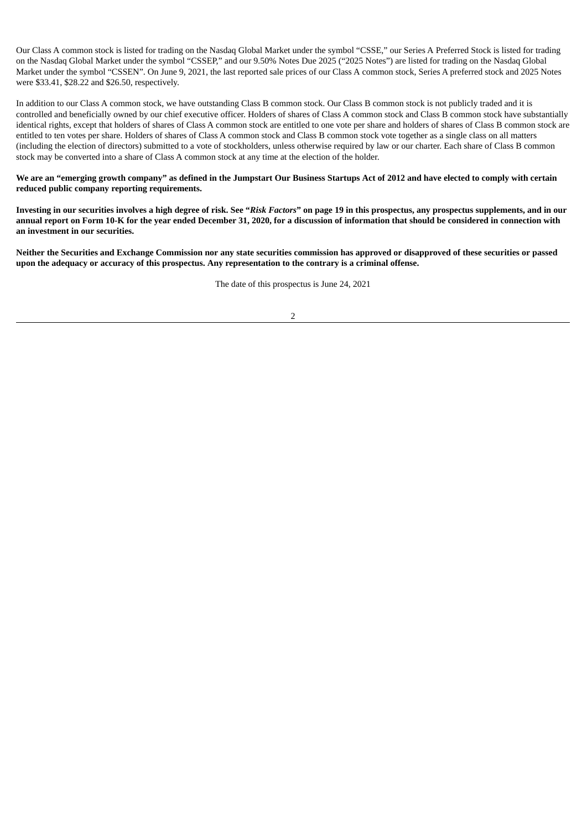Our Class A common stock is listed for trading on the Nasdaq Global Market under the symbol "CSSE," our Series A Preferred Stock is listed for trading on the Nasdaq Global Market under the symbol "CSSEP," and our 9.50% Notes Due 2025 ("2025 Notes") are listed for trading on the Nasdaq Global Market under the symbol "CSSEN". On June 9, 2021, the last reported sale prices of our Class A common stock, Series A preferred stock and 2025 Notes were \$33.41, \$28.22 and \$26.50, respectively.

In addition to our Class A common stock, we have outstanding Class B common stock. Our Class B common stock is not publicly traded and it is controlled and beneficially owned by our chief executive officer. Holders of shares of Class A common stock and Class B common stock have substantially identical rights, except that holders of shares of Class A common stock are entitled to one vote per share and holders of shares of Class B common stock are entitled to ten votes per share. Holders of shares of Class A common stock and Class B common stock vote together as a single class on all matters (including the election of directors) submitted to a vote of stockholders, unless otherwise required by law or our charter. Each share of Class B common stock may be converted into a share of Class A common stock at any time at the election of the holder.

# We are an "emerging growth company" as defined in the Jumpstart Our Business Startups Act of 2012 and have elected to comply with certain **reduced public company reporting requirements.**

Investing in our securities involves a high degree of risk. See "Risk Factors" on page 19 in this prospectus, any prospectus supplements, and in our annual report on Form 10-K for the year ended December 31, 2020, for a discussion of information that should be considered in connection with **an investment in our securities.**

Neither the Securities and Exchange Commission nor any state securities commission has approved or disapproved of these securities or passed upon the adequacy or accuracy of this prospectus. Any representation to the contrary is a criminal offense.

The date of this prospectus is June 24, 2021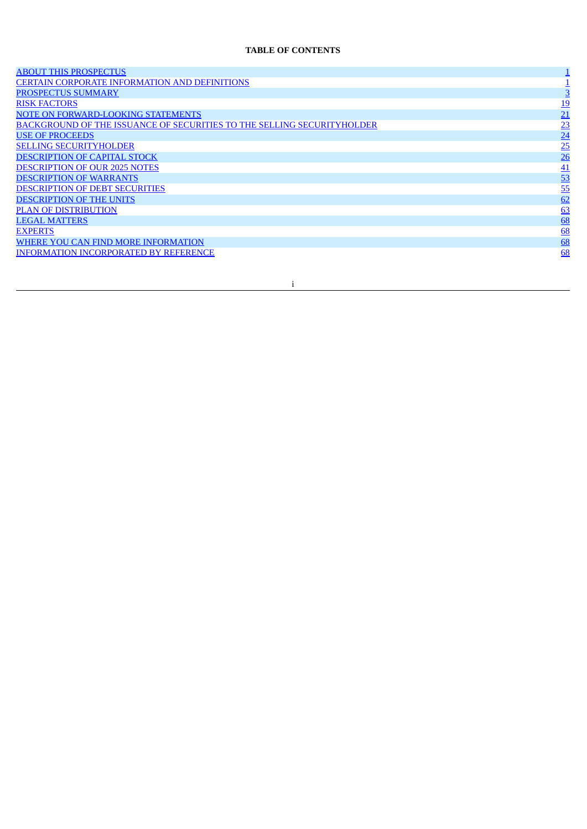# **TABLE OF CONTENTS**

| <b>ABOUT THIS PROSPECTUS</b>                                            |                 |
|-------------------------------------------------------------------------|-----------------|
| <b>CERTAIN CORPORATE INFORMATION AND DEFINITIONS</b>                    |                 |
| <b>PROSPECTUS SUMMARY</b>                                               |                 |
| <b>RISK FACTORS</b>                                                     | <u>19</u>       |
| <b>NOTE ON FORWARD-LOOKING STATEMENTS</b>                               | 21              |
| BACKGROUND OF THE ISSUANCE OF SECURITIES TO THE SELLING SECURITY HOLDER | 23              |
| <b>USE OF PROCEEDS</b>                                                  | $\overline{24}$ |
| <b>SELLING SECURITYHOLDER</b>                                           | 25              |
| <b>DESCRIPTION OF CAPITAL STOCK</b>                                     | $\overline{26}$ |
| <b>DESCRIPTION OF OUR 2025 NOTES</b>                                    | 41              |
| <b>DESCRIPTION OF WARRANTS</b>                                          | 53              |
| <b>DESCRIPTION OF DEBT SECURITIES</b>                                   | 55              |
| <b>DESCRIPTION OF THE UNITS</b>                                         | 62              |
| <b>PLAN OF DISTRIBUTION</b>                                             | 63              |
| <b>LEGAL MATTERS</b>                                                    | 68              |
| <b>EXPERTS</b>                                                          | 68              |
| WHERE YOU CAN FIND MORE INFORMATION                                     | 68              |
| <b>INFORMATION INCORPORATED BY REFERENCE</b>                            | 68              |
|                                                                         |                 |

# <u>i</u> in the contract of the contract of the contract of the contract of the contract of the contract of the contract of the contract of the contract of the contract of the contract of the contract of the contract of the con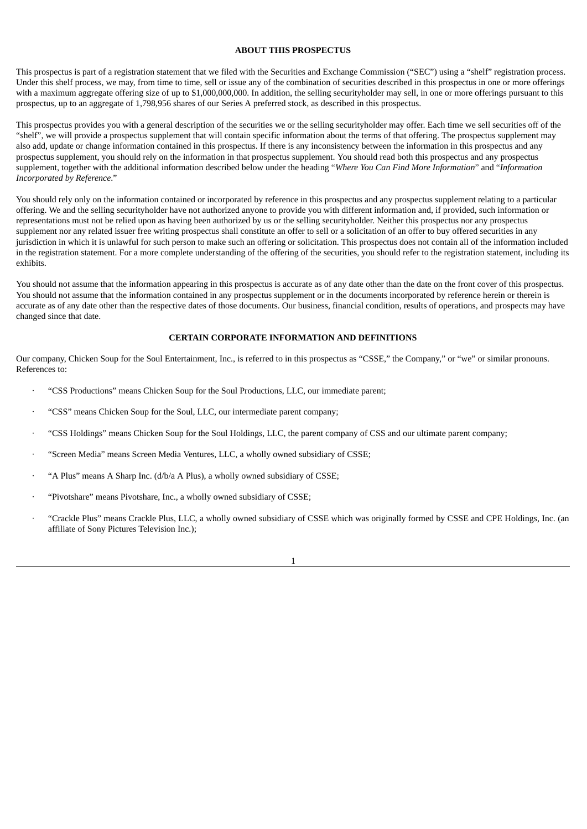# **ABOUT THIS PROSPECTUS**

<span id="page-49-0"></span>This prospectus is part of a registration statement that we filed with the Securities and Exchange Commission ("SEC") using a "shelf" registration process. Under this shelf process, we may, from time to time, sell or issue any of the combination of securities described in this prospectus in one or more offerings with a maximum aggregate offering size of up to \$1,000,000,000. In addition, the selling securityholder may sell, in one or more offerings pursuant to this prospectus, up to an aggregate of 1,798,956 shares of our Series A preferred stock, as described in this prospectus.

This prospectus provides you with a general description of the securities we or the selling securityholder may offer. Each time we sell securities off of the "shelf", we will provide a prospectus supplement that will contain specific information about the terms of that offering. The prospectus supplement may also add, update or change information contained in this prospectus. If there is any inconsistency between the information in this prospectus and any prospectus supplement, you should rely on the information in that prospectus supplement. You should read both this prospectus and any prospectus supplement, together with the additional information described below under the heading "*Where You Can Find More Information*" and "*Information Incorporated by Reference*."

You should rely only on the information contained or incorporated by reference in this prospectus and any prospectus supplement relating to a particular offering. We and the selling securityholder have not authorized anyone to provide you with different information and, if provided, such information or representations must not be relied upon as having been authorized by us or the selling securityholder. Neither this prospectus nor any prospectus supplement nor any related issuer free writing prospectus shall constitute an offer to sell or a solicitation of an offer to buy offered securities in any jurisdiction in which it is unlawful for such person to make such an offering or solicitation. This prospectus does not contain all of the information included in the registration statement. For a more complete understanding of the offering of the securities, you should refer to the registration statement, including its exhibits.

You should not assume that the information appearing in this prospectus is accurate as of any date other than the date on the front cover of this prospectus. You should not assume that the information contained in any prospectus supplement or in the documents incorporated by reference herein or therein is accurate as of any date other than the respective dates of those documents. Our business, financial condition, results of operations, and prospects may have changed since that date.

## **CERTAIN CORPORATE INFORMATION AND DEFINITIONS**

<span id="page-49-1"></span>Our company, Chicken Soup for the Soul Entertainment, Inc., is referred to in this prospectus as "CSSE," the Company," or "we" or similar pronouns. References to:

- · "CSS Productions" means Chicken Soup for the Soul Productions, LLC, our immediate parent;
- · "CSS" means Chicken Soup for the Soul, LLC, our intermediate parent company;
- · "CSS Holdings" means Chicken Soup for the Soul Holdings, LLC, the parent company of CSS and our ultimate parent company;
- · "Screen Media" means Screen Media Ventures, LLC, a wholly owned subsidiary of CSSE;
- · "A Plus" means A Sharp Inc. (d/b/a A Plus), a wholly owned subsidiary of CSSE;
- · "Pivotshare" means Pivotshare, Inc., a wholly owned subsidiary of CSSE;
- · "Crackle Plus" means Crackle Plus, LLC, a wholly owned subsidiary of CSSE which was originally formed by CSSE and CPE Holdings, Inc. (an affiliate of Sony Pictures Television Inc.);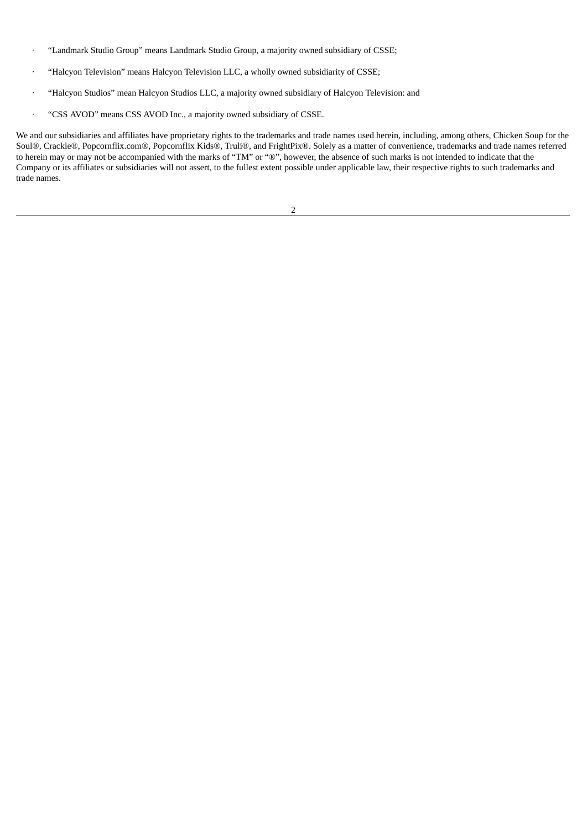- · "Landmark Studio Group" means Landmark Studio Group, a majority owned subsidiary of CSSE;
- · "Halcyon Television" means Halcyon Television LLC, a wholly owned subsidiarity of CSSE;
- · "Halcyon Studios" mean Halcyon Studios LLC, a majority owned subsidiary of Halcyon Television: and
- · "CSS AVOD" means CSS AVOD Inc., a majority owned subsidiary of CSSE.

We and our subsidiaries and affiliates have proprietary rights to the trademarks and trade names used herein, including, among others, Chicken Soup for the Soul®, Crackle®, Popcornflix.com®, Popcornflix Kids®, Truli®, and FrightPix®. Solely as a matter of convenience, trademarks and trade names referred to herein may or may not be accompanied with the marks of "TM" or "®", however, the absence of such marks is not intended to indicate that the Company or its affiliates or subsidiaries will not assert, to the fullest extent possible under applicable law, their respective rights to such trademarks and trade names.

|  | I<br>٦ |  |
|--|--------|--|
|  |        |  |
|  |        |  |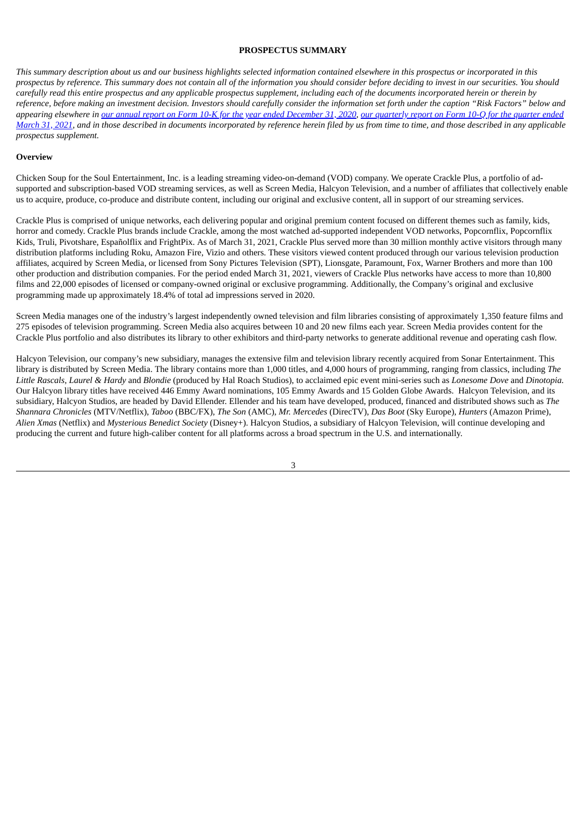## **PROSPECTUS SUMMARY**

<span id="page-51-0"></span>This summary description about us and our business highlights selected information contained elsewhere in this prospectus or incorporated in this prospectus by reference. This summary does not contain all of the information you should consider before deciding to invest in our securities. You should carefully read this entire prospectus and any applicable prospectus supplement, including each of the documents incorporated herein or therein by reference, before making an investment decision. Investors should carefully consider the information set forth under the caption "Risk Factors" below and appearing elsewhere in our annual report on Form 10-K for the year ended [December](https://www.sec.gov/Archives/edgar/data/1679063/000155837021003814/csse-20201231x10k.htm) 31, 2020, our quarterly report on Form 10-Q for the quarter ended March 31, 2021, and in those described in documents [incorporated](https://www.sec.gov/Archives/edgar/data/1679063/000155837021007091/csse-20210331x10q.htm) by reference herein filed by us from time to time, and those described in any applicable *prospectus supplement.*

## **Overview**

Chicken Soup for the Soul Entertainment, Inc. is a leading streaming video-on-demand (VOD) company. We operate Crackle Plus, a portfolio of adsupported and subscription-based VOD streaming services, as well as Screen Media, Halcyon Television, and a number of affiliates that collectively enable us to acquire, produce, co-produce and distribute content, including our original and exclusive content, all in support of our streaming services.

Crackle Plus is comprised of unique networks, each delivering popular and original premium content focused on different themes such as family, kids, horror and comedy. Crackle Plus brands include Crackle, among the most watched ad-supported independent VOD networks, Popcornflix, Popcornflix Kids, Truli, Pivotshare, Españolflix and FrightPix. As of March 31, 2021, Crackle Plus served more than 30 million monthly active visitors through many distribution platforms including Roku, Amazon Fire, Vizio and others. These visitors viewed content produced through our various television production affiliates, acquired by Screen Media, or licensed from Sony Pictures Television (SPT), Lionsgate, Paramount, Fox, Warner Brothers and more than 100 other production and distribution companies. For the period ended March 31, 2021, viewers of Crackle Plus networks have access to more than 10,800 films and 22,000 episodes of licensed or company-owned original or exclusive programming. Additionally, the Company's original and exclusive programming made up approximately 18.4% of total ad impressions served in 2020.

Screen Media manages one of the industry's largest independently owned television and film libraries consisting of approximately 1,350 feature films and 275 episodes of television programming. Screen Media also acquires between 10 and 20 new films each year. Screen Media provides content for the Crackle Plus portfolio and also distributes its library to other exhibitors and third-party networks to generate additional revenue and operating cash flow.

Halcyon Television, our company's new subsidiary, manages the extensive film and television library recently acquired from Sonar Entertainment. This library is distributed by Screen Media. The library contains more than 1,000 titles, and 4,000 hours of programming, ranging from classics, including *The Little Rascals*, *Laurel & Hardy* and *Blondie* (produced by Hal Roach Studios), to acclaimed epic event mini-series such as *Lonesome Dove* and *Dinotopia.* Our Halcyon library titles have received 446 Emmy Award nominations, 105 Emmy Awards and 15 Golden Globe Awards. Halcyon Television, and its subsidiary, Halcyon Studios, are headed by David Ellender. Ellender and his team have developed, produced, financed and distributed shows such as *The Shannara Chronicles* (MTV/Netflix), *Taboo* (BBC/FX), *The Son* (AMC), *Mr. Mercedes* (DirecTV), *Das Boot* (Sky Europe), *Hunters* (Amazon Prime), *Alien Xmas* (Netflix) and *Mysterious Benedict Society* (Disney+). Halcyon Studios, a subsidiary of Halcyon Television, will continue developing and producing the current and future high-caliber content for all platforms across a broad spectrum in the U.S. and internationally.

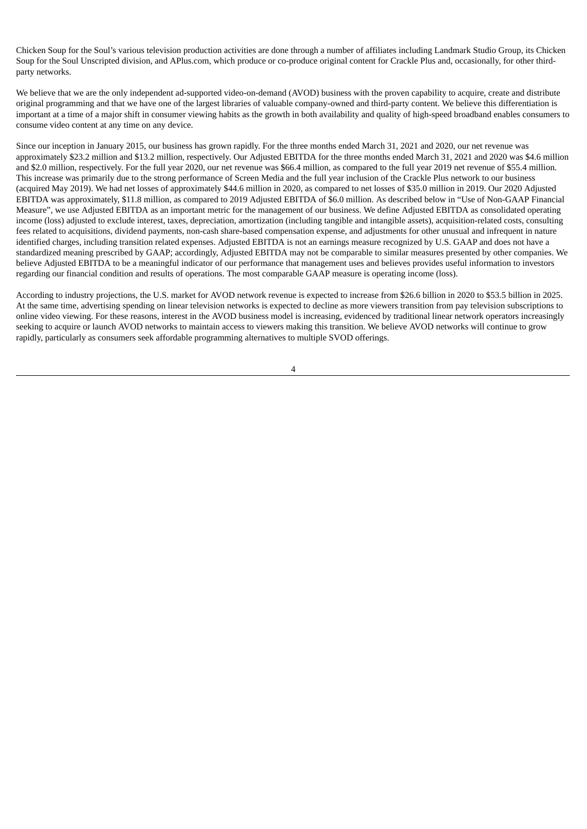Chicken Soup for the Soul's various television production activities are done through a number of affiliates including Landmark Studio Group, its Chicken Soup for the Soul Unscripted division, and APlus.com, which produce or co-produce original content for Crackle Plus and, occasionally, for other thirdparty networks.

We believe that we are the only independent ad-supported video-on-demand (AVOD) business with the proven capability to acquire, create and distribute original programming and that we have one of the largest libraries of valuable company-owned and third-party content. We believe this differentiation is important at a time of a major shift in consumer viewing habits as the growth in both availability and quality of high-speed broadband enables consumers to consume video content at any time on any device.

Since our inception in January 2015, our business has grown rapidly. For the three months ended March 31, 2021 and 2020, our net revenue was approximately \$23.2 million and \$13.2 million, respectively. Our Adjusted EBITDA for the three months ended March 31, 2021 and 2020 was \$4.6 million and \$2.0 million, respectively. For the full year 2020, our net revenue was \$66.4 million, as compared to the full year 2019 net revenue of \$55.4 million. This increase was primarily due to the strong performance of Screen Media and the full year inclusion of the Crackle Plus network to our business (acquired May 2019). We had net losses of approximately \$44.6 million in 2020, as compared to net losses of \$35.0 million in 2019. Our 2020 Adjusted EBITDA was approximately, \$11.8 million, as compared to 2019 Adjusted EBITDA of \$6.0 million. As described below in "Use of Non-GAAP Financial Measure", we use Adjusted EBITDA as an important metric for the management of our business. We define Adjusted EBITDA as consolidated operating income (loss) adjusted to exclude interest, taxes, depreciation, amortization (including tangible and intangible assets), acquisition-related costs, consulting fees related to acquisitions, dividend payments, non-cash share-based compensation expense, and adjustments for other unusual and infrequent in nature identified charges, including transition related expenses. Adjusted EBITDA is not an earnings measure recognized by U.S. GAAP and does not have a standardized meaning prescribed by GAAP; accordingly, Adjusted EBITDA may not be comparable to similar measures presented by other companies. We believe Adjusted EBITDA to be a meaningful indicator of our performance that management uses and believes provides useful information to investors regarding our financial condition and results of operations. The most comparable GAAP measure is operating income (loss).

According to industry projections, the U.S. market for AVOD network revenue is expected to increase from \$26.6 billion in 2020 to \$53.5 billion in 2025. At the same time, advertising spending on linear television networks is expected to decline as more viewers transition from pay television subscriptions to online video viewing. For these reasons, interest in the AVOD business model is increasing, evidenced by traditional linear network operators increasingly seeking to acquire or launch AVOD networks to maintain access to viewers making this transition. We believe AVOD networks will continue to grow rapidly, particularly as consumers seek affordable programming alternatives to multiple SVOD offerings.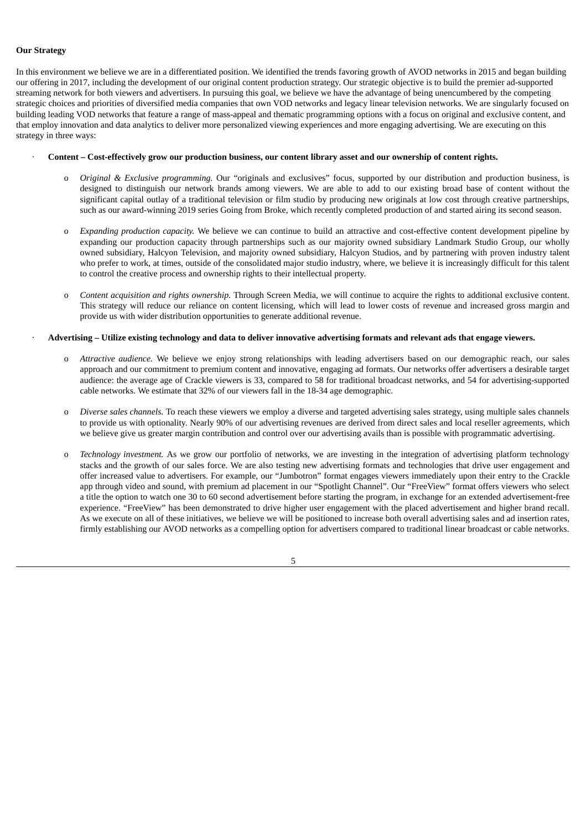# **Our Strategy**

In this environment we believe we are in a differentiated position. We identified the trends favoring growth of AVOD networks in 2015 and began building our offering in 2017, including the development of our original content production strategy. Our strategic objective is to build the premier ad-supported streaming network for both viewers and advertisers. In pursuing this goal, we believe we have the advantage of being unencumbered by the competing strategic choices and priorities of diversified media companies that own VOD networks and legacy linear television networks. We are singularly focused on building leading VOD networks that feature a range of mass-appeal and thematic programming options with a focus on original and exclusive content, and that employ innovation and data analytics to deliver more personalized viewing experiences and more engaging advertising. We are executing on this strategy in three ways:

## Content - Cost-effectively grow our production business, our content library asset and our ownership of content rights.

- o *Original & Exclusive programming.* Our "originals and exclusives" focus, supported by our distribution and production business, is designed to distinguish our network brands among viewers. We are able to add to our existing broad base of content without the significant capital outlay of a traditional television or film studio by producing new originals at low cost through creative partnerships, such as our award-winning 2019 series Going from Broke, which recently completed production of and started airing its second season.
- o *Expanding production capacity.* We believe we can continue to build an attractive and cost-effective content development pipeline by expanding our production capacity through partnerships such as our majority owned subsidiary Landmark Studio Group, our wholly owned subsidiary, Halcyon Television, and majority owned subsidiary, Halcyon Studios, and by partnering with proven industry talent who prefer to work, at times, outside of the consolidated major studio industry, where, we believe it is increasingly difficult for this talent to control the creative process and ownership rights to their intellectual property.
- Content acquisition and rights ownership. Through Screen Media, we will continue to acquire the rights to additional exclusive content. This strategy will reduce our reliance on content licensing, which will lead to lower costs of revenue and increased gross margin and provide us with wider distribution opportunities to generate additional revenue.

## Advertising – Utilize existing technology and data to deliver innovative advertising formats and relevant ads that engage viewers.

- o *Attractive audience.* We believe we enjoy strong relationships with leading advertisers based on our demographic reach, our sales approach and our commitment to premium content and innovative, engaging ad formats. Our networks offer advertisers a desirable target audience: the average age of Crackle viewers is 33, compared to 58 for traditional broadcast networks, and 54 for advertising-supported cable networks. We estimate that 32% of our viewers fall in the 18-34 age demographic.
- o *Diverse sales channels.* To reach these viewers we employ a diverse and targeted advertising sales strategy, using multiple sales channels to provide us with optionality. Nearly 90% of our advertising revenues are derived from direct sales and local reseller agreements, which we believe give us greater margin contribution and control over our advertising avails than is possible with programmatic advertising.
- o *Technology investment.* As we grow our portfolio of networks, we are investing in the integration of advertising platform technology stacks and the growth of our sales force. We are also testing new advertising formats and technologies that drive user engagement and offer increased value to advertisers. For example, our "Jumbotron" format engages viewers immediately upon their entry to the Crackle app through video and sound, with premium ad placement in our "Spotlight Channel". Our "FreeView" format offers viewers who select a title the option to watch one 30 to 60 second advertisement before starting the program, in exchange for an extended advertisement-free experience. "FreeView" has been demonstrated to drive higher user engagement with the placed advertisement and higher brand recall. As we execute on all of these initiatives, we believe we will be positioned to increase both overall advertising sales and ad insertion rates, firmly establishing our AVOD networks as a compelling option for advertisers compared to traditional linear broadcast or cable networks.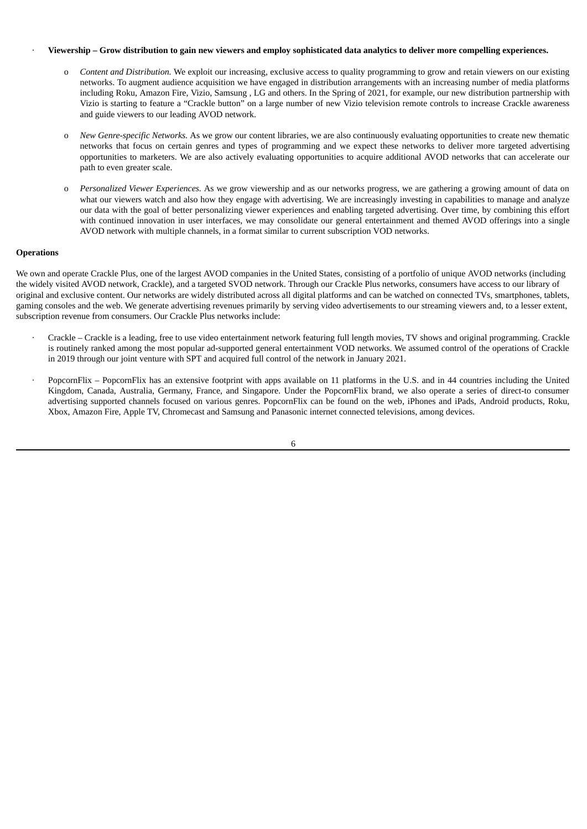## Viewership – Grow distribution to gain new viewers and employ sophisticated data analytics to deliver more compelling experiences.

- o *Content and Distribution.* We exploit our increasing, exclusive access to quality programming to grow and retain viewers on our existing networks. To augment audience acquisition we have engaged in distribution arrangements with an increasing number of media platforms including Roku, Amazon Fire, Vizio, Samsung , LG and others. In the Spring of 2021, for example, our new distribution partnership with Vizio is starting to feature a "Crackle button" on a large number of new Vizio television remote controls to increase Crackle awareness and guide viewers to our leading AVOD network.
- o *New Genre-specific Networks.* As we grow our content libraries, we are also continuously evaluating opportunities to create new thematic networks that focus on certain genres and types of programming and we expect these networks to deliver more targeted advertising opportunities to marketers. We are also actively evaluating opportunities to acquire additional AVOD networks that can accelerate our path to even greater scale.
- o *Personalized Viewer Experiences.* As we grow viewership and as our networks progress, we are gathering a growing amount of data on what our viewers watch and also how they engage with advertising. We are increasingly investing in capabilities to manage and analyze our data with the goal of better personalizing viewer experiences and enabling targeted advertising. Over time, by combining this effort with continued innovation in user interfaces, we may consolidate our general entertainment and themed AVOD offerings into a single AVOD network with multiple channels, in a format similar to current subscription VOD networks.

# **Operations**

We own and operate Crackle Plus, one of the largest AVOD companies in the United States, consisting of a portfolio of unique AVOD networks (including the widely visited AVOD network, Crackle), and a targeted SVOD network. Through our Crackle Plus networks, consumers have access to our library of original and exclusive content. Our networks are widely distributed across all digital platforms and can be watched on connected TVs, smartphones, tablets, gaming consoles and the web. We generate advertising revenues primarily by serving video advertisements to our streaming viewers and, to a lesser extent, subscription revenue from consumers. Our Crackle Plus networks include:

- · Crackle Crackle is a leading, free to use video entertainment network featuring full length movies, TV shows and original programming. Crackle is routinely ranked among the most popular ad-supported general entertainment VOD networks. We assumed control of the operations of Crackle in 2019 through our joint venture with SPT and acquired full control of the network in January 2021.
- · PopcornFlix PopcornFlix has an extensive footprint with apps available on 11 platforms in the U.S. and in 44 countries including the United Kingdom, Canada, Australia, Germany, France, and Singapore. Under the PopcornFlix brand, we also operate a series of direct-to consumer advertising supported channels focused on various genres. PopcornFlix can be found on the web, iPhones and iPads, Android products, Roku, Xbox, Amazon Fire, Apple TV, Chromecast and Samsung and Panasonic internet connected televisions, among devices.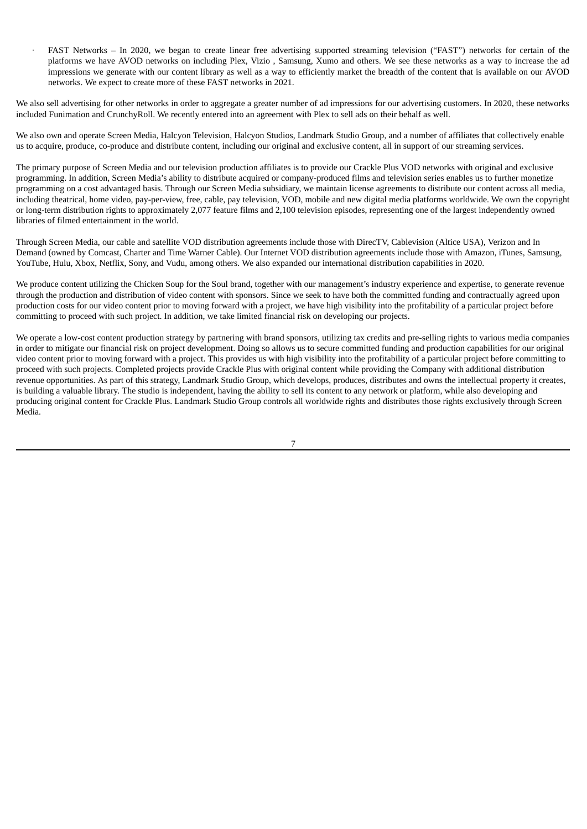· FAST Networks – In 2020, we began to create linear free advertising supported streaming television ("FAST") networks for certain of the platforms we have AVOD networks on including Plex, Vizio , Samsung, Xumo and others. We see these networks as a way to increase the ad impressions we generate with our content library as well as a way to efficiently market the breadth of the content that is available on our AVOD networks. We expect to create more of these FAST networks in 2021.

We also sell advertising for other networks in order to aggregate a greater number of ad impressions for our advertising customers. In 2020, these networks included Funimation and CrunchyRoll. We recently entered into an agreement with Plex to sell ads on their behalf as well.

We also own and operate Screen Media, Halcyon Television, Halcyon Studios, Landmark Studio Group, and a number of affiliates that collectively enable us to acquire, produce, co-produce and distribute content, including our original and exclusive content, all in support of our streaming services.

The primary purpose of Screen Media and our television production affiliates is to provide our Crackle Plus VOD networks with original and exclusive programming. In addition, Screen Media's ability to distribute acquired or company-produced films and television series enables us to further monetize programming on a cost advantaged basis. Through our Screen Media subsidiary, we maintain license agreements to distribute our content across all media, including theatrical, home video, pay-per-view, free, cable, pay television, VOD, mobile and new digital media platforms worldwide. We own the copyright or long-term distribution rights to approximately 2,077 feature films and 2,100 television episodes, representing one of the largest independently owned libraries of filmed entertainment in the world.

Through Screen Media, our cable and satellite VOD distribution agreements include those with DirecTV, Cablevision (Altice USA), Verizon and In Demand (owned by Comcast, Charter and Time Warner Cable). Our Internet VOD distribution agreements include those with Amazon, iTunes, Samsung, YouTube, Hulu, Xbox, Netflix, Sony, and Vudu, among others. We also expanded our international distribution capabilities in 2020.

We produce content utilizing the Chicken Soup for the Soul brand, together with our management's industry experience and expertise, to generate revenue through the production and distribution of video content with sponsors. Since we seek to have both the committed funding and contractually agreed upon production costs for our video content prior to moving forward with a project, we have high visibility into the profitability of a particular project before committing to proceed with such project. In addition, we take limited financial risk on developing our projects.

We operate a low-cost content production strategy by partnering with brand sponsors, utilizing tax credits and pre-selling rights to various media companies in order to mitigate our financial risk on project development. Doing so allows us to secure committed funding and production capabilities for our original video content prior to moving forward with a project. This provides us with high visibility into the profitability of a particular project before committing to proceed with such projects. Completed projects provide Crackle Plus with original content while providing the Company with additional distribution revenue opportunities. As part of this strategy, Landmark Studio Group, which develops, produces, distributes and owns the intellectual property it creates, is building a valuable library. The studio is independent, having the ability to sell its content to any network or platform, while also developing and producing original content for Crackle Plus. Landmark Studio Group controls all worldwide rights and distributes those rights exclusively through Screen Media.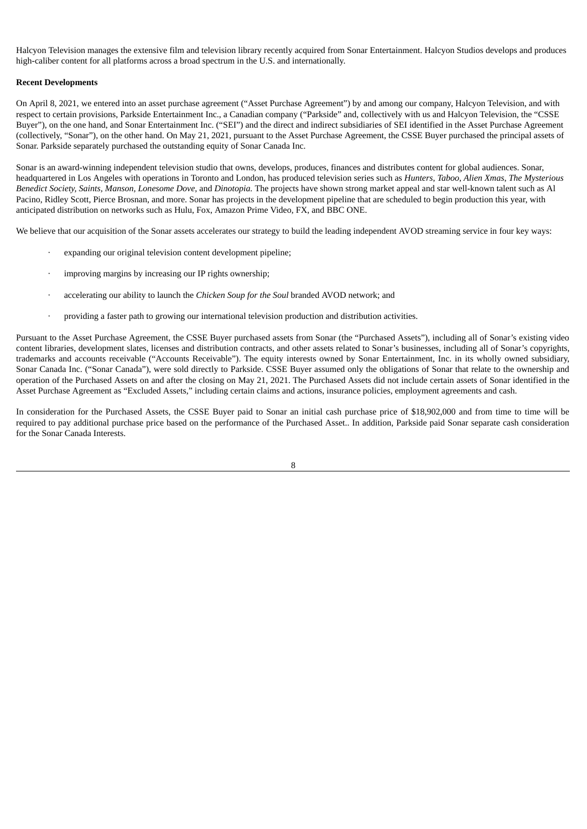Halcyon Television manages the extensive film and television library recently acquired from Sonar Entertainment. Halcyon Studios develops and produces high-caliber content for all platforms across a broad spectrum in the U.S. and internationally.

# **Recent Developments**

On April 8, 2021, we entered into an asset purchase agreement ("Asset Purchase Agreement") by and among our company, Halcyon Television, and with respect to certain provisions, Parkside Entertainment Inc., a Canadian company ("Parkside" and, collectively with us and Halcyon Television, the "CSSE Buyer"), on the one hand, and Sonar Entertainment Inc. ("SEI") and the direct and indirect subsidiaries of SEI identified in the Asset Purchase Agreement (collectively, "Sonar"), on the other hand. On May 21, 2021, pursuant to the Asset Purchase Agreement, the CSSE Buyer purchased the principal assets of Sonar. Parkside separately purchased the outstanding equity of Sonar Canada Inc.

Sonar is an award-winning independent television studio that owns, develops, produces, finances and distributes content for global audiences. Sonar, headquartered in Los Angeles with operations in Toronto and London, has produced television series such as *Hunters*, *Taboo*, *Alien Xmas*, *The Mysterious Benedict Society, Saints, Manson, Lonesome Dove,* and *Dinotopia.* The projects have shown strong market appeal and star well-known talent such as Al Pacino, Ridley Scott, Pierce Brosnan, and more. Sonar has projects in the development pipeline that are scheduled to begin production this year, with anticipated distribution on networks such as Hulu, Fox, Amazon Prime Video, FX, and BBC ONE.

We believe that our acquisition of the Sonar assets accelerates our strategy to build the leading independent AVOD streaming service in four key ways:

- expanding our original television content development pipeline;
- improving margins by increasing our IP rights ownership;
- · accelerating our ability to launch the *Chicken Soup for the Soul* branded AVOD network; and
- providing a faster path to growing our international television production and distribution activities.

Pursuant to the Asset Purchase Agreement, the CSSE Buyer purchased assets from Sonar (the "Purchased Assets"), including all of Sonar's existing video content libraries, development slates, licenses and distribution contracts, and other assets related to Sonar's businesses, including all of Sonar's copyrights, trademarks and accounts receivable ("Accounts Receivable"). The equity interests owned by Sonar Entertainment, Inc. in its wholly owned subsidiary, Sonar Canada Inc. ("Sonar Canada"), were sold directly to Parkside. CSSE Buyer assumed only the obligations of Sonar that relate to the ownership and operation of the Purchased Assets on and after the closing on May 21, 2021. The Purchased Assets did not include certain assets of Sonar identified in the Asset Purchase Agreement as "Excluded Assets," including certain claims and actions, insurance policies, employment agreements and cash.

In consideration for the Purchased Assets, the CSSE Buyer paid to Sonar an initial cash purchase price of \$18,902,000 and from time to time will be required to pay additional purchase price based on the performance of the Purchased Asset.. In addition, Parkside paid Sonar separate cash consideration for the Sonar Canada Interests.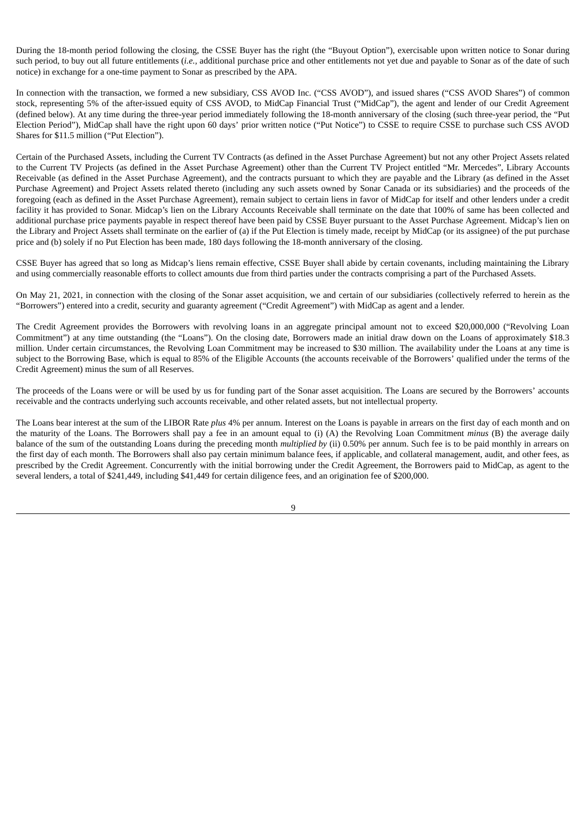During the 18-month period following the closing, the CSSE Buyer has the right (the "Buyout Option"), exercisable upon written notice to Sonar during such period, to buy out all future entitlements (*i.e.,* additional purchase price and other entitlements not yet due and payable to Sonar as of the date of such notice) in exchange for a one-time payment to Sonar as prescribed by the APA.

In connection with the transaction, we formed a new subsidiary, CSS AVOD Inc. ("CSS AVOD"), and issued shares ("CSS AVOD Shares") of common stock, representing 5% of the after-issued equity of CSS AVOD, to MidCap Financial Trust ("MidCap"), the agent and lender of our Credit Agreement (defined below). At any time during the three-year period immediately following the 18-month anniversary of the closing (such three-year period, the "Put Election Period"), MidCap shall have the right upon 60 days' prior written notice ("Put Notice") to CSSE to require CSSE to purchase such CSS AVOD Shares for \$11.5 million ("Put Election").

Certain of the Purchased Assets, including the Current TV Contracts (as defined in the Asset Purchase Agreement) but not any other Project Assets related to the Current TV Projects (as defined in the Asset Purchase Agreement) other than the Current TV Project entitled "Mr. Mercedes", Library Accounts Receivable (as defined in the Asset Purchase Agreement), and the contracts pursuant to which they are payable and the Library (as defined in the Asset Purchase Agreement) and Project Assets related thereto (including any such assets owned by Sonar Canada or its subsidiaries) and the proceeds of the foregoing (each as defined in the Asset Purchase Agreement), remain subject to certain liens in favor of MidCap for itself and other lenders under a credit facility it has provided to Sonar. Midcap's lien on the Library Accounts Receivable shall terminate on the date that 100% of same has been collected and additional purchase price payments payable in respect thereof have been paid by CSSE Buyer pursuant to the Asset Purchase Agreement. Midcap's lien on the Library and Project Assets shall terminate on the earlier of (a) if the Put Election is timely made, receipt by MidCap (or its assignee) of the put purchase price and (b) solely if no Put Election has been made, 180 days following the 18-month anniversary of the closing.

CSSE Buyer has agreed that so long as Midcap's liens remain effective, CSSE Buyer shall abide by certain covenants, including maintaining the Library and using commercially reasonable efforts to collect amounts due from third parties under the contracts comprising a part of the Purchased Assets.

On May 21, 2021, in connection with the closing of the Sonar asset acquisition, we and certain of our subsidiaries (collectively referred to herein as the "Borrowers") entered into a credit, security and guaranty agreement ("Credit Agreement") with MidCap as agent and a lender.

The Credit Agreement provides the Borrowers with revolving loans in an aggregate principal amount not to exceed \$20,000,000 ("Revolving Loan Commitment") at any time outstanding (the "Loans"). On the closing date, Borrowers made an initial draw down on the Loans of approximately \$18.3 million. Under certain circumstances, the Revolving Loan Commitment may be increased to \$30 million. The availability under the Loans at any time is subject to the Borrowing Base, which is equal to 85% of the Eligible Accounts (the accounts receivable of the Borrowers' qualified under the terms of the Credit Agreement) minus the sum of all Reserves.

The proceeds of the Loans were or will be used by us for funding part of the Sonar asset acquisition. The Loans are secured by the Borrowers' accounts receivable and the contracts underlying such accounts receivable, and other related assets, but not intellectual property.

The Loans bear interest at the sum of the LIBOR Rate *plus* 4% per annum. Interest on the Loans is payable in arrears on the first day of each month and on the maturity of the Loans. The Borrowers shall pay a fee in an amount equal to (i) (A) the Revolving Loan Commitment *minus* (B) the average daily balance of the sum of the outstanding Loans during the preceding month *multiplied by* (ii) 0.50% per annum. Such fee is to be paid monthly in arrears on the first day of each month. The Borrowers shall also pay certain minimum balance fees, if applicable, and collateral management, audit, and other fees, as prescribed by the Credit Agreement. Concurrently with the initial borrowing under the Credit Agreement, the Borrowers paid to MidCap, as agent to the several lenders, a total of \$241,449, including \$41,449 for certain diligence fees, and an origination fee of \$200,000.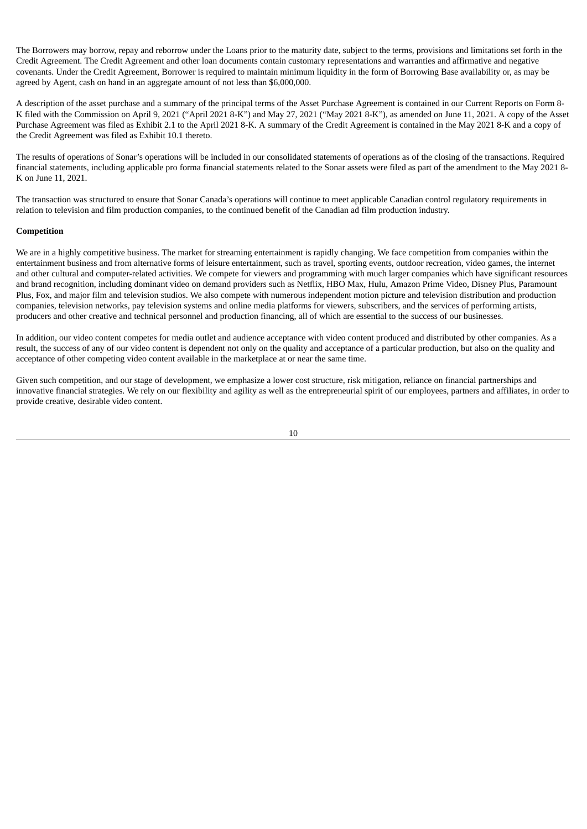The Borrowers may borrow, repay and reborrow under the Loans prior to the maturity date, subject to the terms, provisions and limitations set forth in the Credit Agreement. The Credit Agreement and other loan documents contain customary representations and warranties and affirmative and negative covenants. Under the Credit Agreement, Borrower is required to maintain minimum liquidity in the form of Borrowing Base availability or, as may be agreed by Agent, cash on hand in an aggregate amount of not less than \$6,000,000.

A description of the asset purchase and a summary of the principal terms of the Asset Purchase Agreement is contained in our Current Reports on Form 8- K filed with the Commission on April 9, 2021 ("April 2021 8-K") and May 27, 2021 ("May 2021 8-K"), as amended on June 11, 2021. A copy of the Asset Purchase Agreement was filed as Exhibit 2.1 to the April 2021 8-K. A summary of the Credit Agreement is contained in the May 2021 8-K and a copy of the Credit Agreement was filed as Exhibit 10.1 thereto.

The results of operations of Sonar's operations will be included in our consolidated statements of operations as of the closing of the transactions. Required financial statements, including applicable pro forma financial statements related to the Sonar assets were filed as part of the amendment to the May 2021 8- K on June 11, 2021.

The transaction was structured to ensure that Sonar Canada's operations will continue to meet applicable Canadian control regulatory requirements in relation to television and film production companies, to the continued benefit of the Canadian ad film production industry.

# **Competition**

We are in a highly competitive business. The market for streaming entertainment is rapidly changing. We face competition from companies within the entertainment business and from alternative forms of leisure entertainment, such as travel, sporting events, outdoor recreation, video games, the internet and other cultural and computer-related activities. We compete for viewers and programming with much larger companies which have significant resources and brand recognition, including dominant video on demand providers such as Netflix, HBO Max, Hulu, Amazon Prime Video, Disney Plus, Paramount Plus, Fox, and major film and television studios. We also compete with numerous independent motion picture and television distribution and production companies, television networks, pay television systems and online media platforms for viewers, subscribers, and the services of performing artists, producers and other creative and technical personnel and production financing, all of which are essential to the success of our businesses.

In addition, our video content competes for media outlet and audience acceptance with video content produced and distributed by other companies. As a result, the success of any of our video content is dependent not only on the quality and acceptance of a particular production, but also on the quality and acceptance of other competing video content available in the marketplace at or near the same time.

Given such competition, and our stage of development, we emphasize a lower cost structure, risk mitigation, reliance on financial partnerships and innovative financial strategies. We rely on our flexibility and agility as well as the entrepreneurial spirit of our employees, partners and affiliates, in order to provide creative, desirable video content.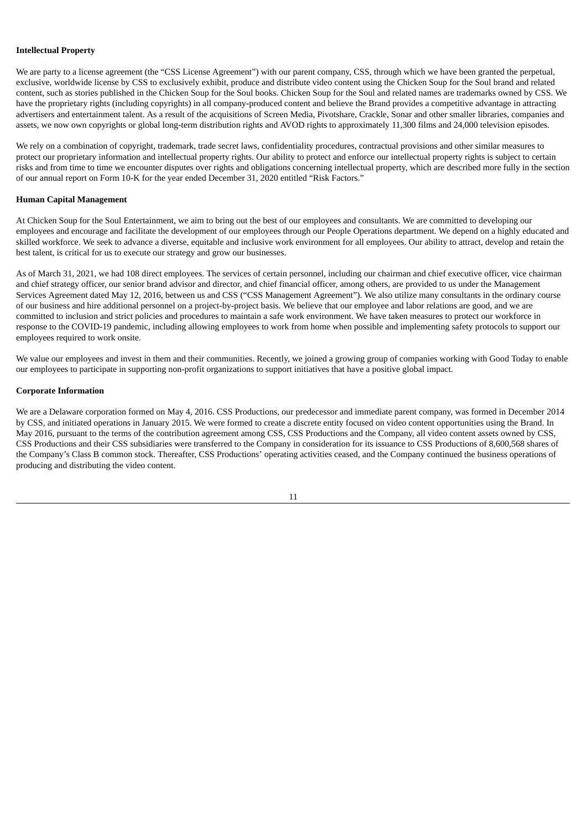## **Intellectual Property**

We are party to a license agreement (the "CSS License Agreement") with our parent company, CSS, through which we have been granted the perpetual, exclusive, worldwide license by CSS to exclusively exhibit, produce and distribute video content using the Chicken Soup for the Soul brand and related content, such as stories published in the Chicken Soup for the Soul books. Chicken Soup for the Soul and related names are trademarks owned by CSS. We have the proprietary rights (including copyrights) in all company-produced content and believe the Brand provides a competitive advantage in attracting advertisers and entertainment talent. As a result of the acquisitions of Screen Media, Pivotshare, Crackle, Sonar and other smaller libraries, companies and assets, we now own copyrights or global long-term distribution rights and AVOD rights to approximately 11,300 films and 24,000 television episodes.

We rely on a combination of copyright, trademark, trade secret laws, confidentiality procedures, contractual provisions and other similar measures to protect our proprietary information and intellectual property rights. Our ability to protect and enforce our intellectual property rights is subject to certain risks and from time to time we encounter disputes over rights and obligations concerning intellectual property, which are described more fully in the section of our annual report on Form 10-K for the year ended December 31, 2020 entitled "Risk Factors."

## **Human Capital Management**

At Chicken Soup for the Soul Entertainment, we aim to bring out the best of our employees and consultants. We are committed to developing our employees and encourage and facilitate the development of our employees through our People Operations department. We depend on a highly educated and skilled workforce. We seek to advance a diverse, equitable and inclusive work environment for all employees. Our ability to attract, develop and retain the best talent, is critical for us to execute our strategy and grow our businesses.

As of March 31, 2021, we had 108 direct employees. The services of certain personnel, including our chairman and chief executive officer, vice chairman and chief strategy officer, our senior brand advisor and director, and chief financial officer, among others, are provided to us under the Management Services Agreement dated May 12, 2016, between us and CSS ("CSS Management Agreement"). We also utilize many consultants in the ordinary course of our business and hire additional personnel on a project-by-project basis. We believe that our employee and labor relations are good, and we are committed to inclusion and strict policies and procedures to maintain a safe work environment. We have taken measures to protect our workforce in response to the COVID-19 pandemic, including allowing employees to work from home when possible and implementing safety protocols to support our employees required to work onsite.

We value our employees and invest in them and their communities. Recently, we joined a growing group of companies working with Good Today to enable our employees to participate in supporting non-profit organizations to support initiatives that have a positive global impact.

### **Corporate Information**

We are a Delaware corporation formed on May 4, 2016. CSS Productions, our predecessor and immediate parent company, was formed in December 2014 by CSS, and initiated operations in January 2015. We were formed to create a discrete entity focused on video content opportunities using the Brand. In May 2016, pursuant to the terms of the contribution agreement among CSS, CSS Productions and the Company, all video content assets owned by CSS, CSS Productions and their CSS subsidiaries were transferred to the Company in consideration for its issuance to CSS Productions of 8,600,568 shares of the Company's Class B common stock. Thereafter, CSS Productions' operating activities ceased, and the Company continued the business operations of producing and distributing the video content.

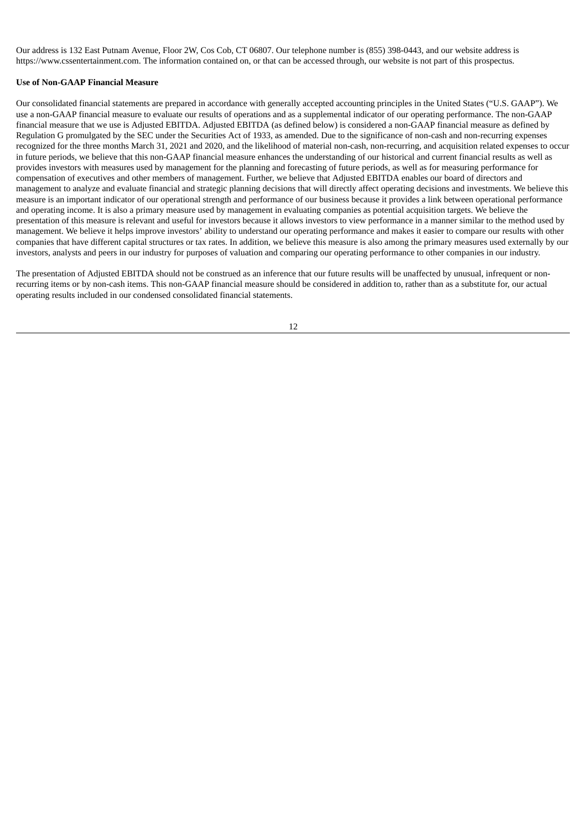Our address is 132 East Putnam Avenue, Floor 2W, Cos Cob, CT 06807. Our telephone number is (855) 398-0443, and our website address is https://www.cssentertainment.com. The information contained on, or that can be accessed through, our website is not part of this prospectus.

# **Use of Non-GAAP Financial Measure**

Our consolidated financial statements are prepared in accordance with generally accepted accounting principles in the United States ("U.S. GAAP"). We use a non-GAAP financial measure to evaluate our results of operations and as a supplemental indicator of our operating performance. The non-GAAP financial measure that we use is Adjusted EBITDA. Adjusted EBITDA (as defined below) is considered a non-GAAP financial measure as defined by Regulation G promulgated by the SEC under the Securities Act of 1933, as amended. Due to the significance of non-cash and non-recurring expenses recognized for the three months March 31, 2021 and 2020, and the likelihood of material non-cash, non-recurring, and acquisition related expenses to occur in future periods, we believe that this non-GAAP financial measure enhances the understanding of our historical and current financial results as well as provides investors with measures used by management for the planning and forecasting of future periods, as well as for measuring performance for compensation of executives and other members of management. Further, we believe that Adjusted EBITDA enables our board of directors and management to analyze and evaluate financial and strategic planning decisions that will directly affect operating decisions and investments. We believe this measure is an important indicator of our operational strength and performance of our business because it provides a link between operational performance and operating income. It is also a primary measure used by management in evaluating companies as potential acquisition targets. We believe the presentation of this measure is relevant and useful for investors because it allows investors to view performance in a manner similar to the method used by management. We believe it helps improve investors' ability to understand our operating performance and makes it easier to compare our results with other companies that have different capital structures or tax rates. In addition, we believe this measure is also among the primary measures used externally by our investors, analysts and peers in our industry for purposes of valuation and comparing our operating performance to other companies in our industry.

The presentation of Adjusted EBITDA should not be construed as an inference that our future results will be unaffected by unusual, infrequent or nonrecurring items or by non-cash items. This non-GAAP financial measure should be considered in addition to, rather than as a substitute for, our actual operating results included in our condensed consolidated financial statements.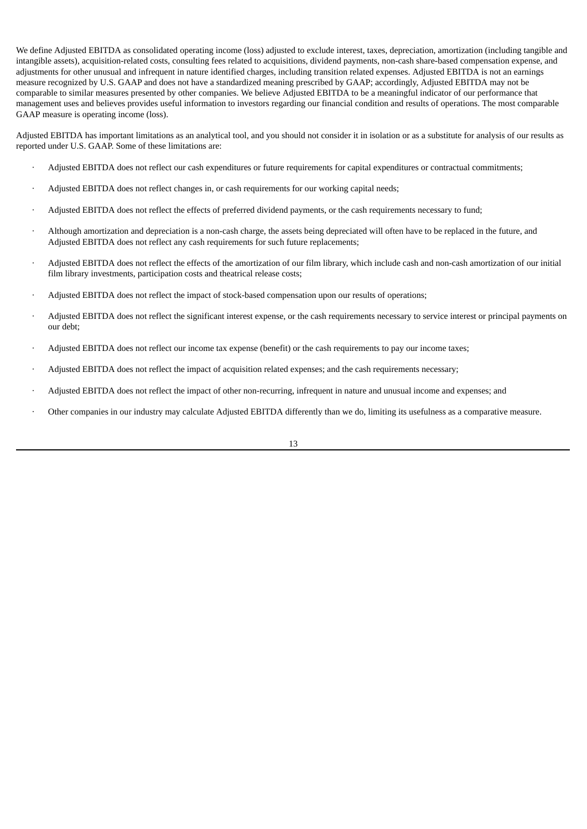We define Adjusted EBITDA as consolidated operating income (loss) adjusted to exclude interest, taxes, depreciation, amortization (including tangible and intangible assets), acquisition-related costs, consulting fees related to acquisitions, dividend payments, non-cash share-based compensation expense, and adjustments for other unusual and infrequent in nature identified charges, including transition related expenses. Adjusted EBITDA is not an earnings measure recognized by U.S. GAAP and does not have a standardized meaning prescribed by GAAP; accordingly, Adjusted EBITDA may not be comparable to similar measures presented by other companies. We believe Adjusted EBITDA to be a meaningful indicator of our performance that management uses and believes provides useful information to investors regarding our financial condition and results of operations. The most comparable GAAP measure is operating income (loss).

Adjusted EBITDA has important limitations as an analytical tool, and you should not consider it in isolation or as a substitute for analysis of our results as reported under U.S. GAAP. Some of these limitations are:

- · Adjusted EBITDA does not reflect our cash expenditures or future requirements for capital expenditures or contractual commitments;
- · Adjusted EBITDA does not reflect changes in, or cash requirements for our working capital needs;
- · Adjusted EBITDA does not reflect the effects of preferred dividend payments, or the cash requirements necessary to fund;
- · Although amortization and depreciation is a non-cash charge, the assets being depreciated will often have to be replaced in the future, and Adjusted EBITDA does not reflect any cash requirements for such future replacements;
- · Adjusted EBITDA does not reflect the effects of the amortization of our film library, which include cash and non-cash amortization of our initial film library investments, participation costs and theatrical release costs;
- Adjusted EBITDA does not reflect the impact of stock-based compensation upon our results of operations;
- Adjusted EBITDA does not reflect the significant interest expense, or the cash requirements necessary to service interest or principal payments on our debt;
- · Adjusted EBITDA does not reflect our income tax expense (benefit) or the cash requirements to pay our income taxes;
- · Adjusted EBITDA does not reflect the impact of acquisition related expenses; and the cash requirements necessary;
- · Adjusted EBITDA does not reflect the impact of other non-recurring, infrequent in nature and unusual income and expenses; and
- · Other companies in our industry may calculate Adjusted EBITDA differently than we do, limiting its usefulness as a comparative measure.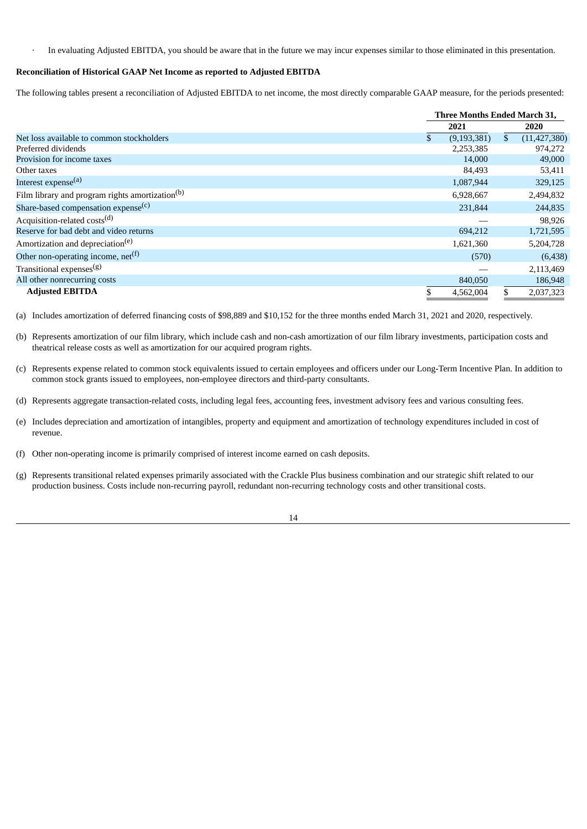· In evaluating Adjusted EBITDA, you should be aware that in the future we may incur expenses similar to those eliminated in this presentation.

# **Reconciliation of Historical GAAP Net Income as reported to Adjusted EBITDA**

The following tables present a reconciliation of Adjusted EBITDA to net income, the most directly comparable GAAP measure, for the periods presented:

|                                                    |                     | <b>Three Months Ended March 31,</b> |  |
|----------------------------------------------------|---------------------|-------------------------------------|--|
|                                                    | 2021                | 2020                                |  |
| Net loss available to common stockholders          | \$<br>(9, 193, 381) | \$<br>(11, 427, 380)                |  |
| Preferred dividends                                | 2,253,385           | 974,272                             |  |
| Provision for income taxes                         | 14,000              | 49,000                              |  |
| Other taxes                                        | 84,493              | 53,411                              |  |
| Interest expense <sup>(a)</sup>                    | 1,087,944           | 329,125                             |  |
| Film library and program rights amortization $(b)$ | 6,928,667           | 2,494,832                           |  |
| Share-based compensation expense $(c)$             | 231,844             | 244,835                             |  |
| Acquisition-related costs <sup>(d)</sup>           |                     | 98,926                              |  |
| Reserve for bad debt and video returns             | 694,212             | 1,721,595                           |  |
| Amortization and depreciation <sup>(e)</sup>       | 1,621,360           | 5,204,728                           |  |
| Other non-operating income, net <sup>(f)</sup>     | (570)               | (6, 438)                            |  |
| Transitional expenses <sup>(g)</sup>               |                     | 2,113,469                           |  |
| All other nonrecurring costs                       | 840,050             | 186,948                             |  |
| <b>Adjusted EBITDA</b>                             | 4,562,004           | 2,037,323<br>\$.                    |  |

(a) Includes amortization of deferred financing costs of \$98,889 and \$10,152 for the three months ended March 31, 2021 and 2020, respectively.

- (b) Represents amortization of our film library, which include cash and non-cash amortization of our film library investments, participation costs and theatrical release costs as well as amortization for our acquired program rights.
- (c) Represents expense related to common stock equivalents issued to certain employees and officers under our Long-Term Incentive Plan. In addition to common stock grants issued to employees, non-employee directors and third-party consultants.
- (d) Represents aggregate transaction-related costs, including legal fees, accounting fees, investment advisory fees and various consulting fees.
- (e) Includes depreciation and amortization of intangibles, property and equipment and amortization of technology expenditures included in cost of revenue.
- (f) Other non-operating income is primarily comprised of interest income earned on cash deposits.
- (g) Represents transitional related expenses primarily associated with the Crackle Plus business combination and our strategic shift related to our production business. Costs include non-recurring payroll, redundant non-recurring technology costs and other transitional costs.

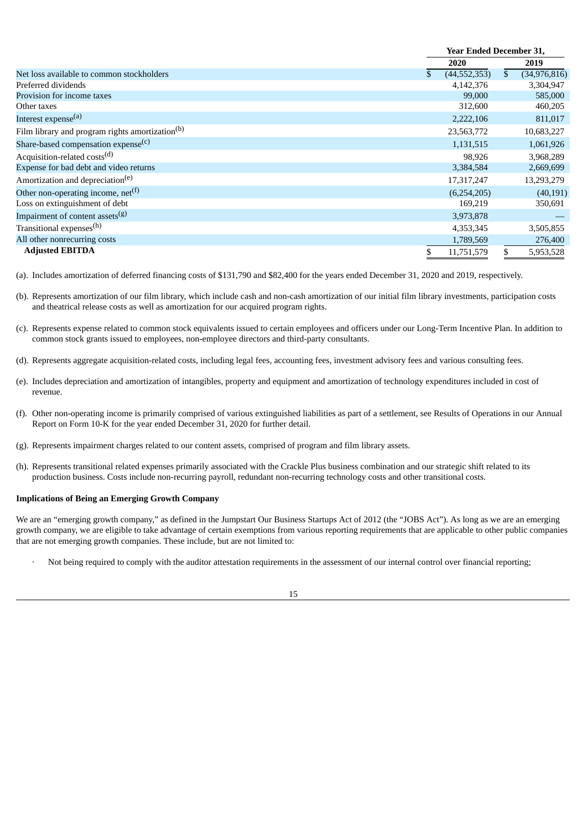|                                                             | <b>Year Ended December 31,</b> |                      |
|-------------------------------------------------------------|--------------------------------|----------------------|
|                                                             | 2020                           | 2019                 |
| Net loss available to common stockholders                   | \$<br>(44, 552, 353)           | \$<br>(34, 976, 816) |
| Preferred dividends                                         | 4,142,376                      | 3,304,947            |
| Provision for income taxes                                  | 99,000                         | 585,000              |
| Other taxes                                                 | 312,600                        | 460,205              |
| Interest expense <sup>(a)</sup>                             | 2,222,106                      | 811,017              |
| Film library and program rights amortization <sup>(b)</sup> | 23,563,772                     | 10,683,227           |
| Share-based compensation expense <sup>(c)</sup>             | 1,131,515                      | 1,061,926            |
| Acquisition-related costs <sup>(d)</sup>                    | 98,926                         | 3,968,289            |
| Expense for bad debt and video returns                      | 3,384,584                      | 2,669,699            |
| Amortization and depreciation <sup>(e)</sup>                | 17,317,247                     | 13,293,279           |
| Other non-operating income, $net(f)$                        | (6,254,205)                    | (40, 191)            |
| Loss on extinguishment of debt                              | 169,219                        | 350,691              |
| Impairment of content assets <sup>(g)</sup>                 | 3,973,878                      |                      |
| Transitional expenses <sup>(h)</sup>                        | 4,353,345                      | 3,505,855            |
| All other nonrecurring costs                                | 1,789,569                      | 276,400              |
| <b>Adjusted EBITDA</b>                                      | 11,751,579                     | 5,953,528            |

(a). Includes amortization of deferred financing costs of \$131,790 and \$82,400 for the years ended December 31, 2020 and 2019, respectively.

(b). Represents amortization of our film library, which include cash and non-cash amortization of our initial film library investments, participation costs and theatrical release costs as well as amortization for our acquired program rights.

- (c). Represents expense related to common stock equivalents issued to certain employees and officers under our Long-Term Incentive Plan. In addition to common stock grants issued to employees, non-employee directors and third-party consultants.
- (d). Represents aggregate acquisition-related costs, including legal fees, accounting fees, investment advisory fees and various consulting fees.
- (e). Includes depreciation and amortization of intangibles, property and equipment and amortization of technology expenditures included in cost of revenue.
- (f). Other non-operating income is primarily comprised of various extinguished liabilities as part of a settlement, see Results of Operations in our Annual Report on Form 10-K for the year ended December 31, 2020 for further detail.
- (g). Represents impairment charges related to our content assets, comprised of program and film library assets.
- (h). Represents transitional related expenses primarily associated with the Crackle Plus business combination and our strategic shift related to its production business. Costs include non-recurring payroll, redundant non-recurring technology costs and other transitional costs.

# **Implications of Being an Emerging Growth Company**

We are an "emerging growth company," as defined in the Jumpstart Our Business Startups Act of 2012 (the "JOBS Act"). As long as we are an emerging growth company, we are eligible to take advantage of certain exemptions from various reporting requirements that are applicable to other public companies that are not emerging growth companies. These include, but are not limited to:

· Not being required to comply with the auditor attestation requirements in the assessment of our internal control over financial reporting;

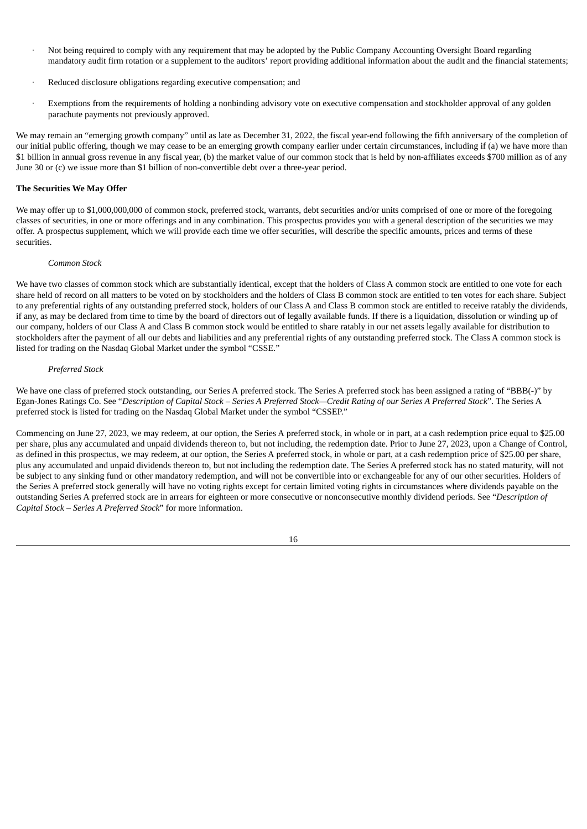- · Not being required to comply with any requirement that may be adopted by the Public Company Accounting Oversight Board regarding mandatory audit firm rotation or a supplement to the auditors' report providing additional information about the audit and the financial statements;
- Reduced disclosure obligations regarding executive compensation; and
- Exemptions from the requirements of holding a nonbinding advisory vote on executive compensation and stockholder approval of any golden parachute payments not previously approved.

We may remain an "emerging growth company" until as late as December 31, 2022, the fiscal year-end following the fifth anniversary of the completion of our initial public offering, though we may cease to be an emerging growth company earlier under certain circumstances, including if (a) we have more than \$1 billion in annual gross revenue in any fiscal year, (b) the market value of our common stock that is held by non-affiliates exceeds \$700 million as of any June 30 or (c) we issue more than \$1 billion of non-convertible debt over a three-year period.

## **The Securities We May Offer**

We may offer up to \$1,000,000,000 of common stock, preferred stock, warrants, debt securities and/or units comprised of one or more of the foregoing classes of securities, in one or more offerings and in any combination. This prospectus provides you with a general description of the securities we may offer. A prospectus supplement, which we will provide each time we offer securities, will describe the specific amounts, prices and terms of these securities.

### *Common Stock*

We have two classes of common stock which are substantially identical, except that the holders of Class A common stock are entitled to one vote for each share held of record on all matters to be voted on by stockholders and the holders of Class B common stock are entitled to ten votes for each share. Subject to any preferential rights of any outstanding preferred stock, holders of our Class A and Class B common stock are entitled to receive ratably the dividends, if any, as may be declared from time to time by the board of directors out of legally available funds. If there is a liquidation, dissolution or winding up of our company, holders of our Class A and Class B common stock would be entitled to share ratably in our net assets legally available for distribution to stockholders after the payment of all our debts and liabilities and any preferential rights of any outstanding preferred stock. The Class A common stock is listed for trading on the Nasdaq Global Market under the symbol "CSSE."

## *Preferred Stock*

We have one class of preferred stock outstanding, our Series A preferred stock. The Series A preferred stock has been assigned a rating of "BBB(-)" by Egan-Jones Ratings Co. See "Description of Capital Stock - Series A Preferred Stock-Credit Rating of our Series A Preferred Stock". The Series A preferred stock is listed for trading on the Nasdaq Global Market under the symbol "CSSEP."

Commencing on June 27, 2023, we may redeem, at our option, the Series A preferred stock, in whole or in part, at a cash redemption price equal to \$25.00 per share, plus any accumulated and unpaid dividends thereon to, but not including, the redemption date. Prior to June 27, 2023, upon a Change of Control, as defined in this prospectus, we may redeem, at our option, the Series A preferred stock, in whole or part, at a cash redemption price of \$25.00 per share, plus any accumulated and unpaid dividends thereon to, but not including the redemption date. The Series A preferred stock has no stated maturity, will not be subject to any sinking fund or other mandatory redemption, and will not be convertible into or exchangeable for any of our other securities. Holders of the Series A preferred stock generally will have no voting rights except for certain limited voting rights in circumstances where dividends payable on the outstanding Series A preferred stock are in arrears for eighteen or more consecutive or nonconsecutive monthly dividend periods. See "*Description of Capital Stock – Series A Preferred Stock*" for more information.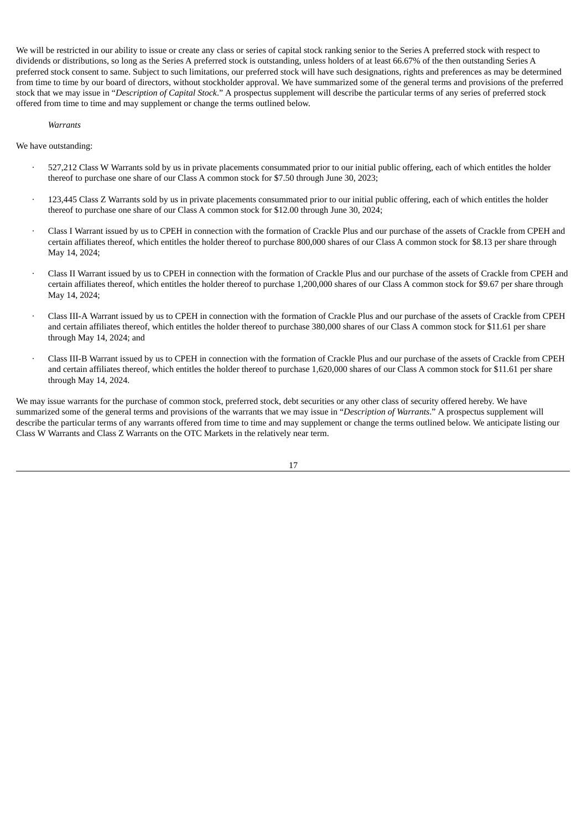We will be restricted in our ability to issue or create any class or series of capital stock ranking senior to the Series A preferred stock with respect to dividends or distributions, so long as the Series A preferred stock is outstanding, unless holders of at least 66.67% of the then outstanding Series A preferred stock consent to same. Subject to such limitations, our preferred stock will have such designations, rights and preferences as may be determined from time to time by our board of directors, without stockholder approval. We have summarized some of the general terms and provisions of the preferred stock that we may issue in "*Description of Capital Stock*." A prospectus supplement will describe the particular terms of any series of preferred stock offered from time to time and may supplement or change the terms outlined below.

## *Warrants*

We have outstanding:

- 527,212 Class W Warrants sold by us in private placements consummated prior to our initial public offering, each of which entitles the holder thereof to purchase one share of our Class A common stock for \$7.50 through June 30, 2023;
- · 123,445 Class Z Warrants sold by us in private placements consummated prior to our initial public offering, each of which entitles the holder thereof to purchase one share of our Class A common stock for \$12.00 through June 30, 2024;
- · Class I Warrant issued by us to CPEH in connection with the formation of Crackle Plus and our purchase of the assets of Crackle from CPEH and certain affiliates thereof, which entitles the holder thereof to purchase 800,000 shares of our Class A common stock for \$8.13 per share through May 14, 2024;
- · Class II Warrant issued by us to CPEH in connection with the formation of Crackle Plus and our purchase of the assets of Crackle from CPEH and certain affiliates thereof, which entitles the holder thereof to purchase 1,200,000 shares of our Class A common stock for \$9.67 per share through May 14, 2024;
- · Class III-A Warrant issued by us to CPEH in connection with the formation of Crackle Plus and our purchase of the assets of Crackle from CPEH and certain affiliates thereof, which entitles the holder thereof to purchase 380,000 shares of our Class A common stock for \$11.61 per share through May 14, 2024; and
- · Class III-B Warrant issued by us to CPEH in connection with the formation of Crackle Plus and our purchase of the assets of Crackle from CPEH and certain affiliates thereof, which entitles the holder thereof to purchase 1,620,000 shares of our Class A common stock for \$11.61 per share through May 14, 2024.

We may issue warrants for the purchase of common stock, preferred stock, debt securities or any other class of security offered hereby. We have summarized some of the general terms and provisions of the warrants that we may issue in "*Description of Warrants*." A prospectus supplement will describe the particular terms of any warrants offered from time to time and may supplement or change the terms outlined below. We anticipate listing our Class W Warrants and Class Z Warrants on the OTC Markets in the relatively near term.

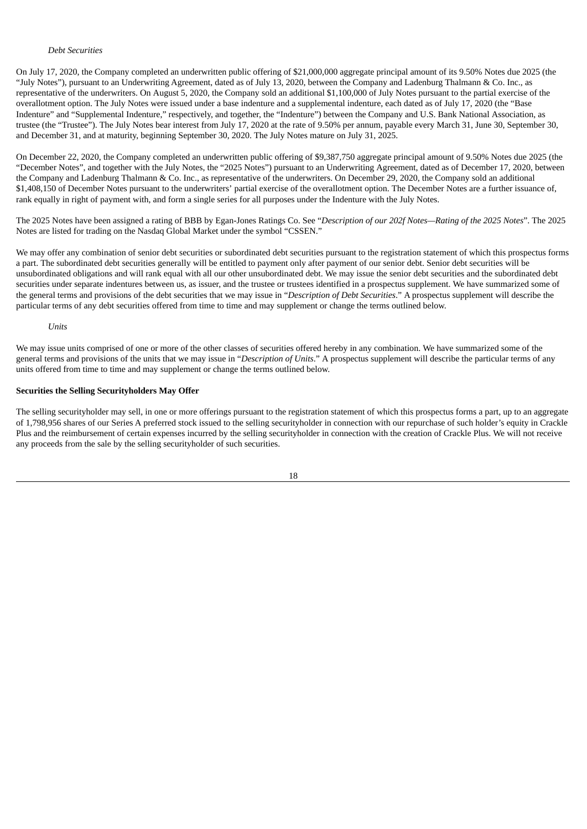## *Debt Securities*

On July 17, 2020, the Company completed an underwritten public offering of \$21,000,000 aggregate principal amount of its 9.50% Notes due 2025 (the "July Notes"), pursuant to an Underwriting Agreement, dated as of July 13, 2020, between the Company and Ladenburg Thalmann & Co. Inc., as representative of the underwriters. On August 5, 2020, the Company sold an additional \$1,100,000 of July Notes pursuant to the partial exercise of the overallotment option. The July Notes were issued under a base indenture and a supplemental indenture, each dated as of July 17, 2020 (the "Base Indenture" and "Supplemental Indenture," respectively, and together, the "Indenture") between the Company and U.S. Bank National Association, as trustee (the "Trustee"). The July Notes bear interest from July 17, 2020 at the rate of 9.50% per annum, payable every March 31, June 30, September 30, and December 31, and at maturity, beginning September 30, 2020. The July Notes mature on July 31, 2025.

On December 22, 2020, the Company completed an underwritten public offering of \$9,387,750 aggregate principal amount of 9.50% Notes due 2025 (the "December Notes", and together with the July Notes, the "2025 Notes") pursuant to an Underwriting Agreement, dated as of December 17, 2020, between the Company and Ladenburg Thalmann & Co. Inc., as representative of the underwriters. On December 29, 2020, the Company sold an additional \$1,408,150 of December Notes pursuant to the underwriters' partial exercise of the overallotment option. The December Notes are a further issuance of, rank equally in right of payment with, and form a single series for all purposes under the Indenture with the July Notes.

The 2025 Notes have been assigned a rating of BBB by Egan-Jones Ratings Co. See "*Description of our 202f Notes—Rating of the 2025 Notes*". The 2025 Notes are listed for trading on the Nasdaq Global Market under the symbol "CSSEN."

We may offer any combination of senior debt securities or subordinated debt securities pursuant to the registration statement of which this prospectus forms a part. The subordinated debt securities generally will be entitled to payment only after payment of our senior debt. Senior debt securities will be unsubordinated obligations and will rank equal with all our other unsubordinated debt. We may issue the senior debt securities and the subordinated debt securities under separate indentures between us, as issuer, and the trustee or trustees identified in a prospectus supplement. We have summarized some of the general terms and provisions of the debt securities that we may issue in "*Description of Debt Securities*." A prospectus supplement will describe the particular terms of any debt securities offered from time to time and may supplement or change the terms outlined below.

#### *Units*

We may issue units comprised of one or more of the other classes of securities offered hereby in any combination. We have summarized some of the general terms and provisions of the units that we may issue in "*Description of Units*." A prospectus supplement will describe the particular terms of any units offered from time to time and may supplement or change the terms outlined below.

#### **Securities the Selling Securityholders May Offer**

The selling securityholder may sell, in one or more offerings pursuant to the registration statement of which this prospectus forms a part, up to an aggregate of 1,798,956 shares of our Series A preferred stock issued to the selling securityholder in connection with our repurchase of such holder's equity in Crackle Plus and the reimbursement of certain expenses incurred by the selling securityholder in connection with the creation of Crackle Plus. We will not receive any proceeds from the sale by the selling securityholder of such securities.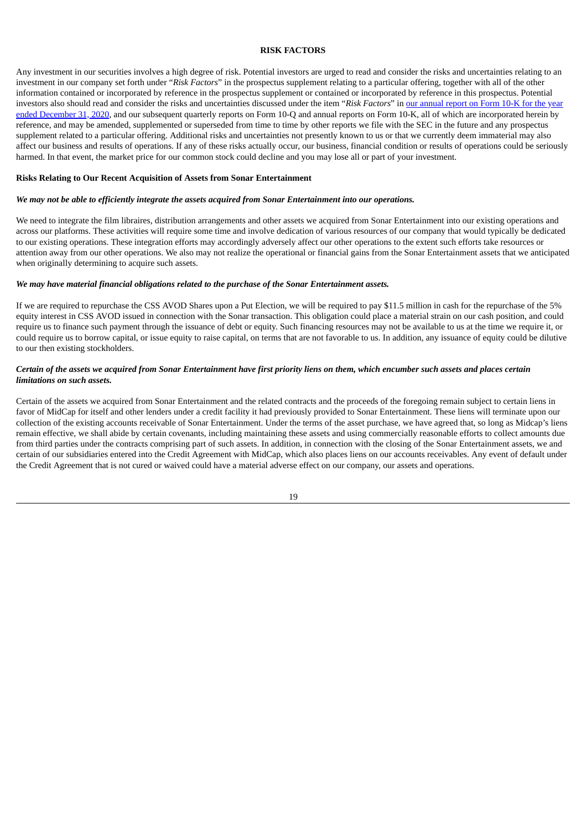### **RISK FACTORS**

<span id="page-67-0"></span>Any investment in our securities involves a high degree of risk. Potential investors are urged to read and consider the risks and uncertainties relating to an investment in our company set forth under "*Risk Factors*" in the prospectus supplement relating to a particular offering, together with all of the other information contained or incorporated by reference in the prospectus supplement or contained or incorporated by reference in this prospectus. Potential investors also should read and consider the risks and [uncertainties](https://www.sec.gov/Archives/edgar/data/1679063/000155837021003814/csse-20201231x10k.htm) discussed under the item "*Risk Factors*" in our annual report on Form 10-K for the year ended December 31, 2020, and our subsequent quarterly reports on Form 10-Q and annual reports on Form 10-K, all of which are incorporated herein by reference, and may be amended, supplemented or superseded from time to time by other reports we file with the SEC in the future and any prospectus supplement related to a particular offering. Additional risks and uncertainties not presently known to us or that we currently deem immaterial may also affect our business and results of operations. If any of these risks actually occur, our business, financial condition or results of operations could be seriously harmed. In that event, the market price for our common stock could decline and you may lose all or part of your investment.

## **Risks Relating to Our Recent Acquisition of Assets from Sonar Entertainment**

### We may not be able to efficiently integrate the assets acquired from Sonar Entertainment into our operations.

We need to integrate the film libraires, distribution arrangements and other assets we acquired from Sonar Entertainment into our existing operations and across our platforms. These activities will require some time and involve dedication of various resources of our company that would typically be dedicated to our existing operations. These integration efforts may accordingly adversely affect our other operations to the extent such efforts take resources or attention away from our other operations. We also may not realize the operational or financial gains from the Sonar Entertainment assets that we anticipated when originally determining to acquire such assets.

## *We may have material financial obligations related to the purchase of the Sonar Entertainment assets.*

If we are required to repurchase the CSS AVOD Shares upon a Put Election, we will be required to pay \$11.5 million in cash for the repurchase of the 5% equity interest in CSS AVOD issued in connection with the Sonar transaction. This obligation could place a material strain on our cash position, and could require us to finance such payment through the issuance of debt or equity. Such financing resources may not be available to us at the time we require it, or could require us to borrow capital, or issue equity to raise capital, on terms that are not favorable to us. In addition, any issuance of equity could be dilutive to our then existing stockholders.

## Certain of the assets we acquired from Sonar Entertainment have first priority liens on them, which encumber such assets and places certain *limitations on such assets.*

Certain of the assets we acquired from Sonar Entertainment and the related contracts and the proceeds of the foregoing remain subject to certain liens in favor of MidCap for itself and other lenders under a credit facility it had previously provided to Sonar Entertainment. These liens will terminate upon our collection of the existing accounts receivable of Sonar Entertainment. Under the terms of the asset purchase, we have agreed that, so long as Midcap's liens remain effective, we shall abide by certain covenants, including maintaining these assets and using commercially reasonable efforts to collect amounts due from third parties under the contracts comprising part of such assets. In addition, in connection with the closing of the Sonar Entertainment assets, we and certain of our subsidiaries entered into the Credit Agreement with MidCap, which also places liens on our accounts receivables. Any event of default under the Credit Agreement that is not cured or waived could have a material adverse effect on our company, our assets and operations.

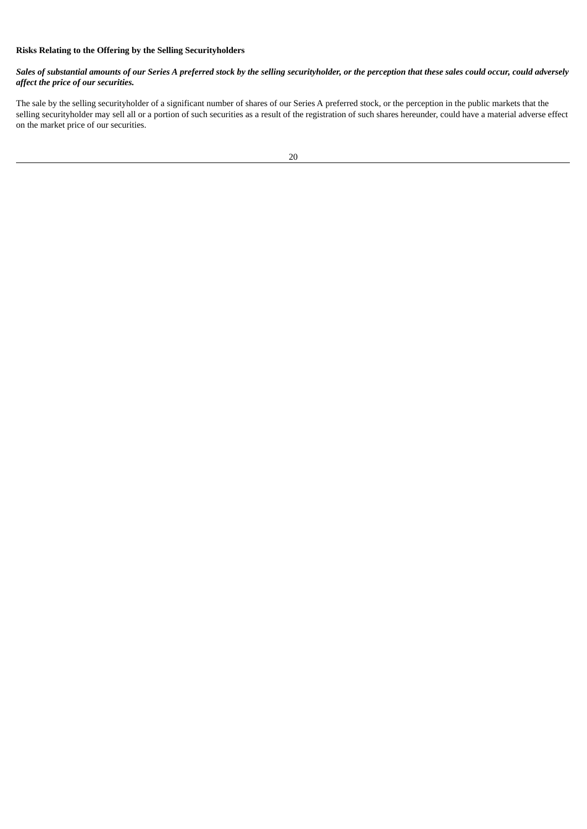# **Risks Relating to the Offering by the Selling Securityholders**

# Sales of substantial amounts of our Series A preferred stock by the selling securityholder, or the perception that these sales could occur, could adversely *affect the price of our securities.*

The sale by the selling securityholder of a significant number of shares of our Series A preferred stock, or the perception in the public markets that the selling securityholder may sell all or a portion of such securities as a result of the registration of such shares hereunder, could have a material adverse effect on the market price of our securities.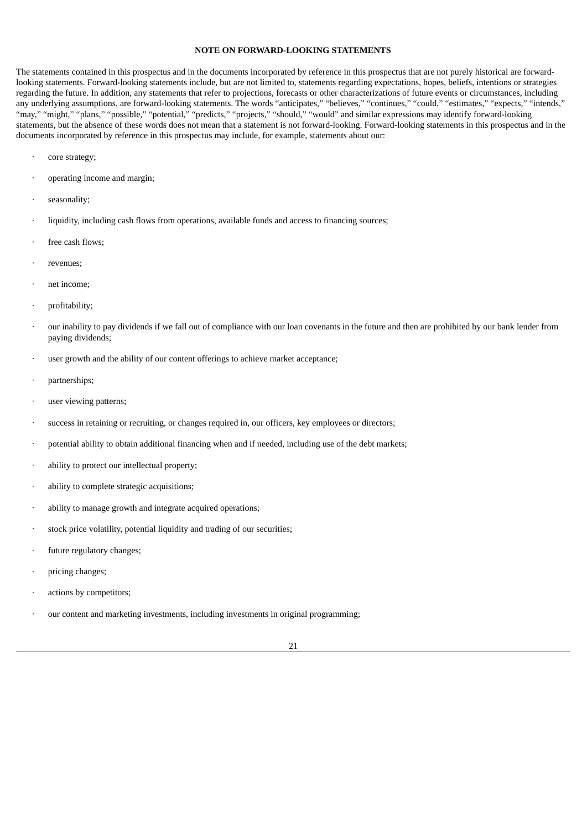# **NOTE ON FORWARD-LOOKING STATEMENTS**

<span id="page-69-0"></span>The statements contained in this prospectus and in the documents incorporated by reference in this prospectus that are not purely historical are forwardlooking statements. Forward-looking statements include, but are not limited to, statements regarding expectations, hopes, beliefs, intentions or strategies regarding the future. In addition, any statements that refer to projections, forecasts or other characterizations of future events or circumstances, including any underlying assumptions, are forward-looking statements. The words "anticipates," "believes," "continues," "could," "estimates," "expects," "intends," "may," "might," "plans," "possible," "potential," "predicts," "projects," "should," "would" and similar expressions may identify forward-looking statements, but the absence of these words does not mean that a statement is not forward-looking. Forward-looking statements in this prospectus and in the documents incorporated by reference in this prospectus may include, for example, statements about our:

- core strategy;
- operating income and margin;
- seasonality;
- liquidity, including cash flows from operations, available funds and access to financing sources;
- free cash flows;
- · revenues;
- net income;
- profitability;
- · our inability to pay dividends if we fall out of compliance with our loan covenants in the future and then are prohibited by our bank lender from paying dividends;
- user growth and the ability of our content offerings to achieve market acceptance;
- partnerships;
- user viewing patterns;
- success in retaining or recruiting, or changes required in, our officers, key employees or directors;
- · potential ability to obtain additional financing when and if needed, including use of the debt markets;
- ability to protect our intellectual property;
- ability to complete strategic acquisitions;
- ability to manage growth and integrate acquired operations;
- stock price volatility, potential liquidity and trading of our securities;
- future regulatory changes:
- pricing changes;
- actions by competitors;
- our content and marketing investments, including investments in original programming;

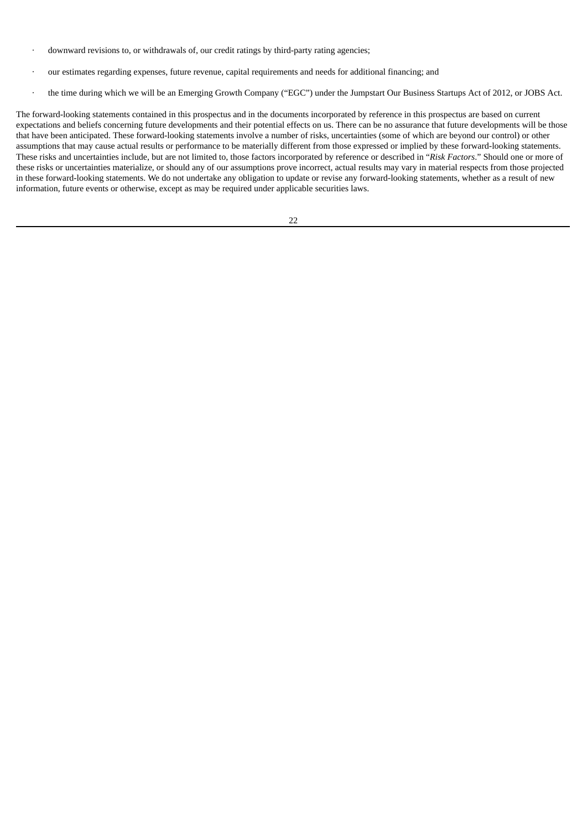- · downward revisions to, or withdrawals of, our credit ratings by third-party rating agencies;
- · our estimates regarding expenses, future revenue, capital requirements and needs for additional financing; and
- the time during which we will be an Emerging Growth Company ("EGC") under the Jumpstart Our Business Startups Act of 2012, or JOBS Act.

The forward-looking statements contained in this prospectus and in the documents incorporated by reference in this prospectus are based on current expectations and beliefs concerning future developments and their potential effects on us. There can be no assurance that future developments will be those that have been anticipated. These forward-looking statements involve a number of risks, uncertainties (some of which are beyond our control) or other assumptions that may cause actual results or performance to be materially different from those expressed or implied by these forward-looking statements. These risks and uncertainties include, but are not limited to, those factors incorporated by reference or described in "*Risk Factors*." Should one or more of these risks or uncertainties materialize, or should any of our assumptions prove incorrect, actual results may vary in material respects from those projected in these forward-looking statements. We do not undertake any obligation to update or revise any forward-looking statements, whether as a result of new information, future events or otherwise, except as may be required under applicable securities laws.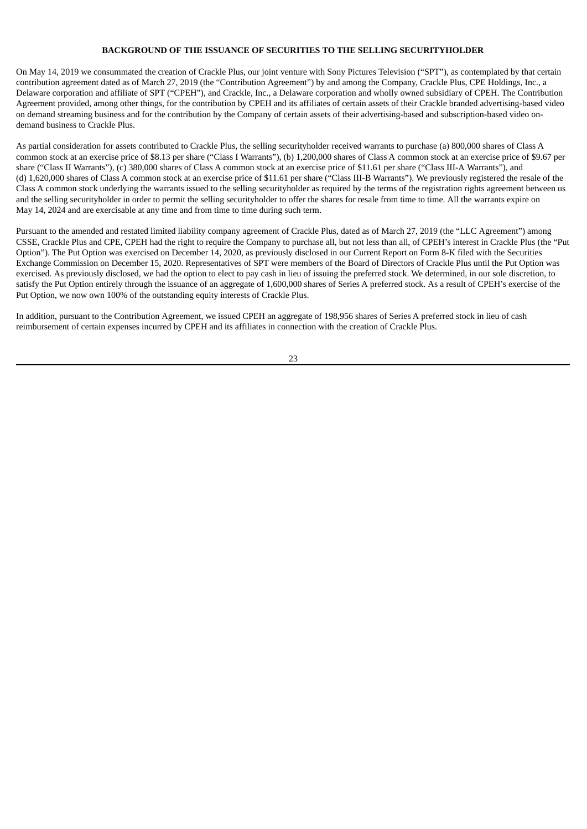# **BACKGROUND OF THE ISSUANCE OF SECURITIES TO THE SELLING SECURITYHOLDER**

<span id="page-71-0"></span>On May 14, 2019 we consummated the creation of Crackle Plus, our joint venture with Sony Pictures Television ("SPT"), as contemplated by that certain contribution agreement dated as of March 27, 2019 (the "Contribution Agreement") by and among the Company, Crackle Plus, CPE Holdings, Inc., a Delaware corporation and affiliate of SPT ("CPEH"), and Crackle, Inc., a Delaware corporation and wholly owned subsidiary of CPEH. The Contribution Agreement provided, among other things, for the contribution by CPEH and its affiliates of certain assets of their Crackle branded advertising-based video on demand streaming business and for the contribution by the Company of certain assets of their advertising-based and subscription-based video ondemand business to Crackle Plus.

As partial consideration for assets contributed to Crackle Plus, the selling securityholder received warrants to purchase (a) 800,000 shares of Class A common stock at an exercise price of \$8.13 per share ("Class I Warrants"), (b) 1,200,000 shares of Class A common stock at an exercise price of \$9.67 per share ("Class II Warrants"), (c) 380,000 shares of Class A common stock at an exercise price of \$11.61 per share ("Class III-A Warrants"), and (d) 1,620,000 shares of Class A common stock at an exercise price of \$11.61 per share ("Class III-B Warrants"). We previously registered the resale of the Class A common stock underlying the warrants issued to the selling securityholder as required by the terms of the registration rights agreement between us and the selling securityholder in order to permit the selling securityholder to offer the shares for resale from time to time. All the warrants expire on May 14, 2024 and are exercisable at any time and from time to time during such term.

Pursuant to the amended and restated limited liability company agreement of Crackle Plus, dated as of March 27, 2019 (the "LLC Agreement") among CSSE, Crackle Plus and CPE, CPEH had the right to require the Company to purchase all, but not less than all, of CPEH's interest in Crackle Plus (the "Put Option"). The Put Option was exercised on December 14, 2020, as previously disclosed in our Current Report on Form 8-K filed with the Securities Exchange Commission on December 15, 2020. Representatives of SPT were members of the Board of Directors of Crackle Plus until the Put Option was exercised. As previously disclosed, we had the option to elect to pay cash in lieu of issuing the preferred stock. We determined, in our sole discretion, to satisfy the Put Option entirely through the issuance of an aggregate of 1,600,000 shares of Series A preferred stock. As a result of CPEH's exercise of the Put Option, we now own 100% of the outstanding equity interests of Crackle Plus.

In addition, pursuant to the Contribution Agreement, we issued CPEH an aggregate of 198,956 shares of Series A preferred stock in lieu of cash reimbursement of certain expenses incurred by CPEH and its affiliates in connection with the creation of Crackle Plus.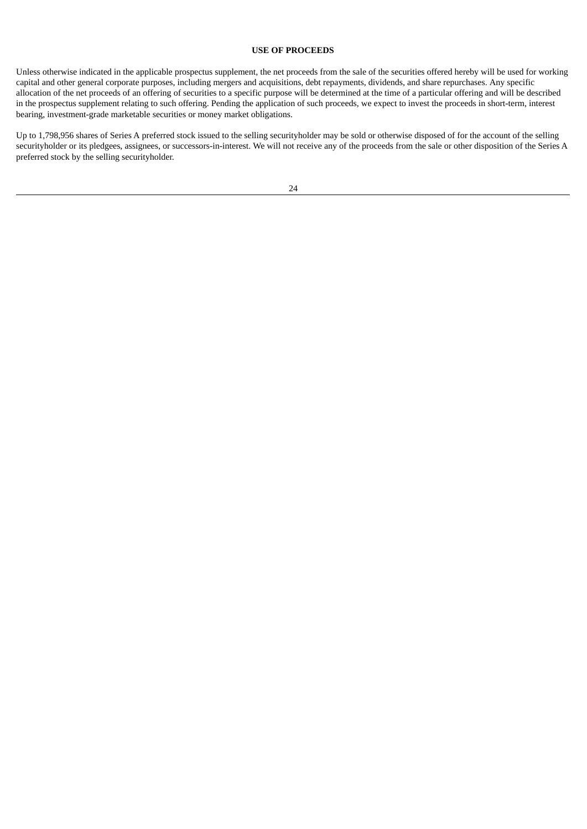# **USE OF PROCEEDS**

Unless otherwise indicated in the applicable prospectus supplement, the net proceeds from the sale of the securities offered hereby will be used for working capital and other general corporate purposes, including mergers and acquisitions, debt repayments, dividends, and share repurchases. Any specific allocation of the net proceeds of an offering of securities to a specific purpose will be determined at the time of a particular offering and will be described in the prospectus supplement relating to such offering. Pending the application of such proceeds, we expect to invest the proceeds in short-term, interest bearing, investment-grade marketable securities or money market obligations.

Up to 1,798,956 shares of Series A preferred stock issued to the selling securityholder may be sold or otherwise disposed of for the account of the selling securityholder or its pledgees, assignees, or successors-in-interest. We will not receive any of the proceeds from the sale or other disposition of the Series A preferred stock by the selling securityholder.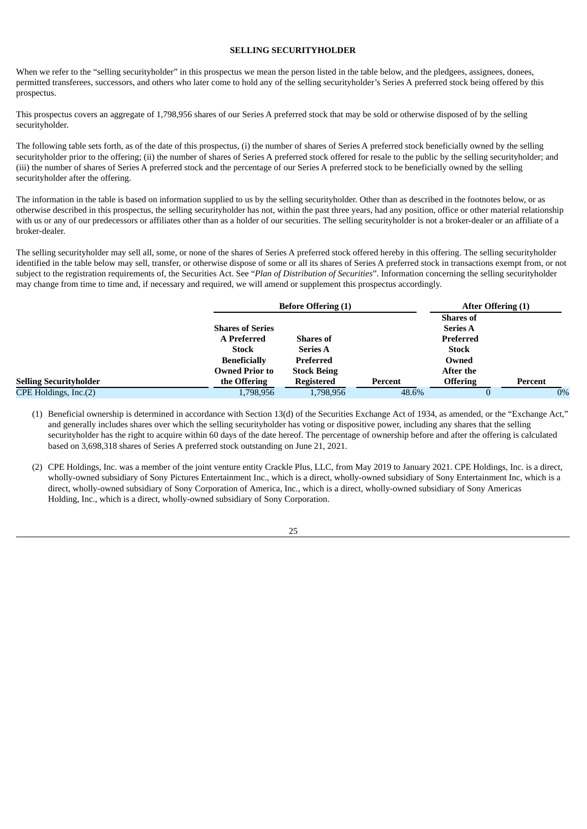# **SELLING SECURITYHOLDER**

When we refer to the "selling securityholder" in this prospectus we mean the person listed in the table below, and the pledgees, assignees, donees, permitted transferees, successors, and others who later come to hold any of the selling securityholder's Series A preferred stock being offered by this prospectus.

This prospectus covers an aggregate of 1,798,956 shares of our Series A preferred stock that may be sold or otherwise disposed of by the selling securityholder.

The following table sets forth, as of the date of this prospectus, (i) the number of shares of Series A preferred stock beneficially owned by the selling securityholder prior to the offering; (ii) the number of shares of Series A preferred stock offered for resale to the public by the selling securityholder; and (iii) the number of shares of Series A preferred stock and the percentage of our Series A preferred stock to be beneficially owned by the selling securityholder after the offering.

The information in the table is based on information supplied to us by the selling securityholder. Other than as described in the footnotes below, or as otherwise described in this prospectus, the selling securityholder has not, within the past three years, had any position, office or other material relationship with us or any of our predecessors or affiliates other than as a holder of our securities. The selling securityholder is not a broker-dealer or an affiliate of a broker-dealer.

The selling securityholder may sell all, some, or none of the shares of Series A preferred stock offered hereby in this offering. The selling securityholder identified in the table below may sell, transfer, or otherwise dispose of some or all its shares of Series A preferred stock in transactions exempt from, or not subject to the registration requirements of, the Securities Act. See "*Plan of Distribution of Securities*". Information concerning the selling securityholder may change from time to time and, if necessary and required, we will amend or supplement this prospectus accordingly.

|                               |                         | <b>Before Offering (1)</b> |         |                  | After Offering (1) |  |
|-------------------------------|-------------------------|----------------------------|---------|------------------|--------------------|--|
|                               |                         |                            |         | <b>Shares of</b> |                    |  |
|                               | <b>Shares of Series</b> |                            |         | <b>Series A</b>  |                    |  |
|                               | <b>A</b> Preferred      | <b>Shares of</b>           |         | Preferred        |                    |  |
|                               | <b>Stock</b>            | <b>Series A</b>            |         | <b>Stock</b>     |                    |  |
|                               | <b>Beneficially</b>     | Preferred                  |         | Owned            |                    |  |
|                               | <b>Owned Prior to</b>   | <b>Stock Being</b>         |         | After the        |                    |  |
| <b>Selling Securityholder</b> | the Offering            | <b>Registered</b>          | Percent | <b>Offering</b>  | Percent            |  |
| CPE Holdings, Inc.(2)         | 1,798,956               | 1,798,956                  | 48.6%   |                  | $0\%$              |  |

(1) Beneficial ownership is determined in accordance with Section 13(d) of the Securities Exchange Act of 1934, as amended, or the "Exchange Act," and generally includes shares over which the selling securityholder has voting or dispositive power, including any shares that the selling securityholder has the right to acquire within 60 days of the date hereof. The percentage of ownership before and after the offering is calculated based on 3,698,318 shares of Series A preferred stock outstanding on June 21, 2021.

(2) CPE Holdings, Inc. was a member of the joint venture entity Crackle Plus, LLC, from May 2019 to January 2021. CPE Holdings, Inc. is a direct, wholly-owned subsidiary of Sony Pictures Entertainment Inc., which is a direct, wholly-owned subsidiary of Sony Entertainment Inc, which is a direct, wholly-owned subsidiary of Sony Corporation of America, Inc., which is a direct, wholly-owned subsidiary of Sony Americas Holding, Inc., which is a direct, wholly-owned subsidiary of Sony Corporation.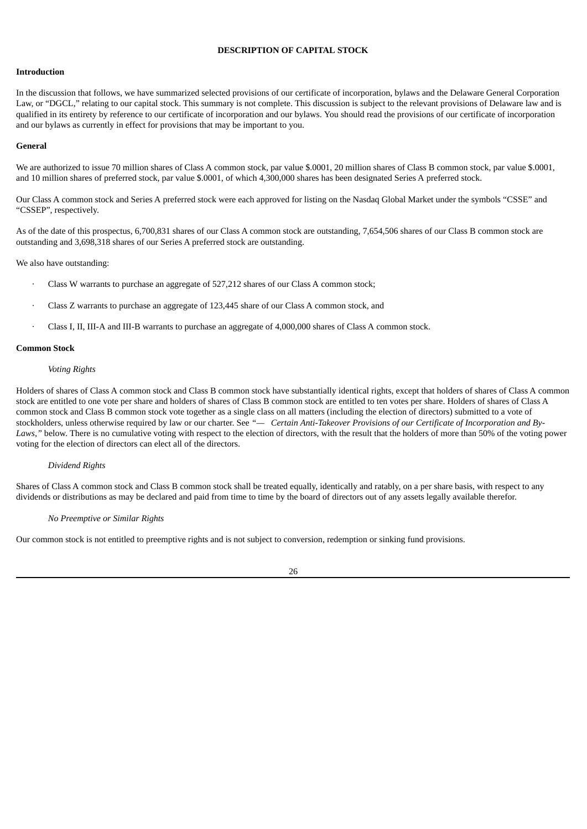# **DESCRIPTION OF CAPITAL STOCK**

## **Introduction**

In the discussion that follows, we have summarized selected provisions of our certificate of incorporation, bylaws and the Delaware General Corporation Law, or "DGCL," relating to our capital stock. This summary is not complete. This discussion is subject to the relevant provisions of Delaware law and is qualified in its entirety by reference to our certificate of incorporation and our bylaws. You should read the provisions of our certificate of incorporation and our bylaws as currently in effect for provisions that may be important to you.

## **General**

We are authorized to issue 70 million shares of Class A common stock, par value \$.0001, 20 million shares of Class B common stock, par value \$.0001, and 10 million shares of preferred stock, par value \$.0001, of which 4,300,000 shares has been designated Series A preferred stock.

Our Class A common stock and Series A preferred stock were each approved for listing on the Nasdaq Global Market under the symbols "CSSE" and "CSSEP", respectively.

As of the date of this prospectus, 6,700,831 shares of our Class A common stock are outstanding, 7,654,506 shares of our Class B common stock are outstanding and 3,698,318 shares of our Series A preferred stock are outstanding.

We also have outstanding:

- Class W warrants to purchase an aggregate of 527,212 shares of our Class A common stock;
- · Class Z warrants to purchase an aggregate of 123,445 share of our Class A common stock, and
- · Class I, II, III-A and III-B warrants to purchase an aggregate of 4,000,000 shares of Class A common stock.

## **Common Stock**

## *Voting Rights*

Holders of shares of Class A common stock and Class B common stock have substantially identical rights, except that holders of shares of Class A common stock are entitled to one vote per share and holders of shares of Class B common stock are entitled to ten votes per share. Holders of shares of Class A common stock and Class B common stock vote together as a single class on all matters (including the election of directors) submitted to a vote of stockholders, unless otherwise required by law or our charter. See *"— Certain Anti-Takeover Provisions of our Certificate of Incorporation and By-*Laws," below. There is no cumulative voting with respect to the election of directors, with the result that the holders of more than 50% of the voting power voting for the election of directors can elect all of the directors.

## *Dividend Rights*

Shares of Class A common stock and Class B common stock shall be treated equally, identically and ratably, on a per share basis, with respect to any dividends or distributions as may be declared and paid from time to time by the board of directors out of any assets legally available therefor.

# *No Preemptive or Similar Rights*

Our common stock is not entitled to preemptive rights and is not subject to conversion, redemption or sinking fund provisions.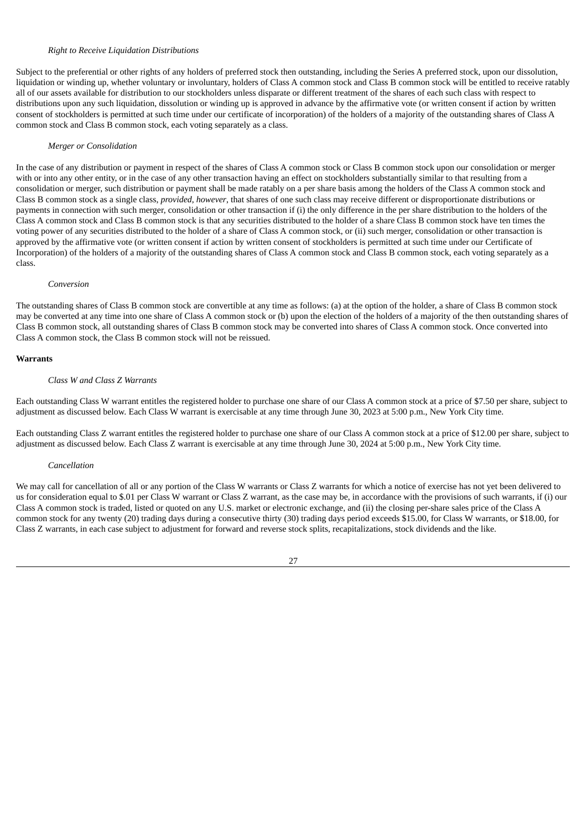# *Right to Receive Liquidation Distributions*

Subject to the preferential or other rights of any holders of preferred stock then outstanding, including the Series A preferred stock, upon our dissolution, liquidation or winding up, whether voluntary or involuntary, holders of Class A common stock and Class B common stock will be entitled to receive ratably all of our assets available for distribution to our stockholders unless disparate or different treatment of the shares of each such class with respect to distributions upon any such liquidation, dissolution or winding up is approved in advance by the affirmative vote (or written consent if action by written consent of stockholders is permitted at such time under our certificate of incorporation) of the holders of a majority of the outstanding shares of Class A common stock and Class B common stock, each voting separately as a class.

## *Merger or Consolidation*

In the case of any distribution or payment in respect of the shares of Class A common stock or Class B common stock upon our consolidation or merger with or into any other entity, or in the case of any other transaction having an effect on stockholders substantially similar to that resulting from a consolidation or merger, such distribution or payment shall be made ratably on a per share basis among the holders of the Class A common stock and Class B common stock as a single class, *provided*, *however*, that shares of one such class may receive different or disproportionate distributions or payments in connection with such merger, consolidation or other transaction if (i) the only difference in the per share distribution to the holders of the Class A common stock and Class B common stock is that any securities distributed to the holder of a share Class B common stock have ten times the voting power of any securities distributed to the holder of a share of Class A common stock, or (ii) such merger, consolidation or other transaction is approved by the affirmative vote (or written consent if action by written consent of stockholders is permitted at such time under our Certificate of Incorporation) of the holders of a majority of the outstanding shares of Class A common stock and Class B common stock, each voting separately as a class.

### *Conversion*

The outstanding shares of Class B common stock are convertible at any time as follows: (a) at the option of the holder, a share of Class B common stock may be converted at any time into one share of Class A common stock or (b) upon the election of the holders of a majority of the then outstanding shares of Class B common stock, all outstanding shares of Class B common stock may be converted into shares of Class A common stock. Once converted into Class A common stock, the Class B common stock will not be reissued.

#### **Warrants**

#### *Class W and Class Z Warrants*

Each outstanding Class W warrant entitles the registered holder to purchase one share of our Class A common stock at a price of \$7.50 per share, subject to adjustment as discussed below. Each Class W warrant is exercisable at any time through June 30, 2023 at 5:00 p.m., New York City time.

Each outstanding Class Z warrant entitles the registered holder to purchase one share of our Class A common stock at a price of \$12.00 per share, subject to adjustment as discussed below. Each Class Z warrant is exercisable at any time through June 30, 2024 at 5:00 p.m., New York City time.

#### *Cancellation*

We may call for cancellation of all or any portion of the Class W warrants or Class Z warrants for which a notice of exercise has not yet been delivered to us for consideration equal to \$.01 per Class W warrant or Class Z warrant, as the case may be, in accordance with the provisions of such warrants, if (i) our Class A common stock is traded, listed or quoted on any U.S. market or electronic exchange, and (ii) the closing per-share sales price of the Class A common stock for any twenty (20) trading days during a consecutive thirty (30) trading days period exceeds \$15.00, for Class W warrants, or \$18.00, for Class Z warrants, in each case subject to adjustment for forward and reverse stock splits, recapitalizations, stock dividends and the like.

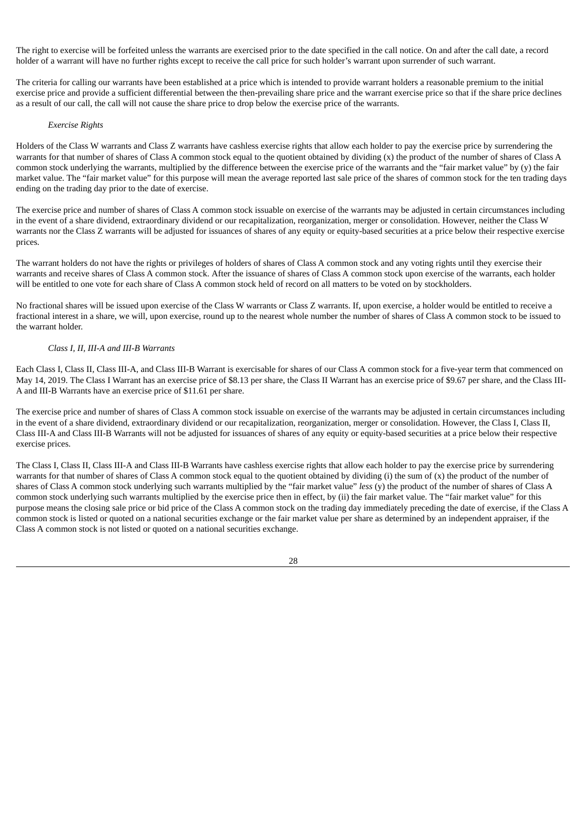The right to exercise will be forfeited unless the warrants are exercised prior to the date specified in the call notice. On and after the call date, a record holder of a warrant will have no further rights except to receive the call price for such holder's warrant upon surrender of such warrant.

The criteria for calling our warrants have been established at a price which is intended to provide warrant holders a reasonable premium to the initial exercise price and provide a sufficient differential between the then-prevailing share price and the warrant exercise price so that if the share price declines as a result of our call, the call will not cause the share price to drop below the exercise price of the warrants.

## *Exercise Rights*

Holders of the Class W warrants and Class Z warrants have cashless exercise rights that allow each holder to pay the exercise price by surrendering the warrants for that number of shares of Class A common stock equal to the quotient obtained by dividing (x) the product of the number of shares of Class A common stock underlying the warrants, multiplied by the difference between the exercise price of the warrants and the "fair market value" by (y) the fair market value. The "fair market value" for this purpose will mean the average reported last sale price of the shares of common stock for the ten trading days ending on the trading day prior to the date of exercise.

The exercise price and number of shares of Class A common stock issuable on exercise of the warrants may be adjusted in certain circumstances including in the event of a share dividend, extraordinary dividend or our recapitalization, reorganization, merger or consolidation. However, neither the Class W warrants nor the Class Z warrants will be adjusted for issuances of shares of any equity or equity-based securities at a price below their respective exercise prices.

The warrant holders do not have the rights or privileges of holders of shares of Class A common stock and any voting rights until they exercise their warrants and receive shares of Class A common stock. After the issuance of shares of Class A common stock upon exercise of the warrants, each holder will be entitled to one vote for each share of Class A common stock held of record on all matters to be voted on by stockholders.

No fractional shares will be issued upon exercise of the Class W warrants or Class Z warrants. If, upon exercise, a holder would be entitled to receive a fractional interest in a share, we will, upon exercise, round up to the nearest whole number the number of shares of Class A common stock to be issued to the warrant holder.

# *Class I, II, III-A and III-B Warrants*

Each Class I, Class II, Class III-A, and Class III-B Warrant is exercisable for shares of our Class A common stock for a five-year term that commenced on May 14, 2019. The Class I Warrant has an exercise price of \$8.13 per share, the Class II Warrant has an exercise price of \$9.67 per share, and the Class III-A and III-B Warrants have an exercise price of \$11.61 per share.

The exercise price and number of shares of Class A common stock issuable on exercise of the warrants may be adjusted in certain circumstances including in the event of a share dividend, extraordinary dividend or our recapitalization, reorganization, merger or consolidation. However, the Class I, Class II, Class III-A and Class III-B Warrants will not be adjusted for issuances of shares of any equity or equity-based securities at a price below their respective exercise prices.

The Class I, Class II, Class III-A and Class III-B Warrants have cashless exercise rights that allow each holder to pay the exercise price by surrendering warrants for that number of shares of Class A common stock equal to the quotient obtained by dividing (i) the sum of (x) the product of the number of shares of Class A common stock underlying such warrants multiplied by the "fair market value" *less* (y) the product of the number of shares of Class A common stock underlying such warrants multiplied by the exercise price then in effect, by (ii) the fair market value. The "fair market value" for this purpose means the closing sale price or bid price of the Class A common stock on the trading day immediately preceding the date of exercise, if the Class A common stock is listed or quoted on a national securities exchange or the fair market value per share as determined by an independent appraiser, if the Class A common stock is not listed or quoted on a national securities exchange.

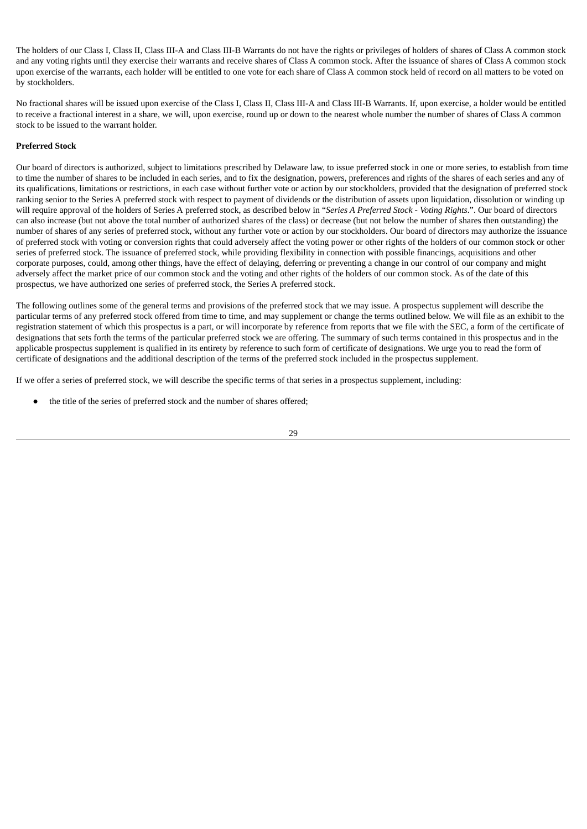The holders of our Class I, Class II, Class III-A and Class III-B Warrants do not have the rights or privileges of holders of shares of Class A common stock and any voting rights until they exercise their warrants and receive shares of Class A common stock. After the issuance of shares of Class A common stock upon exercise of the warrants, each holder will be entitled to one vote for each share of Class A common stock held of record on all matters to be voted on by stockholders.

No fractional shares will be issued upon exercise of the Class I, Class II, Class III-A and Class III-B Warrants. If, upon exercise, a holder would be entitled to receive a fractional interest in a share, we will, upon exercise, round up or down to the nearest whole number the number of shares of Class A common stock to be issued to the warrant holder.

# **Preferred Stock**

Our board of directors is authorized, subject to limitations prescribed by Delaware law, to issue preferred stock in one or more series, to establish from time to time the number of shares to be included in each series, and to fix the designation, powers, preferences and rights of the shares of each series and any of its qualifications, limitations or restrictions, in each case without further vote or action by our stockholders, provided that the designation of preferred stock ranking senior to the Series A preferred stock with respect to payment of dividends or the distribution of assets upon liquidation, dissolution or winding up will require approval of the holders of Series A preferred stock, as described below in "*Series A Preferred Stock - Voting Rights*.". Our board of directors can also increase (but not above the total number of authorized shares of the class) or decrease (but not below the number of shares then outstanding) the number of shares of any series of preferred stock, without any further vote or action by our stockholders. Our board of directors may authorize the issuance of preferred stock with voting or conversion rights that could adversely affect the voting power or other rights of the holders of our common stock or other series of preferred stock. The issuance of preferred stock, while providing flexibility in connection with possible financings, acquisitions and other corporate purposes, could, among other things, have the effect of delaying, deferring or preventing a change in our control of our company and might adversely affect the market price of our common stock and the voting and other rights of the holders of our common stock. As of the date of this prospectus, we have authorized one series of preferred stock, the Series A preferred stock.

The following outlines some of the general terms and provisions of the preferred stock that we may issue. A prospectus supplement will describe the particular terms of any preferred stock offered from time to time, and may supplement or change the terms outlined below. We will file as an exhibit to the registration statement of which this prospectus is a part, or will incorporate by reference from reports that we file with the SEC, a form of the certificate of designations that sets forth the terms of the particular preferred stock we are offering. The summary of such terms contained in this prospectus and in the applicable prospectus supplement is qualified in its entirety by reference to such form of certificate of designations. We urge you to read the form of certificate of designations and the additional description of the terms of the preferred stock included in the prospectus supplement.

If we offer a series of preferred stock, we will describe the specific terms of that series in a prospectus supplement, including:

● the title of the series of preferred stock and the number of shares offered;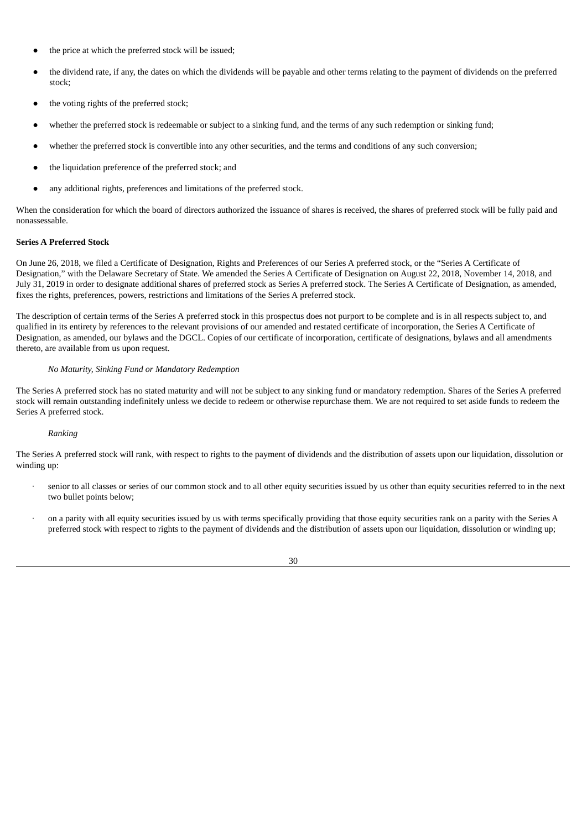- the price at which the preferred stock will be issued:
- the dividend rate, if any, the dates on which the dividends will be payable and other terms relating to the payment of dividends on the preferred stock;
- the voting rights of the preferred stock;
- whether the preferred stock is redeemable or subject to a sinking fund, and the terms of any such redemption or sinking fund;
- whether the preferred stock is convertible into any other securities, and the terms and conditions of any such conversion;
- the liquidation preference of the preferred stock; and
- any additional rights, preferences and limitations of the preferred stock.

When the consideration for which the board of directors authorized the issuance of shares is received, the shares of preferred stock will be fully paid and nonassessable.

# **Series A Preferred Stock**

On June 26, 2018, we filed a Certificate of Designation, Rights and Preferences of our Series A preferred stock, or the "Series A Certificate of Designation," with the Delaware Secretary of State. We amended the Series A Certificate of Designation on August 22, 2018, November 14, 2018, and July 31, 2019 in order to designate additional shares of preferred stock as Series A preferred stock. The Series A Certificate of Designation, as amended, fixes the rights, preferences, powers, restrictions and limitations of the Series A preferred stock.

The description of certain terms of the Series A preferred stock in this prospectus does not purport to be complete and is in all respects subject to, and qualified in its entirety by references to the relevant provisions of our amended and restated certificate of incorporation, the Series A Certificate of Designation, as amended, our bylaws and the DGCL. Copies of our certificate of incorporation, certificate of designations, bylaws and all amendments thereto, are available from us upon request.

# *No Maturity, Sinking Fund or Mandatory Redemption*

The Series A preferred stock has no stated maturity and will not be subject to any sinking fund or mandatory redemption. Shares of the Series A preferred stock will remain outstanding indefinitely unless we decide to redeem or otherwise repurchase them. We are not required to set aside funds to redeem the Series A preferred stock.

# *Ranking*

The Series A preferred stock will rank, with respect to rights to the payment of dividends and the distribution of assets upon our liquidation, dissolution or winding up:

- senior to all classes or series of our common stock and to all other equity securities issued by us other than equity securities referred to in the next two bullet points below;
- · on a parity with all equity securities issued by us with terms specifically providing that those equity securities rank on a parity with the Series A preferred stock with respect to rights to the payment of dividends and the distribution of assets upon our liquidation, dissolution or winding up;

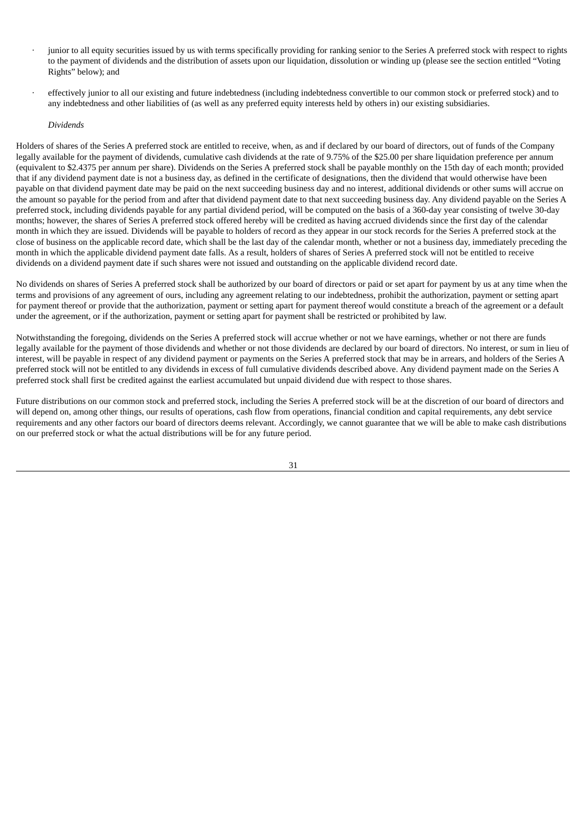- iunior to all equity securities issued by us with terms specifically providing for ranking senior to the Series A preferred stock with respect to rights to the payment of dividends and the distribution of assets upon our liquidation, dissolution or winding up (please see the section entitled "Voting Rights" below); and
- · effectively junior to all our existing and future indebtedness (including indebtedness convertible to our common stock or preferred stock) and to any indebtedness and other liabilities of (as well as any preferred equity interests held by others in) our existing subsidiaries.

## *Dividends*

Holders of shares of the Series A preferred stock are entitled to receive, when, as and if declared by our board of directors, out of funds of the Company legally available for the payment of dividends, cumulative cash dividends at the rate of 9.75% of the \$25.00 per share liquidation preference per annum (equivalent to \$2.4375 per annum per share). Dividends on the Series A preferred stock shall be payable monthly on the 15th day of each month; provided that if any dividend payment date is not a business day, as defined in the certificate of designations, then the dividend that would otherwise have been payable on that dividend payment date may be paid on the next succeeding business day and no interest, additional dividends or other sums will accrue on the amount so payable for the period from and after that dividend payment date to that next succeeding business day. Any dividend payable on the Series A preferred stock, including dividends payable for any partial dividend period, will be computed on the basis of a 360-day year consisting of twelve 30-day months; however, the shares of Series A preferred stock offered hereby will be credited as having accrued dividends since the first day of the calendar month in which they are issued. Dividends will be payable to holders of record as they appear in our stock records for the Series A preferred stock at the close of business on the applicable record date, which shall be the last day of the calendar month, whether or not a business day, immediately preceding the month in which the applicable dividend payment date falls. As a result, holders of shares of Series A preferred stock will not be entitled to receive dividends on a dividend payment date if such shares were not issued and outstanding on the applicable dividend record date.

No dividends on shares of Series A preferred stock shall be authorized by our board of directors or paid or set apart for payment by us at any time when the terms and provisions of any agreement of ours, including any agreement relating to our indebtedness, prohibit the authorization, payment or setting apart for payment thereof or provide that the authorization, payment or setting apart for payment thereof would constitute a breach of the agreement or a default under the agreement, or if the authorization, payment or setting apart for payment shall be restricted or prohibited by law.

Notwithstanding the foregoing, dividends on the Series A preferred stock will accrue whether or not we have earnings, whether or not there are funds legally available for the payment of those dividends and whether or not those dividends are declared by our board of directors. No interest, or sum in lieu of interest, will be payable in respect of any dividend payment or payments on the Series A preferred stock that may be in arrears, and holders of the Series A preferred stock will not be entitled to any dividends in excess of full cumulative dividends described above. Any dividend payment made on the Series A preferred stock shall first be credited against the earliest accumulated but unpaid dividend due with respect to those shares.

Future distributions on our common stock and preferred stock, including the Series A preferred stock will be at the discretion of our board of directors and will depend on, among other things, our results of operations, cash flow from operations, financial condition and capital requirements, any debt service requirements and any other factors our board of directors deems relevant. Accordingly, we cannot guarantee that we will be able to make cash distributions on our preferred stock or what the actual distributions will be for any future period.

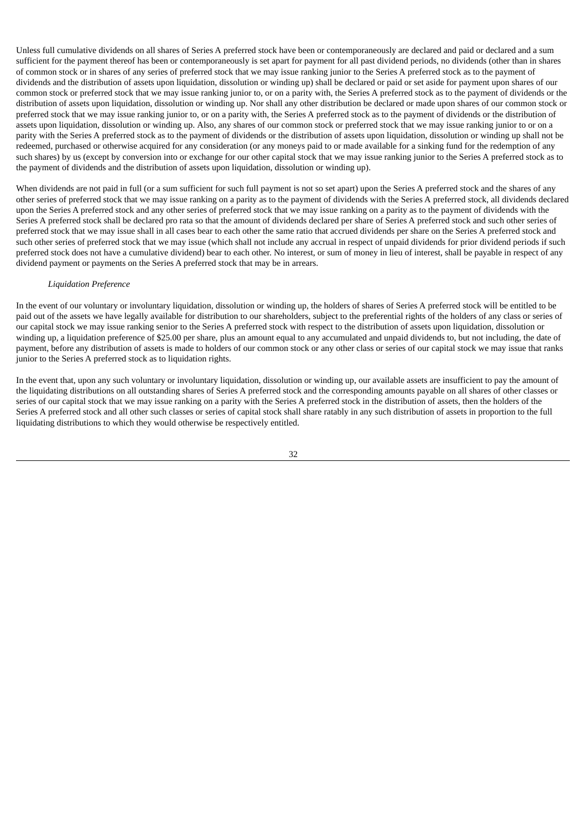Unless full cumulative dividends on all shares of Series A preferred stock have been or contemporaneously are declared and paid or declared and a sum sufficient for the payment thereof has been or contemporaneously is set apart for payment for all past dividend periods, no dividends (other than in shares of common stock or in shares of any series of preferred stock that we may issue ranking junior to the Series A preferred stock as to the payment of dividends and the distribution of assets upon liquidation, dissolution or winding up) shall be declared or paid or set aside for payment upon shares of our common stock or preferred stock that we may issue ranking junior to, or on a parity with, the Series A preferred stock as to the payment of dividends or the distribution of assets upon liquidation, dissolution or winding up. Nor shall any other distribution be declared or made upon shares of our common stock or preferred stock that we may issue ranking junior to, or on a parity with, the Series A preferred stock as to the payment of dividends or the distribution of assets upon liquidation, dissolution or winding up. Also, any shares of our common stock or preferred stock that we may issue ranking junior to or on a parity with the Series A preferred stock as to the payment of dividends or the distribution of assets upon liquidation, dissolution or winding up shall not be redeemed, purchased or otherwise acquired for any consideration (or any moneys paid to or made available for a sinking fund for the redemption of any such shares) by us (except by conversion into or exchange for our other capital stock that we may issue ranking junior to the Series A preferred stock as to the payment of dividends and the distribution of assets upon liquidation, dissolution or winding up).

When dividends are not paid in full (or a sum sufficient for such full payment is not so set apart) upon the Series A preferred stock and the shares of any other series of preferred stock that we may issue ranking on a parity as to the payment of dividends with the Series A preferred stock, all dividends declared upon the Series A preferred stock and any other series of preferred stock that we may issue ranking on a parity as to the payment of dividends with the Series A preferred stock shall be declared pro rata so that the amount of dividends declared per share of Series A preferred stock and such other series of preferred stock that we may issue shall in all cases bear to each other the same ratio that accrued dividends per share on the Series A preferred stock and such other series of preferred stock that we may issue (which shall not include any accrual in respect of unpaid dividends for prior dividend periods if such preferred stock does not have a cumulative dividend) bear to each other. No interest, or sum of money in lieu of interest, shall be payable in respect of any dividend payment or payments on the Series A preferred stock that may be in arrears.

## *Liquidation Preference*

In the event of our voluntary or involuntary liquidation, dissolution or winding up, the holders of shares of Series A preferred stock will be entitled to be paid out of the assets we have legally available for distribution to our shareholders, subject to the preferential rights of the holders of any class or series of our capital stock we may issue ranking senior to the Series A preferred stock with respect to the distribution of assets upon liquidation, dissolution or winding up, a liquidation preference of \$25.00 per share, plus an amount equal to any accumulated and unpaid dividends to, but not including, the date of payment, before any distribution of assets is made to holders of our common stock or any other class or series of our capital stock we may issue that ranks junior to the Series A preferred stock as to liquidation rights.

In the event that, upon any such voluntary or involuntary liquidation, dissolution or winding up, our available assets are insufficient to pay the amount of the liquidating distributions on all outstanding shares of Series A preferred stock and the corresponding amounts payable on all shares of other classes or series of our capital stock that we may issue ranking on a parity with the Series A preferred stock in the distribution of assets, then the holders of the Series A preferred stock and all other such classes or series of capital stock shall share ratably in any such distribution of assets in proportion to the full liquidating distributions to which they would otherwise be respectively entitled.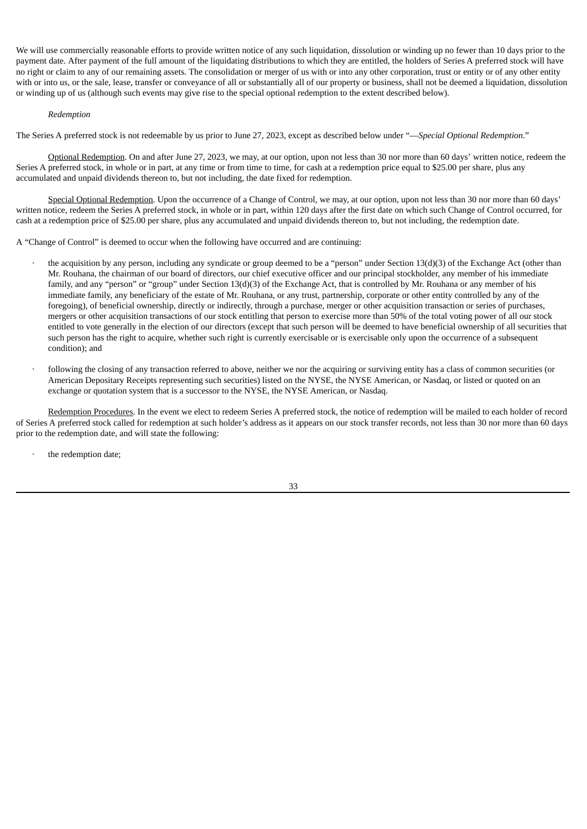We will use commercially reasonable efforts to provide written notice of any such liquidation, dissolution or winding up no fewer than 10 days prior to the payment date. After payment of the full amount of the liquidating distributions to which they are entitled, the holders of Series A preferred stock will have no right or claim to any of our remaining assets. The consolidation or merger of us with or into any other corporation, trust or entity or of any other entity with or into us, or the sale, lease, transfer or conveyance of all or substantially all of our property or business, shall not be deemed a liquidation, dissolution or winding up of us (although such events may give rise to the special optional redemption to the extent described below).

## *Redemption*

The Series A preferred stock is not redeemable by us prior to June 27, 2023, except as described below under "—*Special Optional Redemption*."

Optional Redemption. On and after June 27, 2023, we may, at our option, upon not less than 30 nor more than 60 days' written notice, redeem the Series A preferred stock, in whole or in part, at any time or from time to time, for cash at a redemption price equal to \$25.00 per share, plus any accumulated and unpaid dividends thereon to, but not including, the date fixed for redemption.

Special Optional Redemption. Upon the occurrence of a Change of Control, we may, at our option, upon not less than 30 nor more than 60 days' written notice, redeem the Series A preferred stock, in whole or in part, within 120 days after the first date on which such Change of Control occurred, for cash at a redemption price of \$25.00 per share, plus any accumulated and unpaid dividends thereon to, but not including, the redemption date.

A "Change of Control" is deemed to occur when the following have occurred and are continuing:

- · the acquisition by any person, including any syndicate or group deemed to be a "person" under Section 13(d)(3) of the Exchange Act (other than Mr. Rouhana, the chairman of our board of directors, our chief executive officer and our principal stockholder, any member of his immediate family, and any "person" or "group" under Section 13(d)(3) of the Exchange Act, that is controlled by Mr. Rouhana or any member of his immediate family, any beneficiary of the estate of Mr. Rouhana, or any trust, partnership, corporate or other entity controlled by any of the foregoing), of beneficial ownership, directly or indirectly, through a purchase, merger or other acquisition transaction or series of purchases, mergers or other acquisition transactions of our stock entitling that person to exercise more than 50% of the total voting power of all our stock entitled to vote generally in the election of our directors (except that such person will be deemed to have beneficial ownership of all securities that such person has the right to acquire, whether such right is currently exercisable or is exercisable only upon the occurrence of a subsequent condition); and
- following the closing of any transaction referred to above, neither we nor the acquiring or surviving entity has a class of common securities (or American Depositary Receipts representing such securities) listed on the NYSE, the NYSE American, or Nasdaq, or listed or quoted on an exchange or quotation system that is a successor to the NYSE, the NYSE American, or Nasdaq.

Redemption Procedures. In the event we elect to redeem Series A preferred stock, the notice of redemption will be mailed to each holder of record of Series A preferred stock called for redemption at such holder's address as it appears on our stock transfer records, not less than 30 nor more than 60 days prior to the redemption date, and will state the following:

the redemption date;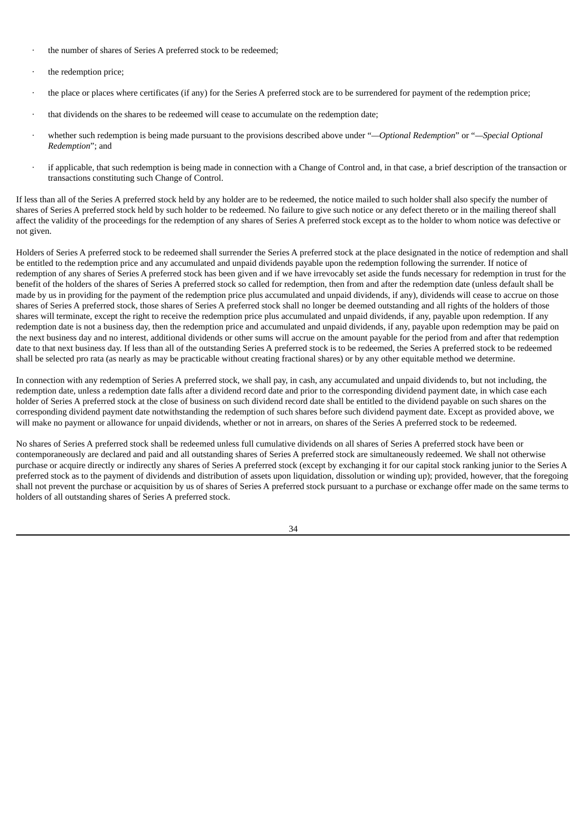- · the number of shares of Series A preferred stock to be redeemed;
- the redemption price;
- · the place or places where certificates (if any) for the Series A preferred stock are to be surrendered for payment of the redemption price;
- · that dividends on the shares to be redeemed will cease to accumulate on the redemption date;
- · whether such redemption is being made pursuant to the provisions described above under "*—Optional Redemption*" or "*—Special Optional Redemption*"; and
- if applicable, that such redemption is being made in connection with a Change of Control and, in that case, a brief description of the transaction or transactions constituting such Change of Control.

If less than all of the Series A preferred stock held by any holder are to be redeemed, the notice mailed to such holder shall also specify the number of shares of Series A preferred stock held by such holder to be redeemed. No failure to give such notice or any defect thereto or in the mailing thereof shall affect the validity of the proceedings for the redemption of any shares of Series A preferred stock except as to the holder to whom notice was defective or not given.

Holders of Series A preferred stock to be redeemed shall surrender the Series A preferred stock at the place designated in the notice of redemption and shall be entitled to the redemption price and any accumulated and unpaid dividends payable upon the redemption following the surrender. If notice of redemption of any shares of Series A preferred stock has been given and if we have irrevocably set aside the funds necessary for redemption in trust for the benefit of the holders of the shares of Series A preferred stock so called for redemption, then from and after the redemption date (unless default shall be made by us in providing for the payment of the redemption price plus accumulated and unpaid dividends, if any), dividends will cease to accrue on those shares of Series A preferred stock, those shares of Series A preferred stock shall no longer be deemed outstanding and all rights of the holders of those shares will terminate, except the right to receive the redemption price plus accumulated and unpaid dividends, if any, payable upon redemption. If any redemption date is not a business day, then the redemption price and accumulated and unpaid dividends, if any, payable upon redemption may be paid on the next business day and no interest, additional dividends or other sums will accrue on the amount payable for the period from and after that redemption date to that next business day. If less than all of the outstanding Series A preferred stock is to be redeemed, the Series A preferred stock to be redeemed shall be selected pro rata (as nearly as may be practicable without creating fractional shares) or by any other equitable method we determine.

In connection with any redemption of Series A preferred stock, we shall pay, in cash, any accumulated and unpaid dividends to, but not including, the redemption date, unless a redemption date falls after a dividend record date and prior to the corresponding dividend payment date, in which case each holder of Series A preferred stock at the close of business on such dividend record date shall be entitled to the dividend payable on such shares on the corresponding dividend payment date notwithstanding the redemption of such shares before such dividend payment date. Except as provided above, we will make no payment or allowance for unpaid dividends, whether or not in arrears, on shares of the Series A preferred stock to be redeemed.

No shares of Series A preferred stock shall be redeemed unless full cumulative dividends on all shares of Series A preferred stock have been or contemporaneously are declared and paid and all outstanding shares of Series A preferred stock are simultaneously redeemed. We shall not otherwise purchase or acquire directly or indirectly any shares of Series A preferred stock (except by exchanging it for our capital stock ranking junior to the Series A preferred stock as to the payment of dividends and distribution of assets upon liquidation, dissolution or winding up); provided, however, that the foregoing shall not prevent the purchase or acquisition by us of shares of Series A preferred stock pursuant to a purchase or exchange offer made on the same terms to holders of all outstanding shares of Series A preferred stock.

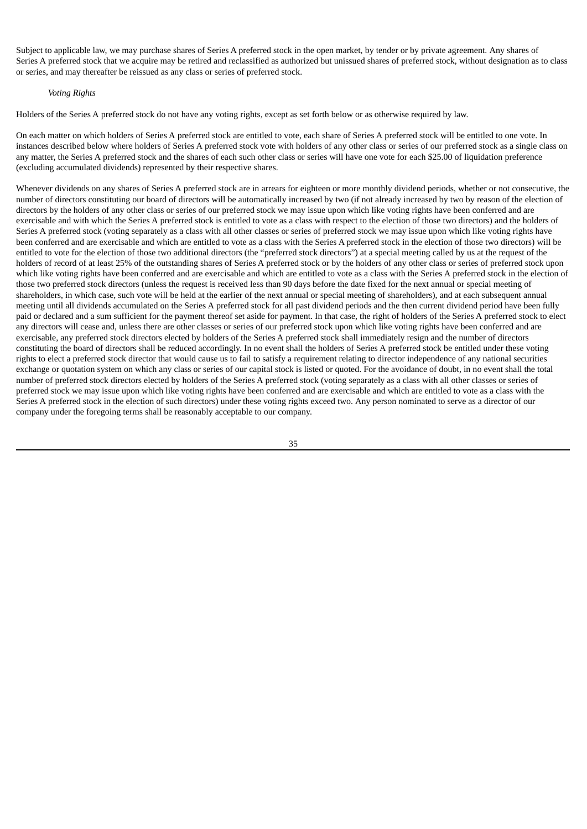Subject to applicable law, we may purchase shares of Series A preferred stock in the open market, by tender or by private agreement. Any shares of Series A preferred stock that we acquire may be retired and reclassified as authorized but unissued shares of preferred stock, without designation as to class or series, and may thereafter be reissued as any class or series of preferred stock.

# *Voting Rights*

Holders of the Series A preferred stock do not have any voting rights, except as set forth below or as otherwise required by law.

On each matter on which holders of Series A preferred stock are entitled to vote, each share of Series A preferred stock will be entitled to one vote. In instances described below where holders of Series A preferred stock vote with holders of any other class or series of our preferred stock as a single class on any matter, the Series A preferred stock and the shares of each such other class or series will have one vote for each \$25.00 of liquidation preference (excluding accumulated dividends) represented by their respective shares.

Whenever dividends on any shares of Series A preferred stock are in arrears for eighteen or more monthly dividend periods, whether or not consecutive, the number of directors constituting our board of directors will be automatically increased by two (if not already increased by two by reason of the election of directors by the holders of any other class or series of our preferred stock we may issue upon which like voting rights have been conferred and are exercisable and with which the Series A preferred stock is entitled to vote as a class with respect to the election of those two directors) and the holders of Series A preferred stock (voting separately as a class with all other classes or series of preferred stock we may issue upon which like voting rights have been conferred and are exercisable and which are entitled to vote as a class with the Series A preferred stock in the election of those two directors) will be entitled to vote for the election of those two additional directors (the "preferred stock directors") at a special meeting called by us at the request of the holders of record of at least 25% of the outstanding shares of Series A preferred stock or by the holders of any other class or series of preferred stock upon which like voting rights have been conferred and are exercisable and which are entitled to vote as a class with the Series A preferred stock in the election of those two preferred stock directors (unless the request is received less than 90 days before the date fixed for the next annual or special meeting of shareholders, in which case, such vote will be held at the earlier of the next annual or special meeting of shareholders), and at each subsequent annual meeting until all dividends accumulated on the Series A preferred stock for all past dividend periods and the then current dividend period have been fully paid or declared and a sum sufficient for the payment thereof set aside for payment. In that case, the right of holders of the Series A preferred stock to elect any directors will cease and, unless there are other classes or series of our preferred stock upon which like voting rights have been conferred and are exercisable, any preferred stock directors elected by holders of the Series A preferred stock shall immediately resign and the number of directors constituting the board of directors shall be reduced accordingly. In no event shall the holders of Series A preferred stock be entitled under these voting rights to elect a preferred stock director that would cause us to fail to satisfy a requirement relating to director independence of any national securities exchange or quotation system on which any class or series of our capital stock is listed or quoted. For the avoidance of doubt, in no event shall the total number of preferred stock directors elected by holders of the Series A preferred stock (voting separately as a class with all other classes or series of preferred stock we may issue upon which like voting rights have been conferred and are exercisable and which are entitled to vote as a class with the Series A preferred stock in the election of such directors) under these voting rights exceed two. Any person nominated to serve as a director of our company under the foregoing terms shall be reasonably acceptable to our company.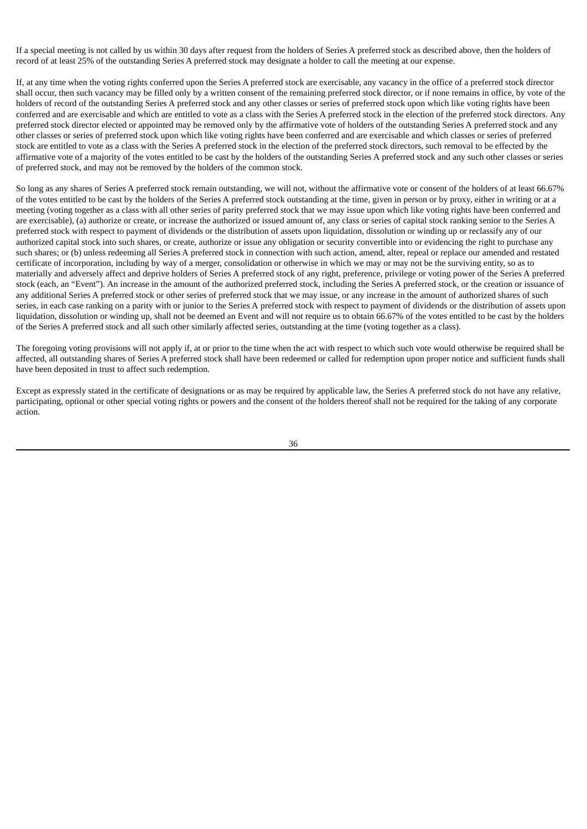If a special meeting is not called by us within 30 days after request from the holders of Series A preferred stock as described above, then the holders of record of at least 25% of the outstanding Series A preferred stock may designate a holder to call the meeting at our expense.

If, at any time when the voting rights conferred upon the Series A preferred stock are exercisable, any vacancy in the office of a preferred stock director shall occur, then such vacancy may be filled only by a written consent of the remaining preferred stock director, or if none remains in office, by vote of the holders of record of the outstanding Series A preferred stock and any other classes or series of preferred stock upon which like voting rights have been conferred and are exercisable and which are entitled to vote as a class with the Series A preferred stock in the election of the preferred stock directors. Any preferred stock director elected or appointed may be removed only by the affirmative vote of holders of the outstanding Series A preferred stock and any other classes or series of preferred stock upon which like voting rights have been conferred and are exercisable and which classes or series of preferred stock are entitled to vote as a class with the Series A preferred stock in the election of the preferred stock directors, such removal to be effected by the affirmative vote of a majority of the votes entitled to be cast by the holders of the outstanding Series A preferred stock and any such other classes or series of preferred stock, and may not be removed by the holders of the common stock.

So long as any shares of Series A preferred stock remain outstanding, we will not, without the affirmative vote or consent of the holders of at least 66.67% of the votes entitled to be cast by the holders of the Series A preferred stock outstanding at the time, given in person or by proxy, either in writing or at a meeting (voting together as a class with all other series of parity preferred stock that we may issue upon which like voting rights have been conferred and are exercisable), (a) authorize or create, or increase the authorized or issued amount of, any class or series of capital stock ranking senior to the Series A preferred stock with respect to payment of dividends or the distribution of assets upon liquidation, dissolution or winding up or reclassify any of our authorized capital stock into such shares, or create, authorize or issue any obligation or security convertible into or evidencing the right to purchase any such shares; or (b) unless redeeming all Series A preferred stock in connection with such action, amend, alter, repeal or replace our amended and restated certificate of incorporation, including by way of a merger, consolidation or otherwise in which we may or may not be the surviving entity, so as to materially and adversely affect and deprive holders of Series A preferred stock of any right, preference, privilege or voting power of the Series A preferred stock (each, an "Event"). An increase in the amount of the authorized preferred stock, including the Series A preferred stock, or the creation or issuance of any additional Series A preferred stock or other series of preferred stock that we may issue, or any increase in the amount of authorized shares of such series, in each case ranking on a parity with or junior to the Series A preferred stock with respect to payment of dividends or the distribution of assets upon liquidation, dissolution or winding up, shall not be deemed an Event and will not require us to obtain 66.67% of the votes entitled to be cast by the holders of the Series A preferred stock and all such other similarly affected series, outstanding at the time (voting together as a class).

The foregoing voting provisions will not apply if, at or prior to the time when the act with respect to which such vote would otherwise be required shall be affected, all outstanding shares of Series A preferred stock shall have been redeemed or called for redemption upon proper notice and sufficient funds shall have been deposited in trust to affect such redemption.

Except as expressly stated in the certificate of designations or as may be required by applicable law, the Series A preferred stock do not have any relative, participating, optional or other special voting rights or powers and the consent of the holders thereof shall not be required for the taking of any corporate action.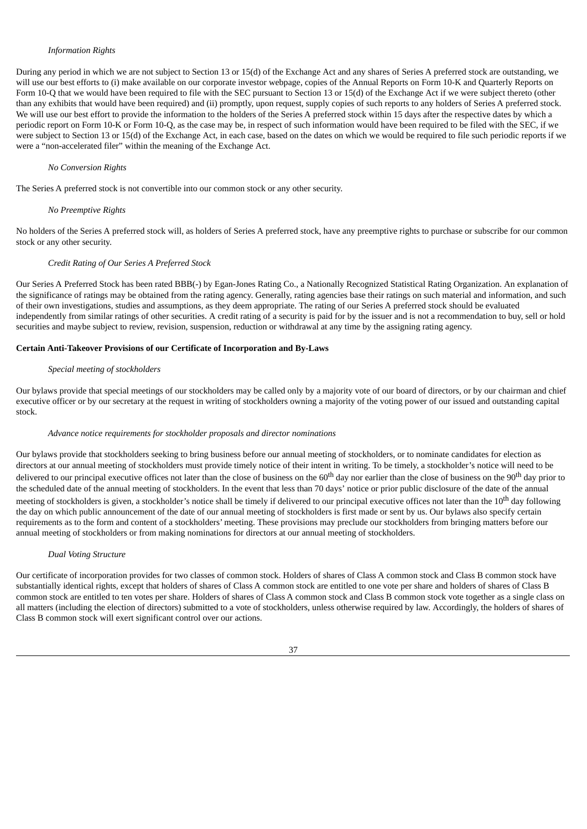## *Information Rights*

During any period in which we are not subject to Section 13 or 15(d) of the Exchange Act and any shares of Series A preferred stock are outstanding, we will use our best efforts to (i) make available on our corporate investor webpage, copies of the Annual Reports on Form 10-K and Quarterly Reports on Form 10-Q that we would have been required to file with the SEC pursuant to Section 13 or 15(d) of the Exchange Act if we were subject thereto (other than any exhibits that would have been required) and (ii) promptly, upon request, supply copies of such reports to any holders of Series A preferred stock. We will use our best effort to provide the information to the holders of the Series A preferred stock within 15 days after the respective dates by which a periodic report on Form 10-K or Form 10-Q, as the case may be, in respect of such information would have been required to be filed with the SEC, if we were subject to Section 13 or 15(d) of the Exchange Act, in each case, based on the dates on which we would be required to file such periodic reports if we were a "non-accelerated filer" within the meaning of the Exchange Act.

## *No Conversion Rights*

The Series A preferred stock is not convertible into our common stock or any other security.

## *No Preemptive Rights*

No holders of the Series A preferred stock will, as holders of Series A preferred stock, have any preemptive rights to purchase or subscribe for our common stock or any other security.

# *Credit Rating of Our Series A Preferred Stock*

Our Series A Preferred Stock has been rated BBB(-) by Egan-Jones Rating Co., a Nationally Recognized Statistical Rating Organization. An explanation of the significance of ratings may be obtained from the rating agency. Generally, rating agencies base their ratings on such material and information, and such of their own investigations, studies and assumptions, as they deem appropriate. The rating of our Series A preferred stock should be evaluated independently from similar ratings of other securities. A credit rating of a security is paid for by the issuer and is not a recommendation to buy, sell or hold securities and maybe subject to review, revision, suspension, reduction or withdrawal at any time by the assigning rating agency.

## **Certain Anti-Takeover Provisions of our Certificate of Incorporation and By-Laws**

## *Special meeting of stockholders*

Our bylaws provide that special meetings of our stockholders may be called only by a majority vote of our board of directors, or by our chairman and chief executive officer or by our secretary at the request in writing of stockholders owning a majority of the voting power of our issued and outstanding capital stock.

#### *Advance notice requirements for stockholder proposals and director nominations*

Our bylaws provide that stockholders seeking to bring business before our annual meeting of stockholders, or to nominate candidates for election as directors at our annual meeting of stockholders must provide timely notice of their intent in writing. To be timely, a stockholder's notice will need to be delivered to our principal executive offices not later than the close of business on the 60<sup>th</sup> day nor earlier than the close of business on the 90<sup>th</sup> day prior to the scheduled date of the annual meeting of stockholders. In the event that less than 70 days' notice or prior public disclosure of the date of the annual meeting of stockholders is given, a stockholder's notice shall be timely if delivered to our principal executive offices not later than the 10<sup>th</sup> day following the day on which public announcement of the date of our annual meeting of stockholders is first made or sent by us. Our bylaws also specify certain requirements as to the form and content of a stockholders' meeting. These provisions may preclude our stockholders from bringing matters before our annual meeting of stockholders or from making nominations for directors at our annual meeting of stockholders.

## *Dual Voting Structure*

Our certificate of incorporation provides for two classes of common stock. Holders of shares of Class A common stock and Class B common stock have substantially identical rights, except that holders of shares of Class A common stock are entitled to one vote per share and holders of shares of Class B common stock are entitled to ten votes per share. Holders of shares of Class A common stock and Class B common stock vote together as a single class on all matters (including the election of directors) submitted to a vote of stockholders, unless otherwise required by law. Accordingly, the holders of shares of Class B common stock will exert significant control over our actions.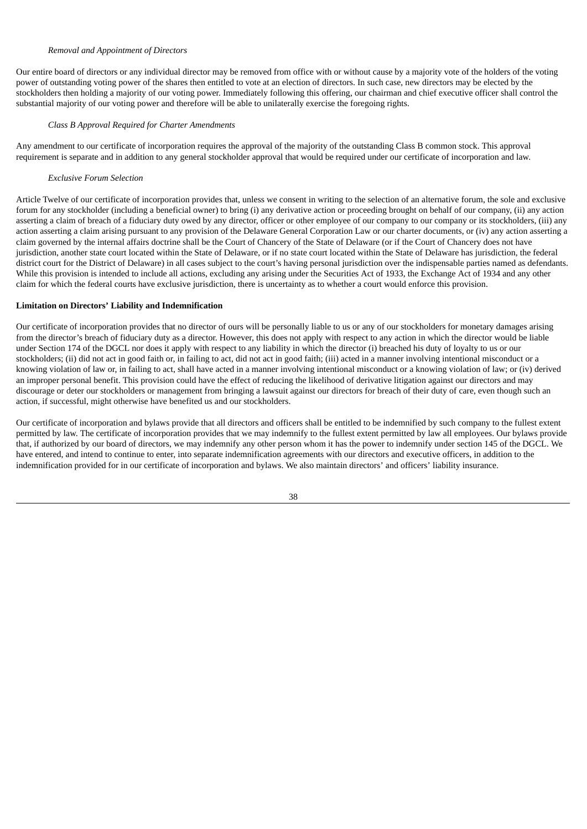## *Removal and Appointment of Directors*

Our entire board of directors or any individual director may be removed from office with or without cause by a majority vote of the holders of the voting power of outstanding voting power of the shares then entitled to vote at an election of directors. In such case, new directors may be elected by the stockholders then holding a majority of our voting power. Immediately following this offering, our chairman and chief executive officer shall control the substantial majority of our voting power and therefore will be able to unilaterally exercise the foregoing rights.

## *Class B Approval Required for Charter Amendments*

Any amendment to our certificate of incorporation requires the approval of the majority of the outstanding Class B common stock. This approval requirement is separate and in addition to any general stockholder approval that would be required under our certificate of incorporation and law.

## *Exclusive Forum Selection*

Article Twelve of our certificate of incorporation provides that, unless we consent in writing to the selection of an alternative forum, the sole and exclusive forum for any stockholder (including a beneficial owner) to bring (i) any derivative action or proceeding brought on behalf of our company, (ii) any action asserting a claim of breach of a fiduciary duty owed by any director, officer or other employee of our company to our company or its stockholders, (iii) any action asserting a claim arising pursuant to any provision of the Delaware General Corporation Law or our charter documents, or (iv) any action asserting a claim governed by the internal affairs doctrine shall be the Court of Chancery of the State of Delaware (or if the Court of Chancery does not have jurisdiction, another state court located within the State of Delaware, or if no state court located within the State of Delaware has jurisdiction, the federal district court for the District of Delaware) in all cases subject to the court's having personal jurisdiction over the indispensable parties named as defendants. While this provision is intended to include all actions, excluding any arising under the Securities Act of 1933, the Exchange Act of 1934 and any other claim for which the federal courts have exclusive jurisdiction, there is uncertainty as to whether a court would enforce this provision.

## **Limitation on Directors' Liability and Indemnification**

Our certificate of incorporation provides that no director of ours will be personally liable to us or any of our stockholders for monetary damages arising from the director's breach of fiduciary duty as a director. However, this does not apply with respect to any action in which the director would be liable under Section 174 of the DGCL nor does it apply with respect to any liability in which the director (i) breached his duty of loyalty to us or our stockholders; (ii) did not act in good faith or, in failing to act, did not act in good faith; (iii) acted in a manner involving intentional misconduct or a knowing violation of law or, in failing to act, shall have acted in a manner involving intentional misconduct or a knowing violation of law; or (iv) derived an improper personal benefit. This provision could have the effect of reducing the likelihood of derivative litigation against our directors and may discourage or deter our stockholders or management from bringing a lawsuit against our directors for breach of their duty of care, even though such an action, if successful, might otherwise have benefited us and our stockholders.

Our certificate of incorporation and bylaws provide that all directors and officers shall be entitled to be indemnified by such company to the fullest extent permitted by law. The certificate of incorporation provides that we may indemnify to the fullest extent permitted by law all employees. Our bylaws provide that, if authorized by our board of directors, we may indemnify any other person whom it has the power to indemnify under section 145 of the DGCL. We have entered, and intend to continue to enter, into separate indemnification agreements with our directors and executive officers, in addition to the indemnification provided for in our certificate of incorporation and bylaws. We also maintain directors' and officers' liability insurance.

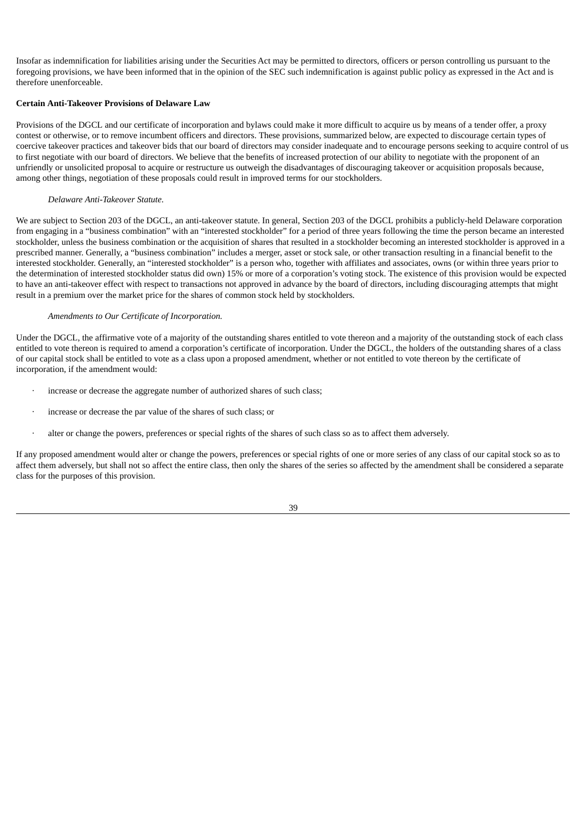Insofar as indemnification for liabilities arising under the Securities Act may be permitted to directors, officers or person controlling us pursuant to the foregoing provisions, we have been informed that in the opinion of the SEC such indemnification is against public policy as expressed in the Act and is therefore unenforceable.

# **Certain Anti-Takeover Provisions of Delaware Law**

Provisions of the DGCL and our certificate of incorporation and bylaws could make it more difficult to acquire us by means of a tender offer, a proxy contest or otherwise, or to remove incumbent officers and directors. These provisions, summarized below, are expected to discourage certain types of coercive takeover practices and takeover bids that our board of directors may consider inadequate and to encourage persons seeking to acquire control of us to first negotiate with our board of directors. We believe that the benefits of increased protection of our ability to negotiate with the proponent of an unfriendly or unsolicited proposal to acquire or restructure us outweigh the disadvantages of discouraging takeover or acquisition proposals because, among other things, negotiation of these proposals could result in improved terms for our stockholders.

### *Delaware Anti-Takeover Statute.*

We are subject to Section 203 of the DGCL, an anti-takeover statute. In general, Section 203 of the DGCL prohibits a publicly-held Delaware corporation from engaging in a "business combination" with an "interested stockholder" for a period of three years following the time the person became an interested stockholder, unless the business combination or the acquisition of shares that resulted in a stockholder becoming an interested stockholder is approved in a prescribed manner. Generally, a "business combination" includes a merger, asset or stock sale, or other transaction resulting in a financial benefit to the interested stockholder. Generally, an "interested stockholder" is a person who, together with affiliates and associates, owns (or within three years prior to the determination of interested stockholder status did own) 15% or more of a corporation's voting stock. The existence of this provision would be expected to have an anti-takeover effect with respect to transactions not approved in advance by the board of directors, including discouraging attempts that might result in a premium over the market price for the shares of common stock held by stockholders.

## *Amendments to Our Certificate of Incorporation.*

Under the DGCL, the affirmative vote of a majority of the outstanding shares entitled to vote thereon and a majority of the outstanding stock of each class entitled to vote thereon is required to amend a corporation's certificate of incorporation. Under the DGCL, the holders of the outstanding shares of a class of our capital stock shall be entitled to vote as a class upon a proposed amendment, whether or not entitled to vote thereon by the certificate of incorporation, if the amendment would:

- increase or decrease the aggregate number of authorized shares of such class;
- increase or decrease the par value of the shares of such class; or
- alter or change the powers, preferences or special rights of the shares of such class so as to affect them adversely.

If any proposed amendment would alter or change the powers, preferences or special rights of one or more series of any class of our capital stock so as to affect them adversely, but shall not so affect the entire class, then only the shares of the series so affected by the amendment shall be considered a separate class for the purposes of this provision.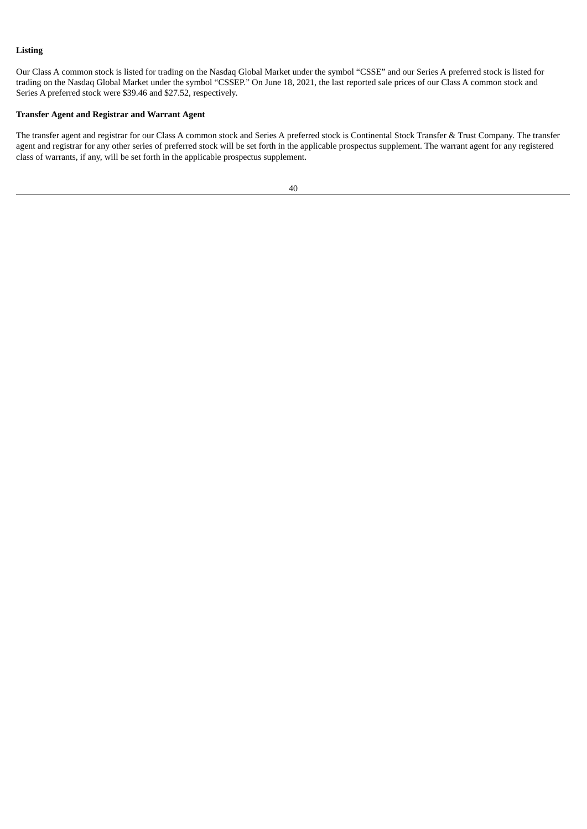# **Listing**

Our Class A common stock is listed for trading on the Nasdaq Global Market under the symbol "CSSE" and our Series A preferred stock is listed for trading on the Nasdaq Global Market under the symbol "CSSEP." On June 18, 2021, the last reported sale prices of our Class A common stock and Series A preferred stock were \$39.46 and \$27.52, respectively.

# **Transfer Agent and Registrar and Warrant Agent**

The transfer agent and registrar for our Class A common stock and Series A preferred stock is Continental Stock Transfer & Trust Company. The transfer agent and registrar for any other series of preferred stock will be set forth in the applicable prospectus supplement. The warrant agent for any registered class of warrants, if any, will be set forth in the applicable prospectus supplement.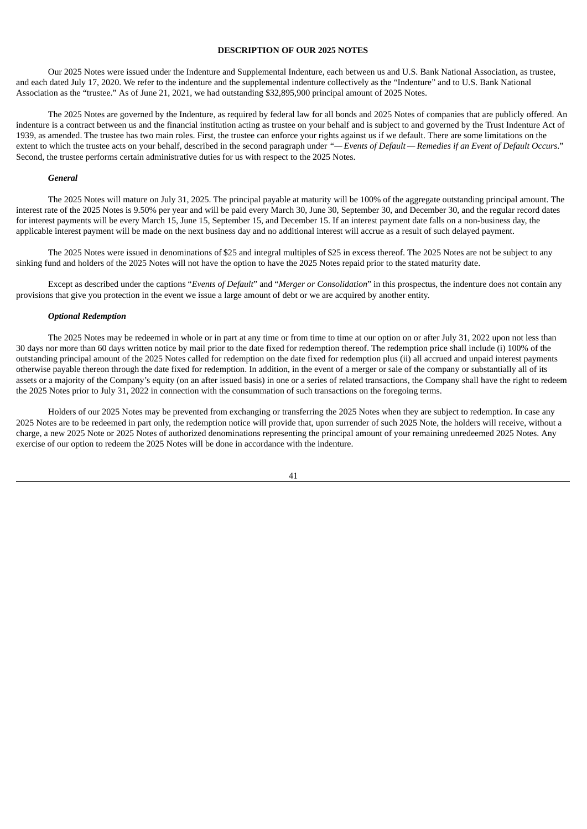# **DESCRIPTION OF OUR 2025 NOTES**

Our 2025 Notes were issued under the Indenture and Supplemental Indenture, each between us and U.S. Bank National Association, as trustee, and each dated July 17, 2020. We refer to the indenture and the supplemental indenture collectively as the "Indenture" and to U.S. Bank National Association as the "trustee." As of June 21, 2021, we had outstanding \$32,895,900 principal amount of 2025 Notes.

The 2025 Notes are governed by the Indenture, as required by federal law for all bonds and 2025 Notes of companies that are publicly offered. An indenture is a contract between us and the financial institution acting as trustee on your behalf and is subject to and governed by the Trust Indenture Act of 1939, as amended. The trustee has two main roles. First, the trustee can enforce your rights against us if we default. There are some limitations on the extent to which the trustee acts on your behalf, described in the second paragraph under "-Events of Default - Remedies if an Event of Default Occurs." Second, the trustee performs certain administrative duties for us with respect to the 2025 Notes.

### *General*

The 2025 Notes will mature on July 31, 2025. The principal payable at maturity will be 100% of the aggregate outstanding principal amount. The interest rate of the 2025 Notes is 9.50% per year and will be paid every March 30, June 30, September 30, and December 30, and the regular record dates for interest payments will be every March 15, June 15, September 15, and December 15. If an interest payment date falls on a non-business day, the applicable interest payment will be made on the next business day and no additional interest will accrue as a result of such delayed payment.

The 2025 Notes were issued in denominations of \$25 and integral multiples of \$25 in excess thereof. The 2025 Notes are not be subject to any sinking fund and holders of the 2025 Notes will not have the option to have the 2025 Notes repaid prior to the stated maturity date.

Except as described under the captions "*Events of Default*" and "*Merger or Consolidation*" in this prospectus, the indenture does not contain any provisions that give you protection in the event we issue a large amount of debt or we are acquired by another entity.

### *Optional Redemption*

The 2025 Notes may be redeemed in whole or in part at any time or from time to time at our option on or after July 31, 2022 upon not less than 30 days nor more than 60 days written notice by mail prior to the date fixed for redemption thereof. The redemption price shall include (i) 100% of the outstanding principal amount of the 2025 Notes called for redemption on the date fixed for redemption plus (ii) all accrued and unpaid interest payments otherwise payable thereon through the date fixed for redemption. In addition, in the event of a merger or sale of the company or substantially all of its assets or a majority of the Company's equity (on an after issued basis) in one or a series of related transactions, the Company shall have the right to redeem the 2025 Notes prior to July 31, 2022 in connection with the consummation of such transactions on the foregoing terms.

Holders of our 2025 Notes may be prevented from exchanging or transferring the 2025 Notes when they are subject to redemption. In case any 2025 Notes are to be redeemed in part only, the redemption notice will provide that, upon surrender of such 2025 Note, the holders will receive, without a charge, a new 2025 Note or 2025 Notes of authorized denominations representing the principal amount of your remaining unredeemed 2025 Notes. Any exercise of our option to redeem the 2025 Notes will be done in accordance with the indenture.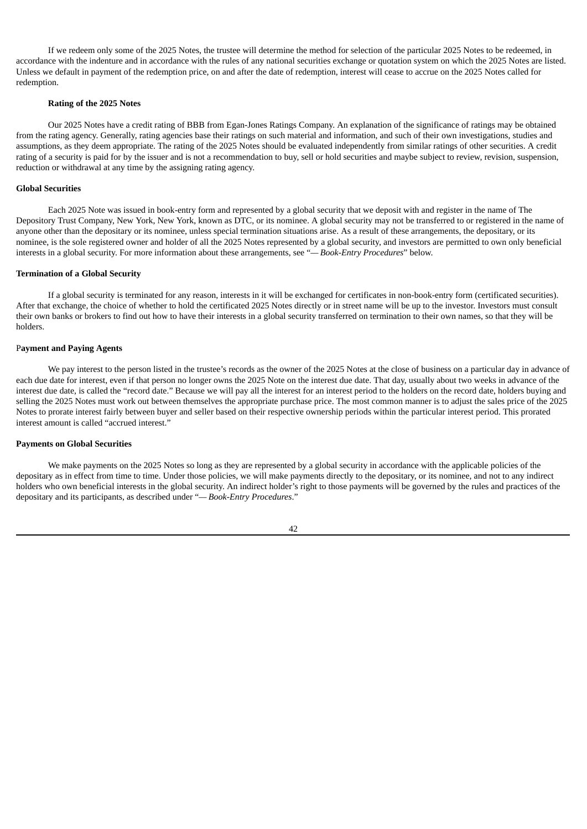If we redeem only some of the 2025 Notes, the trustee will determine the method for selection of the particular 2025 Notes to be redeemed, in accordance with the indenture and in accordance with the rules of any national securities exchange or quotation system on which the 2025 Notes are listed. Unless we default in payment of the redemption price, on and after the date of redemption, interest will cease to accrue on the 2025 Notes called for redemption.

### **Rating of the 2025 Notes**

Our 2025 Notes have a credit rating of BBB from Egan-Jones Ratings Company. An explanation of the significance of ratings may be obtained from the rating agency. Generally, rating agencies base their ratings on such material and information, and such of their own investigations, studies and assumptions, as they deem appropriate. The rating of the 2025 Notes should be evaluated independently from similar ratings of other securities. A credit rating of a security is paid for by the issuer and is not a recommendation to buy, sell or hold securities and maybe subject to review, revision, suspension, reduction or withdrawal at any time by the assigning rating agency.

# **Global Securities**

Each 2025 Note was issued in book-entry form and represented by a global security that we deposit with and register in the name of The Depository Trust Company, New York, New York, known as DTC, or its nominee. A global security may not be transferred to or registered in the name of anyone other than the depositary or its nominee, unless special termination situations arise. As a result of these arrangements, the depositary, or its nominee, is the sole registered owner and holder of all the 2025 Notes represented by a global security, and investors are permitted to own only beneficial interests in a global security. For more information about these arrangements, see "*— Book-Entry Procedures*" below.

# **Termination of a Global Security**

If a global security is terminated for any reason, interests in it will be exchanged for certificates in non-book-entry form (certificated securities). After that exchange, the choice of whether to hold the certificated 2025 Notes directly or in street name will be up to the investor. Investors must consult their own banks or brokers to find out how to have their interests in a global security transferred on termination to their own names, so that they will be holders.

## P**ayment and Paying Agents**

We pay interest to the person listed in the trustee's records as the owner of the 2025 Notes at the close of business on a particular day in advance of each due date for interest, even if that person no longer owns the 2025 Note on the interest due date. That day, usually about two weeks in advance of the interest due date, is called the "record date." Because we will pay all the interest for an interest period to the holders on the record date, holders buying and selling the 2025 Notes must work out between themselves the appropriate purchase price. The most common manner is to adjust the sales price of the 2025 Notes to prorate interest fairly between buyer and seller based on their respective ownership periods within the particular interest period. This prorated interest amount is called "accrued interest."

#### **Payments on Global Securities**

We make payments on the 2025 Notes so long as they are represented by a global security in accordance with the applicable policies of the depositary as in effect from time to time. Under those policies, we will make payments directly to the depositary, or its nominee, and not to any indirect holders who own beneficial interests in the global security. An indirect holder's right to those payments will be governed by the rules and practices of the depositary and its participants, as described under "*— Book-Entry Procedures*."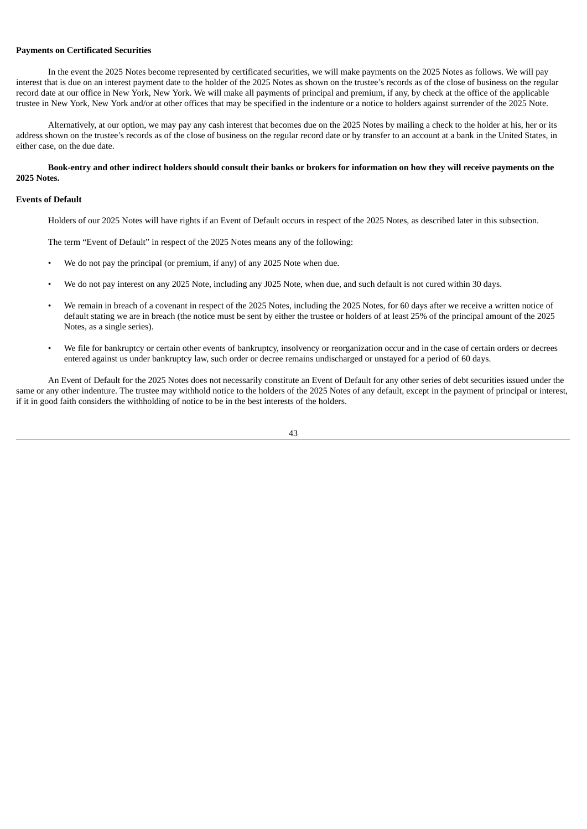### **Payments on Certificated Securities**

In the event the 2025 Notes become represented by certificated securities, we will make payments on the 2025 Notes as follows. We will pay interest that is due on an interest payment date to the holder of the 2025 Notes as shown on the trustee's records as of the close of business on the regular record date at our office in New York, New York. We will make all payments of principal and premium, if any, by check at the office of the applicable trustee in New York, New York and/or at other offices that may be specified in the indenture or a notice to holders against surrender of the 2025 Note.

Alternatively, at our option, we may pay any cash interest that becomes due on the 2025 Notes by mailing a check to the holder at his, her or its address shown on the trustee's records as of the close of business on the regular record date or by transfer to an account at a bank in the United States, in either case, on the due date.

# Book-entry and other indirect holders should consult their banks or brokers for information on how they will receive payments on the **2025 Notes.**

# **Events of Default**

Holders of our 2025 Notes will have rights if an Event of Default occurs in respect of the 2025 Notes, as described later in this subsection.

The term "Event of Default" in respect of the 2025 Notes means any of the following:

- We do not pay the principal (or premium, if any) of any 2025 Note when due.
- We do not pay interest on any 2025 Note, including any J025 Note, when due, and such default is not cured within 30 days.
- We remain in breach of a covenant in respect of the 2025 Notes, including the 2025 Notes, for 60 days after we receive a written notice of default stating we are in breach (the notice must be sent by either the trustee or holders of at least 25% of the principal amount of the 2025 Notes, as a single series).
- We file for bankruptcy or certain other events of bankruptcy, insolvency or reorganization occur and in the case of certain orders or decrees entered against us under bankruptcy law, such order or decree remains undischarged or unstayed for a period of 60 days.

An Event of Default for the 2025 Notes does not necessarily constitute an Event of Default for any other series of debt securities issued under the same or any other indenture. The trustee may withhold notice to the holders of the 2025 Notes of any default, except in the payment of principal or interest, if it in good faith considers the withholding of notice to be in the best interests of the holders.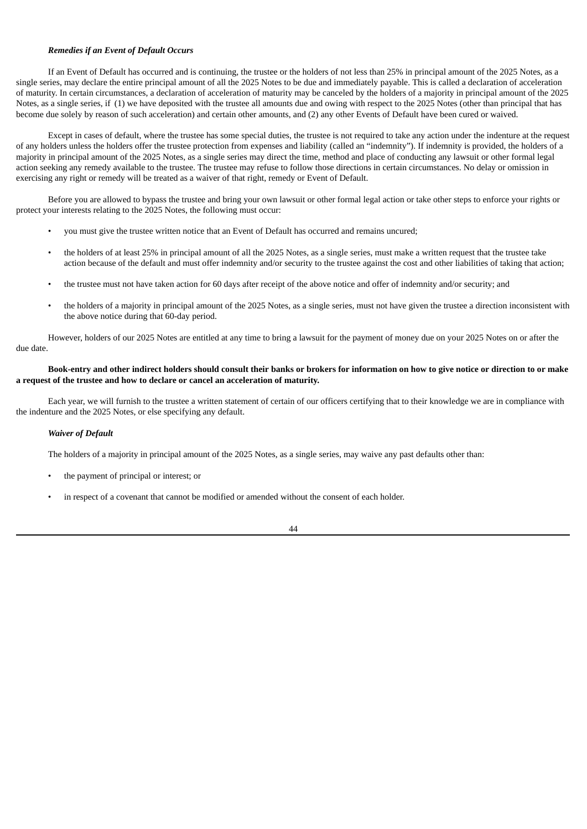## *Remedies if an Event of Default Occurs*

If an Event of Default has occurred and is continuing, the trustee or the holders of not less than 25% in principal amount of the 2025 Notes, as a single series, may declare the entire principal amount of all the 2025 Notes to be due and immediately payable. This is called a declaration of acceleration of maturity. In certain circumstances, a declaration of acceleration of maturity may be canceled by the holders of a majority in principal amount of the 2025 Notes, as a single series, if (1) we have deposited with the trustee all amounts due and owing with respect to the 2025 Notes (other than principal that has become due solely by reason of such acceleration) and certain other amounts, and (2) any other Events of Default have been cured or waived.

Except in cases of default, where the trustee has some special duties, the trustee is not required to take any action under the indenture at the request of any holders unless the holders offer the trustee protection from expenses and liability (called an "indemnity"). If indemnity is provided, the holders of a majority in principal amount of the 2025 Notes, as a single series may direct the time, method and place of conducting any lawsuit or other formal legal action seeking any remedy available to the trustee. The trustee may refuse to follow those directions in certain circumstances. No delay or omission in exercising any right or remedy will be treated as a waiver of that right, remedy or Event of Default.

Before you are allowed to bypass the trustee and bring your own lawsuit or other formal legal action or take other steps to enforce your rights or protect your interests relating to the 2025 Notes, the following must occur:

- you must give the trustee written notice that an Event of Default has occurred and remains uncured;
- the holders of at least 25% in principal amount of all the 2025 Notes, as a single series, must make a written request that the trustee take action because of the default and must offer indemnity and/or security to the trustee against the cost and other liabilities of taking that action;
- the trustee must not have taken action for 60 days after receipt of the above notice and offer of indemnity and/or security; and
- the holders of a majority in principal amount of the 2025 Notes, as a single series, must not have given the trustee a direction inconsistent with the above notice during that 60-day period.

However, holders of our 2025 Notes are entitled at any time to bring a lawsuit for the payment of money due on your 2025 Notes on or after the due date.

## Book-entry and other indirect holders should consult their banks or brokers for information on how to give notice or direction to or make **a request of the trustee and how to declare or cancel an acceleration of maturity.**

Each year, we will furnish to the trustee a written statement of certain of our officers certifying that to their knowledge we are in compliance with the indenture and the 2025 Notes, or else specifying any default.

#### *Waiver of Default*

The holders of a majority in principal amount of the 2025 Notes, as a single series, may waive any past defaults other than:

- the payment of principal or interest; or
- in respect of a covenant that cannot be modified or amended without the consent of each holder.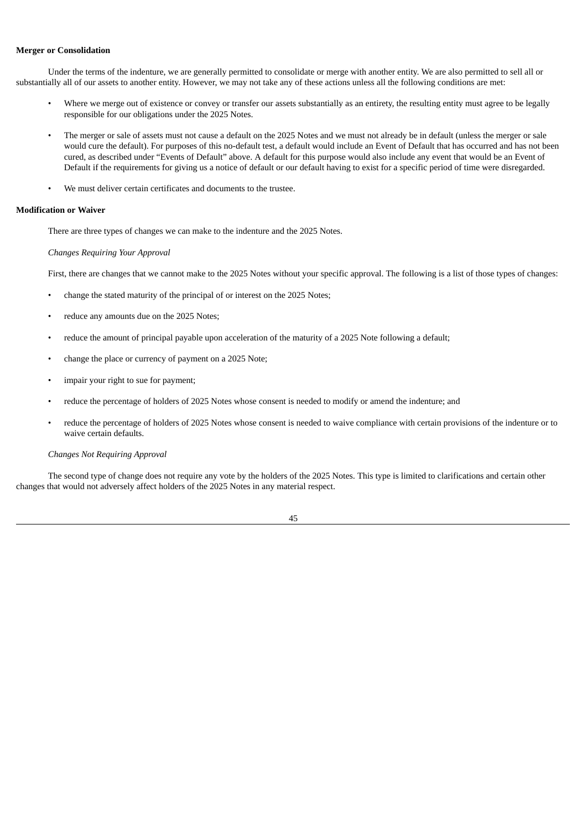## **Merger or Consolidation**

Under the terms of the indenture, we are generally permitted to consolidate or merge with another entity. We are also permitted to sell all or substantially all of our assets to another entity. However, we may not take any of these actions unless all the following conditions are met:

- Where we merge out of existence or convey or transfer our assets substantially as an entirety, the resulting entity must agree to be legally responsible for our obligations under the 2025 Notes.
- The merger or sale of assets must not cause a default on the 2025 Notes and we must not already be in default (unless the merger or sale would cure the default). For purposes of this no-default test, a default would include an Event of Default that has occurred and has not been cured, as described under "Events of Default" above. A default for this purpose would also include any event that would be an Event of Default if the requirements for giving us a notice of default or our default having to exist for a specific period of time were disregarded.
- We must deliver certain certificates and documents to the trustee.

### **Modification or Waiver**

There are three types of changes we can make to the indenture and the 2025 Notes.

# *Changes Requiring Your Approval*

First, there are changes that we cannot make to the 2025 Notes without your specific approval. The following is a list of those types of changes:

- change the stated maturity of the principal of or interest on the 2025 Notes;
- reduce any amounts due on the 2025 Notes;
- reduce the amount of principal payable upon acceleration of the maturity of a 2025 Note following a default;
- change the place or currency of payment on a 2025 Note;
- impair your right to sue for payment;
- reduce the percentage of holders of 2025 Notes whose consent is needed to modify or amend the indenture; and
- reduce the percentage of holders of 2025 Notes whose consent is needed to waive compliance with certain provisions of the indenture or to waive certain defaults.

#### *Changes Not Requiring Approval*

The second type of change does not require any vote by the holders of the 2025 Notes. This type is limited to clarifications and certain other changes that would not adversely affect holders of the 2025 Notes in any material respect.

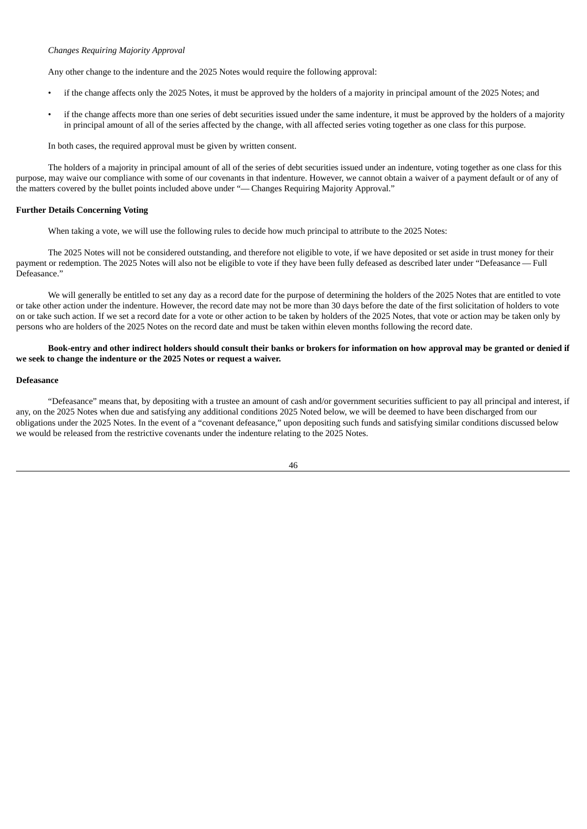# *Changes Requiring Majority Approval*

Any other change to the indenture and the 2025 Notes would require the following approval:

- if the change affects only the 2025 Notes, it must be approved by the holders of a majority in principal amount of the 2025 Notes; and
- if the change affects more than one series of debt securities issued under the same indenture, it must be approved by the holders of a majority in principal amount of all of the series affected by the change, with all affected series voting together as one class for this purpose.

In both cases, the required approval must be given by written consent.

The holders of a majority in principal amount of all of the series of debt securities issued under an indenture, voting together as one class for this purpose, may waive our compliance with some of our covenants in that indenture. However, we cannot obtain a waiver of a payment default or of any of the matters covered by the bullet points included above under "— Changes Requiring Majority Approval."

## **Further Details Concerning Voting**

When taking a vote, we will use the following rules to decide how much principal to attribute to the 2025 Notes:

The 2025 Notes will not be considered outstanding, and therefore not eligible to vote, if we have deposited or set aside in trust money for their payment or redemption. The 2025 Notes will also not be eligible to vote if they have been fully defeased as described later under "Defeasance — Full Defeasance."

We will generally be entitled to set any day as a record date for the purpose of determining the holders of the 2025 Notes that are entitled to vote or take other action under the indenture. However, the record date may not be more than 30 days before the date of the first solicitation of holders to vote on or take such action. If we set a record date for a vote or other action to be taken by holders of the 2025 Notes, that vote or action may be taken only by persons who are holders of the 2025 Notes on the record date and must be taken within eleven months following the record date.

# Book-entry and other indirect holders should consult their banks or brokers for information on how approval may be granted or denied if **we seek to change the indenture or the 2025 Notes or request a waiver.**

#### **Defeasance**

"Defeasance" means that, by depositing with a trustee an amount of cash and/or government securities sufficient to pay all principal and interest, if any, on the 2025 Notes when due and satisfying any additional conditions 2025 Noted below, we will be deemed to have been discharged from our obligations under the 2025 Notes. In the event of a "covenant defeasance," upon depositing such funds and satisfying similar conditions discussed below we would be released from the restrictive covenants under the indenture relating to the 2025 Notes.

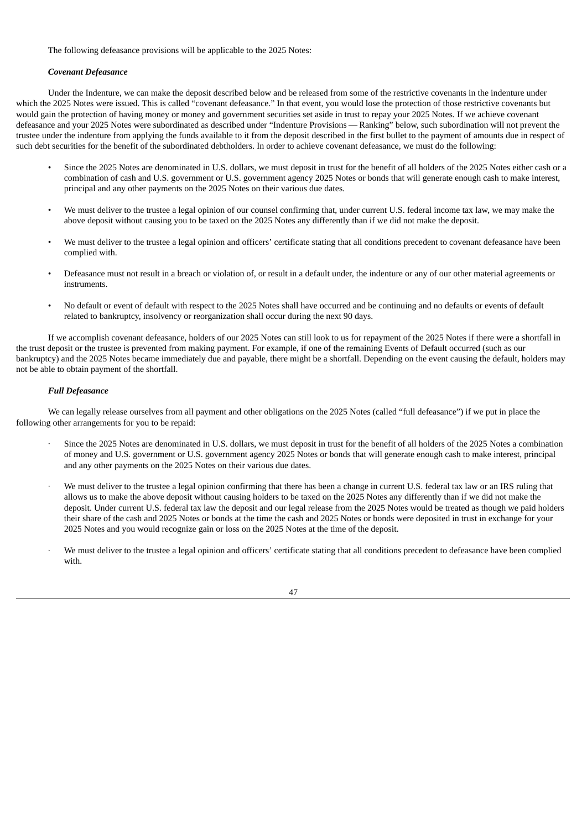The following defeasance provisions will be applicable to the 2025 Notes:

## *Covenant Defeasance*

Under the Indenture, we can make the deposit described below and be released from some of the restrictive covenants in the indenture under which the 2025 Notes were issued. This is called "covenant defeasance." In that event, you would lose the protection of those restrictive covenants but would gain the protection of having money or money and government securities set aside in trust to repay your 2025 Notes. If we achieve covenant defeasance and your 2025 Notes were subordinated as described under "Indenture Provisions — Ranking" below, such subordination will not prevent the trustee under the indenture from applying the funds available to it from the deposit described in the first bullet to the payment of amounts due in respect of such debt securities for the benefit of the subordinated debtholders. In order to achieve covenant defeasance, we must do the following:

- Since the 2025 Notes are denominated in U.S. dollars, we must deposit in trust for the benefit of all holders of the 2025 Notes either cash or a combination of cash and U.S. government or U.S. government agency 2025 Notes or bonds that will generate enough cash to make interest, principal and any other payments on the 2025 Notes on their various due dates.
- We must deliver to the trustee a legal opinion of our counsel confirming that, under current U.S. federal income tax law, we may make the above deposit without causing you to be taxed on the 2025 Notes any differently than if we did not make the deposit.
- We must deliver to the trustee a legal opinion and officers' certificate stating that all conditions precedent to covenant defeasance have been complied with.
- Defeasance must not result in a breach or violation of, or result in a default under, the indenture or any of our other material agreements or instruments.
- No default or event of default with respect to the 2025 Notes shall have occurred and be continuing and no defaults or events of default related to bankruptcy, insolvency or reorganization shall occur during the next 90 days.

If we accomplish covenant defeasance, holders of our 2025 Notes can still look to us for repayment of the 2025 Notes if there were a shortfall in the trust deposit or the trustee is prevented from making payment. For example, if one of the remaining Events of Default occurred (such as our bankruptcy) and the 2025 Notes became immediately due and payable, there might be a shortfall. Depending on the event causing the default, holders may not be able to obtain payment of the shortfall.

# *Full Defeasance*

We can legally release ourselves from all payment and other obligations on the 2025 Notes (called "full defeasance") if we put in place the following other arrangements for you to be repaid:

- Since the 2025 Notes are denominated in U.S. dollars, we must deposit in trust for the benefit of all holders of the 2025 Notes a combination of money and U.S. government or U.S. government agency 2025 Notes or bonds that will generate enough cash to make interest, principal and any other payments on the 2025 Notes on their various due dates.
- · We must deliver to the trustee a legal opinion confirming that there has been a change in current U.S. federal tax law or an IRS ruling that allows us to make the above deposit without causing holders to be taxed on the 2025 Notes any differently than if we did not make the deposit. Under current U.S. federal tax law the deposit and our legal release from the 2025 Notes would be treated as though we paid holders their share of the cash and 2025 Notes or bonds at the time the cash and 2025 Notes or bonds were deposited in trust in exchange for your 2025 Notes and you would recognize gain or loss on the 2025 Notes at the time of the deposit.
- · We must deliver to the trustee a legal opinion and officers' certificate stating that all conditions precedent to defeasance have been complied with.

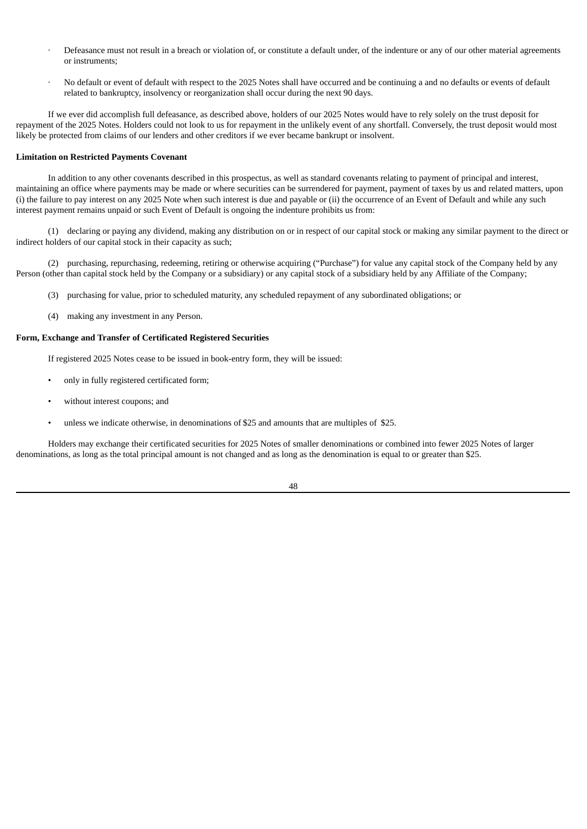- · Defeasance must not result in a breach or violation of, or constitute a default under, of the indenture or any of our other material agreements or instruments;
- · No default or event of default with respect to the 2025 Notes shall have occurred and be continuing a and no defaults or events of default related to bankruptcy, insolvency or reorganization shall occur during the next 90 days.

If we ever did accomplish full defeasance, as described above, holders of our 2025 Notes would have to rely solely on the trust deposit for repayment of the 2025 Notes. Holders could not look to us for repayment in the unlikely event of any shortfall. Conversely, the trust deposit would most likely be protected from claims of our lenders and other creditors if we ever became bankrupt or insolvent.

# **Limitation on Restricted Payments Covenant**

In addition to any other covenants described in this prospectus, as well as standard covenants relating to payment of principal and interest, maintaining an office where payments may be made or where securities can be surrendered for payment, payment of taxes by us and related matters, upon (i) the failure to pay interest on any 2025 Note when such interest is due and payable or (ii) the occurrence of an Event of Default and while any such interest payment remains unpaid or such Event of Default is ongoing the indenture prohibits us from:

(1) declaring or paying any dividend, making any distribution on or in respect of our capital stock or making any similar payment to the direct or indirect holders of our capital stock in their capacity as such;

(2) purchasing, repurchasing, redeeming, retiring or otherwise acquiring ("Purchase") for value any capital stock of the Company held by any Person (other than capital stock held by the Company or a subsidiary) or any capital stock of a subsidiary held by any Affiliate of the Company;

- (3) purchasing for value, prior to scheduled maturity, any scheduled repayment of any subordinated obligations; or
- (4) making any investment in any Person.

### **Form, Exchange and Transfer of Certificated Registered Securities**

If registered 2025 Notes cease to be issued in book-entry form, they will be issued:

- only in fully registered certificated form;
- without interest coupons; and
- unless we indicate otherwise, in denominations of \$25 and amounts that are multiples of \$25.

Holders may exchange their certificated securities for 2025 Notes of smaller denominations or combined into fewer 2025 Notes of larger denominations, as long as the total principal amount is not changed and as long as the denomination is equal to or greater than \$25.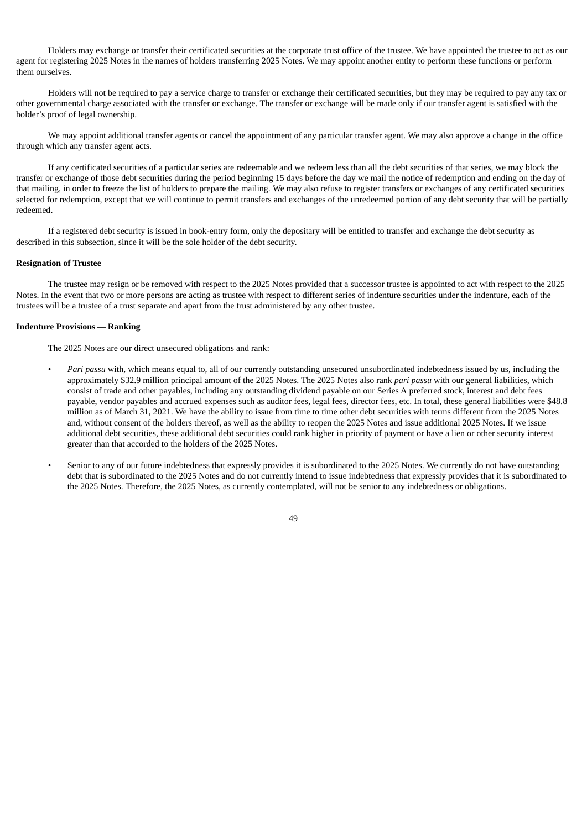Holders may exchange or transfer their certificated securities at the corporate trust office of the trustee. We have appointed the trustee to act as our agent for registering 2025 Notes in the names of holders transferring 2025 Notes. We may appoint another entity to perform these functions or perform them ourselves.

Holders will not be required to pay a service charge to transfer or exchange their certificated securities, but they may be required to pay any tax or other governmental charge associated with the transfer or exchange. The transfer or exchange will be made only if our transfer agent is satisfied with the holder's proof of legal ownership.

We may appoint additional transfer agents or cancel the appointment of any particular transfer agent. We may also approve a change in the office through which any transfer agent acts.

If any certificated securities of a particular series are redeemable and we redeem less than all the debt securities of that series, we may block the transfer or exchange of those debt securities during the period beginning 15 days before the day we mail the notice of redemption and ending on the day of that mailing, in order to freeze the list of holders to prepare the mailing. We may also refuse to register transfers or exchanges of any certificated securities selected for redemption, except that we will continue to permit transfers and exchanges of the unredeemed portion of any debt security that will be partially redeemed.

If a registered debt security is issued in book-entry form, only the depositary will be entitled to transfer and exchange the debt security as described in this subsection, since it will be the sole holder of the debt security.

## **Resignation of Trustee**

The trustee may resign or be removed with respect to the 2025 Notes provided that a successor trustee is appointed to act with respect to the 2025 Notes. In the event that two or more persons are acting as trustee with respect to different series of indenture securities under the indenture, each of the trustees will be a trustee of a trust separate and apart from the trust administered by any other trustee.

# **Indenture Provisions — Ranking**

The 2025 Notes are our direct unsecured obligations and rank:

- *Pari passu* with, which means equal to, all of our currently outstanding unsecured unsubordinated indebtedness issued by us, including the approximately \$32.9 million principal amount of the 2025 Notes. The 2025 Notes also rank *pari passu* with our general liabilities, which consist of trade and other payables, including any outstanding dividend payable on our Series A preferred stock, interest and debt fees payable, vendor payables and accrued expenses such as auditor fees, legal fees, director fees, etc. In total, these general liabilities were \$48.8 million as of March 31, 2021. We have the ability to issue from time to time other debt securities with terms different from the 2025 Notes and, without consent of the holders thereof, as well as the ability to reopen the 2025 Notes and issue additional 2025 Notes. If we issue additional debt securities, these additional debt securities could rank higher in priority of payment or have a lien or other security interest greater than that accorded to the holders of the 2025 Notes.
- Senior to any of our future indebtedness that expressly provides it is subordinated to the 2025 Notes. We currently do not have outstanding debt that is subordinated to the 2025 Notes and do not currently intend to issue indebtedness that expressly provides that it is subordinated to the 2025 Notes. Therefore, the 2025 Notes, as currently contemplated, will not be senior to any indebtedness or obligations.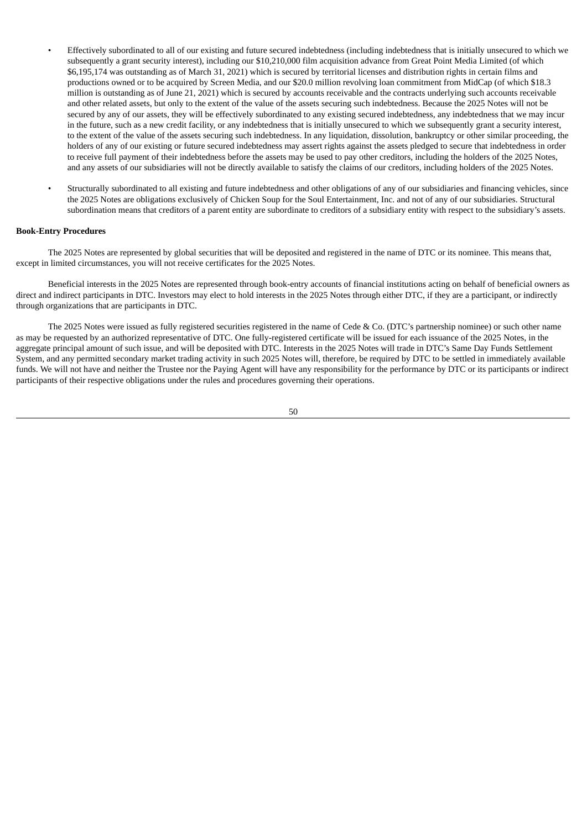- Effectively subordinated to all of our existing and future secured indebtedness (including indebtedness that is initially unsecured to which we subsequently a grant security interest), including our \$10,210,000 film acquisition advance from Great Point Media Limited (of which \$6,195,174 was outstanding as of March 31, 2021) which is secured by territorial licenses and distribution rights in certain films and productions owned or to be acquired by Screen Media, and our \$20.0 million revolving loan commitment from MidCap (of which \$18.3 million is outstanding as of June 21, 2021) which is secured by accounts receivable and the contracts underlying such accounts receivable and other related assets, but only to the extent of the value of the assets securing such indebtedness. Because the 2025 Notes will not be secured by any of our assets, they will be effectively subordinated to any existing secured indebtedness, any indebtedness that we may incur in the future, such as a new credit facility, or any indebtedness that is initially unsecured to which we subsequently grant a security interest, to the extent of the value of the assets securing such indebtedness. In any liquidation, dissolution, bankruptcy or other similar proceeding, the holders of any of our existing or future secured indebtedness may assert rights against the assets pledged to secure that indebtedness in order to receive full payment of their indebtedness before the assets may be used to pay other creditors, including the holders of the 2025 Notes, and any assets of our subsidiaries will not be directly available to satisfy the claims of our creditors, including holders of the 2025 Notes.
- Structurally subordinated to all existing and future indebtedness and other obligations of any of our subsidiaries and financing vehicles, since the 2025 Notes are obligations exclusively of Chicken Soup for the Soul Entertainment, Inc. and not of any of our subsidiaries. Structural subordination means that creditors of a parent entity are subordinate to creditors of a subsidiary entity with respect to the subsidiary's assets.

## **Book-Entry Procedures**

The 2025 Notes are represented by global securities that will be deposited and registered in the name of DTC or its nominee. This means that, except in limited circumstances, you will not receive certificates for the 2025 Notes.

Beneficial interests in the 2025 Notes are represented through book-entry accounts of financial institutions acting on behalf of beneficial owners as direct and indirect participants in DTC. Investors may elect to hold interests in the 2025 Notes through either DTC, if they are a participant, or indirectly through organizations that are participants in DTC.

The 2025 Notes were issued as fully registered securities registered in the name of Cede & Co. (DTC's partnership nominee) or such other name as may be requested by an authorized representative of DTC. One fully-registered certificate will be issued for each issuance of the 2025 Notes, in the aggregate principal amount of such issue, and will be deposited with DTC. Interests in the 2025 Notes will trade in DTC's Same Day Funds Settlement System, and any permitted secondary market trading activity in such 2025 Notes will, therefore, be required by DTC to be settled in immediately available funds. We will not have and neither the Trustee nor the Paying Agent will have any responsibility for the performance by DTC or its participants or indirect participants of their respective obligations under the rules and procedures governing their operations.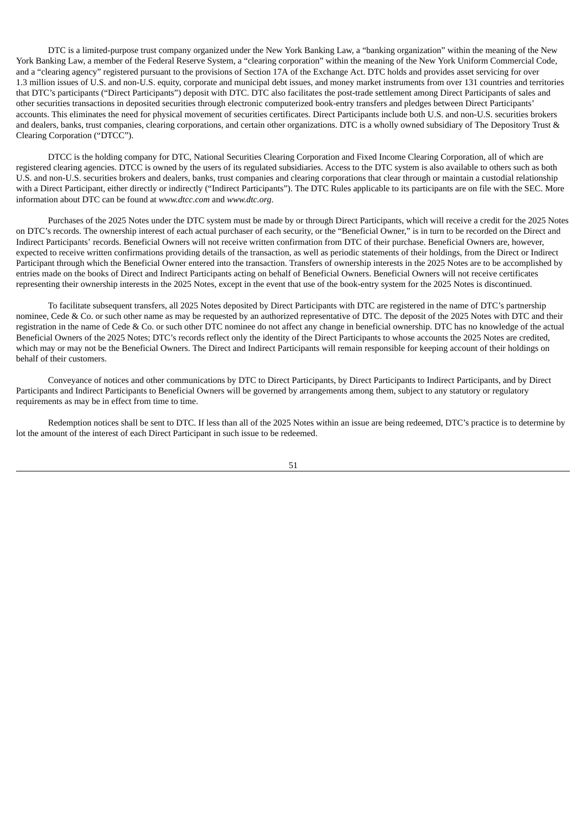DTC is a limited-purpose trust company organized under the New York Banking Law, a "banking organization" within the meaning of the New York Banking Law, a member of the Federal Reserve System, a "clearing corporation" within the meaning of the New York Uniform Commercial Code, and a "clearing agency" registered pursuant to the provisions of Section 17A of the Exchange Act. DTC holds and provides asset servicing for over 1.3 million issues of U.S. and non-U.S. equity, corporate and municipal debt issues, and money market instruments from over 131 countries and territories that DTC's participants ("Direct Participants") deposit with DTC. DTC also facilitates the post-trade settlement among Direct Participants of sales and other securities transactions in deposited securities through electronic computerized book-entry transfers and pledges between Direct Participants' accounts. This eliminates the need for physical movement of securities certificates. Direct Participants include both U.S. and non-U.S. securities brokers and dealers, banks, trust companies, clearing corporations, and certain other organizations. DTC is a wholly owned subsidiary of The Depository Trust & Clearing Corporation ("DTCC").

DTCC is the holding company for DTC, National Securities Clearing Corporation and Fixed Income Clearing Corporation, all of which are registered clearing agencies. DTCC is owned by the users of its regulated subsidiaries. Access to the DTC system is also available to others such as both U.S. and non-U.S. securities brokers and dealers, banks, trust companies and clearing corporations that clear through or maintain a custodial relationship with a Direct Participant, either directly or indirectly ("Indirect Participants"). The DTC Rules applicable to its participants are on file with the SEC. More information about DTC can be found at *www.dtcc.com* and *www.dtc.org*.

Purchases of the 2025 Notes under the DTC system must be made by or through Direct Participants, which will receive a credit for the 2025 Notes on DTC's records. The ownership interest of each actual purchaser of each security, or the "Beneficial Owner," is in turn to be recorded on the Direct and Indirect Participants' records. Beneficial Owners will not receive written confirmation from DTC of their purchase. Beneficial Owners are, however, expected to receive written confirmations providing details of the transaction, as well as periodic statements of their holdings, from the Direct or Indirect Participant through which the Beneficial Owner entered into the transaction. Transfers of ownership interests in the 2025 Notes are to be accomplished by entries made on the books of Direct and Indirect Participants acting on behalf of Beneficial Owners. Beneficial Owners will not receive certificates representing their ownership interests in the 2025 Notes, except in the event that use of the book-entry system for the 2025 Notes is discontinued.

To facilitate subsequent transfers, all 2025 Notes deposited by Direct Participants with DTC are registered in the name of DTC's partnership nominee, Cede & Co. or such other name as may be requested by an authorized representative of DTC. The deposit of the 2025 Notes with DTC and their registration in the name of Cede & Co. or such other DTC nominee do not affect any change in beneficial ownership. DTC has no knowledge of the actual Beneficial Owners of the 2025 Notes; DTC's records reflect only the identity of the Direct Participants to whose accounts the 2025 Notes are credited, which may or may not be the Beneficial Owners. The Direct and Indirect Participants will remain responsible for keeping account of their holdings on behalf of their customers.

Conveyance of notices and other communications by DTC to Direct Participants, by Direct Participants to Indirect Participants, and by Direct Participants and Indirect Participants to Beneficial Owners will be governed by arrangements among them, subject to any statutory or regulatory requirements as may be in effect from time to time.

Redemption notices shall be sent to DTC. If less than all of the 2025 Notes within an issue are being redeemed, DTC's practice is to determine by lot the amount of the interest of each Direct Participant in such issue to be redeemed.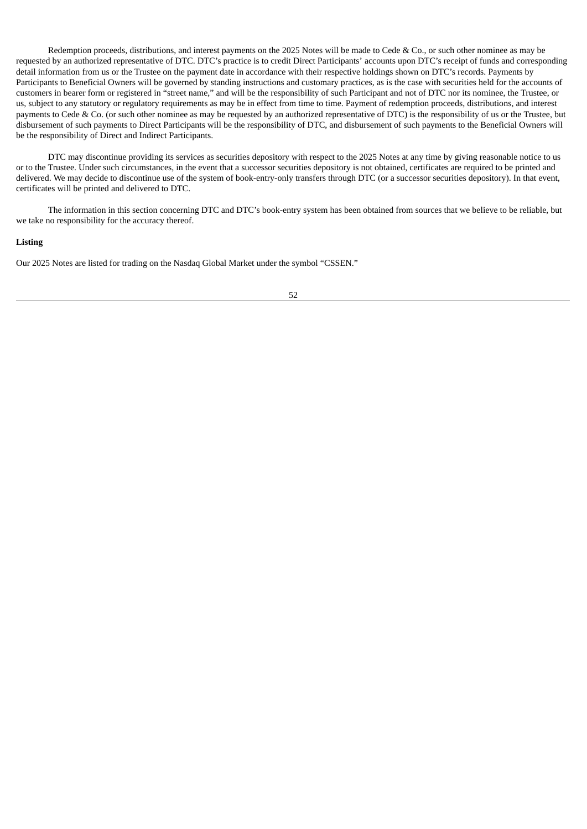Redemption proceeds, distributions, and interest payments on the 2025 Notes will be made to Cede & Co., or such other nominee as may be requested by an authorized representative of DTC. DTC's practice is to credit Direct Participants' accounts upon DTC's receipt of funds and corresponding detail information from us or the Trustee on the payment date in accordance with their respective holdings shown on DTC's records. Payments by Participants to Beneficial Owners will be governed by standing instructions and customary practices, as is the case with securities held for the accounts of customers in bearer form or registered in "street name," and will be the responsibility of such Participant and not of DTC nor its nominee, the Trustee, or us, subject to any statutory or regulatory requirements as may be in effect from time to time. Payment of redemption proceeds, distributions, and interest payments to Cede & Co. (or such other nominee as may be requested by an authorized representative of DTC) is the responsibility of us or the Trustee, but disbursement of such payments to Direct Participants will be the responsibility of DTC, and disbursement of such payments to the Beneficial Owners will be the responsibility of Direct and Indirect Participants.

DTC may discontinue providing its services as securities depository with respect to the 2025 Notes at any time by giving reasonable notice to us or to the Trustee. Under such circumstances, in the event that a successor securities depository is not obtained, certificates are required to be printed and delivered. We may decide to discontinue use of the system of book-entry-only transfers through DTC (or a successor securities depository). In that event, certificates will be printed and delivered to DTC.

The information in this section concerning DTC and DTC's book-entry system has been obtained from sources that we believe to be reliable, but we take no responsibility for the accuracy thereof.

#### **Listing**

Our 2025 Notes are listed for trading on the Nasdaq Global Market under the symbol "CSSEN."

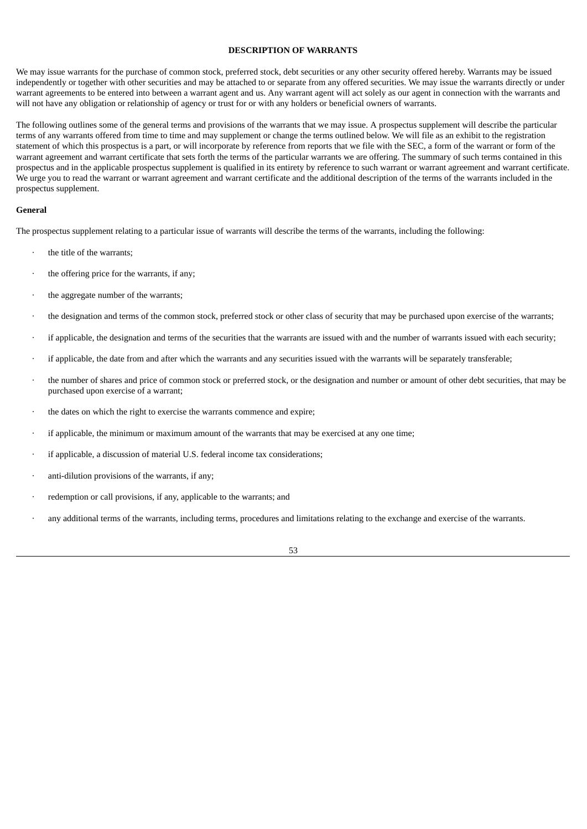# **DESCRIPTION OF WARRANTS**

We may issue warrants for the purchase of common stock, preferred stock, debt securities or any other security offered hereby. Warrants may be issued independently or together with other securities and may be attached to or separate from any offered securities. We may issue the warrants directly or under warrant agreements to be entered into between a warrant agent and us. Any warrant agent will act solely as our agent in connection with the warrants and will not have any obligation or relationship of agency or trust for or with any holders or beneficial owners of warrants.

The following outlines some of the general terms and provisions of the warrants that we may issue. A prospectus supplement will describe the particular terms of any warrants offered from time to time and may supplement or change the terms outlined below. We will file as an exhibit to the registration statement of which this prospectus is a part, or will incorporate by reference from reports that we file with the SEC, a form of the warrant or form of the warrant agreement and warrant certificate that sets forth the terms of the particular warrants we are offering. The summary of such terms contained in this prospectus and in the applicable prospectus supplement is qualified in its entirety by reference to such warrant or warrant agreement and warrant certificate. We urge you to read the warrant or warrant agreement and warrant certificate and the additional description of the terms of the warrants included in the prospectus supplement.

## **General**

The prospectus supplement relating to a particular issue of warrants will describe the terms of the warrants, including the following:

- the title of the warrants;
- the offering price for the warrants, if any;
- the aggregate number of the warrants;
- the designation and terms of the common stock, preferred stock or other class of security that may be purchased upon exercise of the warrants;
- if applicable, the designation and terms of the securities that the warrants are issued with and the number of warrants issued with each security;
- · if applicable, the date from and after which the warrants and any securities issued with the warrants will be separately transferable;
- · the number of shares and price of common stock or preferred stock, or the designation and number or amount of other debt securities, that may be purchased upon exercise of a warrant;
- the dates on which the right to exercise the warrants commence and expire;
- if applicable, the minimum or maximum amount of the warrants that may be exercised at any one time;
- if applicable, a discussion of material U.S. federal income tax considerations;
- anti-dilution provisions of the warrants, if any;
- redemption or call provisions, if any, applicable to the warrants; and
- · any additional terms of the warrants, including terms, procedures and limitations relating to the exchange and exercise of the warrants.

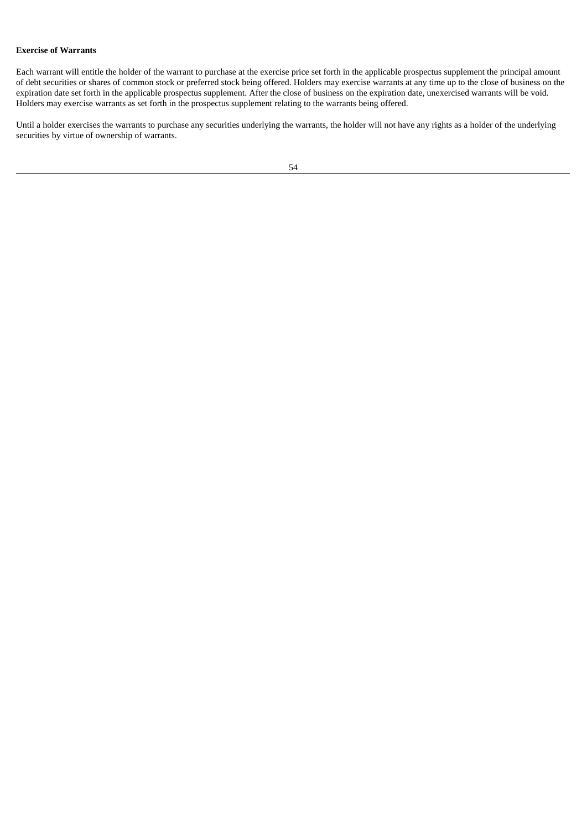# **Exercise of Warrants**

Each warrant will entitle the holder of the warrant to purchase at the exercise price set forth in the applicable prospectus supplement the principal amount of debt securities or shares of common stock or preferred stock being offered. Holders may exercise warrants at any time up to the close of business on the expiration date set forth in the applicable prospectus supplement. After the close of business on the expiration date, unexercised warrants will be void. Holders may exercise warrants as set forth in the prospectus supplement relating to the warrants being offered.

Until a holder exercises the warrants to purchase any securities underlying the warrants, the holder will not have any rights as a holder of the underlying securities by virtue of ownership of warrants.

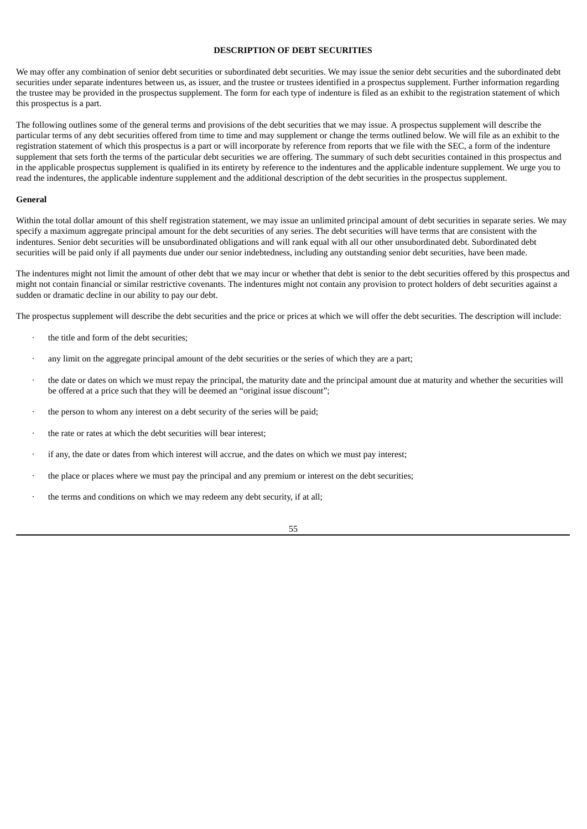# **DESCRIPTION OF DEBT SECURITIES**

We may offer any combination of senior debt securities or subordinated debt securities. We may issue the senior debt securities and the subordinated debt securities under separate indentures between us, as issuer, and the trustee or trustees identified in a prospectus supplement. Further information regarding the trustee may be provided in the prospectus supplement. The form for each type of indenture is filed as an exhibit to the registration statement of which this prospectus is a part.

The following outlines some of the general terms and provisions of the debt securities that we may issue. A prospectus supplement will describe the particular terms of any debt securities offered from time to time and may supplement or change the terms outlined below. We will file as an exhibit to the registration statement of which this prospectus is a part or will incorporate by reference from reports that we file with the SEC, a form of the indenture supplement that sets forth the terms of the particular debt securities we are offering. The summary of such debt securities contained in this prospectus and in the applicable prospectus supplement is qualified in its entirety by reference to the indentures and the applicable indenture supplement. We urge you to read the indentures, the applicable indenture supplement and the additional description of the debt securities in the prospectus supplement.

#### **General**

Within the total dollar amount of this shelf registration statement, we may issue an unlimited principal amount of debt securities in separate series. We may specify a maximum aggregate principal amount for the debt securities of any series. The debt securities will have terms that are consistent with the indentures. Senior debt securities will be unsubordinated obligations and will rank equal with all our other unsubordinated debt. Subordinated debt securities will be paid only if all payments due under our senior indebtedness, including any outstanding senior debt securities, have been made.

The indentures might not limit the amount of other debt that we may incur or whether that debt is senior to the debt securities offered by this prospectus and might not contain financial or similar restrictive covenants. The indentures might not contain any provision to protect holders of debt securities against a sudden or dramatic decline in our ability to pay our debt.

The prospectus supplement will describe the debt securities and the price or prices at which we will offer the debt securities. The description will include:

- the title and form of the debt securities:
- any limit on the aggregate principal amount of the debt securities or the series of which they are a part;
- the date or dates on which we must repay the principal, the maturity date and the principal amount due at maturity and whether the securities will be offered at a price such that they will be deemed an "original issue discount";
- the person to whom any interest on a debt security of the series will be paid;
- the rate or rates at which the debt securities will bear interest;
- if any, the date or dates from which interest will accrue, and the dates on which we must pay interest;
- the place or places where we must pay the principal and any premium or interest on the debt securities;
- the terms and conditions on which we may redeem any debt security, if at all;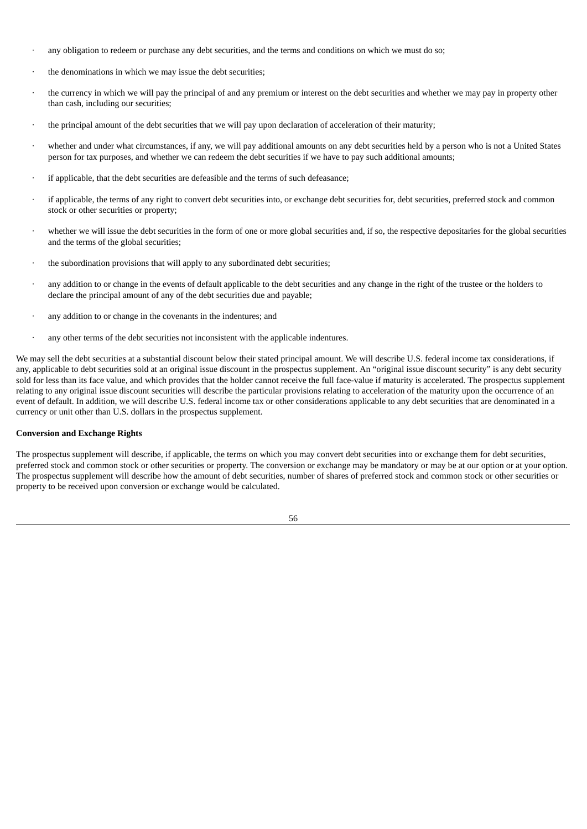- any obligation to redeem or purchase any debt securities, and the terms and conditions on which we must do so;
- the denominations in which we may issue the debt securities;
- · the currency in which we will pay the principal of and any premium or interest on the debt securities and whether we may pay in property other than cash, including our securities;
- the principal amount of the debt securities that we will pay upon declaration of acceleration of their maturity;
- whether and under what circumstances, if any, we will pay additional amounts on any debt securities held by a person who is not a United States person for tax purposes, and whether we can redeem the debt securities if we have to pay such additional amounts;
- if applicable, that the debt securities are defeasible and the terms of such defeasance;
- if applicable, the terms of any right to convert debt securities into, or exchange debt securities for, debt securities, preferred stock and common stock or other securities or property;
- whether we will issue the debt securities in the form of one or more global securities and, if so, the respective depositaries for the global securities and the terms of the global securities;
- the subordination provisions that will apply to any subordinated debt securities;
- · any addition to or change in the events of default applicable to the debt securities and any change in the right of the trustee or the holders to declare the principal amount of any of the debt securities due and payable;
- any addition to or change in the covenants in the indentures; and
- · any other terms of the debt securities not inconsistent with the applicable indentures.

We may sell the debt securities at a substantial discount below their stated principal amount. We will describe U.S. federal income tax considerations, if any, applicable to debt securities sold at an original issue discount in the prospectus supplement. An "original issue discount security" is any debt security sold for less than its face value, and which provides that the holder cannot receive the full face-value if maturity is accelerated. The prospectus supplement relating to any original issue discount securities will describe the particular provisions relating to acceleration of the maturity upon the occurrence of an event of default. In addition, we will describe U.S. federal income tax or other considerations applicable to any debt securities that are denominated in a currency or unit other than U.S. dollars in the prospectus supplement.

#### **Conversion and Exchange Rights**

The prospectus supplement will describe, if applicable, the terms on which you may convert debt securities into or exchange them for debt securities, preferred stock and common stock or other securities or property. The conversion or exchange may be mandatory or may be at our option or at your option. The prospectus supplement will describe how the amount of debt securities, number of shares of preferred stock and common stock or other securities or property to be received upon conversion or exchange would be calculated.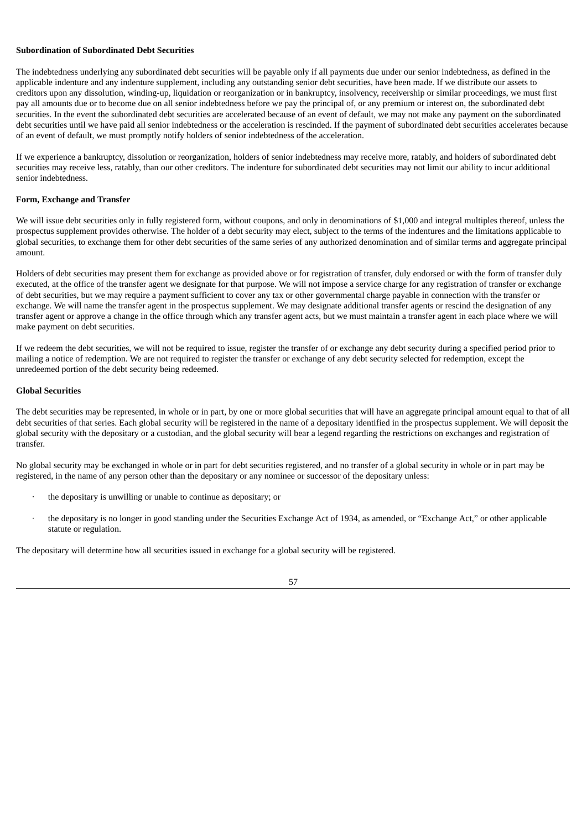# **Subordination of Subordinated Debt Securities**

The indebtedness underlying any subordinated debt securities will be payable only if all payments due under our senior indebtedness, as defined in the applicable indenture and any indenture supplement, including any outstanding senior debt securities, have been made. If we distribute our assets to creditors upon any dissolution, winding-up, liquidation or reorganization or in bankruptcy, insolvency, receivership or similar proceedings, we must first pay all amounts due or to become due on all senior indebtedness before we pay the principal of, or any premium or interest on, the subordinated debt securities. In the event the subordinated debt securities are accelerated because of an event of default, we may not make any payment on the subordinated debt securities until we have paid all senior indebtedness or the acceleration is rescinded. If the payment of subordinated debt securities accelerates because of an event of default, we must promptly notify holders of senior indebtedness of the acceleration.

If we experience a bankruptcy, dissolution or reorganization, holders of senior indebtedness may receive more, ratably, and holders of subordinated debt securities may receive less, ratably, than our other creditors. The indenture for subordinated debt securities may not limit our ability to incur additional senior indebtedness.

## **Form, Exchange and Transfer**

We will issue debt securities only in fully registered form, without coupons, and only in denominations of \$1,000 and integral multiples thereof, unless the prospectus supplement provides otherwise. The holder of a debt security may elect, subject to the terms of the indentures and the limitations applicable to global securities, to exchange them for other debt securities of the same series of any authorized denomination and of similar terms and aggregate principal amount.

Holders of debt securities may present them for exchange as provided above or for registration of transfer, duly endorsed or with the form of transfer duly executed, at the office of the transfer agent we designate for that purpose. We will not impose a service charge for any registration of transfer or exchange of debt securities, but we may require a payment sufficient to cover any tax or other governmental charge payable in connection with the transfer or exchange. We will name the transfer agent in the prospectus supplement. We may designate additional transfer agents or rescind the designation of any transfer agent or approve a change in the office through which any transfer agent acts, but we must maintain a transfer agent in each place where we will make payment on debt securities.

If we redeem the debt securities, we will not be required to issue, register the transfer of or exchange any debt security during a specified period prior to mailing a notice of redemption. We are not required to register the transfer or exchange of any debt security selected for redemption, except the unredeemed portion of the debt security being redeemed.

## **Global Securities**

The debt securities may be represented, in whole or in part, by one or more global securities that will have an aggregate principal amount equal to that of all debt securities of that series. Each global security will be registered in the name of a depositary identified in the prospectus supplement. We will deposit the global security with the depositary or a custodian, and the global security will bear a legend regarding the restrictions on exchanges and registration of transfer.

No global security may be exchanged in whole or in part for debt securities registered, and no transfer of a global security in whole or in part may be registered, in the name of any person other than the depositary or any nominee or successor of the depositary unless:

- · the depositary is unwilling or unable to continue as depositary; or
- · the depositary is no longer in good standing under the Securities Exchange Act of 1934, as amended, or "Exchange Act," or other applicable statute or regulation.

The depositary will determine how all securities issued in exchange for a global security will be registered.

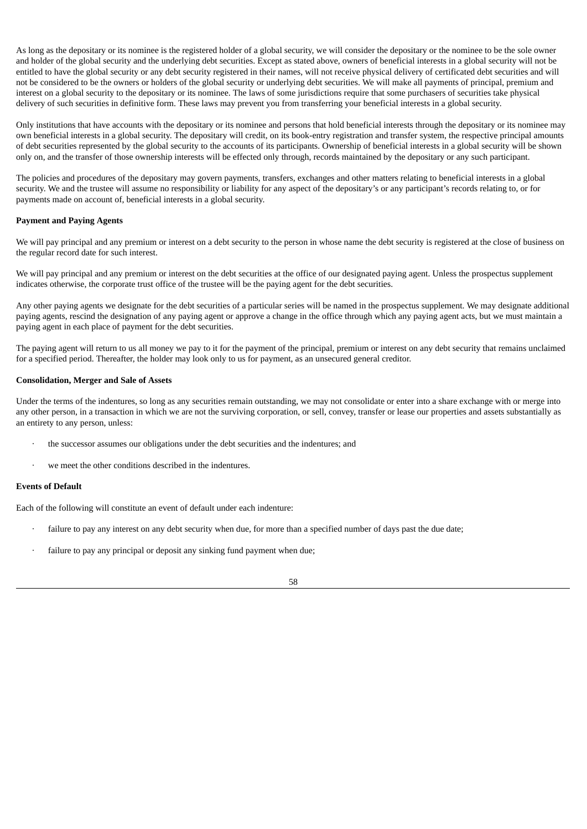As long as the depositary or its nominee is the registered holder of a global security, we will consider the depositary or the nominee to be the sole owner and holder of the global security and the underlying debt securities. Except as stated above, owners of beneficial interests in a global security will not be entitled to have the global security or any debt security registered in their names, will not receive physical delivery of certificated debt securities and will not be considered to be the owners or holders of the global security or underlying debt securities. We will make all payments of principal, premium and interest on a global security to the depositary or its nominee. The laws of some jurisdictions require that some purchasers of securities take physical delivery of such securities in definitive form. These laws may prevent you from transferring your beneficial interests in a global security.

Only institutions that have accounts with the depositary or its nominee and persons that hold beneficial interests through the depositary or its nominee may own beneficial interests in a global security. The depositary will credit, on its book-entry registration and transfer system, the respective principal amounts of debt securities represented by the global security to the accounts of its participants. Ownership of beneficial interests in a global security will be shown only on, and the transfer of those ownership interests will be effected only through, records maintained by the depositary or any such participant.

The policies and procedures of the depositary may govern payments, transfers, exchanges and other matters relating to beneficial interests in a global security. We and the trustee will assume no responsibility or liability for any aspect of the depositary's or any participant's records relating to, or for payments made on account of, beneficial interests in a global security.

## **Payment and Paying Agents**

We will pay principal and any premium or interest on a debt security to the person in whose name the debt security is registered at the close of business on the regular record date for such interest.

We will pay principal and any premium or interest on the debt securities at the office of our designated paying agent. Unless the prospectus supplement indicates otherwise, the corporate trust office of the trustee will be the paying agent for the debt securities.

Any other paying agents we designate for the debt securities of a particular series will be named in the prospectus supplement. We may designate additional paying agents, rescind the designation of any paying agent or approve a change in the office through which any paying agent acts, but we must maintain a paying agent in each place of payment for the debt securities.

The paying agent will return to us all money we pay to it for the payment of the principal, premium or interest on any debt security that remains unclaimed for a specified period. Thereafter, the holder may look only to us for payment, as an unsecured general creditor.

## **Consolidation, Merger and Sale of Assets**

Under the terms of the indentures, so long as any securities remain outstanding, we may not consolidate or enter into a share exchange with or merge into any other person, in a transaction in which we are not the surviving corporation, or sell, convey, transfer or lease our properties and assets substantially as an entirety to any person, unless:

- · the successor assumes our obligations under the debt securities and the indentures; and
- we meet the other conditions described in the indentures.

#### **Events of Default**

Each of the following will constitute an event of default under each indenture:

- failure to pay any interest on any debt security when due, for more than a specified number of days past the due date;
- failure to pay any principal or deposit any sinking fund payment when due:

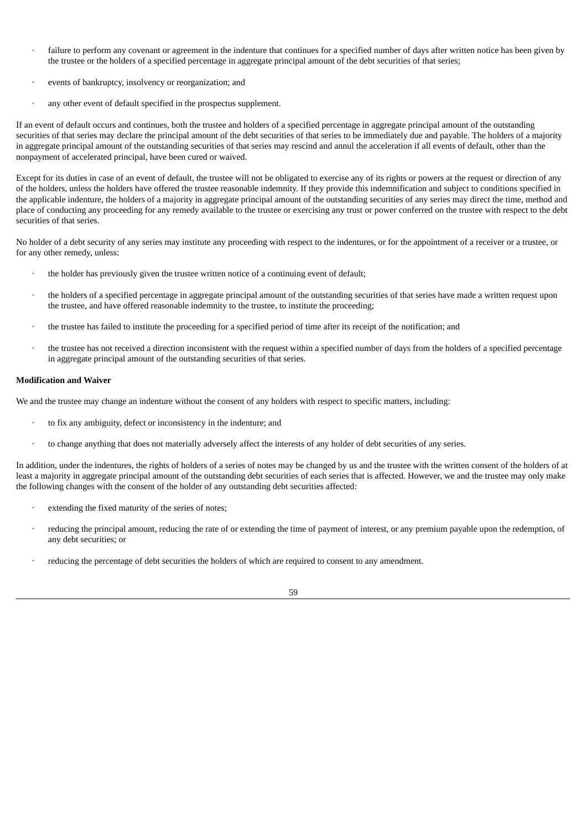- failure to perform any covenant or agreement in the indenture that continues for a specified number of days after written notice has been given by the trustee or the holders of a specified percentage in aggregate principal amount of the debt securities of that series;
- events of bankruptcy, insolvency or reorganization; and
- any other event of default specified in the prospectus supplement.

If an event of default occurs and continues, both the trustee and holders of a specified percentage in aggregate principal amount of the outstanding securities of that series may declare the principal amount of the debt securities of that series to be immediately due and payable. The holders of a majority in aggregate principal amount of the outstanding securities of that series may rescind and annul the acceleration if all events of default, other than the nonpayment of accelerated principal, have been cured or waived.

Except for its duties in case of an event of default, the trustee will not be obligated to exercise any of its rights or powers at the request or direction of any of the holders, unless the holders have offered the trustee reasonable indemnity. If they provide this indemnification and subject to conditions specified in the applicable indenture, the holders of a majority in aggregate principal amount of the outstanding securities of any series may direct the time, method and place of conducting any proceeding for any remedy available to the trustee or exercising any trust or power conferred on the trustee with respect to the debt securities of that series.

No holder of a debt security of any series may institute any proceeding with respect to the indentures, or for the appointment of a receiver or a trustee, or for any other remedy, unless:

- the holder has previously given the trustee written notice of a continuing event of default;
- · the holders of a specified percentage in aggregate principal amount of the outstanding securities of that series have made a written request upon the trustee, and have offered reasonable indemnity to the trustee, to institute the proceeding;
- the trustee has failed to institute the proceeding for a specified period of time after its receipt of the notification; and
- · the trustee has not received a direction inconsistent with the request within a specified number of days from the holders of a specified percentage in aggregate principal amount of the outstanding securities of that series.

## **Modification and Waiver**

We and the trustee may change an indenture without the consent of any holders with respect to specific matters, including:

- to fix any ambiguity, defect or inconsistency in the indenture; and
- to change anything that does not materially adversely affect the interests of any holder of debt securities of any series.

In addition, under the indentures, the rights of holders of a series of notes may be changed by us and the trustee with the written consent of the holders of at least a majority in aggregate principal amount of the outstanding debt securities of each series that is affected. However, we and the trustee may only make the following changes with the consent of the holder of any outstanding debt securities affected:

- extending the fixed maturity of the series of notes;
- · reducing the principal amount, reducing the rate of or extending the time of payment of interest, or any premium payable upon the redemption, of any debt securities; or
- · reducing the percentage of debt securities the holders of which are required to consent to any amendment.

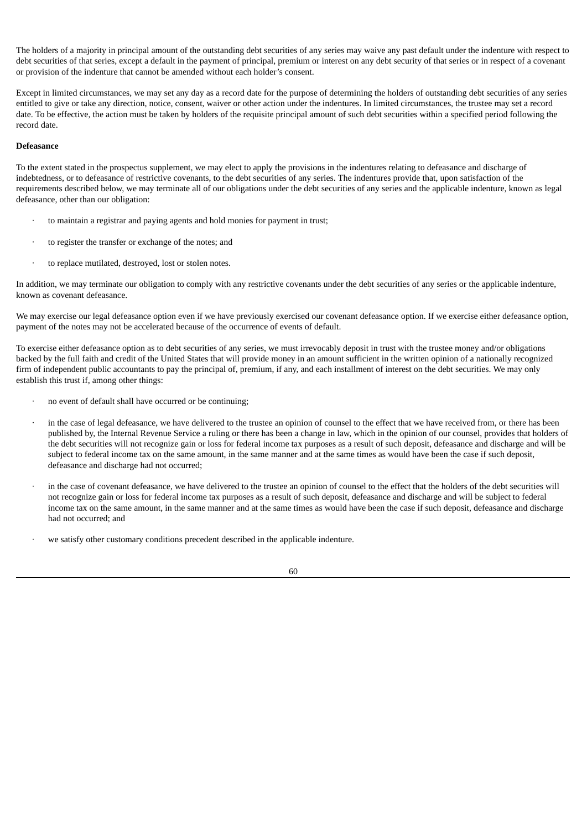The holders of a majority in principal amount of the outstanding debt securities of any series may waive any past default under the indenture with respect to debt securities of that series, except a default in the payment of principal, premium or interest on any debt security of that series or in respect of a covenant or provision of the indenture that cannot be amended without each holder's consent.

Except in limited circumstances, we may set any day as a record date for the purpose of determining the holders of outstanding debt securities of any series entitled to give or take any direction, notice, consent, waiver or other action under the indentures. In limited circumstances, the trustee may set a record date. To be effective, the action must be taken by holders of the requisite principal amount of such debt securities within a specified period following the record date.

### **Defeasance**

To the extent stated in the prospectus supplement, we may elect to apply the provisions in the indentures relating to defeasance and discharge of indebtedness, or to defeasance of restrictive covenants, to the debt securities of any series. The indentures provide that, upon satisfaction of the requirements described below, we may terminate all of our obligations under the debt securities of any series and the applicable indenture, known as legal defeasance, other than our obligation:

- to maintain a registrar and paying agents and hold monies for payment in trust;
- to register the transfer or exchange of the notes; and
- to replace mutilated, destroyed, lost or stolen notes.

In addition, we may terminate our obligation to comply with any restrictive covenants under the debt securities of any series or the applicable indenture, known as covenant defeasance.

We may exercise our legal defeasance option even if we have previously exercised our covenant defeasance option. If we exercise either defeasance option, payment of the notes may not be accelerated because of the occurrence of events of default.

To exercise either defeasance option as to debt securities of any series, we must irrevocably deposit in trust with the trustee money and/or obligations backed by the full faith and credit of the United States that will provide money in an amount sufficient in the written opinion of a nationally recognized firm of independent public accountants to pay the principal of, premium, if any, and each installment of interest on the debt securities. We may only establish this trust if, among other things:

- no event of default shall have occurred or be continuing;
- in the case of legal defeasance, we have delivered to the trustee an opinion of counsel to the effect that we have received from, or there has been published by, the Internal Revenue Service a ruling or there has been a change in law, which in the opinion of our counsel, provides that holders of the debt securities will not recognize gain or loss for federal income tax purposes as a result of such deposit, defeasance and discharge and will be subject to federal income tax on the same amount, in the same manner and at the same times as would have been the case if such deposit, defeasance and discharge had not occurred;
- in the case of covenant defeasance, we have delivered to the trustee an opinion of counsel to the effect that the holders of the debt securities will not recognize gain or loss for federal income tax purposes as a result of such deposit, defeasance and discharge and will be subject to federal income tax on the same amount, in the same manner and at the same times as would have been the case if such deposit, defeasance and discharge had not occurred; and
- we satisfy other customary conditions precedent described in the applicable indenture.

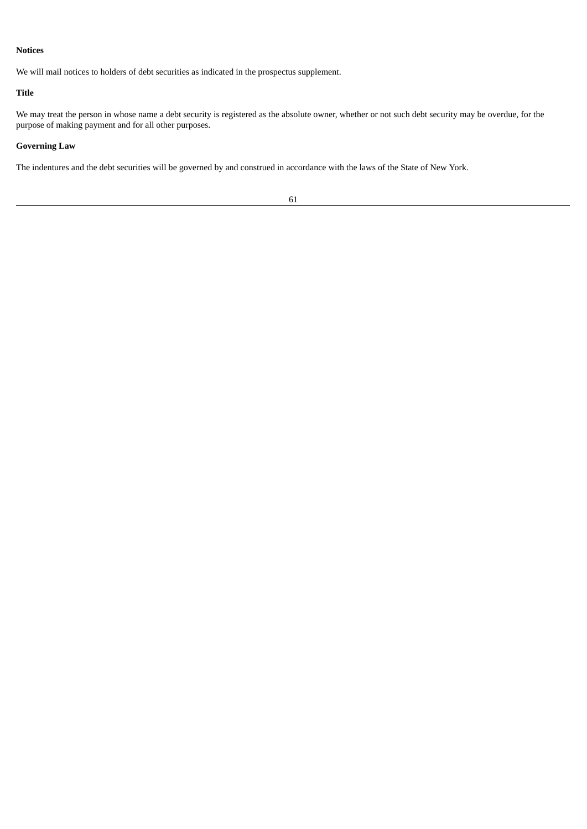# **Notices**

We will mail notices to holders of debt securities as indicated in the prospectus supplement.

# **Title**

We may treat the person in whose name a debt security is registered as the absolute owner, whether or not such debt security may be overdue, for the purpose of making payment and for all other purposes.

### **Governing Law**

The indentures and the debt securities will be governed by and construed in accordance with the laws of the State of New York.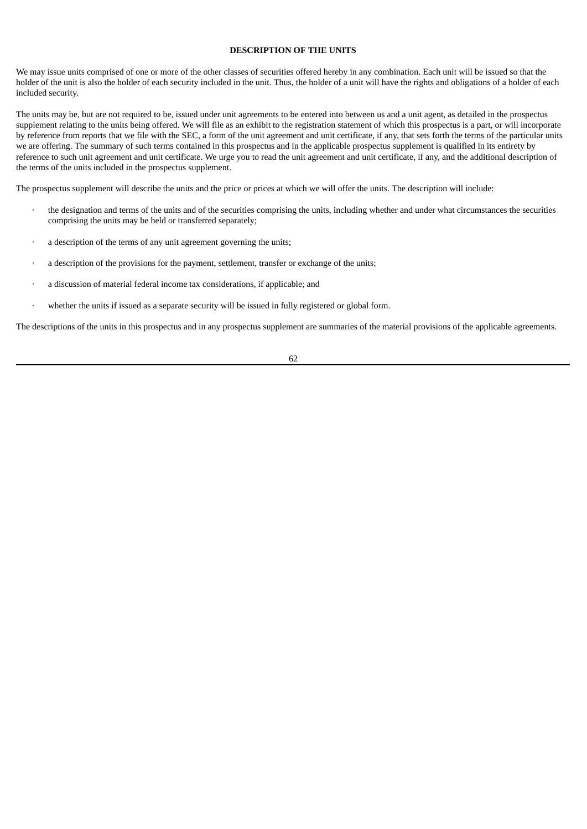## **DESCRIPTION OF THE UNITS**

We may issue units comprised of one or more of the other classes of securities offered hereby in any combination. Each unit will be issued so that the holder of the unit is also the holder of each security included in the unit. Thus, the holder of a unit will have the rights and obligations of a holder of each included security.

The units may be, but are not required to be, issued under unit agreements to be entered into between us and a unit agent, as detailed in the prospectus supplement relating to the units being offered. We will file as an exhibit to the registration statement of which this prospectus is a part, or will incorporate by reference from reports that we file with the SEC, a form of the unit agreement and unit certificate, if any, that sets forth the terms of the particular units we are offering. The summary of such terms contained in this prospectus and in the applicable prospectus supplement is qualified in its entirety by reference to such unit agreement and unit certificate. We urge you to read the unit agreement and unit certificate, if any, and the additional description of the terms of the units included in the prospectus supplement.

The prospectus supplement will describe the units and the price or prices at which we will offer the units. The description will include:

- · the designation and terms of the units and of the securities comprising the units, including whether and under what circumstances the securities comprising the units may be held or transferred separately;
- a description of the terms of any unit agreement governing the units;
- a description of the provisions for the payment, settlement, transfer or exchange of the units;
- · a discussion of material federal income tax considerations, if applicable; and
- whether the units if issued as a separate security will be issued in fully registered or global form.

The descriptions of the units in this prospectus and in any prospectus supplement are summaries of the material provisions of the applicable agreements.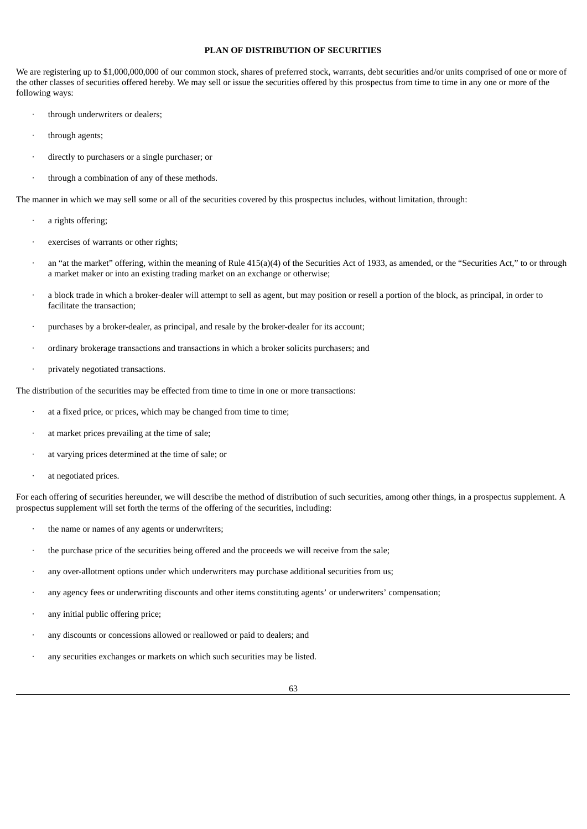## **PLAN OF DISTRIBUTION OF SECURITIES**

We are registering up to \$1,000,000,000 of our common stock, shares of preferred stock, warrants, debt securities and/or units comprised of one or more of the other classes of securities offered hereby. We may sell or issue the securities offered by this prospectus from time to time in any one or more of the following ways:

- · through underwriters or dealers;
- through agents;
- directly to purchasers or a single purchaser; or
- through a combination of any of these methods.

The manner in which we may sell some or all of the securities covered by this prospectus includes, without limitation, through:

- a rights offering;
- exercises of warrants or other rights;
- an "at the market" offering, within the meaning of Rule 415(a)(4) of the Securities Act of 1933, as amended, or the "Securities Act," to or through a market maker or into an existing trading market on an exchange or otherwise;
- a block trade in which a broker-dealer will attempt to sell as agent, but may position or resell a portion of the block, as principal, in order to facilitate the transaction;
- purchases by a broker-dealer, as principal, and resale by the broker-dealer for its account;
- · ordinary brokerage transactions and transactions in which a broker solicits purchasers; and
- privately negotiated transactions.

The distribution of the securities may be effected from time to time in one or more transactions:

- at a fixed price, or prices, which may be changed from time to time;
- at market prices prevailing at the time of sale;
- at varying prices determined at the time of sale; or
- at negotiated prices.

For each offering of securities hereunder, we will describe the method of distribution of such securities, among other things, in a prospectus supplement. A prospectus supplement will set forth the terms of the offering of the securities, including:

- the name or names of any agents or underwriters;
- · the purchase price of the securities being offered and the proceeds we will receive from the sale;
- any over-allotment options under which underwriters may purchase additional securities from us;
- any agency fees or underwriting discounts and other items constituting agents' or underwriters' compensation;
- any initial public offering price;
- any discounts or concessions allowed or reallowed or paid to dealers; and
- any securities exchanges or markets on which such securities may be listed.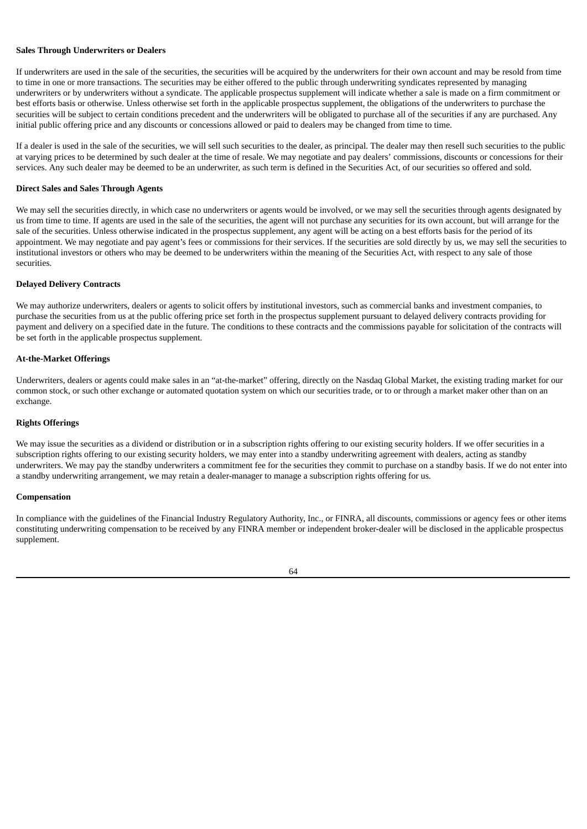#### **Sales Through Underwriters or Dealers**

If underwriters are used in the sale of the securities, the securities will be acquired by the underwriters for their own account and may be resold from time to time in one or more transactions. The securities may be either offered to the public through underwriting syndicates represented by managing underwriters or by underwriters without a syndicate. The applicable prospectus supplement will indicate whether a sale is made on a firm commitment or best efforts basis or otherwise. Unless otherwise set forth in the applicable prospectus supplement, the obligations of the underwriters to purchase the securities will be subject to certain conditions precedent and the underwriters will be obligated to purchase all of the securities if any are purchased. Any initial public offering price and any discounts or concessions allowed or paid to dealers may be changed from time to time.

If a dealer is used in the sale of the securities, we will sell such securities to the dealer, as principal. The dealer may then resell such securities to the public at varying prices to be determined by such dealer at the time of resale. We may negotiate and pay dealers' commissions, discounts or concessions for their services. Any such dealer may be deemed to be an underwriter, as such term is defined in the Securities Act, of our securities so offered and sold.

#### **Direct Sales and Sales Through Agents**

We may sell the securities directly, in which case no underwriters or agents would be involved, or we may sell the securities through agents designated by us from time to time. If agents are used in the sale of the securities, the agent will not purchase any securities for its own account, but will arrange for the sale of the securities. Unless otherwise indicated in the prospectus supplement, any agent will be acting on a best efforts basis for the period of its appointment. We may negotiate and pay agent's fees or commissions for their services. If the securities are sold directly by us, we may sell the securities to institutional investors or others who may be deemed to be underwriters within the meaning of the Securities Act, with respect to any sale of those securities.

#### **Delayed Delivery Contracts**

We may authorize underwriters, dealers or agents to solicit offers by institutional investors, such as commercial banks and investment companies, to purchase the securities from us at the public offering price set forth in the prospectus supplement pursuant to delayed delivery contracts providing for payment and delivery on a specified date in the future. The conditions to these contracts and the commissions payable for solicitation of the contracts will be set forth in the applicable prospectus supplement.

#### **At-the-Market Offerings**

Underwriters, dealers or agents could make sales in an "at-the-market" offering, directly on the Nasdaq Global Market, the existing trading market for our common stock, or such other exchange or automated quotation system on which our securities trade, or to or through a market maker other than on an exchange.

#### **Rights Offerings**

We may issue the securities as a dividend or distribution or in a subscription rights offering to our existing security holders. If we offer securities in a subscription rights offering to our existing security holders, we may enter into a standby underwriting agreement with dealers, acting as standby underwriters. We may pay the standby underwriters a commitment fee for the securities they commit to purchase on a standby basis. If we do not enter into a standby underwriting arrangement, we may retain a dealer-manager to manage a subscription rights offering for us.

#### **Compensation**

In compliance with the guidelines of the Financial Industry Regulatory Authority, Inc., or FINRA, all discounts, commissions or agency fees or other items constituting underwriting compensation to be received by any FINRA member or independent broker-dealer will be disclosed in the applicable prospectus supplement.

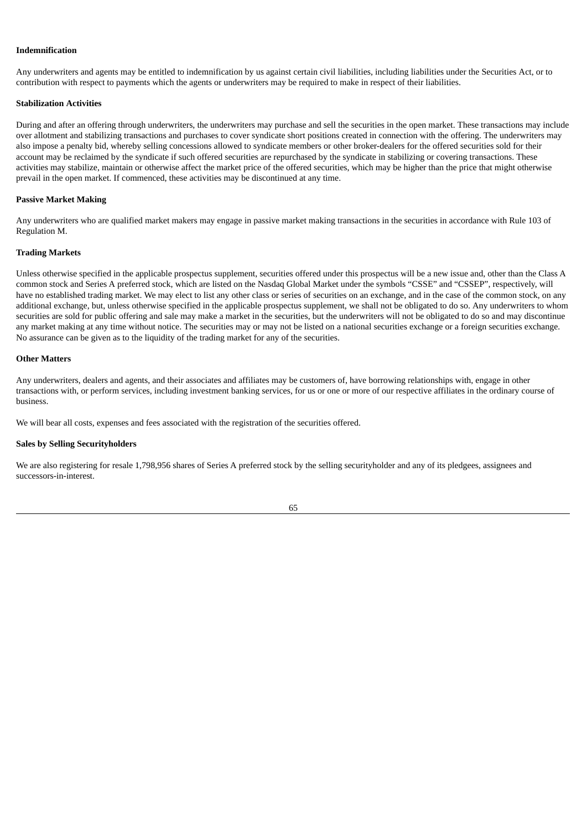#### **Indemnification**

Any underwriters and agents may be entitled to indemnification by us against certain civil liabilities, including liabilities under the Securities Act, or to contribution with respect to payments which the agents or underwriters may be required to make in respect of their liabilities.

### **Stabilization Activities**

During and after an offering through underwriters, the underwriters may purchase and sell the securities in the open market. These transactions may include over allotment and stabilizing transactions and purchases to cover syndicate short positions created in connection with the offering. The underwriters may also impose a penalty bid, whereby selling concessions allowed to syndicate members or other broker-dealers for the offered securities sold for their account may be reclaimed by the syndicate if such offered securities are repurchased by the syndicate in stabilizing or covering transactions. These activities may stabilize, maintain or otherwise affect the market price of the offered securities, which may be higher than the price that might otherwise prevail in the open market. If commenced, these activities may be discontinued at any time.

### **Passive Market Making**

Any underwriters who are qualified market makers may engage in passive market making transactions in the securities in accordance with Rule 103 of Regulation M.

#### **Trading Markets**

Unless otherwise specified in the applicable prospectus supplement, securities offered under this prospectus will be a new issue and, other than the Class A common stock and Series A preferred stock, which are listed on the Nasdaq Global Market under the symbols "CSSE" and "CSSEP", respectively, will have no established trading market. We may elect to list any other class or series of securities on an exchange, and in the case of the common stock, on any additional exchange, but, unless otherwise specified in the applicable prospectus supplement, we shall not be obligated to do so. Any underwriters to whom securities are sold for public offering and sale may make a market in the securities, but the underwriters will not be obligated to do so and may discontinue any market making at any time without notice. The securities may or may not be listed on a national securities exchange or a foreign securities exchange. No assurance can be given as to the liquidity of the trading market for any of the securities.

#### **Other Matters**

Any underwriters, dealers and agents, and their associates and affiliates may be customers of, have borrowing relationships with, engage in other transactions with, or perform services, including investment banking services, for us or one or more of our respective affiliates in the ordinary course of business.

We will bear all costs, expenses and fees associated with the registration of the securities offered.

#### **Sales by Selling Securityholders**

We are also registering for resale 1,798,956 shares of Series A preferred stock by the selling securityholder and any of its pledgees, assignees and successors-in-interest.

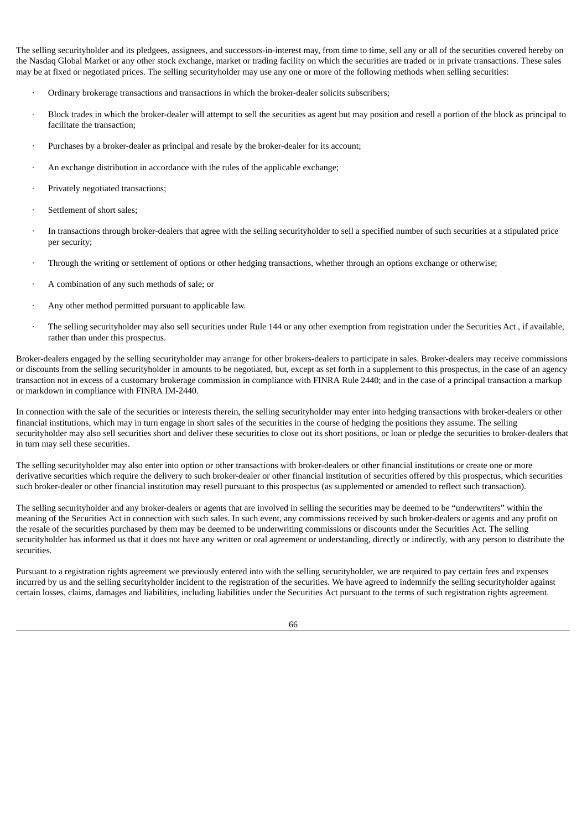The selling securityholder and its pledgees, assignees, and successors-in-interest may, from time to time, sell any or all of the securities covered hereby on the Nasdaq Global Market or any other stock exchange, market or trading facility on which the securities are traded or in private transactions. These sales may be at fixed or negotiated prices. The selling securityholder may use any one or more of the following methods when selling securities:

- · Ordinary brokerage transactions and transactions in which the broker-dealer solicits subscribers;
- · Block trades in which the broker-dealer will attempt to sell the securities as agent but may position and resell a portion of the block as principal to facilitate the transaction;
- Purchases by a broker-dealer as principal and resale by the broker-dealer for its account;
- · An exchange distribution in accordance with the rules of the applicable exchange;
- Privately negotiated transactions;
- Settlement of short sales;
- In transactions through broker-dealers that agree with the selling securityholder to sell a specified number of such securities at a stipulated price per security;
- · Through the writing or settlement of options or other hedging transactions, whether through an options exchange or otherwise;
- · A combination of any such methods of sale; or
- Any other method permitted pursuant to applicable law.
- · The selling securityholder may also sell securities under Rule 144 or any other exemption from registration under the Securities Act , if available, rather than under this prospectus.

Broker-dealers engaged by the selling securityholder may arrange for other brokers-dealers to participate in sales. Broker-dealers may receive commissions or discounts from the selling securityholder in amounts to be negotiated, but, except as set forth in a supplement to this prospectus, in the case of an agency transaction not in excess of a customary brokerage commission in compliance with FINRA Rule 2440; and in the case of a principal transaction a markup or markdown in compliance with FINRA IM-2440.

In connection with the sale of the securities or interests therein, the selling securityholder may enter into hedging transactions with broker-dealers or other financial institutions, which may in turn engage in short sales of the securities in the course of hedging the positions they assume. The selling securityholder may also sell securities short and deliver these securities to close out its short positions, or loan or pledge the securities to broker-dealers that in turn may sell these securities.

The selling securityholder may also enter into option or other transactions with broker-dealers or other financial institutions or create one or more derivative securities which require the delivery to such broker-dealer or other financial institution of securities offered by this prospectus, which securities such broker-dealer or other financial institution may resell pursuant to this prospectus (as supplemented or amended to reflect such transaction).

The selling securityholder and any broker-dealers or agents that are involved in selling the securities may be deemed to be "underwriters" within the meaning of the Securities Act in connection with such sales. In such event, any commissions received by such broker-dealers or agents and any profit on the resale of the securities purchased by them may be deemed to be underwriting commissions or discounts under the Securities Act. The selling securityholder has informed us that it does not have any written or oral agreement or understanding, directly or indirectly, with any person to distribute the securities.

Pursuant to a registration rights agreement we previously entered into with the selling securityholder, we are required to pay certain fees and expenses incurred by us and the selling securityholder incident to the registration of the securities. We have agreed to indemnify the selling securityholder against certain losses, claims, damages and liabilities, including liabilities under the Securities Act pursuant to the terms of such registration rights agreement.

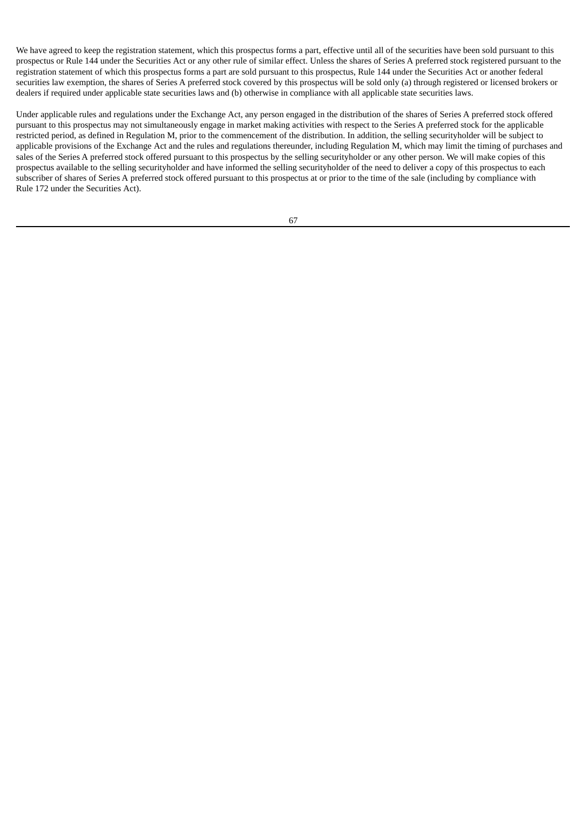We have agreed to keep the registration statement, which this prospectus forms a part, effective until all of the securities have been sold pursuant to this prospectus or Rule 144 under the Securities Act or any other rule of similar effect. Unless the shares of Series A preferred stock registered pursuant to the registration statement of which this prospectus forms a part are sold pursuant to this prospectus, Rule 144 under the Securities Act or another federal securities law exemption, the shares of Series A preferred stock covered by this prospectus will be sold only (a) through registered or licensed brokers or dealers if required under applicable state securities laws and (b) otherwise in compliance with all applicable state securities laws.

Under applicable rules and regulations under the Exchange Act, any person engaged in the distribution of the shares of Series A preferred stock offered pursuant to this prospectus may not simultaneously engage in market making activities with respect to the Series A preferred stock for the applicable restricted period, as defined in Regulation M, prior to the commencement of the distribution. In addition, the selling securityholder will be subject to applicable provisions of the Exchange Act and the rules and regulations thereunder, including Regulation M, which may limit the timing of purchases and sales of the Series A preferred stock offered pursuant to this prospectus by the selling securityholder or any other person. We will make copies of this prospectus available to the selling securityholder and have informed the selling securityholder of the need to deliver a copy of this prospectus to each subscriber of shares of Series A preferred stock offered pursuant to this prospectus at or prior to the time of the sale (including by compliance with Rule 172 under the Securities Act).

67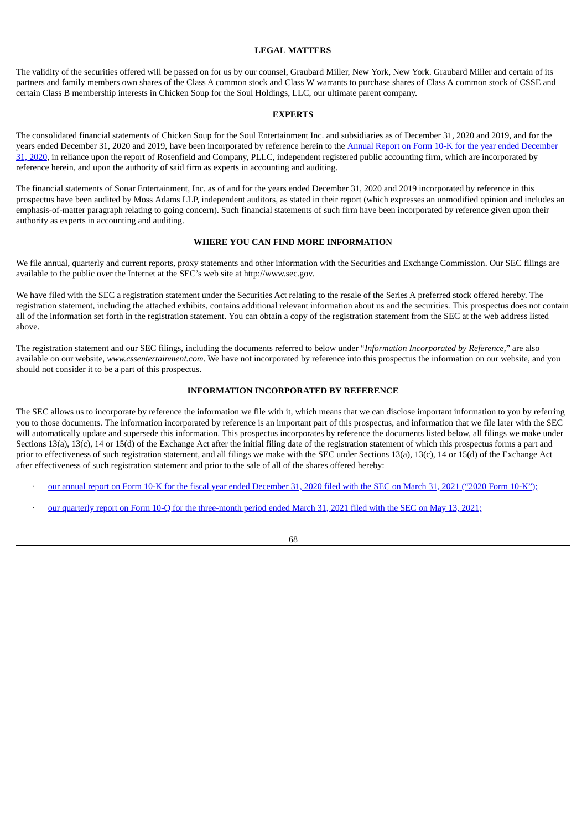## **LEGAL MATTERS**

The validity of the securities offered will be passed on for us by our counsel, Graubard Miller, New York, New York. Graubard Miller and certain of its partners and family members own shares of the Class A common stock and Class W warrants to purchase shares of Class A common stock of CSSE and certain Class B membership interests in Chicken Soup for the Soul Holdings, LLC, our ultimate parent company.

### **EXPERTS**

The consolidated financial statements of Chicken Soup for the Soul Entertainment Inc. and subsidiaries as of December 31, 2020 and 2019, and for the years ended December 31, 2020 and 2019, have been [incorporated](https://www.sec.gov/Archives/edgar/data/1679063/000155837021003814/csse-20201231x10k.htm) by reference herein to the Annual Report on Form 10-K for the year ended December 31, 2020, in reliance upon the report of Rosenfield and Company, PLLC, independent registered public accounting firm, which are incorporated by reference herein, and upon the authority of said firm as experts in accounting and auditing.

The financial statements of Sonar Entertainment, Inc. as of and for the years ended December 31, 2020 and 2019 incorporated by reference in this prospectus have been audited by Moss Adams LLP, independent auditors, as stated in their report (which expresses an unmodified opinion and includes an emphasis-of-matter paragraph relating to going concern). Such financial statements of such firm have been incorporated by reference given upon their authority as experts in accounting and auditing.

## **WHERE YOU CAN FIND MORE INFORMATION**

We file annual, quarterly and current reports, proxy statements and other information with the Securities and Exchange Commission. Our SEC filings are available to the public over the Internet at the SEC's web site at http://www.sec.gov.

We have filed with the SEC a registration statement under the Securities Act relating to the resale of the Series A preferred stock offered hereby. The registration statement, including the attached exhibits, contains additional relevant information about us and the securities. This prospectus does not contain all of the information set forth in the registration statement. You can obtain a copy of the registration statement from the SEC at the web address listed above.

The registration statement and our SEC filings, including the documents referred to below under "*Information Incorporated by Reference*," are also available on our website, *www.cssentertainment.com*. We have not incorporated by reference into this prospectus the information on our website, and you should not consider it to be a part of this prospectus.

#### **INFORMATION INCORPORATED BY REFERENCE**

The SEC allows us to incorporate by reference the information we file with it, which means that we can disclose important information to you by referring you to those documents. The information incorporated by reference is an important part of this prospectus, and information that we file later with the SEC will automatically update and supersede this information. This prospectus incorporates by reference the documents listed below, all filings we make under Sections 13(a), 13(c), 14 or 15(d) of the Exchange Act after the initial filing date of the registration statement of which this prospectus forms a part and prior to effectiveness of such registration statement, and all filings we make with the SEC under Sections 13(a), 13(c), 14 or 15(d) of the Exchange Act after effectiveness of such registration statement and prior to the sale of all of the shares offered hereby:

- our annual report on Form 10-K for the fiscal year ended [December](https://www.sec.gov/Archives/edgar/data/1679063/000155837021003814/csse-20201231x10k.htm) 31, 2020 filed with the SEC on March 31, 2021 ("2020 Form 10-K");
- · our quarterly report on Form 10-Q for the [three-month](https://www.sec.gov/Archives/edgar/data/1679063/000155837021007091/csse-20210331x10q.htm) period ended March 31, 2021 filed with the SEC on May 13, 2021;

68